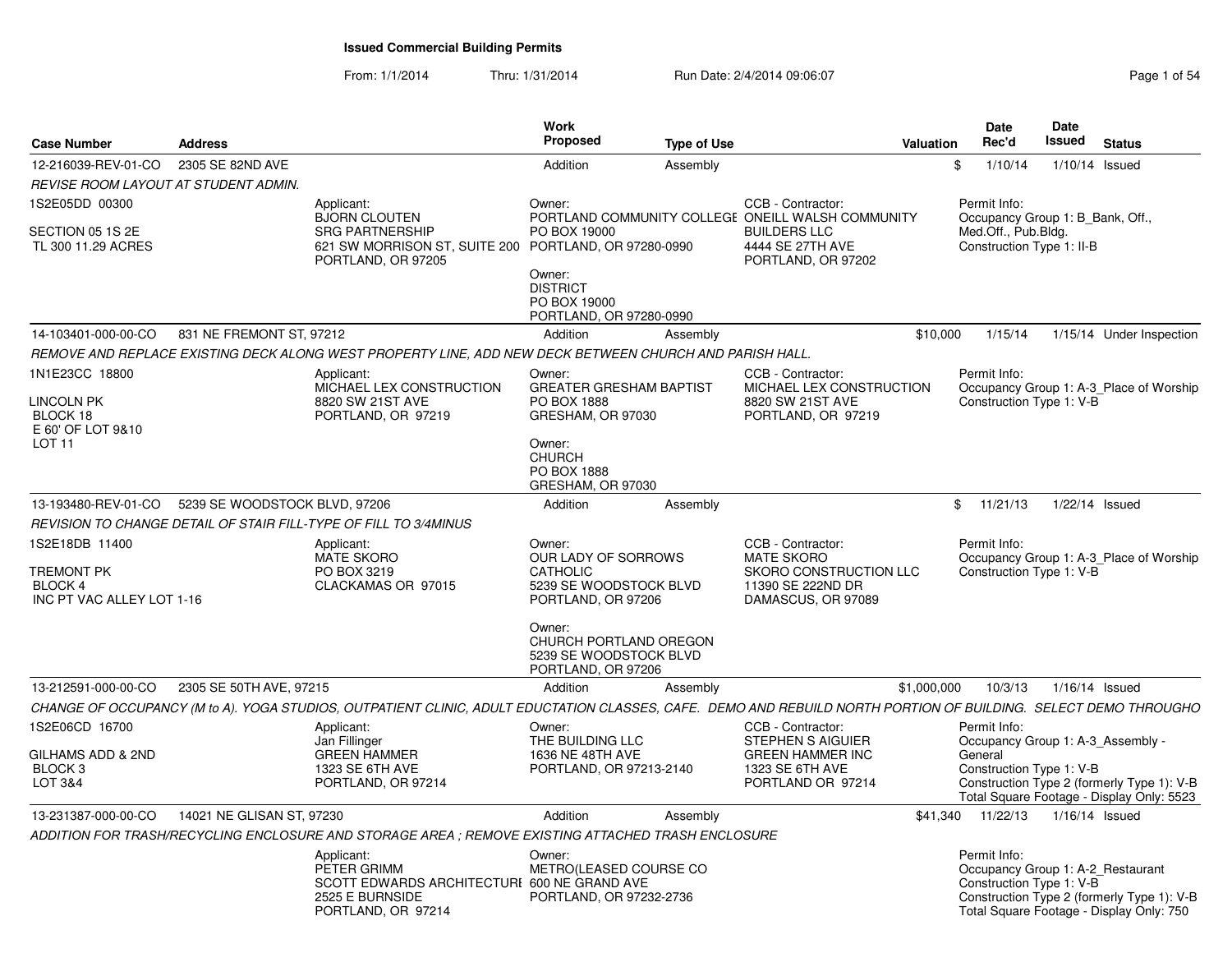From: 1/1/2014Thru: 1/31/2014 Run Date: 2/4/2014 09:06:07 Rege 1 of 54

| Issued                                                                                                                                                                                                                                                                                                                                                                                                                                                 |
|--------------------------------------------------------------------------------------------------------------------------------------------------------------------------------------------------------------------------------------------------------------------------------------------------------------------------------------------------------------------------------------------------------------------------------------------------------|
| <b>Proposed</b><br>Rec'd<br><b>Status</b><br><b>Case Number</b><br><b>Address</b><br><b>Type of Use</b><br><b>Valuation</b><br>2305 SE 82ND AVE<br>12-216039-REV-01-CO<br>1/10/14<br>Addition<br>1/10/14 Issued<br>Assembly<br>- \$                                                                                                                                                                                                                    |
| REVISE ROOM LAYOUT AT STUDENT ADMIN.                                                                                                                                                                                                                                                                                                                                                                                                                   |
|                                                                                                                                                                                                                                                                                                                                                                                                                                                        |
| IS2E05DD 00300<br>CCB - Contractor:<br>Applicant:<br>Owner:<br>Permit Info:<br><b>BJORN CLOUTEN</b><br>PORTLAND COMMUNITY COLLEGE ONEILL WALSH COMMUNITY<br>Occupancy Group 1: B_Bank, Off.,<br>SECTION 05 1S 2E<br><b>SRG PARTNERSHIP</b><br>PO BOX 19000<br><b>BUILDERS LLC</b><br>Med.Off., Pub.Bldg.                                                                                                                                               |
| 621 SW MORRISON ST, SUITE 200 PORTLAND, OR 97280-0990<br>4444 SE 27TH AVE<br>Construction Type 1: II-B<br>TL 300 11.29 ACRES<br>PORTLAND, OR 97205<br>PORTLAND, OR 97202<br>Owner:<br><b>DISTRICT</b><br>PO BOX 19000<br>PORTLAND, OR 97280-0990                                                                                                                                                                                                       |
| 831 NE FREMONT ST, 97212<br>\$10,000<br>14-103401-000-00-CO<br>Addition<br>1/15/14<br>1/15/14 Under Inspection<br>Assembly                                                                                                                                                                                                                                                                                                                             |
| REMOVE AND REPLACE EXISTING DECK ALONG WEST PROPERTY LINE, ADD NEW DECK BETWEEN CHURCH AND PARISH HALL                                                                                                                                                                                                                                                                                                                                                 |
|                                                                                                                                                                                                                                                                                                                                                                                                                                                        |
| 1N1E23CC 18800<br>Applicant:<br>CCB - Contractor:<br>Permit Info:<br>Owner:<br>MICHAEL LEX CONSTRUCTION<br><b>GREATER GRESHAM BAPTIST</b><br>MICHAEL LEX CONSTRUCTION<br>Occupancy Group 1: A-3_Place of Worship<br><b>LINCOLN PK</b><br>8820 SW 21ST AVE<br><b>PO BOX 1888</b><br>Construction Type 1: V-B<br>8820 SW 21ST AVE<br>BLOCK 18<br>GRESHAM, OR 97030<br>PORTLAND, OR 97219<br>PORTLAND, OR 97219<br>E 60' OF LOT 9&10                      |
| LOT <sub>11</sub><br>Owner:<br><b>CHURCH</b><br>PO BOX 1888<br>GRESHAM, OR 97030                                                                                                                                                                                                                                                                                                                                                                       |
| 5239 SE WOODSTOCK BLVD, 97206<br>13-193480-REV-01-CO<br>Addition<br>\$11/21/13<br>1/22/14 Issued<br>Assembly                                                                                                                                                                                                                                                                                                                                           |
| REVISION TO CHANGE DETAIL OF STAIR FILL-TYPE OF FILL TO 3/4MINUS                                                                                                                                                                                                                                                                                                                                                                                       |
| IS2E18DB 11400<br>CCB - Contractor:<br>Permit Info:<br>Applicant:<br>Owner:<br><b>OUR LADY OF SORROWS</b><br><b>MATE SKORO</b><br>MATE SKORO<br>Occupancy Group 1: A-3 Place of Worship<br><b>TREMONT PK</b><br>PO BOX 3219<br>CATHOLIC<br>SKORO CONSTRUCTION LLC<br>Construction Type 1: V-B<br>CLACKAMAS OR 97015<br>5239 SE WOODSTOCK BLVD<br>11390 SE 222ND DR<br>BLOCK 4<br>INC PT VAC ALLEY LOT 1-16<br>PORTLAND, OR 97206<br>DAMASCUS, OR 97089 |
| Owner:<br>CHURCH PORTLAND OREGON<br>5239 SE WOODSTOCK BLVD<br>PORTLAND, OR 97206                                                                                                                                                                                                                                                                                                                                                                       |
| 2305 SE 50TH AVE, 97215<br>13-212591-000-00-CO<br>Addition<br>\$1,000,000<br>10/3/13<br>1/16/14 Issued<br>Assembly                                                                                                                                                                                                                                                                                                                                     |
| CHANGE OF OCCUPANCY (M to A). YOGA STUDIOS, OUTPATIENT CLINIC, ADULT EDUCTATION CLASSES, CAFE. DEMO AND REBUILD NORTH PORTION OF BUILDING. SELECT DEMO THROUGHO                                                                                                                                                                                                                                                                                        |
| IS2E06CD 16700<br>CCB - Contractor:<br>Permit Info:<br>Applicant:<br>Owner:<br>Jan Fillinger<br><b>STEPHEN S AIGUIER</b><br>THE BUILDING LLC<br>Occupancy Group 1: A-3_Assembly -                                                                                                                                                                                                                                                                      |
| <b>GREEN HAMMER</b><br>GILHAMS ADD & 2ND<br>1636 NE 48TH AVE<br><b>GREEN HAMMER INC</b><br>General<br>BLOCK 3<br>1323 SE 6TH AVE<br>PORTLAND, OR 97213-2140<br>1323 SE 6TH AVE<br>Construction Type 1: V-B<br><b>LOT 3&amp;4</b><br>Construction Type 2 (formerly Type 1): V-B<br>PORTLAND, OR 97214<br>PORTLAND OR 97214<br>Total Square Footage - Display Only: 5523                                                                                 |
| 14021 NE GLISAN ST. 97230<br>13-231387-000-00-CO<br>Addition<br>\$41.340<br>11/22/13<br>1/16/14 Issued<br>Assembly                                                                                                                                                                                                                                                                                                                                     |
| ADDITION FOR TRASH/RECYCLING ENCLOSURE AND STORAGE AREA ; REMOVE EXISTING ATTACHED TRASH ENCLOSURE                                                                                                                                                                                                                                                                                                                                                     |
|                                                                                                                                                                                                                                                                                                                                                                                                                                                        |
| Permit Info:<br>Applicant:<br>Owner:<br>PETER GRIMM<br>METRO(LEASED COURSE CO<br>Occupancy Group 1: A-2_Restaurant<br>SCOTT EDWARDS ARCHITECTURI 600 NE GRAND AVE<br>Construction Type 1: V-B<br>Construction Type 2 (formerly Type 1): V-B<br>2525 E BURNSIDE<br>PORTLAND, OR 97232-2736<br>PORTLAND, OR 97214<br>Total Square Footage - Display Only: 750                                                                                            |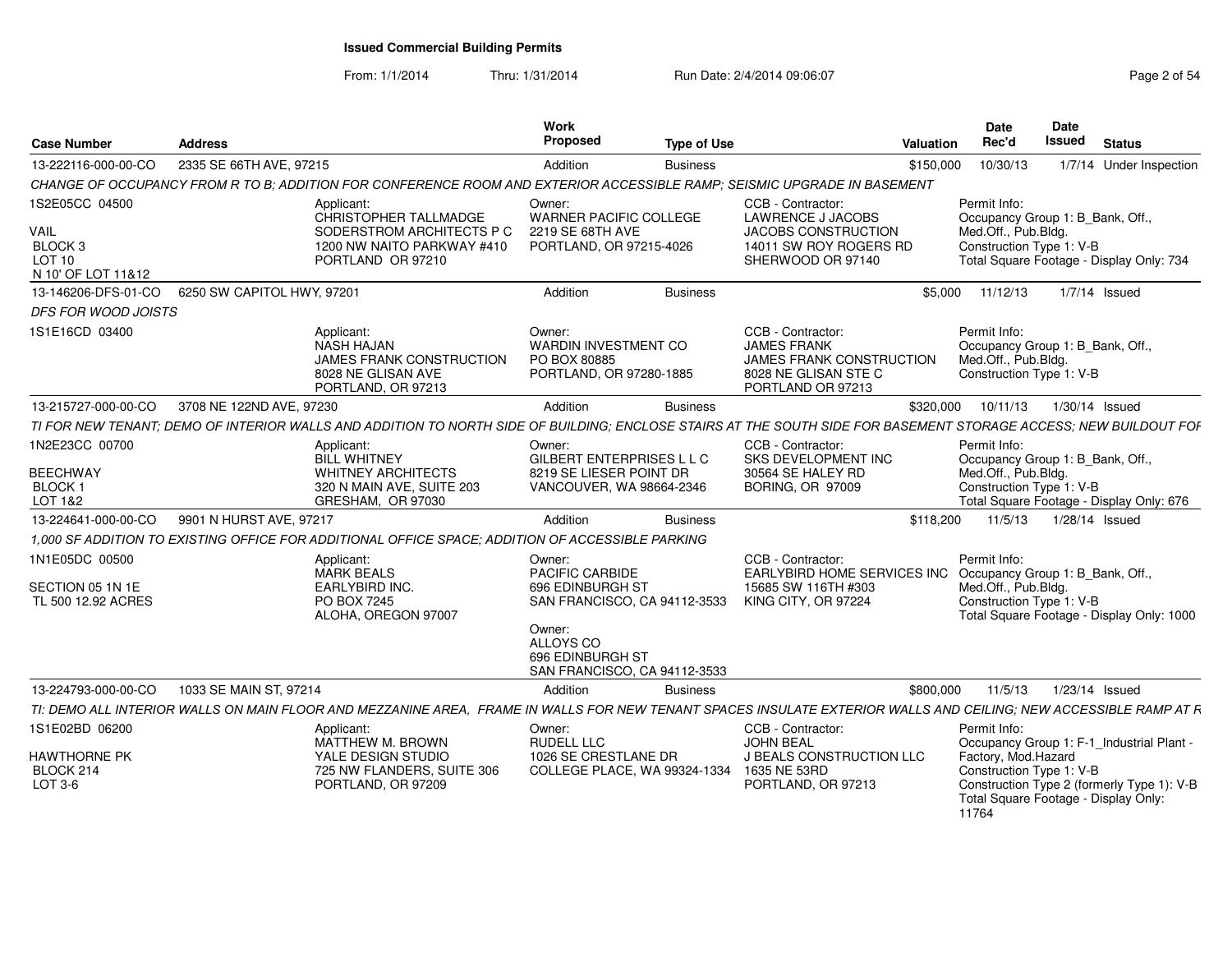From: 1/1/2014Thru: 1/31/2014 Run Date: 2/4/2014 09:06:07 Rege 2 of 54

| <b>Case Number</b>                                                           | <b>Address</b>             |                                                                                                                                                                  | Work<br>Proposed                                                                                                         | <b>Type of Use</b> |                                                                                                                            | Valuation | Date<br>Rec'd                                                                                                                                   | <b>Date</b><br><b>Issued</b> | <b>Status</b> |                                            |
|------------------------------------------------------------------------------|----------------------------|------------------------------------------------------------------------------------------------------------------------------------------------------------------|--------------------------------------------------------------------------------------------------------------------------|--------------------|----------------------------------------------------------------------------------------------------------------------------|-----------|-------------------------------------------------------------------------------------------------------------------------------------------------|------------------------------|---------------|--------------------------------------------|
| 13-222116-000-00-CO                                                          | 2335 SE 66TH AVE, 97215    |                                                                                                                                                                  | Addition                                                                                                                 | <b>Business</b>    |                                                                                                                            | \$150,000 | 10/30/13                                                                                                                                        |                              |               | 1/7/14 Under Inspection                    |
|                                                                              |                            | CHANGE OF OCCUPANCY FROM R TO B; ADDITION FOR CONFERENCE ROOM AND EXTERIOR ACCESSIBLE RAMP; SEISMIC UPGRADE IN BASEMENT                                          |                                                                                                                          |                    |                                                                                                                            |           |                                                                                                                                                 |                              |               |                                            |
| 1S2E05CC 04500<br>VAIL<br>BLOCK <sub>3</sub><br>LOT 10<br>N 10' OF LOT 11&12 |                            | Applicant:<br>CHRISTOPHER TALLMADGE<br>SODERSTROM ARCHITECTS P C<br>1200 NW NAITO PARKWAY #410<br>PORTLAND OR 97210                                              | Owner:<br><b>WARNER PACIFIC COLLEGE</b><br>2219 SE 68TH AVE<br>PORTLAND, OR 97215-4026                                   |                    | CCB - Contractor:<br><b>LAWRENCE J JACOBS</b><br><b>JACOBS CONSTRUCTION</b><br>14011 SW ROY ROGERS RD<br>SHERWOOD OR 97140 |           | Permit Info:<br>Occupancy Group 1: B_Bank, Off.,<br>Med.Off., Pub.Bldg.<br>Construction Type 1: V-B<br>Total Square Footage - Display Only: 734 |                              |               |                                            |
| 13-146206-DFS-01-CO                                                          | 6250 SW CAPITOL HWY, 97201 |                                                                                                                                                                  | Addition                                                                                                                 | <b>Business</b>    |                                                                                                                            | \$5,000   | 11/12/13                                                                                                                                        |                              | 1/7/14 Issued |                                            |
| DFS FOR WOOD JOISTS                                                          |                            |                                                                                                                                                                  |                                                                                                                          |                    |                                                                                                                            |           |                                                                                                                                                 |                              |               |                                            |
| 1S1E16CD 03400                                                               |                            | Applicant:<br>NASH HAJAN<br>JAMES FRANK CONSTRUCTION<br>8028 NE GLISAN AVE<br>PORTLAND, OR 97213                                                                 | Owner:<br><b>WARDIN INVESTMENT CO</b><br>PO BOX 80885<br>PORTLAND, OR 97280-1885                                         |                    | CCB - Contractor:<br><b>JAMES FRANK</b><br><b>JAMES FRANK CONSTRUCTION</b><br>8028 NE GLISAN STE C<br>PORTLAND OR 97213    |           | Permit Info:<br>Occupancy Group 1: B Bank, Off<br>Med.Off., Pub.Bldg.<br>Construction Type 1: V-B                                               |                              |               |                                            |
| 13-215727-000-00-CO                                                          | 3708 NE 122ND AVE, 97230   |                                                                                                                                                                  | Addition                                                                                                                 | <b>Business</b>    |                                                                                                                            | \$320,000 | 10/11/13                                                                                                                                        | 1/30/14 Issued               |               |                                            |
|                                                                              |                            | TI FOR NEW TENANT: DEMO OF INTERIOR WALLS AND ADDITION TO NORTH SIDE OF BUILDING; ENCLOSE STAIRS AT THE SOUTH SIDE FOR BASEMENT STORAGE ACCESS; NEW BUILDOUT FOF |                                                                                                                          |                    |                                                                                                                            |           |                                                                                                                                                 |                              |               |                                            |
| 1N2E23CC 00700<br><b>BEECHWAY</b><br>BLOCK 1<br>LOT 1&2                      |                            | Applicant:<br><b>BILL WHITNEY</b><br><b>WHITNEY ARCHITECTS</b><br>320 N MAIN AVE, SUITE 203<br>GRESHAM. OR 97030                                                 | Owner:<br>GILBERT ENTERPRISES L L C<br>8219 SE LIESER POINT DR<br>VANCOUVER, WA 98664-2346                               |                    | CCB - Contractor:<br>SKS DEVELOPMENT INC<br>30564 SE HALEY RD<br>BORING, OR 97009                                          |           | Permit Info:<br>Occupancy Group 1: B_Bank, Off.,<br>Med.Off., Pub.Bldg.<br>Construction Type 1: V-B<br>Total Square Footage - Display Only: 676 |                              |               |                                            |
| 13-224641-000-00-CO                                                          | 9901 N HURST AVE, 97217    |                                                                                                                                                                  | Addition                                                                                                                 | <b>Business</b>    |                                                                                                                            | \$118,200 | 11/5/13                                                                                                                                         | $1/28/14$ Issued             |               |                                            |
|                                                                              |                            | 1.000 SF ADDITION TO EXISTING OFFICE FOR ADDITIONAL OFFICE SPACE: ADDITION OF ACCESSIBLE PARKING                                                                 |                                                                                                                          |                    |                                                                                                                            |           |                                                                                                                                                 |                              |               |                                            |
| 1N1E05DC 00500<br>SECTION 05 1N 1E<br>TL 500 12.92 ACRES                     |                            | Applicant:<br><b>MARK BEALS</b><br><b>EARLYBIRD INC.</b><br>PO BOX 7245<br>ALOHA, OREGON 97007                                                                   | Owner:<br>PACIFIC CARBIDE<br>696 EDINBURGH ST<br>SAN FRANCISCO, CA 94112-3533<br>Owner:<br>ALLOYS CO<br>696 EDINBURGH ST |                    | CCB - Contractor:<br>EARLYBIRD HOME SERVICES INC<br>15685 SW 116TH #303<br><b>KING CITY, OR 97224</b>                      |           | Permit Info:<br>Occupancy Group 1: B Bank, Off.,<br>Med.Off., Pub.Bldg.<br>Construction Type 1: V-B                                             |                              |               | Total Square Footage - Display Only: 1000  |
|                                                                              |                            |                                                                                                                                                                  | SAN FRANCISCO, CA 94112-3533                                                                                             |                    |                                                                                                                            |           |                                                                                                                                                 |                              |               |                                            |
| 13-224793-000-00-CO                                                          | 1033 SE MAIN ST, 97214     |                                                                                                                                                                  | Addition                                                                                                                 | <b>Business</b>    |                                                                                                                            | \$800,000 | 11/5/13                                                                                                                                         | 1/23/14 Issued               |               |                                            |
|                                                                              |                            | TI: DEMO ALL INTERIOR WALLS ON MAIN FLOOR AND MEZZANINE AREA, FRAME IN WALLS FOR NEW TENANT SPACES INSULATE EXTERIOR WALLS AND CEILING; NEW ACCESSIBLE RAMP AT R |                                                                                                                          |                    |                                                                                                                            |           |                                                                                                                                                 |                              |               |                                            |
| 1S1E02BD 06200<br><b>HAWTHORNE PK</b>                                        |                            | Applicant:<br>MATTHEW M. BROWN<br>YALE DESIGN STUDIO                                                                                                             | Owner:<br><b>RUDELL LLC</b><br>1026 SE CRESTLANE DR                                                                      |                    | CCB - Contractor:<br><b>JOHN BEAL</b><br>J BEALS CONSTRUCTION LLC                                                          |           | Permit Info:<br>Occupancy Group 1: F-1 Industrial Plant -<br>Factory, Mod.Hazard                                                                |                              |               |                                            |
| BLOCK 214<br>LOT 3-6                                                         |                            | 725 NW FLANDERS, SUITE 306<br>PORTLAND, OR 97209                                                                                                                 | COLLEGE PLACE, WA 99324-1334                                                                                             |                    | 1635 NE 53RD<br>PORTLAND, OR 97213                                                                                         |           | Construction Type 1: V-B<br>Total Square Footage - Display Only:<br>11764                                                                       |                              |               | Construction Type 2 (formerly Type 1): V-B |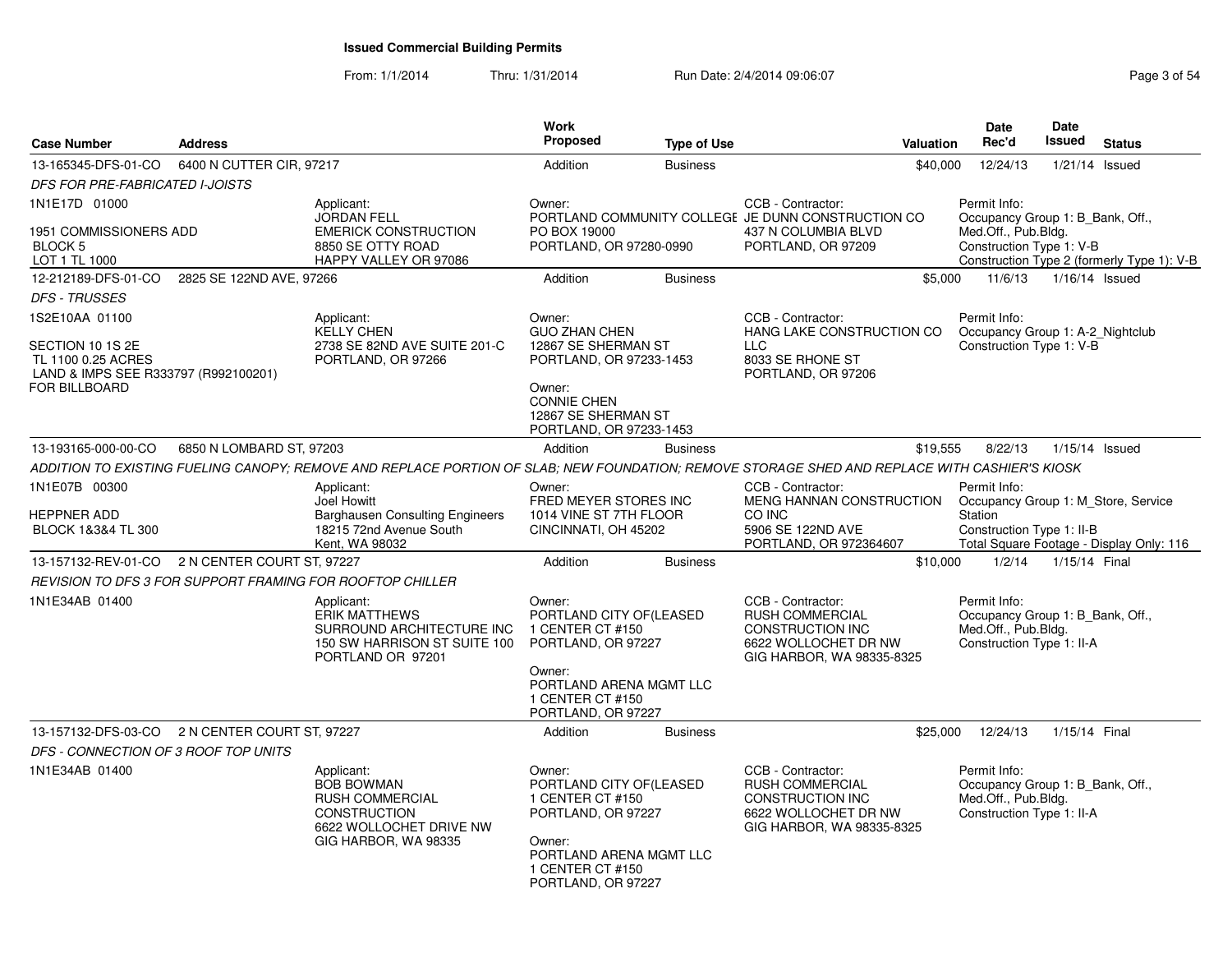### From: 1/1/2014Thru: 1/31/2014 Run Date: 2/4/2014 09:06:07 Rege 3 of 54

| <b>Case Number</b>                                                                               | <b>Address</b>           |                                                                                                                                               | <b>Work</b><br><b>Proposed</b>                                                                                                                             | <b>Type of Use</b> | <b>Valuation</b>                                                                                                            | Date<br>Rec'd                                                                                        | Date<br>Issued | <b>Status</b>                              |
|--------------------------------------------------------------------------------------------------|--------------------------|-----------------------------------------------------------------------------------------------------------------------------------------------|------------------------------------------------------------------------------------------------------------------------------------------------------------|--------------------|-----------------------------------------------------------------------------------------------------------------------------|------------------------------------------------------------------------------------------------------|----------------|--------------------------------------------|
| 13-165345-DFS-01-CO                                                                              | 6400 N CUTTER CIR, 97217 |                                                                                                                                               | Addition                                                                                                                                                   | <b>Business</b>    | \$40,000                                                                                                                    | 12/24/13                                                                                             | 1/21/14        | Issued                                     |
| <b>DFS FOR PRE-FABRICATED I-JOISTS</b>                                                           |                          |                                                                                                                                               |                                                                                                                                                            |                    |                                                                                                                             |                                                                                                      |                |                                            |
| 1N1E17D 01000<br>1951 COMMISSIONERS ADD<br>BLOCK 5<br>LOT 1 TL 1000                              |                          | Applicant:<br><b>JORDAN FELL</b><br><b>EMERICK CONSTRUCTION</b><br>8850 SE OTTY ROAD<br>HAPPY VALLEY OR 97086                                 | Owner:<br>PO BOX 19000<br>PORTLAND, OR 97280-0990                                                                                                          |                    | CCB - Contractor:<br>PORTLAND COMMUNITY COLLEGE JE DUNN CONSTRUCTION CO<br>437 N COLUMBIA BLVD<br>PORTLAND, OR 97209        | Permit Info:<br>Occupancy Group 1: B Bank, Off.,<br>Med.Off., Pub.Bldg.<br>Construction Type 1: V-B  |                | Construction Type 2 (formerly Type 1): V-B |
| 12-212189-DFS-01-CO                                                                              | 2825 SE 122ND AVE, 97266 |                                                                                                                                               | Addition                                                                                                                                                   | <b>Business</b>    | \$5,000                                                                                                                     | 11/6/13                                                                                              | 1/16/14 Issued |                                            |
| <b>DFS - TRUSSES</b>                                                                             |                          |                                                                                                                                               |                                                                                                                                                            |                    |                                                                                                                             |                                                                                                      |                |                                            |
| 1S2E10AA 01100<br>SECTION 10 1S 2E<br>TL 1100 0.25 ACRES<br>LAND & IMPS SEE R333797 (R992100201) |                          | Applicant:<br><b>KELLY CHEN</b><br>2738 SE 82ND AVE SUITE 201-C<br>PORTLAND, OR 97266                                                         | Owner:<br><b>GUO ZHAN CHEN</b><br>12867 SE SHERMAN ST<br>PORTLAND, OR 97233-1453                                                                           |                    | CCB - Contractor:<br>HANG LAKE CONSTRUCTION CO<br><b>LLC</b><br>8033 SE RHONE ST<br>PORTLAND, OR 97206                      | Permit Info:<br>Occupancy Group 1: A-2_Nightclub<br>Construction Type 1: V-B                         |                |                                            |
| <b>FOR BILLBOARD</b>                                                                             |                          |                                                                                                                                               | Owner:<br><b>CONNIE CHEN</b><br>12867 SE SHERMAN ST<br>PORTLAND, OR 97233-1453                                                                             |                    |                                                                                                                             |                                                                                                      |                |                                            |
| 13-193165-000-00-CO                                                                              | 6850 N LOMBARD ST, 97203 |                                                                                                                                               | Addition                                                                                                                                                   | <b>Business</b>    | \$19,555                                                                                                                    | 8/22/13                                                                                              | 1/15/14 Issued |                                            |
|                                                                                                  |                          | ADDITION TO EXISTING FUELING CANOPY; REMOVE AND REPLACE PORTION OF SLAB; NEW FOUNDATION; REMOVE STORAGE SHED AND REPLACE WITH CASHIER'S KIOSK |                                                                                                                                                            |                    |                                                                                                                             |                                                                                                      |                |                                            |
| 1N1E07B 00300<br>HEPPNER ADD<br>BLOCK 1&3&4 TL 300                                               |                          | Applicant:<br><b>Joel Howitt</b><br><b>Barghausen Consulting Engineers</b><br>18215 72nd Avenue South<br>Kent, WA 98032                       | Owner:<br>FRED MEYER STORES INC<br>1014 VINE ST 7TH FLOOR<br>CINCINNATI, OH 45202                                                                          |                    | CCB - Contractor:<br>MENG HANNAN CONSTRUCTION<br>CO INC<br>5906 SE 122ND AVE<br>PORTLAND, OR 972364607                      | Permit Info:<br>Occupancy Group 1: M Store, Service<br><b>Station</b><br>Construction Type 1: II-B   |                | Total Square Footage - Display Only: 116   |
| 13-157132-REV-01-CO 2 N CENTER COURT ST, 97227                                                   |                          |                                                                                                                                               | Addition                                                                                                                                                   | <b>Business</b>    | \$10,000                                                                                                                    | 1/2/14                                                                                               | 1/15/14 Final  |                                            |
|                                                                                                  |                          | REVISION TO DFS 3 FOR SUPPORT FRAMING FOR ROOFTOP CHILLER                                                                                     |                                                                                                                                                            |                    |                                                                                                                             |                                                                                                      |                |                                            |
| 1N1E34AB 01400                                                                                   |                          | Applicant:<br><b>ERIK MATTHEWS</b><br>SURROUND ARCHITECTURE INC<br>150 SW HARRISON ST SUITE 100<br>PORTLAND OR 97201                          | Owner:<br>PORTLAND CITY OF(LEASED<br>1 CENTER CT #150<br>PORTLAND, OR 97227                                                                                |                    | CCB - Contractor:<br><b>RUSH COMMERCIAL</b><br><b>CONSTRUCTION INC</b><br>6622 WOLLOCHET DR NW<br>GIG HARBOR, WA 98335-8325 | Permit Info:<br>Occupancy Group 1: B_Bank, Off.,<br>Med.Off., Pub.Bldg.<br>Construction Type 1: II-A |                |                                            |
|                                                                                                  |                          |                                                                                                                                               | Owner:<br>PORTLAND ARENA MGMT LLC<br>1 CENTER CT #150<br>PORTLAND, OR 97227                                                                                |                    |                                                                                                                             |                                                                                                      |                |                                            |
| 13-157132-DFS-03-CO 2 N CENTER COURT ST, 97227                                                   |                          |                                                                                                                                               | Addition                                                                                                                                                   | <b>Business</b>    | \$25,000                                                                                                                    | 12/24/13                                                                                             | 1/15/14 Final  |                                            |
| DFS - CONNECTION OF 3 ROOF TOP UNITS                                                             |                          |                                                                                                                                               |                                                                                                                                                            |                    |                                                                                                                             |                                                                                                      |                |                                            |
| 1N1E34AB 01400                                                                                   |                          | Applicant:<br><b>BOB BOWMAN</b><br><b>RUSH COMMERCIAL</b><br><b>CONSTRUCTION</b><br>6622 WOLLOCHET DRIVE NW<br>GIG HARBOR, WA 98335           | Owner:<br>PORTLAND CITY OF(LEASED<br>1 CENTER CT #150<br>PORTLAND, OR 97227<br>Owner:<br>PORTLAND ARENA MGMT LLC<br>1 CENTER CT #150<br>PORTLAND, OR 97227 |                    | CCB - Contractor:<br><b>RUSH COMMERCIAL</b><br><b>CONSTRUCTION INC</b><br>6622 WOLLOCHET DR NW<br>GIG HARBOR, WA 98335-8325 | Permit Info:<br>Occupancy Group 1: B Bank, Off.,<br>Med.Off., Pub.Bldg.<br>Construction Type 1: II-A |                |                                            |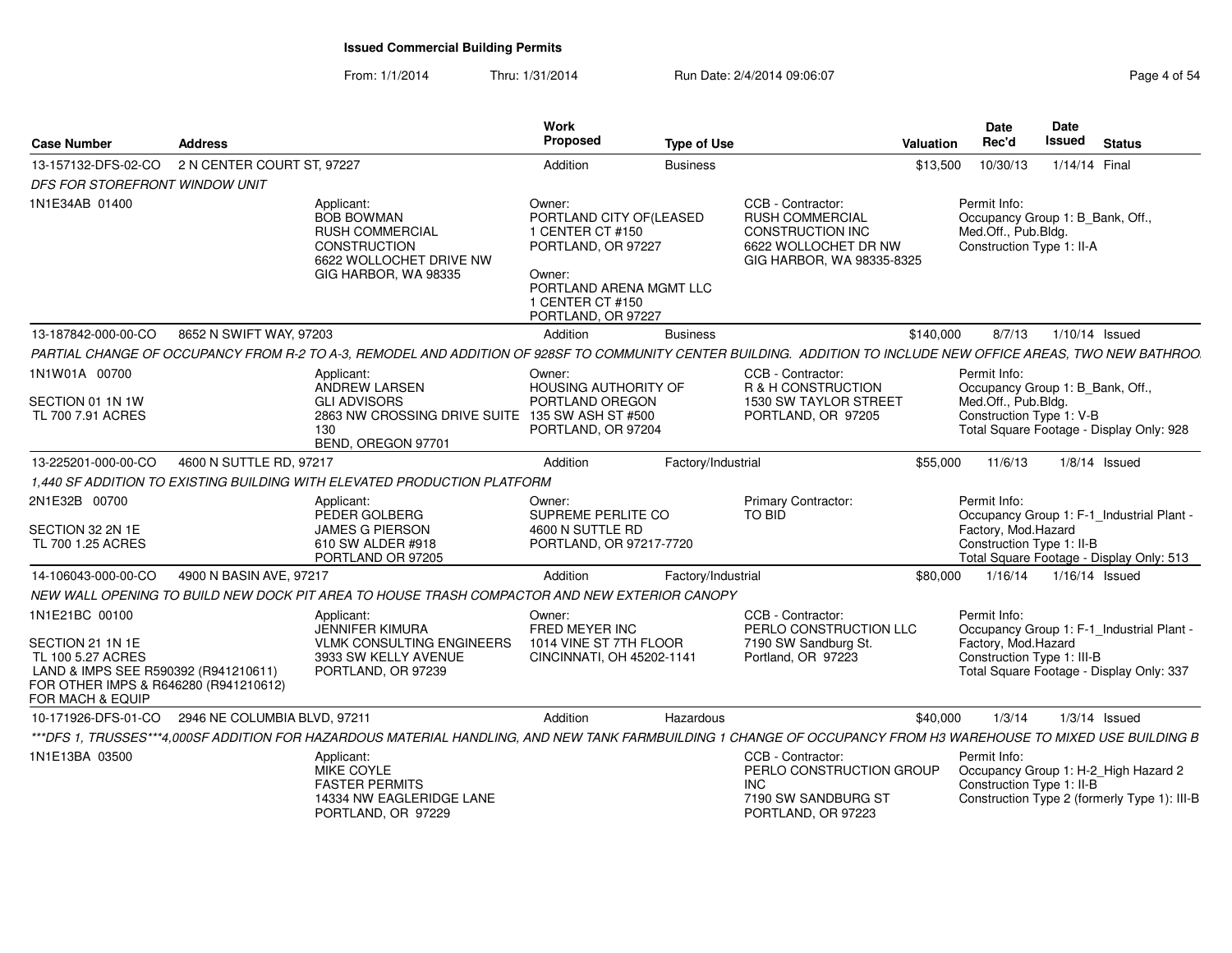### From: 1/1/2014Thru: 1/31/2014 **Run Date: 2/4/2014 09:06:07 Page 4 of 54 of 54 of 54 of 54 of 54 of 54 of 54 of 54 of 54 of 54 of 54 of 54 of 54 of 54 of 54 of 54 of 54 of 54 of 54 of 54 of 54 of 54 of 54 of 54 of 54 of 54 of 54 of 54**

| Page 4 of 54 |  |  |
|--------------|--|--|
|--------------|--|--|

| <b>Case Number</b>                                                                                                                                           | <b>Address</b>               |                                                                                                                                                                 | Work<br>Proposed                                                                                                                      | <b>Type of Use</b> |                                                                                                                             | Valuation | <b>Date</b><br>Rec'd                                                                                                                                      | <b>Date</b><br>Issued | <b>Status</b>   |  |
|--------------------------------------------------------------------------------------------------------------------------------------------------------------|------------------------------|-----------------------------------------------------------------------------------------------------------------------------------------------------------------|---------------------------------------------------------------------------------------------------------------------------------------|--------------------|-----------------------------------------------------------------------------------------------------------------------------|-----------|-----------------------------------------------------------------------------------------------------------------------------------------------------------|-----------------------|-----------------|--|
| 13-157132-DFS-02-CO                                                                                                                                          | 2 N CENTER COURT ST. 97227   |                                                                                                                                                                 | Addition                                                                                                                              | <b>Business</b>    |                                                                                                                             | \$13,500  | 10/30/13                                                                                                                                                  |                       | 1/14/14 Final   |  |
| DFS FOR STOREFRONT WINDOW UNIT                                                                                                                               |                              |                                                                                                                                                                 |                                                                                                                                       |                    |                                                                                                                             |           |                                                                                                                                                           |                       |                 |  |
| 1N1E34AB 01400                                                                                                                                               |                              | Applicant:<br><b>BOB BOWMAN</b><br><b>RUSH COMMERCIAL</b><br><b>CONSTRUCTION</b><br>6622 WOLLOCHET DRIVE NW<br>GIG HARBOR, WA 98335                             | Owner:<br>PORTLAND CITY OF (LEASED<br>1 CENTER CT #150<br>PORTLAND, OR 97227<br>Owner:<br>PORTLAND ARENA MGMT LLC<br>1 CENTER CT #150 |                    | CCB - Contractor:<br><b>RUSH COMMERCIAL</b><br><b>CONSTRUCTION INC</b><br>6622 WOLLOCHET DR NW<br>GIG HARBOR, WA 98335-8325 |           | Permit Info:<br>Occupancy Group 1: B_Bank, Off.,<br>Med.Off., Pub.Bldg.<br>Construction Type 1: II-A                                                      |                       |                 |  |
|                                                                                                                                                              |                              |                                                                                                                                                                 | PORTLAND, OR 97227                                                                                                                    |                    |                                                                                                                             |           |                                                                                                                                                           |                       |                 |  |
| 13-187842-000-00-CO                                                                                                                                          | 8652 N SWIFT WAY, 97203      |                                                                                                                                                                 | Addition                                                                                                                              | <b>Business</b>    |                                                                                                                             | \$140,000 | 8/7/13                                                                                                                                                    |                       | 1/10/14 Issued  |  |
|                                                                                                                                                              |                              | PARTIAL CHANGE OF OCCUPANCY FROM R-2 TO A-3, REMODEL AND ADDITION OF 928SF TO COMMUNITY CENTER BUILDING. ADDITION TO INCLUDE NEW OFFICE AREAS, TWO NEW BATHROO  |                                                                                                                                       |                    |                                                                                                                             |           |                                                                                                                                                           |                       |                 |  |
| 1N1W01A 00700                                                                                                                                                |                              | Applicant:<br>ANDREW LARSEN                                                                                                                                     | Owner:<br>HOUSING AUTHORITY OF                                                                                                        |                    | CCB - Contractor:<br>R & H CONSTRUCTION                                                                                     |           | Permit Info:<br>Occupancy Group 1: B_Bank, Off.,                                                                                                          |                       |                 |  |
| SECTION 01 1N 1W<br>TL 700 7.91 ACRES                                                                                                                        |                              | <b>GLI ADVISORS</b><br>2863 NW CROSSING DRIVE SUITE 135 SW ASH ST #500<br>130<br>BEND, OREGON 97701                                                             | PORTLAND OREGON<br>PORTLAND, OR 97204                                                                                                 |                    | <b>1530 SW TAYLOR STREET</b><br>PORTLAND, OR 97205                                                                          |           | Med.Off., Pub.Bldg.<br>Construction Type 1: V-B<br>Total Square Footage - Display Only: 928                                                               |                       |                 |  |
| 13-225201-000-00-CO                                                                                                                                          | 4600 N SUTTLE RD, 97217      |                                                                                                                                                                 | Addition                                                                                                                              | Factory/Industrial |                                                                                                                             | \$55,000  | 11/6/13                                                                                                                                                   |                       | $1/8/14$ Issued |  |
|                                                                                                                                                              |                              | 1,440 SF ADDITION TO EXISTING BUILDING WITH ELEVATED PRODUCTION PLATFORM                                                                                        |                                                                                                                                       |                    |                                                                                                                             |           |                                                                                                                                                           |                       |                 |  |
| 2N1E32B 00700<br>SECTION 32 2N 1E<br>TL 700 1.25 ACRES                                                                                                       |                              | Applicant:<br>PEDER GOLBERG<br><b>JAMES G PIERSON</b><br>610 SW ALDER #918<br>PORTLAND OR 97205                                                                 | Owner:<br>SUPREME PERLITE CO<br>4600 N SUTTLE RD<br>PORTLAND, OR 97217-7720                                                           |                    | <b>Primary Contractor:</b><br><b>TO BID</b>                                                                                 |           | Permit Info:<br>Occupancy Group 1: F-1_Industrial Plant -<br>Factory, Mod.Hazard<br>Construction Type 1: II-B<br>Total Square Footage - Display Only: 513 |                       |                 |  |
| 14-106043-000-00-CO                                                                                                                                          | 4900 N BASIN AVE, 97217      |                                                                                                                                                                 | Addition                                                                                                                              | Factory/Industrial |                                                                                                                             | \$80,000  | 1/16/14                                                                                                                                                   |                       | 1/16/14 Issued  |  |
|                                                                                                                                                              |                              | NEW WALL OPENING TO BUILD NEW DOCK PIT AREA TO HOUSE TRASH COMPACTOR AND NEW EXTERIOR CANOPY                                                                    |                                                                                                                                       |                    |                                                                                                                             |           |                                                                                                                                                           |                       |                 |  |
| 1N1E21BC 00100<br>SECTION 21 1N 1E<br>TL 100 5.27 ACRES<br>LAND & IMPS SEE R590392 (R941210611)<br>FOR OTHER IMPS & R646280 (R941210612)<br>FOR MACH & EQUIP |                              | Applicant:<br>JENNIFER KIMURA<br><b>VLMK CONSULTING ENGINEERS</b><br>3933 SW KELLY AVENUE<br>PORTLAND, OR 97239                                                 | Owner:<br>FRED MEYER INC<br>1014 VINE ST 7TH FLOOR<br>CINCINNATI, OH 45202-1141                                                       |                    | CCB - Contractor:<br>PERLO CONSTRUCTION LLC<br>7190 SW Sandburg St.<br>Portland, OR 97223                                   |           | Permit Info:<br>Occupancy Group 1: F-1_Industrial Plant<br>Factory, Mod.Hazard<br>Construction Type 1: III-B<br>Total Square Footage - Display Only: 337  |                       |                 |  |
| 10-171926-DFS-01-CO                                                                                                                                          | 2946 NE COLUMBIA BLVD, 97211 |                                                                                                                                                                 | Addition                                                                                                                              | Hazardous          |                                                                                                                             | \$40,000  | 1/3/14                                                                                                                                                    |                       | $1/3/14$ Issued |  |
|                                                                                                                                                              |                              | ***DFS 1. TRUSSES***4.000SF ADDITION FOR HAZARDOUS MATERIAL HANDLING, AND NEW TANK FARMBUILDING 1 CHANGE OF OCCUPANCY FROM H3 WAREHOUSE TO MIXED USE BUILDING B |                                                                                                                                       |                    |                                                                                                                             |           |                                                                                                                                                           |                       |                 |  |
| 1N1E13BA 03500                                                                                                                                               |                              | Applicant:<br>MIKE COYLE<br><b>FASTER PERMITS</b><br>14334 NW EAGLERIDGE LANE<br>PORTLAND, OR 97229                                                             |                                                                                                                                       |                    | CCB - Contractor:<br>PERLO CONSTRUCTION GROUP<br><b>INC</b><br>7190 SW SANDBURG ST<br>PORTLAND, OR 97223                    |           | Permit Info:<br>Occupancy Group 1: H-2_High Hazard 2<br>Construction Type 1: II-B<br>Construction Type 2 (formerly Type 1): III-B                         |                       |                 |  |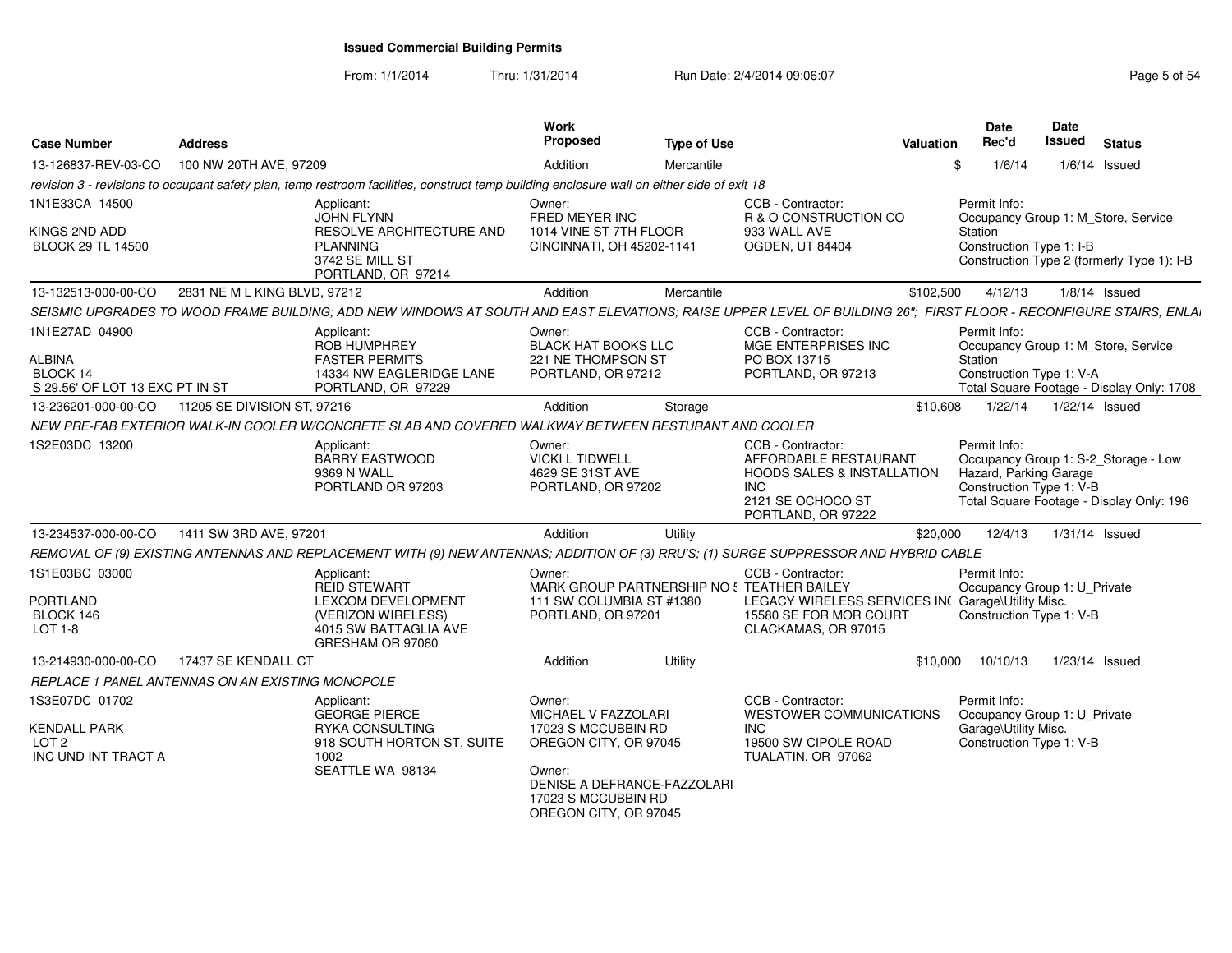From: 1/1/2014

Thru: 1/31/2014 Run Date: 2/4/2014 09:06:07 Rege 5 of 54

| <b>Case Number</b>                                                               | <b>Address</b>                                   |                                                                                                                                                                   | Work<br><b>Proposed</b>                                                                                                                                                | Type of Use |                                                                                                                                              | Valuation | <b>Date</b><br>Rec'd                                | <b>Date</b><br>Issued<br><b>Status</b>                                                                       |
|----------------------------------------------------------------------------------|--------------------------------------------------|-------------------------------------------------------------------------------------------------------------------------------------------------------------------|------------------------------------------------------------------------------------------------------------------------------------------------------------------------|-------------|----------------------------------------------------------------------------------------------------------------------------------------------|-----------|-----------------------------------------------------|--------------------------------------------------------------------------------------------------------------|
| 13-126837-REV-03-CO                                                              | 100 NW 20TH AVE, 97209                           |                                                                                                                                                                   | Addition                                                                                                                                                               | Mercantile  |                                                                                                                                              | \$        | 1/6/14                                              | $1/6/14$ Issued                                                                                              |
|                                                                                  |                                                  | revision 3 - revisions to occupant safety plan, temp restroom facilities, construct temp building enclosure wall on either side of exit 18                        |                                                                                                                                                                        |             |                                                                                                                                              |           |                                                     |                                                                                                              |
| 1N1E33CA 14500<br>KINGS 2ND ADD<br><b>BLOCK 29 TL 14500</b>                      |                                                  | Applicant:<br><b>JOHN FLYNN</b><br>RESOLVE ARCHITECTURE AND<br><b>PLANNING</b><br>3742 SE MILL ST<br>PORTLAND, OR 97214                                           | Owner:<br>FRED MEYER INC<br>1014 VINE ST 7TH FLOOR<br>CINCINNATI, OH 45202-1141                                                                                        |             | CCB - Contractor:<br>R & O CONSTRUCTION CO<br>933 WALL AVE<br>OGDEN, UT 84404                                                                |           | Permit Info:<br>Station<br>Construction Type 1: I-B | Occupancy Group 1: M Store, Service<br>Construction Type 2 (formerly Type 1): I-B                            |
| 13-132513-000-00-CO                                                              | 2831 NE M L KING BLVD, 97212                     |                                                                                                                                                                   | Addition                                                                                                                                                               | Mercantile  |                                                                                                                                              | \$102,500 | 4/12/13                                             | $1/8/14$ Issued                                                                                              |
|                                                                                  |                                                  | SEISMIC UPGRADES TO WOOD FRAME BUILDING; ADD NEW WINDOWS AT SOUTH AND EAST ELEVATIONS; RAISE UPPER LEVEL OF BUILDING 26"; FIRST FLOOR - RECONFIGURE STAIRS, ENLAI |                                                                                                                                                                        |             |                                                                                                                                              |           |                                                     |                                                                                                              |
| 1N1E27AD 04900<br><b>ALBINA</b><br>BLOCK 14<br>S 29.56' OF LOT 13 EXC PT IN ST   |                                                  | Applicant:<br><b>ROB HUMPHREY</b><br><b>FASTER PERMITS</b><br>14334 NW EAGLERIDGE LANE<br>PORTLAND, OR 97229                                                      | Owner:<br><b>BLACK HAT BOOKS LLC</b><br>221 NE THOMPSON ST<br>PORTLAND, OR 97212                                                                                       |             | CCB - Contractor:<br>MGE ENTERPRISES INC<br>PO BOX 13715<br>PORTLAND, OR 97213                                                               |           | Permit Info:<br>Station                             | Occupancy Group 1: M_Store, Service<br>Construction Type 1: V-A<br>Total Square Footage - Display Only: 1708 |
| 13-236201-000-00-CO                                                              | 11205 SE DIVISION ST, 97216                      |                                                                                                                                                                   | Addition                                                                                                                                                               | Storage     |                                                                                                                                              | \$10,608  | 1/22/14                                             | 1/22/14 Issued                                                                                               |
|                                                                                  |                                                  | NEW PRE-FAB EXTERIOR WALK-IN COOLER W/CONCRETE SLAB AND COVERED WALKWAY BETWEEN RESTURANT AND COOLER                                                              |                                                                                                                                                                        |             |                                                                                                                                              |           |                                                     |                                                                                                              |
| 1S2E03DC 13200                                                                   |                                                  | Applicant:<br><b>BARRY EASTWOOD</b><br>9369 N WALL<br>PORTLAND OR 97203                                                                                           | Owner:<br><b>VICKI L TIDWELL</b><br>4629 SE 31ST AVE<br>PORTLAND, OR 97202                                                                                             |             | CCB - Contractor:<br>AFFORDABLE RESTAURANT<br><b>HOODS SALES &amp; INSTALLATION</b><br><b>INC</b><br>2121 SE OCHOCO ST<br>PORTLAND, OR 97222 |           | Permit Info:<br>Hazard, Parking Garage              | Occupancy Group 1: S-2_Storage - Low<br>Construction Type 1: V-B<br>Total Square Footage - Display Only: 196 |
| 13-234537-000-00-CO                                                              | 1411 SW 3RD AVE, 97201                           |                                                                                                                                                                   | Addition                                                                                                                                                               | Utility     |                                                                                                                                              | \$20,000  | 12/4/13                                             | 1/31/14 Issued                                                                                               |
|                                                                                  |                                                  | REMOVAL OF (9) EXISTING ANTENNAS AND REPLACEMENT WITH (9) NEW ANTENNAS; ADDITION OF (3) RRU'S; (1) SURGE SUPPRESSOR AND HYBRID CABLE                              |                                                                                                                                                                        |             |                                                                                                                                              |           |                                                     |                                                                                                              |
| 1S1E03BC 03000<br><b>PORTLAND</b><br>BLOCK 146<br>LOT 1-8                        |                                                  | Applicant:<br><b>REID STEWART</b><br>LEXCOM DEVELOPMENT<br>(VERIZON WIRELESS)<br>4015 SW BATTAGLIA AVE<br>GRESHAM OR 97080                                        | Owner:<br>MARK GROUP PARTNERSHIP NO! TEATHER BAILEY<br>111 SW COLUMBIA ST #1380<br>PORTLAND, OR 97201                                                                  |             | <b>CCB - Contractor:</b><br>LEGACY WIRELESS SERVICES INC Garage\Utility Misc.<br>15580 SE FOR MOR COURT<br>CLACKAMAS, OR 97015               |           | Permit Info:                                        | Occupancy Group 1: U_Private<br>Construction Type 1: V-B                                                     |
| 13-214930-000-00-CO                                                              | 17437 SE KENDALL CT                              |                                                                                                                                                                   | Addition                                                                                                                                                               | Utility     |                                                                                                                                              | \$10,000  | 10/10/13                                            | 1/23/14 Issued                                                                                               |
|                                                                                  | REPLACE 1 PANEL ANTENNAS ON AN EXISTING MONOPOLE |                                                                                                                                                                   |                                                                                                                                                                        |             |                                                                                                                                              |           |                                                     |                                                                                                              |
| 1S3E07DC 01702<br><b>KENDALL PARK</b><br>LOT <sub>2</sub><br>INC UND INT TRACT A | 1002                                             | Applicant:<br><b>GEORGE PIERCE</b><br><b>RYKA CONSULTING</b><br>918 SOUTH HORTON ST. SUITE<br>SEATTLE WA 98134                                                    | Owner:<br>MICHAEL V FAZZOLARI<br>17023 S MCCUBBIN RD<br>OREGON CITY, OR 97045<br>Owner:<br>DENISE A DEFRANCE-FAZZOLARI<br>17023 S MCCUBBIN RD<br>OREGON CITY, OR 97045 |             | CCB - Contractor:<br>WESTOWER COMMUNICATIONS<br><b>INC</b><br>19500 SW CIPOLE ROAD<br>TUALATIN, OR 97062                                     |           | Permit Info:<br>Garage\Utility Misc.                | Occupancy Group 1: U Private<br>Construction Type 1: V-B                                                     |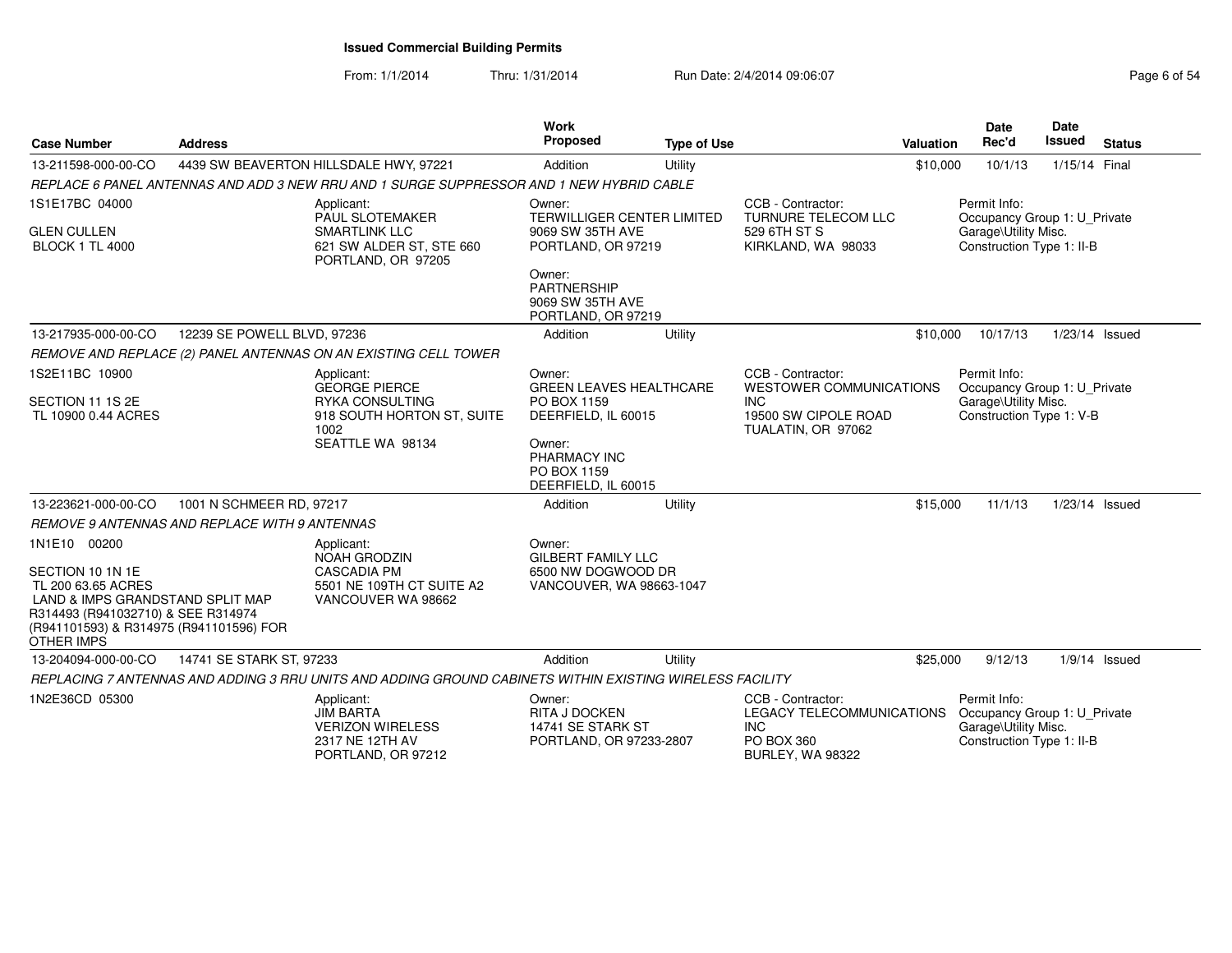From: 1/1/2014Thru: 1/31/2014 Run Date: 2/4/2014 09:06:07 Rege 6 of 54

| <b>Case Number</b>                                                                                                                                                                        | <b>Address</b>                                |                                                                                                                        | <b>Work</b><br><b>Proposed</b>                                                                                                                 | <b>Type of Use</b> |                                                                                                                 | Valuation | <b>Date</b><br>Rec'd                                                                              | Date<br>Issued | <b>Status</b>   |
|-------------------------------------------------------------------------------------------------------------------------------------------------------------------------------------------|-----------------------------------------------|------------------------------------------------------------------------------------------------------------------------|------------------------------------------------------------------------------------------------------------------------------------------------|--------------------|-----------------------------------------------------------------------------------------------------------------|-----------|---------------------------------------------------------------------------------------------------|----------------|-----------------|
| 13-211598-000-00-CO                                                                                                                                                                       |                                               | 4439 SW BEAVERTON HILLSDALE HWY, 97221                                                                                 | Addition                                                                                                                                       | Utility            |                                                                                                                 | \$10,000  | 10/1/13                                                                                           | 1/15/14 Final  |                 |
|                                                                                                                                                                                           |                                               | REPLACE 6 PANEL ANTENNAS AND ADD 3 NEW RRU AND 1 SURGE SUPPRESSOR AND 1 NEW HYBRID CABLE                               |                                                                                                                                                |                    |                                                                                                                 |           |                                                                                                   |                |                 |
| 1S1E17BC 04000<br>GLEN CULLEN<br><b>BLOCK 1 TL 4000</b>                                                                                                                                   |                                               | Applicant:<br>PAUL SLOTEMAKER<br><b>SMARTLINK LLC</b><br>621 SW ALDER ST, STE 660<br>PORTLAND, OR 97205                | Owner:<br><b>TERWILLIGER CENTER LIMITED</b><br>9069 SW 35TH AVE<br>PORTLAND, OR 97219                                                          |                    | CCB - Contractor:<br><b>TURNURE TELECOM LLC</b><br>529 6TH ST S<br>KIRKLAND, WA 98033                           |           | Permit Info:<br>Occupancy Group 1: U Private<br>Garage\Utility Misc.<br>Construction Type 1: II-B |                |                 |
|                                                                                                                                                                                           |                                               |                                                                                                                        | Owner:<br>PARTNERSHIP<br>9069 SW 35TH AVE<br>PORTLAND, OR 97219                                                                                |                    |                                                                                                                 |           |                                                                                                   |                |                 |
| 13-217935-000-00-CO                                                                                                                                                                       | 12239 SE POWELL BLVD, 97236                   |                                                                                                                        | Addition                                                                                                                                       | Utility            |                                                                                                                 | \$10,000  | 10/17/13                                                                                          |                | 1/23/14 Issued  |
|                                                                                                                                                                                           |                                               | REMOVE AND REPLACE (2) PANEL ANTENNAS ON AN EXISTING CELL TOWER                                                        |                                                                                                                                                |                    |                                                                                                                 |           |                                                                                                   |                |                 |
| 1S2E11BC 10900<br>SECTION 11 1S 2E<br>TL 10900 0.44 ACRES                                                                                                                                 |                                               | Applicant:<br><b>GEORGE PIERCE</b><br><b>RYKA CONSULTING</b><br>918 SOUTH HORTON ST, SUITE<br>1002<br>SEATTLE WA 98134 | Owner:<br><b>GREEN LEAVES HEALTHCARE</b><br>PO BOX 1159<br>DEERFIELD, IL 60015<br>Owner:<br>PHARMACY INC<br>PO BOX 1159<br>DEERFIELD, IL 60015 |                    | CCB - Contractor:<br><b>WESTOWER COMMUNICATIONS</b><br><b>INC</b><br>19500 SW CIPOLE ROAD<br>TUALATIN, OR 97062 |           | Permit Info:<br>Occupancy Group 1: U_Private<br>Garage\Utility Misc.<br>Construction Type 1: V-B  |                |                 |
| 13-223621-000-00-CO                                                                                                                                                                       | 1001 N SCHMEER RD, 97217                      |                                                                                                                        | Addition                                                                                                                                       | Utility            |                                                                                                                 | \$15,000  | 11/1/13                                                                                           |                | 1/23/14 Issued  |
|                                                                                                                                                                                           | REMOVE 9 ANTENNAS AND REPLACE WITH 9 ANTENNAS |                                                                                                                        |                                                                                                                                                |                    |                                                                                                                 |           |                                                                                                   |                |                 |
| 1N1E10 00200<br>SECTION 10 1N 1E<br>TL 200 63.65 ACRES<br>LAND & IMPS GRANDSTAND SPLIT MAP<br>R314493 (R941032710) & SEE R314974<br>(R941101593) & R314975 (R941101596) FOR<br>OTHER IMPS |                                               | Applicant:<br><b>NOAH GRODZIN</b><br><b>CASCADIA PM</b><br>5501 NE 109TH CT SUITE A2<br>VANCOUVER WA 98662             | Owner:<br><b>GILBERT FAMILY LLC</b><br>6500 NW DOGWOOD DR<br>VANCOUVER, WA 98663-1047                                                          |                    |                                                                                                                 |           |                                                                                                   |                |                 |
| 13-204094-000-00-CO                                                                                                                                                                       | 14741 SE STARK ST, 97233                      |                                                                                                                        | Addition                                                                                                                                       | Utility            |                                                                                                                 | \$25,000  | 9/12/13                                                                                           |                | $1/9/14$ Issued |
|                                                                                                                                                                                           |                                               | REPLACING 7 ANTENNAS AND ADDING 3 RRU UNITS AND ADDING GROUND CABINETS WITHIN EXISTING WIRELESS FACILITY               |                                                                                                                                                |                    |                                                                                                                 |           |                                                                                                   |                |                 |
| 1N2E36CD 05300                                                                                                                                                                            |                                               | Applicant:<br><b>JIM BARTA</b><br><b>VERIZON WIRELESS</b><br>2317 NE 12TH AV<br>PORTLAND, OR 97212                     | Owner:<br><b>RITA J DOCKEN</b><br>14741 SE STARK ST<br>PORTLAND, OR 97233-2807                                                                 |                    | CCB - Contractor:<br><b>LEGACY TELECOMMUNICATIONS</b><br><b>INC</b><br>PO BOX 360<br><b>BURLEY, WA 98322</b>    |           | Permit Info:<br>Occupancy Group 1: U Private<br>Garage\Utility Misc.<br>Construction Type 1: II-B |                |                 |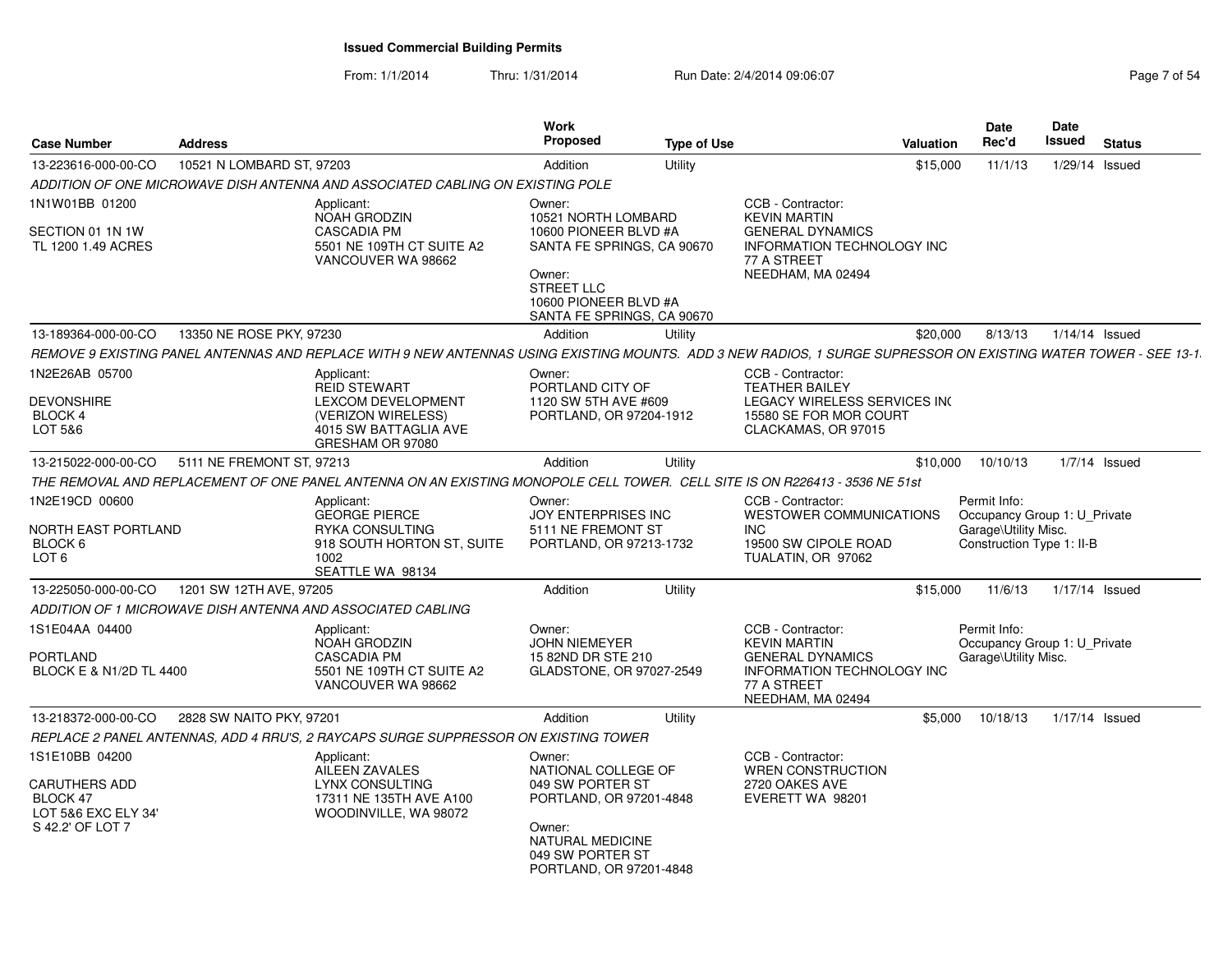From: 1/1/2014Thru: 1/31/2014 Run Date: 2/4/2014 09:06:07 Rege 7 of 54

| <b>Case Number</b>                                                                     | <b>Address</b>            |                                                                                                                                                                 | Work<br>Proposed                                                                                                                                                 | <b>Type of Use</b> |                                                                                                                                              | Valuation | Date<br>Rec'd                                                                                     | Date<br>Issued | <b>Status</b>   |
|----------------------------------------------------------------------------------------|---------------------------|-----------------------------------------------------------------------------------------------------------------------------------------------------------------|------------------------------------------------------------------------------------------------------------------------------------------------------------------|--------------------|----------------------------------------------------------------------------------------------------------------------------------------------|-----------|---------------------------------------------------------------------------------------------------|----------------|-----------------|
| 13-223616-000-00-CO                                                                    | 10521 N LOMBARD ST, 97203 |                                                                                                                                                                 | Addition                                                                                                                                                         | Utility            |                                                                                                                                              | \$15,000  | 11/1/13                                                                                           |                | 1/29/14 Issued  |
|                                                                                        |                           | ADDITION OF ONE MICROWAVE DISH ANTENNA AND ASSOCIATED CABLING ON EXISTING POLE                                                                                  |                                                                                                                                                                  |                    |                                                                                                                                              |           |                                                                                                   |                |                 |
| 1N1W01BB 01200                                                                         |                           | Applicant:                                                                                                                                                      | Owner:                                                                                                                                                           |                    | CCB - Contractor:                                                                                                                            |           |                                                                                                   |                |                 |
| SECTION 01 1N 1W<br>TL 1200 1.49 ACRES                                                 |                           | NOAH GRODZIN<br><b>CASCADIA PM</b><br>5501 NE 109TH CT SUITE A2<br>VANCOUVER WA 98662                                                                           | 10521 NORTH LOMBARD<br>10600 PIONEER BLVD #A<br>SANTA FE SPRINGS, CA 90670<br>Owner:<br><b>STREET LLC</b><br>10600 PIONEER BLVD #A<br>SANTA FE SPRINGS, CA 90670 |                    | <b>KEVIN MARTIN</b><br><b>GENERAL DYNAMICS</b><br><b>INFORMATION TECHNOLOGY INC</b><br>77 A STREET<br>NEEDHAM, MA 02494                      |           |                                                                                                   |                |                 |
| 13-189364-000-00-CO                                                                    | 13350 NE ROSE PKY, 97230  |                                                                                                                                                                 | Addition                                                                                                                                                         | Utility            |                                                                                                                                              | \$20,000  | 8/13/13                                                                                           | 1/14/14 Issued |                 |
|                                                                                        |                           | REMOVE 9 EXISTING PANEL ANTENNAS AND REPLACE WITH 9 NEW ANTENNAS USING EXISTING MOUNTS. ADD 3 NEW RADIOS, 1 SURGE SUPRESSOR ON EXISTING WATER TOWER - SEE 13-1. |                                                                                                                                                                  |                    |                                                                                                                                              |           |                                                                                                   |                |                 |
| 1N2E26AB 05700<br><b>DEVONSHIRE</b><br>BLOCK 4<br>LOT 5&6                              |                           | Applicant:<br><b>REID STEWART</b><br><b>LEXCOM DEVELOPMENT</b><br>(VERIZON WIRELESS)<br>4015 SW BATTAGLIA AVE<br>GRESHAM OR 97080                               | Owner:<br>PORTLAND CITY OF<br>1120 SW 5TH AVE #609<br>PORTLAND, OR 97204-1912                                                                                    |                    | CCB - Contractor:<br><b>TEATHER BAILEY</b><br>LEGACY WIRELESS SERVICES INC<br>15580 SE FOR MOR COURT<br>CLACKAMAS, OR 97015                  |           |                                                                                                   |                |                 |
| 13-215022-000-00-CO                                                                    | 5111 NE FREMONT ST, 97213 |                                                                                                                                                                 | Addition                                                                                                                                                         | Utility            |                                                                                                                                              | \$10,000  | 10/10/13                                                                                          |                | $1/7/14$ Issued |
|                                                                                        |                           | THE REMOVAL AND REPLACEMENT OF ONE PANEL ANTENNA ON AN EXISTING MONOPOLE CELL TOWER. CELL SITE IS ON R226413 - 3536 NE 51st                                     |                                                                                                                                                                  |                    |                                                                                                                                              |           |                                                                                                   |                |                 |
| 1N2E19CD 00600<br>NORTH EAST PORTLAND<br>BLOCK 6<br>LOT <sub>6</sub>                   |                           | Applicant:<br><b>GEORGE PIERCE</b><br><b>RYKA CONSULTING</b><br>918 SOUTH HORTON ST, SUITE<br>1002<br>SEATTLE WA 98134                                          | Owner:<br>JOY ENTERPRISES INC<br>5111 NE FREMONT ST<br>PORTLAND, OR 97213-1732                                                                                   |                    | CCB - Contractor:<br>WESTOWER COMMUNICATIONS<br><b>INC</b><br>19500 SW CIPOLE ROAD<br>TUALATIN, OR 97062                                     |           | Permit Info:<br>Occupancy Group 1: U Private<br>Garage\Utility Misc.<br>Construction Type 1: II-B |                |                 |
| 13-225050-000-00-CO                                                                    | 1201 SW 12TH AVE, 97205   |                                                                                                                                                                 | Addition                                                                                                                                                         | Utility            |                                                                                                                                              | \$15,000  | 11/6/13                                                                                           | 1/17/14 Issued |                 |
|                                                                                        |                           | ADDITION OF 1 MICROWAVE DISH ANTENNA AND ASSOCIATED CABLING                                                                                                     |                                                                                                                                                                  |                    |                                                                                                                                              |           |                                                                                                   |                |                 |
| 1S1E04AA 04400<br><b>PORTLAND</b><br>BLOCK E & N1/2D TL 4400                           |                           | Applicant:<br><b>NOAH GRODZIN</b><br><b>CASCADIA PM</b><br>5501 NE 109TH CT SUITE A2<br>VANCOUVER WA 98662                                                      | Owner:<br><b>JOHN NIEMEYER</b><br>15 82ND DR STE 210<br>GLADSTONE, OR 97027-2549                                                                                 |                    | CCB - Contractor:<br><b>KEVIN MARTIN</b><br><b>GENERAL DYNAMICS</b><br><b>INFORMATION TECHNOLOGY INC</b><br>77 A STREET<br>NEEDHAM, MA 02494 |           | Permit Info:<br>Occupancy Group 1: U Private<br>Garage\Utility Misc.                              |                |                 |
| 13-218372-000-00-CO                                                                    | 2828 SW NAITO PKY, 97201  |                                                                                                                                                                 | Addition                                                                                                                                                         | Utility            |                                                                                                                                              | \$5,000   | 10/18/13                                                                                          |                | 1/17/14 Issued  |
|                                                                                        |                           | REPLACE 2 PANEL ANTENNAS, ADD 4 RRU'S, 2 RAYCAPS SURGE SUPPRESSOR ON EXISTING TOWER                                                                             |                                                                                                                                                                  |                    |                                                                                                                                              |           |                                                                                                   |                |                 |
| 1S1E10BB 04200<br>CARUTHERS ADD<br>BLOCK 47<br>LOT 5&6 EXC ELY 34'<br>S 42.2' OF LOT 7 |                           | Applicant:<br>AILEEN ZAVALES<br><b>LYNX CONSULTING</b><br>17311 NE 135TH AVE A100<br>WOODINVILLE, WA 98072                                                      | Owner:<br>NATIONAL COLLEGE OF<br>049 SW PORTER ST<br>PORTLAND, OR 97201-4848<br>Owner:<br>NATURAL MEDICINE<br>049 SW PORTER ST<br>PORTLAND, OR 97201-4848        |                    | CCB - Contractor:<br>WREN CONSTRUCTION<br>2720 OAKES AVE<br>EVERETT WA 98201                                                                 |           |                                                                                                   |                |                 |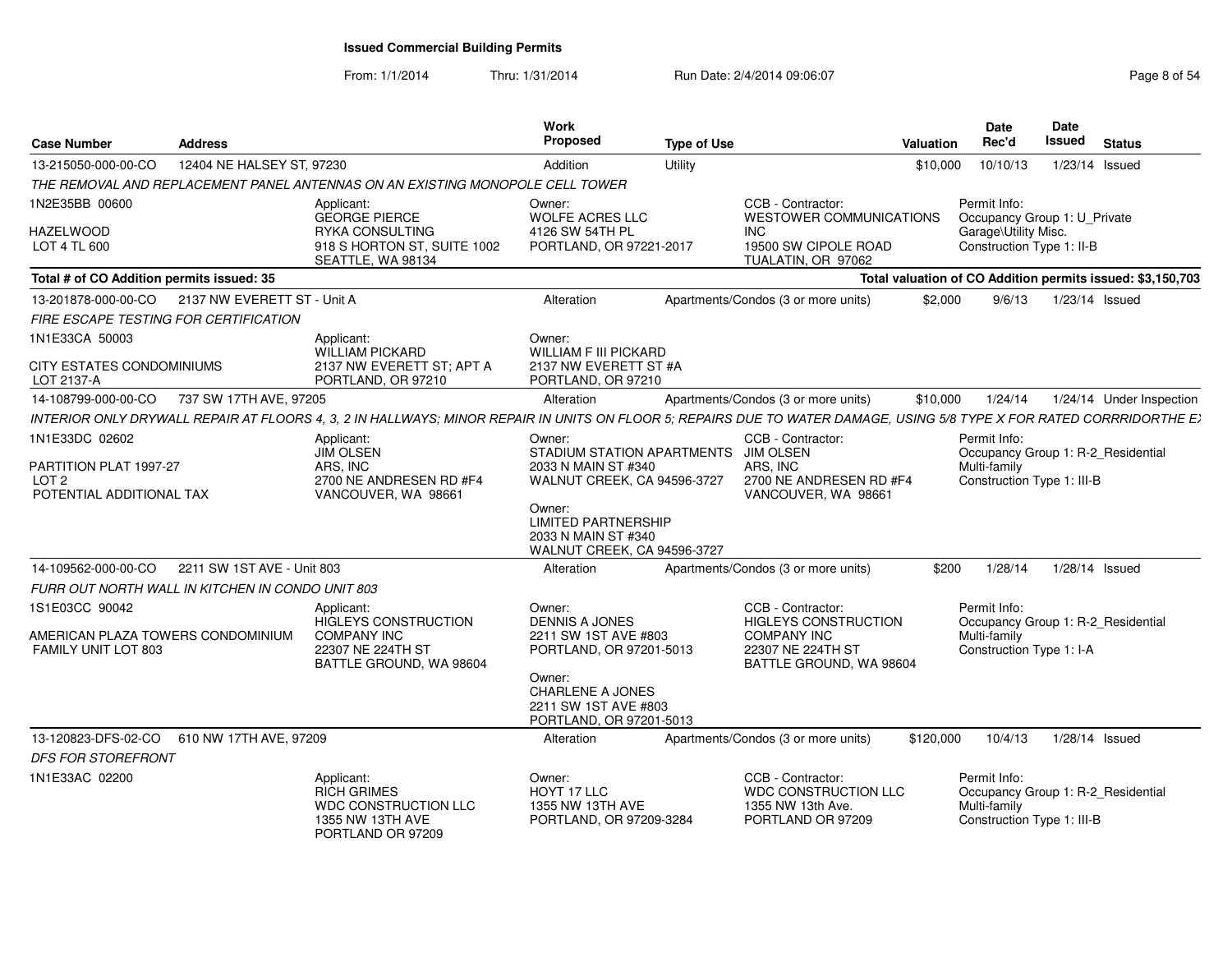From: 1/1/2014Thru: 1/31/2014 Run Date: 2/4/2014 09:06:07 Rege 8 of 54

| Case Number<br><b>Address</b>                                                                                                                                                                                                                                                 |                                                                                                                                                                                                          | <b>Work</b><br>Proposed                                                                                                                                                                                                                                                           | <b>Type of Use</b> |                                                                                                                                                                                                                                                                              | Valuation | Date<br><b>Rec'd</b>                                                                                                   | Date<br>Issued<br><b>Status</b>                                                                             |
|-------------------------------------------------------------------------------------------------------------------------------------------------------------------------------------------------------------------------------------------------------------------------------|----------------------------------------------------------------------------------------------------------------------------------------------------------------------------------------------------------|-----------------------------------------------------------------------------------------------------------------------------------------------------------------------------------------------------------------------------------------------------------------------------------|--------------------|------------------------------------------------------------------------------------------------------------------------------------------------------------------------------------------------------------------------------------------------------------------------------|-----------|------------------------------------------------------------------------------------------------------------------------|-------------------------------------------------------------------------------------------------------------|
| 13-215050-000-00-CO  12404 NE HALSEY ST, 97230                                                                                                                                                                                                                                |                                                                                                                                                                                                          | Addition                                                                                                                                                                                                                                                                          | Utility            |                                                                                                                                                                                                                                                                              |           |                                                                                                                        | \$10,000  10/10/13  1/23/14  Issued                                                                         |
| THE REMOVAL AND REPLACEMENT PANEL ANTENNAS ON AN EXISTING MONOPOLE CELL TOWER                                                                                                                                                                                                 |                                                                                                                                                                                                          |                                                                                                                                                                                                                                                                                   |                    |                                                                                                                                                                                                                                                                              |           |                                                                                                                        |                                                                                                             |
| 1N2E35BB 00600                                                                                                                                                                                                                                                                | Applicant:<br><b>GEORGE PIERCE</b>                                                                                                                                                                       | Owner:<br><b>WOLFE ACRES LLC</b>                                                                                                                                                                                                                                                  |                    | CCB - Contractor:<br><b>WESTOWER COMMUNICATIONS</b>                                                                                                                                                                                                                          |           | Permit Info:                                                                                                           | Occupancy Group 1: U Private                                                                                |
| <b>HAZELWOOD</b><br>LOT 4 TL 600                                                                                                                                                                                                                                              | RYKA CONSULTING<br>918 S HORTON ST, SUITE 1002<br>SEATTLE, WA 98134                                                                                                                                      | 4126 SW 54TH PL<br>PORTLAND, OR 97221-2017                                                                                                                                                                                                                                        |                    | INC.<br>19500 SW CIPOLE ROAD<br>TUALATIN, OR 97062                                                                                                                                                                                                                           |           | Garage\Utility Misc.<br>Construction Type 1: II-B                                                                      |                                                                                                             |
| Total # of CO Addition permits issued: 35                                                                                                                                                                                                                                     |                                                                                                                                                                                                          |                                                                                                                                                                                                                                                                                   |                    |                                                                                                                                                                                                                                                                              |           |                                                                                                                        | Total valuation of CO Addition permits issued: \$3,150,703                                                  |
| 13-201878-000-00-CO  2137 NW EVERETT ST - Unit A                                                                                                                                                                                                                              |                                                                                                                                                                                                          | Alteration                                                                                                                                                                                                                                                                        |                    | Apartments/Condos (3 or more units)                                                                                                                                                                                                                                          | \$2.000   |                                                                                                                        | 9/6/13  1/23/14  Issued                                                                                     |
| FIRE ESCAPE TESTING FOR CERTIFICATION                                                                                                                                                                                                                                         |                                                                                                                                                                                                          |                                                                                                                                                                                                                                                                                   |                    |                                                                                                                                                                                                                                                                              |           |                                                                                                                        |                                                                                                             |
| 1N1E33CA 50003                                                                                                                                                                                                                                                                | Applicant:<br>WILLIAM PICKARD                                                                                                                                                                            | Owner:<br><b>WILLIAM F III PICKARD</b>                                                                                                                                                                                                                                            |                    |                                                                                                                                                                                                                                                                              |           |                                                                                                                        |                                                                                                             |
| CITY ESTATES CONDOMINIUMS<br>LOT 2137-A                                                                                                                                                                                                                                       | 2137 NW EVERETT ST; APT A<br>PORTLAND, OR 97210                                                                                                                                                          | 2137 NW EVERETT ST #A<br>PORTLAND, OR 97210                                                                                                                                                                                                                                       |                    |                                                                                                                                                                                                                                                                              |           |                                                                                                                        |                                                                                                             |
| 14-108799-000-00-CO 737 SW 17TH AVE, 97205                                                                                                                                                                                                                                    |                                                                                                                                                                                                          | Alteration                                                                                                                                                                                                                                                                        |                    | Apartments/Condos (3 or more units)                                                                                                                                                                                                                                          |           |                                                                                                                        | \$10,000  1/24/14  1/24/14  Under Inspection                                                                |
| INTERIOR ONLY DRYWALL REPAIR AT FLOORS 4, 3, 2 IN HALLWAYS; MINOR REPAIR IN UNITS ON FLOOR 5; REPAIRS DUE TO WATER DAMAGE, USING 5/8 TYPE X FOR RATED CORRRIDORTHE EX                                                                                                         |                                                                                                                                                                                                          |                                                                                                                                                                                                                                                                                   |                    |                                                                                                                                                                                                                                                                              |           |                                                                                                                        |                                                                                                             |
| 1N1E33DC 02602<br>PARTITION PLAT 1997-27<br>LOT <sub>2</sub><br>POTENTIAL ADDITIONAL TAX<br>14-109562-000-00-CO  2211 SW 1ST AVE - Unit 803<br>FURR OUT NORTH WALL IN KITCHEN IN CONDO UNIT 803<br>1S1E03CC 90042<br>AMERICAN PLAZA TOWERS CONDOMINIUM<br>FAMILY UNIT LOT 803 | Applicant:<br><b>JIM OLSEN</b><br>ARS. INC<br>2700 NE ANDRESEN RD #F4<br>VANCOUVER, WA 98661<br>Applicant:<br>HIGLEYS CONSTRUCTION<br><b>COMPANY INC</b><br>22307 NE 224TH ST<br>BATTLE GROUND, WA 98604 | Owner:<br>STADIUM STATION APARTMENTS JIM OLSEN<br>2033 N MAIN ST #340<br>Owner:<br><b>LIMITED PARTNERSHIP</b><br>2033 N MAIN ST #340<br>WALNUT CREEK, CA 94596-3727<br>Alteration<br>Owner:<br><b>DENNIS A JONES</b><br>2211 SW 1ST AVE #803<br>PORTLAND, OR 97201-5013<br>Owner: |                    | CCB - Contractor:<br>ARS. INC<br>WALNUT CREEK, CA 94596-3727 2700 NE ANDRESEN RD #F4<br>VANCOUVER, WA 98661<br>Apartments/Condos (3 or more units)<br>CCB - Contractor:<br><b>HIGLEYS CONSTRUCTION</b><br><b>COMPANY INC</b><br>22307 NE 224TH ST<br>BATTLE GROUND, WA 98604 |           | Permit Info:<br>Multi-family<br>Construction Type 1: III-B<br>Permit Info:<br>Multi-family<br>Construction Type 1: I-A | Occupancy Group 1: R-2_Residential<br>\$200  1/28/14  1/28/14  Issued<br>Occupancy Group 1: R-2_Residential |
| 13-120823-DFS-02-CO 610 NW 17TH AVE, 97209<br>DFS FOR STOREFRONT<br>1N1E33AC 02200                                                                                                                                                                                            | Applicant:<br><b>RICH GRIMES</b><br><b>WDC CONSTRUCTION LLC</b><br>1355 NW 13TH AVE<br>PORTLAND OR 97209                                                                                                 | CHARLENE A JONES<br>2211 SW 1ST AVE #803<br>PORTLAND, OR 97201-5013<br>Alteration<br>Owner:<br>HOYT 17 LLC<br>1355 NW 13TH AVE<br>PORTLAND, OR 97209-3284                                                                                                                         |                    | Apartments/Condos (3 or more units)<br>CCB - Contractor:<br>WDC CONSTRUCTION LLC<br>1355 NW 13th Ave.<br>PORTLAND OR 97209                                                                                                                                                   | \$120,000 | Permit Info:<br>Multi-family<br>Construction Type 1: III-B                                                             | 10/4/13  1/28/14  Issued<br>Occupancy Group 1: R-2 Residential                                              |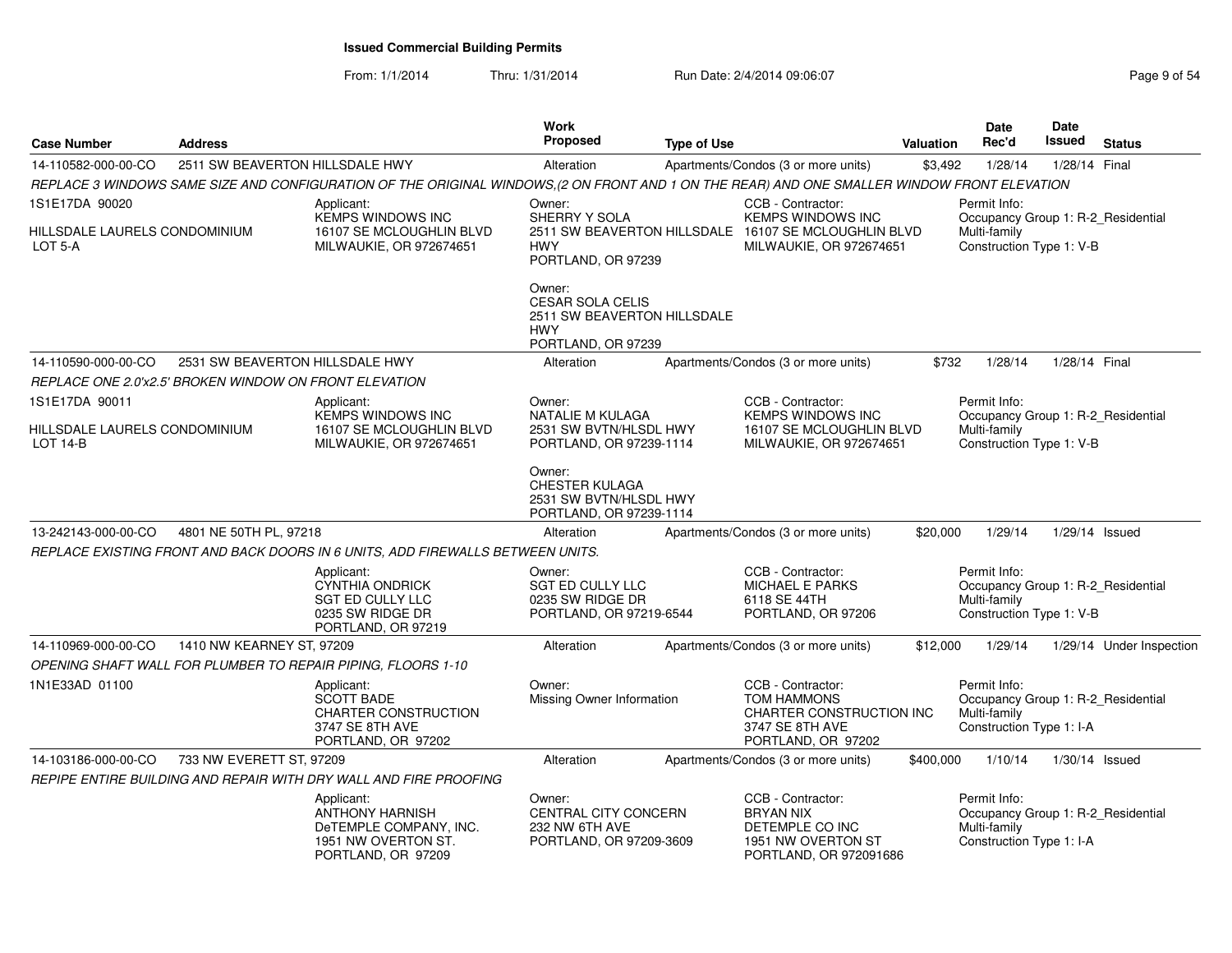From: 1/1/2014Thru: 1/31/2014 Run Date: 2/4/2014 09:06:07 Rege 9 of 54

| <b>Case Number</b>                                         | <b>Address</b>                                         |                                                                                                                                             | <b>Work</b><br>Proposed                                                                              | <b>Type of Use</b> |                                                                                                                                  | <b>Valuation</b> | <b>Date</b><br>Rec'd                                                                           | Date<br><b>Issued</b> | <b>Status</b>            |
|------------------------------------------------------------|--------------------------------------------------------|---------------------------------------------------------------------------------------------------------------------------------------------|------------------------------------------------------------------------------------------------------|--------------------|----------------------------------------------------------------------------------------------------------------------------------|------------------|------------------------------------------------------------------------------------------------|-----------------------|--------------------------|
| 14-110582-000-00-CO                                        | 2511 SW BEAVERTON HILLSDALE HWY                        |                                                                                                                                             | Alteration                                                                                           |                    | Apartments/Condos (3 or more units)                                                                                              | \$3,492          | 1/28/14                                                                                        | 1/28/14 Final         |                          |
|                                                            |                                                        | REPLACE 3 WINDOWS SAME SIZE AND CONFIGURATION OF THE ORIGINAL WINDOWS,(2 ON FRONT AND 1 ON THE REAR) AND ONE SMALLER WINDOW FRONT ELEVATION |                                                                                                      |                    |                                                                                                                                  |                  |                                                                                                |                       |                          |
| 1S1E17DA 90020<br>HILLSDALE LAURELS CONDOMINIUM<br>LOT 5-A |                                                        | Applicant:<br><b>KEMPS WINDOWS INC</b><br>16107 SE MCLOUGHLIN BLVD<br>MILWAUKIE, OR 972674651                                               | Owner:<br>SHERRY Y SOLA<br><b>HWY</b><br>PORTLAND, OR 97239                                          |                    | CCB - Contractor:<br><b>KEMPS WINDOWS INC</b><br>2511 SW BEAVERTON HILLSDALE 16107 SE MCLOUGHLIN BLVD<br>MILWAUKIE, OR 972674651 |                  | Permit Info:<br>Occupancy Group 1: R-2_Residential<br>Multi-family<br>Construction Type 1: V-B |                       |                          |
|                                                            |                                                        |                                                                                                                                             | Owner:<br><b>CESAR SOLA CELIS</b><br>2511 SW BEAVERTON HILLSDALE<br><b>HWY</b><br>PORTLAND, OR 97239 |                    |                                                                                                                                  |                  |                                                                                                |                       |                          |
| 14-110590-000-00-CO                                        | 2531 SW BEAVERTON HILLSDALE HWY                        |                                                                                                                                             | Alteration                                                                                           |                    | Apartments/Condos (3 or more units)                                                                                              | \$732            | 1/28/14                                                                                        | 1/28/14 Final         |                          |
|                                                            | REPLACE ONE 2.0'x2.5' BROKEN WINDOW ON FRONT ELEVATION |                                                                                                                                             |                                                                                                      |                    |                                                                                                                                  |                  |                                                                                                |                       |                          |
| 1S1E17DA 90011                                             |                                                        | Applicant:                                                                                                                                  | Owner:                                                                                               |                    | CCB - Contractor:                                                                                                                |                  | Permit Info:                                                                                   |                       |                          |
| HILLSDALE LAURELS CONDOMINIUM<br>$LOT 14-B$                |                                                        | <b>KEMPS WINDOWS INC</b><br>16107 SE MCLOUGHLIN BLVD<br>MILWAUKIE, OR 972674651                                                             | NATALIE M KULAGA<br>2531 SW BVTN/HLSDL HWY<br>PORTLAND, OR 97239-1114                                |                    | <b>KEMPS WINDOWS INC</b><br>16107 SE MCLOUGHLIN BLVD<br>MILWAUKIE, OR 972674651                                                  |                  | Occupancy Group 1: R-2_Residential<br>Multi-family<br>Construction Type 1: V-B                 |                       |                          |
|                                                            |                                                        |                                                                                                                                             | Owner:<br><b>CHESTER KULAGA</b><br>2531 SW BVTN/HLSDL HWY<br>PORTLAND, OR 97239-1114                 |                    |                                                                                                                                  |                  |                                                                                                |                       |                          |
| 13-242143-000-00-CO                                        | 4801 NE 50TH PL, 97218                                 |                                                                                                                                             | Alteration                                                                                           |                    | Apartments/Condos (3 or more units)                                                                                              | \$20,000         | 1/29/14                                                                                        | 1/29/14 Issued        |                          |
|                                                            |                                                        | REPLACE EXISTING FRONT AND BACK DOORS IN 6 UNITS, ADD FIREWALLS BETWEEN UNITS.                                                              |                                                                                                      |                    |                                                                                                                                  |                  |                                                                                                |                       |                          |
|                                                            |                                                        | Applicant:<br>CYNTHIA ONDRICK<br>SGT ED CULLY LLC<br>0235 SW RIDGE DR<br>PORTLAND, OR 97219                                                 | Owner:<br>SGT ED CULLY LLC<br>0235 SW RIDGE DR<br>PORTLAND, OR 97219-6544                            |                    | CCB - Contractor:<br><b>MICHAEL E PARKS</b><br>6118 SE 44TH<br>PORTLAND, OR 97206                                                |                  | Permit Info:<br>Occupancy Group 1: R-2_Residential<br>Multi-family<br>Construction Type 1: V-B |                       |                          |
| 14-110969-000-00-CO                                        | 1410 NW KEARNEY ST, 97209                              |                                                                                                                                             | Alteration                                                                                           |                    | Apartments/Condos (3 or more units)                                                                                              | \$12,000         | 1/29/14                                                                                        |                       | 1/29/14 Under Inspection |
|                                                            |                                                        | OPENING SHAFT WALL FOR PLUMBER TO REPAIR PIPING, FLOORS 1-10                                                                                |                                                                                                      |                    |                                                                                                                                  |                  |                                                                                                |                       |                          |
| 1N1E33AD 01100                                             |                                                        | Applicant:<br><b>SCOTT BADE</b><br>CHARTER CONSTRUCTION<br>3747 SE 8TH AVE<br>PORTLAND, OR 97202                                            | Owner:<br>Missing Owner Information                                                                  |                    | CCB - Contractor:<br><b>TOM HAMMONS</b><br>CHARTER CONSTRUCTION INC<br>3747 SE 8TH AVE<br>PORTLAND, OR 97202                     |                  | Permit Info:<br>Occupancy Group 1: R-2_Residential<br>Multi-family<br>Construction Type 1: I-A |                       |                          |
| 14-103186-000-00-CO                                        | 733 NW EVERETT ST, 97209                               |                                                                                                                                             | Alteration                                                                                           |                    | Apartments/Condos (3 or more units)                                                                                              | \$400,000        | 1/10/14                                                                                        | $1/30/14$ Issued      |                          |
|                                                            |                                                        | REPIPE ENTIRE BUILDING AND REPAIR WITH DRY WALL AND FIRE PROOFING                                                                           |                                                                                                      |                    |                                                                                                                                  |                  |                                                                                                |                       |                          |
|                                                            |                                                        | Applicant:<br><b>ANTHONY HARNISH</b><br>DeTEMPLE COMPANY, INC.<br>1951 NW OVERTON ST.<br>PORTLAND, OR 97209                                 | Owner:<br>CENTRAL CITY CONCERN<br>232 NW 6TH AVE<br>PORTLAND, OR 97209-3609                          |                    | CCB - Contractor:<br><b>BRYAN NIX</b><br>DETEMPLE CO INC<br>1951 NW OVERTON ST<br>PORTLAND, OR 972091686                         |                  | Permit Info:<br>Occupancy Group 1: R-2_Residential<br>Multi-family<br>Construction Type 1: I-A |                       |                          |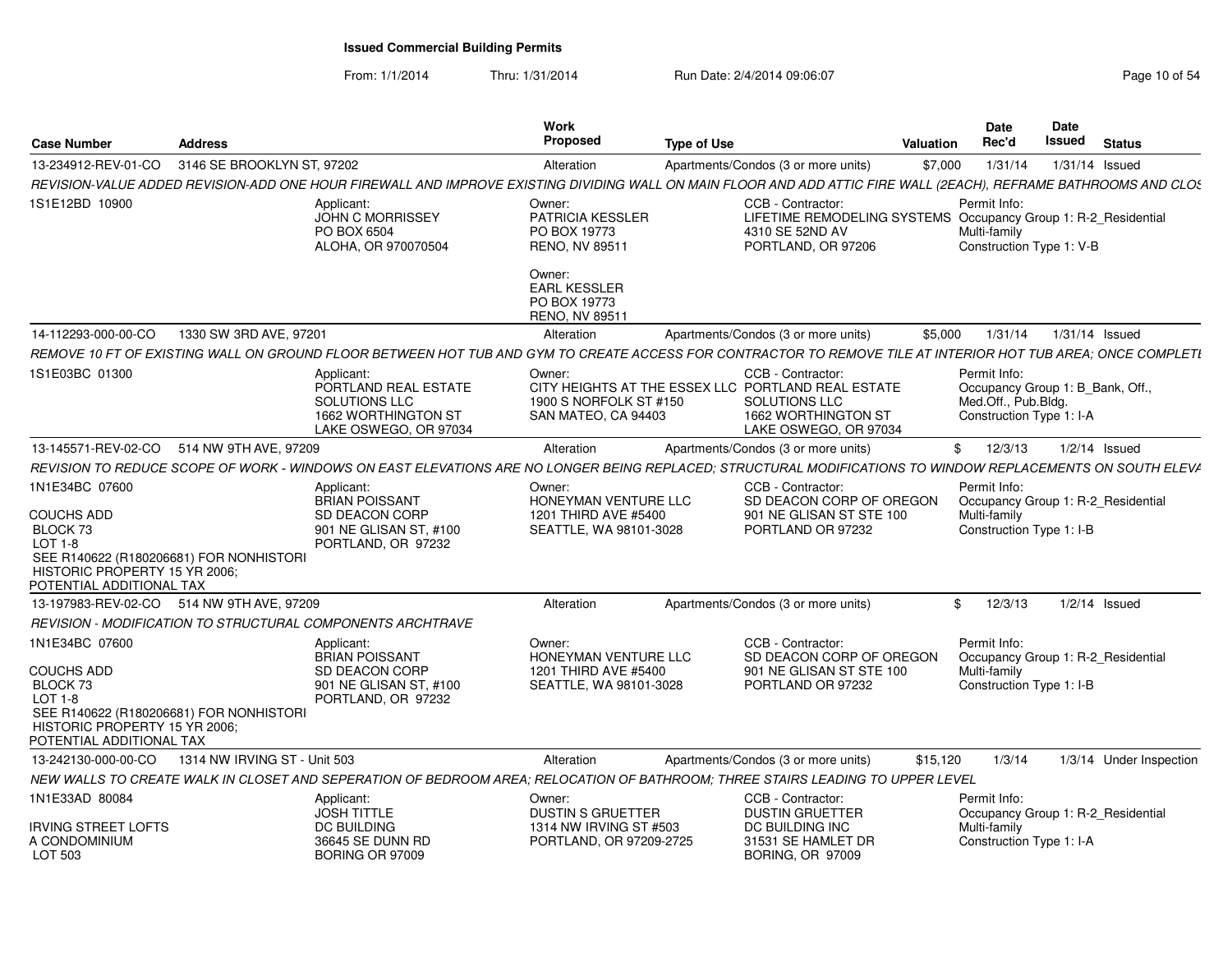| <b>Case Number</b>                                                                                                                                                                   | <b>Address</b>               |                                                                                                                                                                  | Work<br><b>Proposed</b>                                                                 | <b>Type of Use</b> |                                                                                                                                          | <b>Valuation</b> | <b>Date</b><br>Rec'd                                                                                | Date<br>Issued   | <b>Status</b>                      |
|--------------------------------------------------------------------------------------------------------------------------------------------------------------------------------------|------------------------------|------------------------------------------------------------------------------------------------------------------------------------------------------------------|-----------------------------------------------------------------------------------------|--------------------|------------------------------------------------------------------------------------------------------------------------------------------|------------------|-----------------------------------------------------------------------------------------------------|------------------|------------------------------------|
| 13-234912-REV-01-CO                                                                                                                                                                  | 3146 SE BROOKLYN ST, 97202   |                                                                                                                                                                  | Alteration                                                                              |                    | Apartments/Condos (3 or more units)                                                                                                      | \$7,000          | 1/31/14                                                                                             |                  | $1/31/14$ Issued                   |
|                                                                                                                                                                                      |                              | REVISION-VALUE ADDED REVISION-ADD ONE HOUR FIREWALL AND IMPROVE EXISTING DIVIDING WALL ON MAIN FLOOR AND ADD ATTIC FIRE WALL (2EACH), REFRAME BATHROOMS AND CLOS |                                                                                         |                    |                                                                                                                                          |                  |                                                                                                     |                  |                                    |
| 1S1E12BD 10900                                                                                                                                                                       |                              | Applicant:<br><b>JOHN C MORRISSEY</b><br>PO BOX 6504<br>ALOHA, OR 970070504                                                                                      | Owner:<br><b>PATRICIA KESSLER</b><br>PO BOX 19773<br>RENO, NV 89511                     |                    | CCB - Contractor:<br>LIFETIME REMODELING SYSTEMS Occupancy Group 1: R-2_Residential<br>4310 SE 52ND AV<br>PORTLAND, OR 97206             |                  | Permit Info:<br>Multi-family<br>Construction Type 1: V-B                                            |                  |                                    |
|                                                                                                                                                                                      |                              |                                                                                                                                                                  | Owner:<br><b>EARL KESSLER</b><br>PO BOX 19773<br>RENO, NV 89511                         |                    |                                                                                                                                          |                  |                                                                                                     |                  |                                    |
| 14-112293-000-00-CO                                                                                                                                                                  | 1330 SW 3RD AVE, 97201       |                                                                                                                                                                  | Alteration                                                                              |                    | Apartments/Condos (3 or more units)                                                                                                      | \$5,000          | 1/31/14                                                                                             | $1/31/14$ Issued |                                    |
|                                                                                                                                                                                      |                              | REMOVE 10 FT OF EXISTING WALL ON GROUND FLOOR BETWEEN HOT TUB AND GYM TO CREATE ACCESS FOR CONTRACTOR TO REMOVE TILE AT INTERIOR HOT TUB AREA; ONCE COMPLETI     |                                                                                         |                    |                                                                                                                                          |                  |                                                                                                     |                  |                                    |
| 1S1E03BC 01300                                                                                                                                                                       |                              | Applicant:<br>PORTLAND REAL ESTATE<br>SOLUTIONS LLC<br>1662 WORTHINGTON ST<br>LAKE OSWEGO, OR 97034                                                              | Owner:<br>1900 S NORFOLK ST #150<br>SAN MATEO, CA 94403                                 |                    | CCB - Contractor:<br>CITY HEIGHTS AT THE ESSEX LLC PORTLAND REAL ESTATE<br>SOLUTIONS LLC<br>1662 WORTHINGTON ST<br>LAKE OSWEGO, OR 97034 |                  | Permit Info:<br>Occupancy Group 1: B_Bank, Off.,<br>Med.Off., Pub.Bldg.<br>Construction Type 1: I-A |                  |                                    |
| 13-145571-REV-02-CO                                                                                                                                                                  | 514 NW 9TH AVE, 97209        |                                                                                                                                                                  | Alteration                                                                              |                    | Apartments/Condos (3 or more units)                                                                                                      | \$               | 12/3/13                                                                                             |                  | $1/2/14$ Issued                    |
|                                                                                                                                                                                      |                              | REVISION TO REDUCE SCOPE OF WORK - WINDOWS ON EAST ELEVATIONS ARE NO LONGER BEING REPLACED; STRUCTURAL MODIFICATIONS TO WINDOW REPLACEMENTS ON SOUTH ELEV/       |                                                                                         |                    |                                                                                                                                          |                  |                                                                                                     |                  |                                    |
| 1N1E34BC 07600<br><b>COUCHS ADD</b><br>BLOCK 73<br>$LOT 1-8$<br>SEE R140622 (R180206681) FOR NONHISTORI<br>HISTORIC PROPERTY 15 YR 2006;<br>POTENTIAL ADDITIONAL TAX                 |                              | Applicant:<br><b>BRIAN POISSANT</b><br>SD DEACON CORP<br>901 NE GLISAN ST, #100<br>PORTLAND, OR 97232                                                            | Owner:<br>HONEYMAN VENTURE LLC<br>1201 THIRD AVE #5400<br>SEATTLE, WA 98101-3028        |                    | CCB - Contractor:<br>SD DEACON CORP OF OREGON<br>901 NE GLISAN ST STE 100<br>PORTLAND OR 97232                                           |                  | Permit Info:<br>Occupancy Group 1: R-2_Residential<br>Multi-family<br>Construction Type 1: I-B      |                  |                                    |
| 13-197983-REV-02-CO 514 NW 9TH AVE, 97209                                                                                                                                            |                              |                                                                                                                                                                  | Alteration                                                                              |                    | Apartments/Condos (3 or more units)                                                                                                      | \$               | 12/3/13                                                                                             |                  | $1/2/14$ Issued                    |
|                                                                                                                                                                                      |                              | REVISION - MODIFICATION TO STRUCTURAL COMPONENTS ARCHTRAVE                                                                                                       |                                                                                         |                    |                                                                                                                                          |                  |                                                                                                     |                  |                                    |
| 1N1E34BC 07600<br><b>COUCHS ADD</b><br>BLOCK <sub>73</sub><br><b>LOT 1-8</b><br>SEE R140622 (R180206681) FOR NONHISTORI<br>HISTORIC PROPERTY 15 YR 2006;<br>POTENTIAL ADDITIONAL TAX |                              | Applicant:<br><b>BRIAN POISSANT</b><br>SD DEACON CORP<br>901 NE GLISAN ST, #100<br>PORTLAND, OR 97232                                                            | Owner:<br>HONEYMAN VENTURE LLC<br>1201 THIRD AVE #5400<br>SEATTLE, WA 98101-3028        |                    | CCB - Contractor:<br>SD DEACON CORP OF OREGON<br>901 NE GLISAN ST STE 100<br>PORTLAND OR 97232                                           |                  | Permit Info:<br>Multi-family<br>Construction Type 1: I-B                                            |                  | Occupancy Group 1: R-2_Residential |
| 13-242130-000-00-CO                                                                                                                                                                  | 1314 NW IRVING ST - Unit 503 |                                                                                                                                                                  | Alteration                                                                              |                    | Apartments/Condos (3 or more units)                                                                                                      | \$15,120         | 1/3/14                                                                                              |                  | 1/3/14 Under Inspection            |
|                                                                                                                                                                                      |                              | NEW WALLS TO CREATE WALK IN CLOSET AND SEPERATION OF BEDROOM AREA; RELOCATION OF BATHROOM; THREE STAIRS LEADING TO UPPER LEVEL                                   |                                                                                         |                    |                                                                                                                                          |                  |                                                                                                     |                  |                                    |
| 1N1E33AD 80084<br><b>IRVING STREET LOFTS</b><br>A CONDOMINIUM<br>LOT 503                                                                                                             |                              | Applicant:<br><b>JOSH TITTLE</b><br><b>DC BUILDING</b><br>36645 SE DUNN RD<br><b>BORING OR 97009</b>                                                             | Owner:<br><b>DUSTIN S GRUETTER</b><br>1314 NW IRVING ST #503<br>PORTLAND, OR 97209-2725 |                    | CCB - Contractor:<br><b>DUSTIN GRUETTER</b><br>DC BUILDING INC<br>31531 SE HAMLET DR<br><b>BORING, OR 97009</b>                          |                  | Permit Info:<br>Multi-family<br>Construction Type 1: I-A                                            |                  | Occupancy Group 1: R-2_Residential |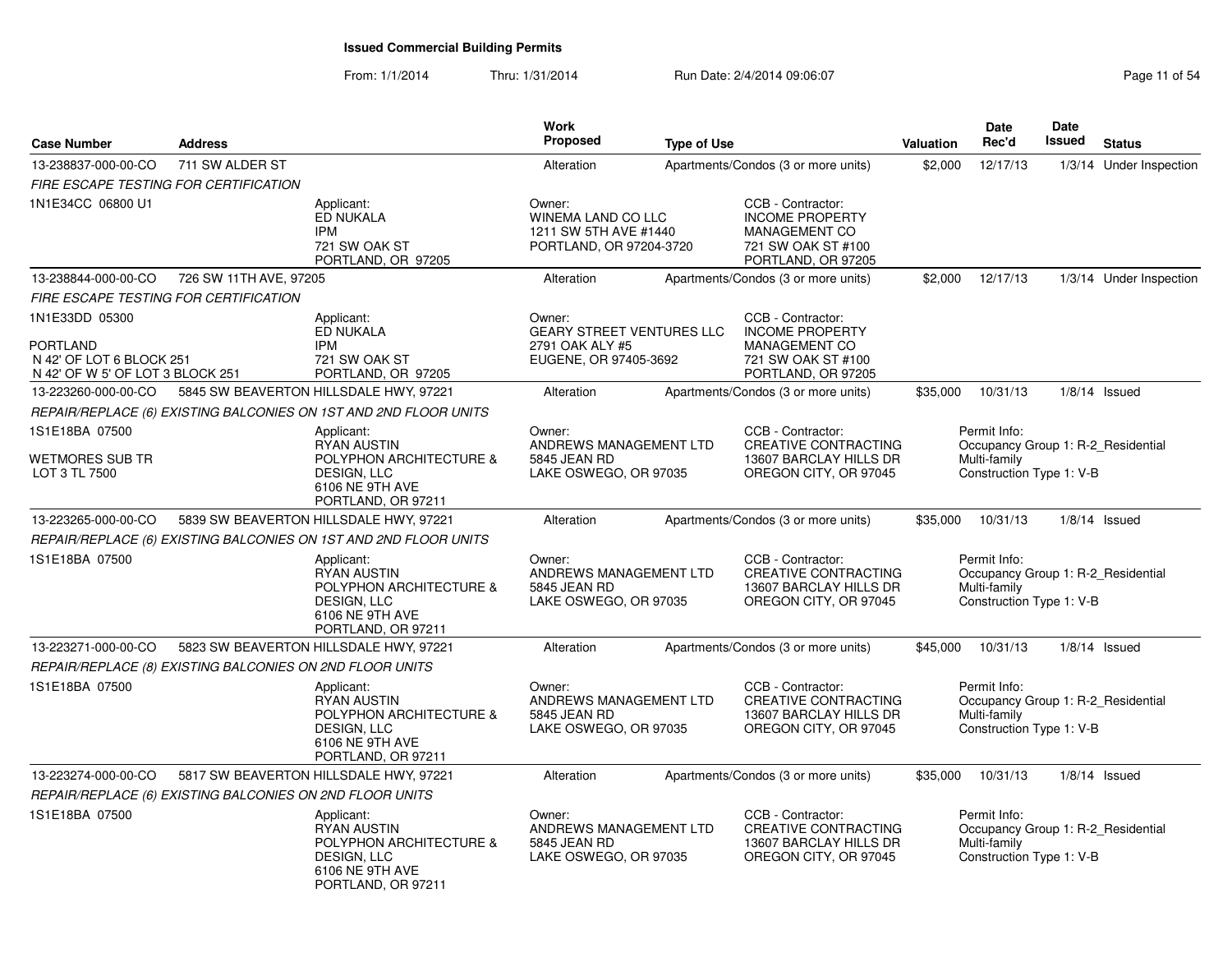| <b>Case Number</b>                                           | <b>Address</b>                                           |                                                                                                                            | <b>Work</b><br><b>Proposed</b>                                                          | <b>Type of Use</b> |                                                                                                                 | Valuation | <b>Date</b><br>Rec'd                                     | <b>Date</b><br>Issued | <b>Status</b>                      |
|--------------------------------------------------------------|----------------------------------------------------------|----------------------------------------------------------------------------------------------------------------------------|-----------------------------------------------------------------------------------------|--------------------|-----------------------------------------------------------------------------------------------------------------|-----------|----------------------------------------------------------|-----------------------|------------------------------------|
| 13-238837-000-00-CO                                          | 711 SW ALDER ST                                          |                                                                                                                            | Alteration                                                                              |                    | Apartments/Condos (3 or more units)                                                                             | \$2,000   | 12/17/13                                                 |                       | 1/3/14 Under Inspection            |
|                                                              | FIRE ESCAPE TESTING FOR CERTIFICATION                    |                                                                                                                            |                                                                                         |                    |                                                                                                                 |           |                                                          |                       |                                    |
| 1N1E34CC 06800 U1                                            |                                                          | Applicant:<br>ED NUKALA<br><b>IPM</b><br>721 SW OAK ST<br>PORTLAND, OR 97205                                               | Owner:<br><b>WINEMA LAND CO LLC</b><br>1211 SW 5TH AVE #1440<br>PORTLAND, OR 97204-3720 |                    | CCB - Contractor:<br><b>INCOME PROPERTY</b><br><b>MANAGEMENT CO</b><br>721 SW OAK ST #100<br>PORTLAND, OR 97205 |           |                                                          |                       |                                    |
| 13-238844-000-00-CO                                          | 726 SW 11TH AVE, 97205                                   |                                                                                                                            | Alteration                                                                              |                    | Apartments/Condos (3 or more units)                                                                             | \$2,000   | 12/17/13                                                 |                       | 1/3/14 Under Inspection            |
|                                                              | FIRE ESCAPE TESTING FOR CERTIFICATION                    |                                                                                                                            |                                                                                         |                    |                                                                                                                 |           |                                                          |                       |                                    |
| 1N1E33DD 05300<br><b>PORTLAND</b>                            |                                                          | Applicant:<br>ED NUKALA<br>IPM                                                                                             | Owner:<br><b>GEARY STREET VENTURES LLC</b><br>2791 OAK ALY #5                           |                    | CCB - Contractor:<br><b>INCOME PROPERTY</b><br><b>MANAGEMENT CO</b>                                             |           |                                                          |                       |                                    |
| N 42' OF LOT 6 BLOCK 251<br>N 42' OF W 5' OF LOT 3 BLOCK 251 |                                                          | 721 SW OAK ST<br>PORTLAND, OR 97205                                                                                        | EUGENE, OR 97405-3692                                                                   |                    | 721 SW OAK ST #100<br>PORTLAND, OR 97205                                                                        |           |                                                          |                       |                                    |
| 13-223260-000-00-CO                                          |                                                          | 5845 SW BEAVERTON HILLSDALE HWY, 97221                                                                                     | Alteration                                                                              |                    | Apartments/Condos (3 or more units)                                                                             | \$35,000  | 10/31/13                                                 |                       | $1/8/14$ Issued                    |
|                                                              |                                                          | REPAIR/REPLACE (6) EXISTING BALCONIES ON 1ST AND 2ND FLOOR UNITS                                                           |                                                                                         |                    |                                                                                                                 |           |                                                          |                       |                                    |
| 1S1E18BA 07500                                               |                                                          | Applicant:<br><b>RYAN AUSTIN</b>                                                                                           | Owner:<br>ANDREWS MANAGEMENT LTD                                                        |                    | CCB - Contractor:<br><b>CREATIVE CONTRACTING</b>                                                                |           | Permit Info:                                             |                       | Occupancy Group 1: R-2_Residential |
| <b>WETMORES SUB TR</b><br>LOT 3 TL 7500                      |                                                          | POLYPHON ARCHITECTURE &<br>DESIGN, LLC<br>6106 NE 9TH AVE<br>PORTLAND, OR 97211                                            | 5845 JEAN RD<br>LAKE OSWEGO, OR 97035                                                   |                    | 13607 BARCLAY HILLS DR<br>OREGON CITY, OR 97045                                                                 |           | Multi-family<br>Construction Type 1: V-B                 |                       |                                    |
| 13-223265-000-00-CO                                          |                                                          | 5839 SW BEAVERTON HILLSDALE HWY, 97221                                                                                     | Alteration                                                                              |                    | Apartments/Condos (3 or more units)                                                                             | \$35,000  | 10/31/13                                                 |                       | $1/8/14$ Issued                    |
|                                                              |                                                          | REPAIR/REPLACE (6) EXISTING BALCONIES ON 1ST AND 2ND FLOOR UNITS                                                           |                                                                                         |                    |                                                                                                                 |           |                                                          |                       |                                    |
| 1S1E18BA 07500                                               |                                                          | Applicant:<br><b>RYAN AUSTIN</b><br>POLYPHON ARCHITECTURE &<br><b>DESIGN. LLC</b><br>6106 NE 9TH AVE<br>PORTLAND, OR 97211 | Owner:<br>ANDREWS MANAGEMENT LTD<br>5845 JEAN RD<br>LAKE OSWEGO, OR 97035               |                    | CCB - Contractor:<br><b>CREATIVE CONTRACTING</b><br>13607 BARCLAY HILLS DR<br>OREGON CITY, OR 97045             |           | Permit Info:<br>Multi-family<br>Construction Type 1: V-B |                       | Occupancy Group 1: R-2 Residential |
| 13-223271-000-00-CO                                          |                                                          | 5823 SW BEAVERTON HILLSDALE HWY, 97221                                                                                     | Alteration                                                                              |                    | Apartments/Condos (3 or more units)                                                                             | \$45,000  | 10/31/13                                                 |                       | $1/8/14$ Issued                    |
|                                                              | REPAIR/REPLACE (8) EXISTING BALCONIES ON 2ND FLOOR UNITS |                                                                                                                            |                                                                                         |                    |                                                                                                                 |           |                                                          |                       |                                    |
| 1S1E18BA 07500                                               |                                                          | Applicant:<br><b>RYAN AUSTIN</b><br>POLYPHON ARCHITECTURE &<br><b>DESIGN, LLC</b><br>6106 NE 9TH AVE<br>PORTLAND, OR 97211 | Owner:<br>ANDREWS MANAGEMENT LTD<br>5845 JEAN RD<br>LAKE OSWEGO, OR 97035               |                    | CCB - Contractor:<br><b>CREATIVE CONTRACTING</b><br>13607 BARCLAY HILLS DR<br>OREGON CITY, OR 97045             |           | Permit Info:<br>Multi-family<br>Construction Type 1: V-B |                       | Occupancy Group 1: R-2_Residential |
| 13-223274-000-00-CO                                          |                                                          | 5817 SW BEAVERTON HILLSDALE HWY, 97221                                                                                     | Alteration                                                                              |                    | Apartments/Condos (3 or more units)                                                                             | \$35,000  | 10/31/13                                                 |                       | $1/8/14$ Issued                    |
|                                                              | REPAIR/REPLACE (6) EXISTING BALCONIES ON 2ND FLOOR UNITS |                                                                                                                            |                                                                                         |                    |                                                                                                                 |           |                                                          |                       |                                    |
| 1S1E18BA 07500                                               |                                                          | Applicant:<br><b>RYAN AUSTIN</b><br>POLYPHON ARCHITECTURE &<br>DESIGN, LLC<br>6106 NE 9TH AVE<br>PORTLAND, OR 97211        | Owner:<br>ANDREWS MANAGEMENT LTD<br>5845 JEAN RD<br>LAKE OSWEGO, OR 97035               |                    | CCB - Contractor:<br><b>CREATIVE CONTRACTING</b><br>13607 BARCLAY HILLS DR<br>OREGON CITY, OR 97045             |           | Permit Info:<br>Multi-family<br>Construction Type 1: V-B |                       | Occupancy Group 1: R-2_Residential |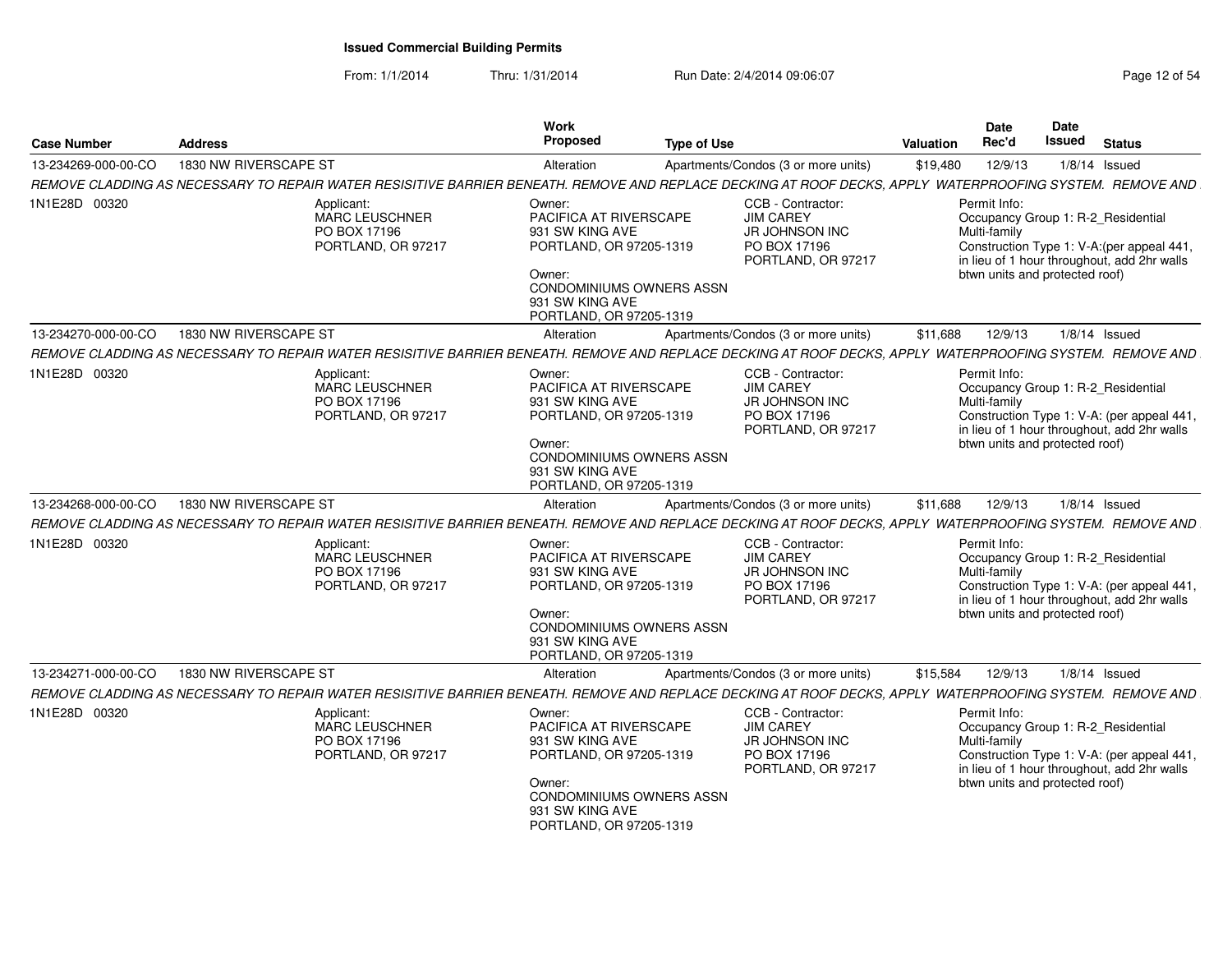| <b>Case Number</b>  | <b>Address</b>                                                                                                                                            | Work<br>Proposed<br><b>Type of Use</b>                                                                                                                             |                                                                                                      | <b>Valuation</b> | <b>Date</b><br>Rec'd                                           | <b>Date</b><br><b>Issued</b> | <b>Status</b>                                                                                                                   |
|---------------------|-----------------------------------------------------------------------------------------------------------------------------------------------------------|--------------------------------------------------------------------------------------------------------------------------------------------------------------------|------------------------------------------------------------------------------------------------------|------------------|----------------------------------------------------------------|------------------------------|---------------------------------------------------------------------------------------------------------------------------------|
| 13-234269-000-00-CO | 1830 NW RIVERSCAPE ST                                                                                                                                     | Alteration                                                                                                                                                         | Apartments/Condos (3 or more units)                                                                  | \$19,480         | 12/9/13                                                        |                              | $1/8/14$ Issued                                                                                                                 |
|                     | REMOVE CLADDING AS NECESSARY TO REPAIR WATER RESISITIVE BARRIER BENEATH. REMOVE AND REPLACE DECKING AT ROOF DECKS, APPLY WATERPROOFING SYSTEM. REMOVE AND |                                                                                                                                                                    |                                                                                                      |                  |                                                                |                              |                                                                                                                                 |
| 1N1E28D 00320       | Applicant:<br>MARC LEUSCHNER<br>PO BOX 17196<br>PORTLAND, OR 97217                                                                                        | Owner:<br>PACIFICA AT RIVERSCAPE<br>931 SW KING AVE<br>PORTLAND, OR 97205-1319<br>Owner:<br>CONDOMINIUMS OWNERS ASSN<br>931 SW KING AVE<br>PORTLAND, OR 97205-1319 | CCB - Contractor:<br><b>JIM CAREY</b><br><b>JR JOHNSON INC</b><br>PO BOX 17196<br>PORTLAND, OR 97217 |                  | Permit Info:<br>Multi-family<br>btwn units and protected roof) |                              | Occupancy Group 1: R-2_Residential<br>Construction Type 1: V-A:(per appeal 441,<br>in lieu of 1 hour throughout, add 2hr walls  |
| 13-234270-000-00-CO | 1830 NW RIVERSCAPE ST                                                                                                                                     | Alteration                                                                                                                                                         | Apartments/Condos (3 or more units)                                                                  | \$11,688         | 12/9/13                                                        |                              | $1/8/14$ Issued                                                                                                                 |
|                     | REMOVE CLADDING AS NECESSARY TO REPAIR WATER RESISITIVE BARRIER BENEATH. REMOVE AND REPLACE DECKING AT ROOF DECKS. APPLY WATERPROOFING SYSTEM. REMOVE AND |                                                                                                                                                                    |                                                                                                      |                  |                                                                |                              |                                                                                                                                 |
| 1N1E28D 00320       | Applicant:<br>MARC LEUSCHNER<br>PO BOX 17196<br>PORTLAND, OR 97217                                                                                        | Owner:<br>PACIFICA AT RIVERSCAPE<br>931 SW KING AVE<br>PORTLAND, OR 97205-1319<br>Owner:<br>CONDOMINIUMS OWNERS ASSN<br>931 SW KING AVE<br>PORTLAND, OR 97205-1319 | CCB - Contractor:<br><b>JIM CAREY</b><br>JR JOHNSON INC<br>PO BOX 17196<br>PORTLAND, OR 97217        |                  | Permit Info:<br>Multi-family<br>btwn units and protected roof) |                              | Occupancy Group 1: R-2_Residential<br>Construction Type 1: V-A: (per appeal 441,<br>in lieu of 1 hour throughout, add 2hr walls |
| 13-234268-000-00-CO | 1830 NW RIVERSCAPE ST                                                                                                                                     | Alteration                                                                                                                                                         | Apartments/Condos (3 or more units)                                                                  | \$11,688         | 12/9/13                                                        |                              | $1/8/14$ Issued                                                                                                                 |
|                     | REMOVE CLADDING AS NECESSARY TO REPAIR WATER RESISITIVE BARRIER BENEATH. REMOVE AND REPLACE DECKING AT ROOF DECKS, APPLY WATERPROOFING SYSTEM. REMOVE AND |                                                                                                                                                                    |                                                                                                      |                  |                                                                |                              |                                                                                                                                 |
| 1N1E28D 00320       | Applicant:<br><b>MARC LEUSCHNER</b><br>PO BOX 17196<br>PORTLAND, OR 97217                                                                                 | Owner:<br>PACIFICA AT RIVERSCAPE<br>931 SW KING AVE<br>PORTLAND, OR 97205-1319<br>Owner:<br>CONDOMINIUMS OWNERS ASSN<br>931 SW KING AVE<br>PORTLAND, OR 97205-1319 | CCB - Contractor:<br><b>JIM CAREY</b><br><b>JR JOHNSON INC</b><br>PO BOX 17196<br>PORTLAND, OR 97217 |                  | Permit Info:<br>Multi-family<br>btwn units and protected roof) |                              | Occupancy Group 1: R-2_Residential<br>Construction Type 1: V-A: (per appeal 441,<br>in lieu of 1 hour throughout, add 2hr walls |
| 13-234271-000-00-CO | 1830 NW RIVERSCAPE ST                                                                                                                                     | Alteration                                                                                                                                                         | Apartments/Condos (3 or more units)                                                                  | \$15,584         | 12/9/13                                                        |                              | $1/8/14$ Issued                                                                                                                 |
|                     | REMOVE CLADDING AS NECESSARY TO REPAIR WATER RESISITIVE BARRIER BENEATH. REMOVE AND REPLACE DECKING AT ROOF DECKS, APPLY WATERPROOFING SYSTEM. REMOVE AND |                                                                                                                                                                    |                                                                                                      |                  |                                                                |                              |                                                                                                                                 |
| 1N1E28D 00320       | Applicant:<br>MARC LEUSCHNER<br>PO BOX 17196<br>PORTLAND, OR 97217                                                                                        | Owner:<br>PACIFICA AT RIVERSCAPE<br>931 SW KING AVE<br>PORTLAND, OR 97205-1319<br>Owner:<br>CONDOMINIUMS OWNERS ASSN<br>931 SW KING AVE<br>PORTLAND, OR 97205-1319 | CCB - Contractor:<br><b>JIM CAREY</b><br>JR JOHNSON INC<br>PO BOX 17196<br>PORTLAND, OR 97217        |                  | Permit Info:<br>Multi-family<br>btwn units and protected roof) |                              | Occupancy Group 1: R-2_Residential<br>Construction Type 1: V-A: (per appeal 441,<br>in lieu of 1 hour throughout, add 2hr walls |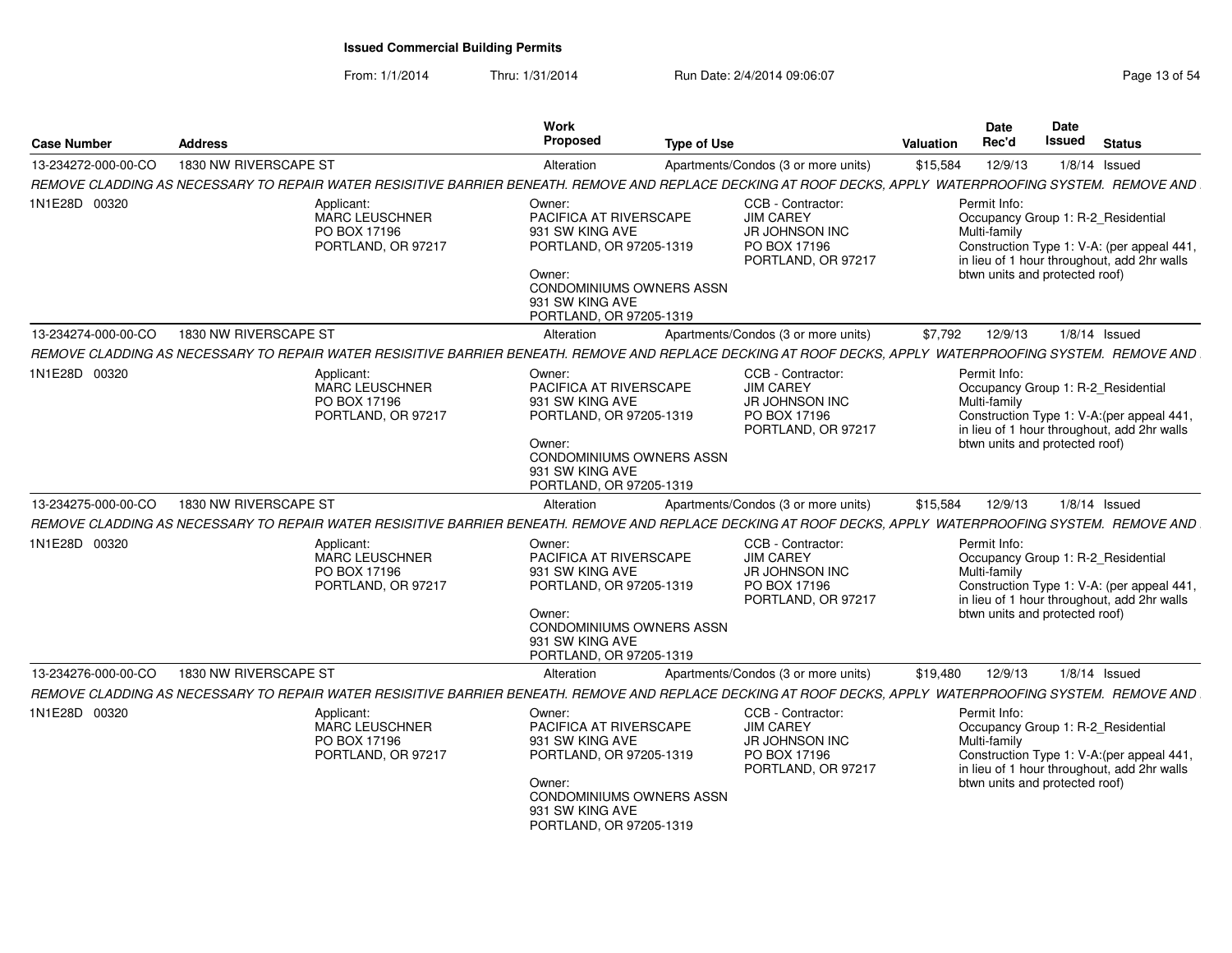From: 1/1/2014Thru: 1/31/2014 Run Date: 2/4/2014 09:06:07 Run Date: 2/4/2014 09:06:07

| <b>Case Number</b>  | <b>Address</b>                                                                                                                                            | Work<br>Proposed<br><b>Type of Use</b>                                                                                                                                    |                                                                                                      | Valuation | <b>Date</b><br>Rec'd                                           | <b>Date</b><br><b>Issued</b> | <b>Status</b>                                                                                                                   |
|---------------------|-----------------------------------------------------------------------------------------------------------------------------------------------------------|---------------------------------------------------------------------------------------------------------------------------------------------------------------------------|------------------------------------------------------------------------------------------------------|-----------|----------------------------------------------------------------|------------------------------|---------------------------------------------------------------------------------------------------------------------------------|
| 13-234272-000-00-CO | 1830 NW RIVERSCAPE ST                                                                                                                                     | Alteration                                                                                                                                                                | Apartments/Condos (3 or more units)                                                                  | \$15,584  | 12/9/13                                                        |                              | $1/8/14$ Issued                                                                                                                 |
|                     | REMOVE CLADDING AS NECESSARY TO REPAIR WATER RESISITIVE BARRIER BENEATH. REMOVE AND REPLACE DECKING AT ROOF DECKS, APPLY WATERPROOFING SYSTEM. REMOVE AND |                                                                                                                                                                           |                                                                                                      |           |                                                                |                              |                                                                                                                                 |
| 1N1E28D 00320       | Applicant:<br><b>MARC LEUSCHNER</b><br>PO BOX 17196<br>PORTLAND, OR 97217                                                                                 | Owner:<br>PACIFICA AT RIVERSCAPE<br>931 SW KING AVE<br>PORTLAND, OR 97205-1319<br>Owner:<br><b>CONDOMINIUMS OWNERS ASSN</b><br>931 SW KING AVE<br>PORTLAND, OR 97205-1319 | CCB - Contractor:<br><b>JIM CAREY</b><br><b>JR JOHNSON INC</b><br>PO BOX 17196<br>PORTLAND, OR 97217 |           | Permit Info:<br>Multi-family<br>btwn units and protected roof) |                              | Occupancy Group 1: R-2 Residential<br>Construction Type 1: V-A: (per appeal 441,<br>in lieu of 1 hour throughout, add 2hr walls |
| 13-234274-000-00-CO | 1830 NW RIVERSCAPE ST                                                                                                                                     | Alteration                                                                                                                                                                | Apartments/Condos (3 or more units)                                                                  | \$7,792   | 12/9/13                                                        |                              | $1/8/14$ Issued                                                                                                                 |
|                     | REMOVE CLADDING AS NECESSARY TO REPAIR WATER RESISITIVE BARRIER BENEATH. REMOVE AND REPLACE DECKING AT ROOF DECKS, APPLY WATERPROOFING SYSTEM. REMOVE AND |                                                                                                                                                                           |                                                                                                      |           |                                                                |                              |                                                                                                                                 |
| 1N1E28D 00320       | Applicant:<br><b>MARC LEUSCHNER</b><br>PO BOX 17196<br>PORTLAND, OR 97217                                                                                 | Owner:<br>PACIFICA AT RIVERSCAPE<br>931 SW KING AVE<br>PORTLAND, OR 97205-1319<br>Owner:<br>CONDOMINIUMS OWNERS ASSN<br>931 SW KING AVE<br>PORTLAND, OR 97205-1319        | CCB - Contractor:<br><b>JIM CAREY</b><br>JR JOHNSON INC<br>PO BOX 17196<br>PORTLAND, OR 97217        |           | Permit Info:<br>Multi-family<br>btwn units and protected roof) |                              | Occupancy Group 1: R-2_Residential<br>Construction Type 1: V-A: (per appeal 441,<br>in lieu of 1 hour throughout, add 2hr walls |
| 13-234275-000-00-CO | 1830 NW RIVERSCAPE ST                                                                                                                                     | Alteration                                                                                                                                                                | Apartments/Condos (3 or more units)                                                                  | \$15,584  | 12/9/13                                                        |                              | $1/8/14$ Issued                                                                                                                 |
|                     | REMOVE CLADDING AS NECESSARY TO REPAIR WATER RESISITIVE BARRIER BENEATH. REMOVE AND REPLACE DECKING AT ROOF DECKS. APPLY WATERPROOFING SYSTEM. REMOVE AND |                                                                                                                                                                           |                                                                                                      |           |                                                                |                              |                                                                                                                                 |
| 1N1E28D 00320       | Applicant:<br>MARC LEUSCHNER<br>PO BOX 17196<br>PORTLAND, OR 97217                                                                                        | Owner:<br>PACIFICA AT RIVERSCAPE<br>931 SW KING AVE<br>PORTLAND, OR 97205-1319<br>Owner:<br><b>CONDOMINIUMS OWNERS ASSN</b><br>931 SW KING AVE<br>PORTLAND, OR 97205-1319 | CCB - Contractor:<br><b>JIM CAREY</b><br>JR JOHNSON INC<br>PO BOX 17196<br>PORTLAND, OR 97217        |           | Permit Info:<br>Multi-family<br>btwn units and protected roof) |                              | Occupancy Group 1: R-2 Residential<br>Construction Type 1: V-A: (per appeal 441,<br>in lieu of 1 hour throughout, add 2hr walls |
| 13-234276-000-00-CO | 1830 NW RIVERSCAPE ST                                                                                                                                     | Alteration                                                                                                                                                                | Apartments/Condos (3 or more units)                                                                  | \$19,480  | 12/9/13                                                        |                              | $1/8/14$ Issued                                                                                                                 |
|                     | REMOVE CLADDING AS NECESSARY TO REPAIR WATER RESISITIVE BARRIER BENEATH. REMOVE AND REPLACE DECKING AT ROOF DECKS, APPLY WATERPROOFING SYSTEM. REMOVE AND |                                                                                                                                                                           |                                                                                                      |           |                                                                |                              |                                                                                                                                 |
| 1N1E28D 00320       | Applicant:<br><b>MARC LEUSCHNER</b><br>PO BOX 17196<br>PORTLAND, OR 97217                                                                                 | Owner:<br>PACIFICA AT RIVERSCAPE<br>931 SW KING AVE<br>PORTLAND, OR 97205-1319<br>Owner:<br><b>CONDOMINIUMS OWNERS ASSN</b><br>931 SW KING AVE<br>PORTLAND, OR 97205-1319 | CCB - Contractor:<br><b>JIM CAREY</b><br><b>JR JOHNSON INC</b><br>PO BOX 17196<br>PORTLAND, OR 97217 |           | Permit Info:<br>Multi-family<br>btwn units and protected roof) |                              | Occupancy Group 1: R-2_Residential<br>Construction Type 1: V-A: (per appeal 441,<br>in lieu of 1 hour throughout, add 2hr walls |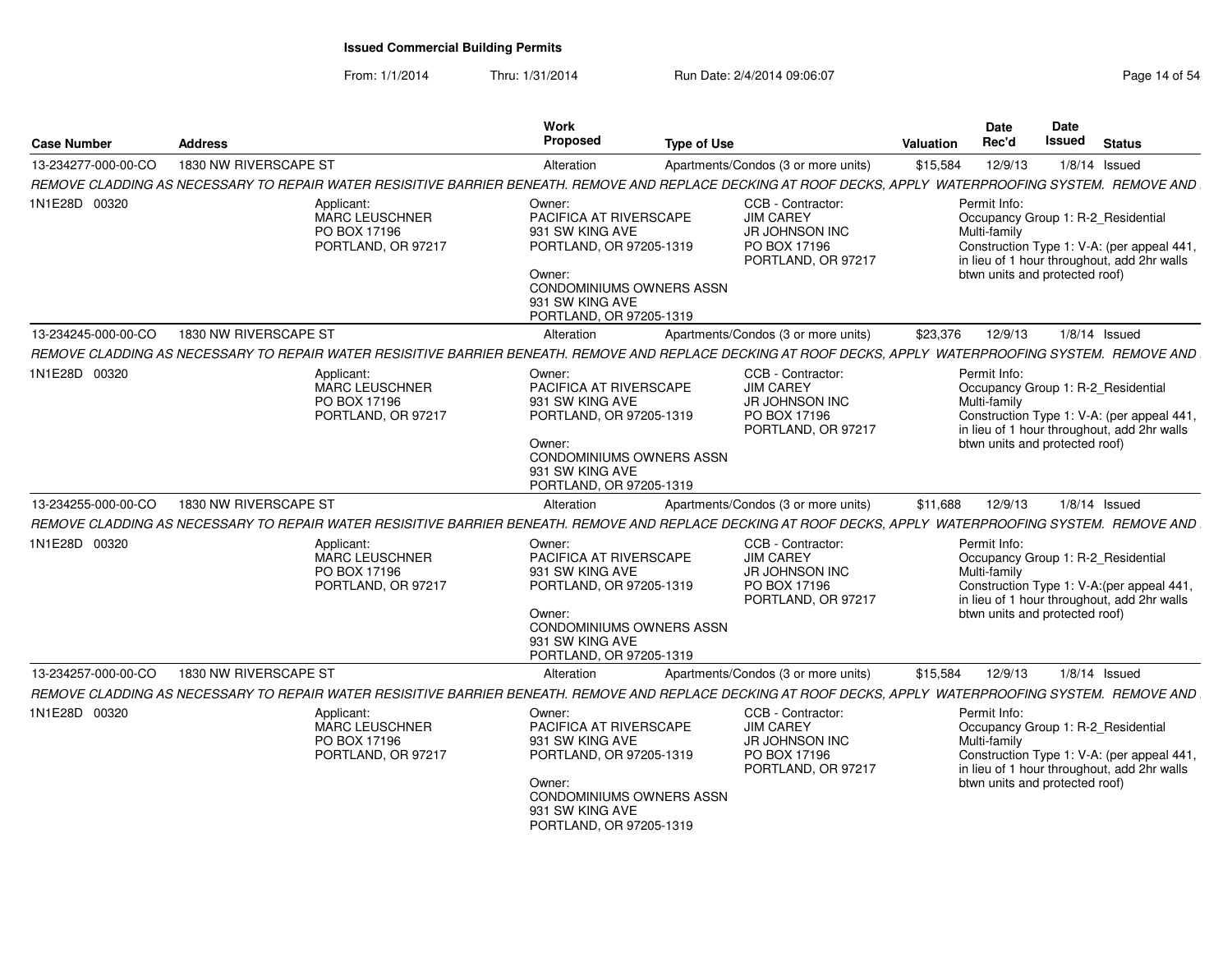| <b>Case Number</b>  | <b>Address</b>                                                                                                                                            | Work<br><b>Proposed</b><br><b>Type of Use</b>                                                                                                                             |                                                                                                      | Valuation | <b>Date</b><br>Rec'd                                           | <b>Date</b><br><b>Issued</b> | <b>Status</b>                                                                                                                   |
|---------------------|-----------------------------------------------------------------------------------------------------------------------------------------------------------|---------------------------------------------------------------------------------------------------------------------------------------------------------------------------|------------------------------------------------------------------------------------------------------|-----------|----------------------------------------------------------------|------------------------------|---------------------------------------------------------------------------------------------------------------------------------|
| 13-234277-000-00-CO | 1830 NW RIVERSCAPE ST                                                                                                                                     | Alteration                                                                                                                                                                | Apartments/Condos (3 or more units)                                                                  | \$15,584  | 12/9/13                                                        |                              | $1/8/14$ Issued                                                                                                                 |
|                     | REMOVE CLADDING AS NECESSARY TO REPAIR WATER RESISITIVE BARRIER BENEATH. REMOVE AND REPLACE DECKING AT ROOF DECKS, APPLY WATERPROOFING SYSTEM. REMOVE AND |                                                                                                                                                                           |                                                                                                      |           |                                                                |                              |                                                                                                                                 |
| 1N1E28D 00320       | Applicant:<br>MARC LEUSCHNER<br>PO BOX 17196<br>PORTLAND, OR 97217                                                                                        | Owner:<br>PACIFICA AT RIVERSCAPE<br>931 SW KING AVE<br>PORTLAND, OR 97205-1319<br>Owner:<br><b>CONDOMINIUMS OWNERS ASSN</b><br>931 SW KING AVE<br>PORTLAND, OR 97205-1319 | CCB - Contractor:<br><b>JIM CAREY</b><br>JR JOHNSON INC<br>PO BOX 17196<br>PORTLAND, OR 97217        |           | Permit Info:<br>Multi-family<br>btwn units and protected roof) |                              | Occupancy Group 1: R-2 Residential<br>Construction Type 1: V-A: (per appeal 441,<br>in lieu of 1 hour throughout, add 2hr walls |
| 13-234245-000-00-CO | 1830 NW RIVERSCAPE ST                                                                                                                                     | Alteration                                                                                                                                                                | Apartments/Condos (3 or more units)                                                                  | \$23,376  | 12/9/13                                                        |                              | $1/8/14$ Issued                                                                                                                 |
|                     | REMOVE CLADDING AS NECESSARY TO REPAIR WATER RESISITIVE BARRIER BENEATH. REMOVE AND REPLACE DECKING AT ROOF DECKS. APPLY WATERPROOFING SYSTEM. REMOVE AND |                                                                                                                                                                           |                                                                                                      |           |                                                                |                              |                                                                                                                                 |
| 1N1E28D 00320       | Applicant:<br><b>MARC LEUSCHNER</b><br>PO BOX 17196<br>PORTLAND, OR 97217                                                                                 | Owner:<br>PACIFICA AT RIVERSCAPE<br>931 SW KING AVE<br>PORTLAND, OR 97205-1319<br>Owner:<br>CONDOMINIUMS OWNERS ASSN<br>931 SW KING AVE<br>PORTLAND, OR 97205-1319        | CCB - Contractor:<br><b>JIM CAREY</b><br>JR JOHNSON INC<br>PO BOX 17196<br>PORTLAND, OR 97217        |           | Permit Info:<br>Multi-family<br>btwn units and protected roof) |                              | Occupancy Group 1: R-2 Residential<br>Construction Type 1: V-A: (per appeal 441,<br>in lieu of 1 hour throughout, add 2hr walls |
| 13-234255-000-00-CO | 1830 NW RIVERSCAPE ST                                                                                                                                     | Alteration                                                                                                                                                                | Apartments/Condos (3 or more units)                                                                  | \$11,688  | 12/9/13                                                        |                              | $1/8/14$ Issued                                                                                                                 |
|                     | REMOVE CLADDING AS NECESSARY TO REPAIR WATER RESISITIVE BARRIER BENEATH. REMOVE AND REPLACE DECKING AT ROOF DECKS, APPLY WATERPROOFING SYSTEM. REMOVE AND |                                                                                                                                                                           |                                                                                                      |           |                                                                |                              |                                                                                                                                 |
| 1N1E28D 00320       | Applicant:<br><b>MARC LEUSCHNER</b><br>PO BOX 17196<br>PORTLAND, OR 97217                                                                                 | Owner:<br>PACIFICA AT RIVERSCAPE<br>931 SW KING AVE<br>PORTLAND, OR 97205-1319<br>Owner:<br><b>CONDOMINIUMS OWNERS ASSN</b><br>931 SW KING AVE<br>PORTLAND, OR 97205-1319 | CCB - Contractor:<br><b>JIM CAREY</b><br><b>JR JOHNSON INC</b><br>PO BOX 17196<br>PORTLAND, OR 97217 |           | Permit Info:<br>Multi-family<br>btwn units and protected roof) |                              | Occupancy Group 1: R-2_Residential<br>Construction Type 1: V-A: (per appeal 441,<br>in lieu of 1 hour throughout, add 2hr walls |
| 13-234257-000-00-CO | 1830 NW RIVERSCAPE ST                                                                                                                                     | Alteration                                                                                                                                                                | Apartments/Condos (3 or more units)                                                                  | \$15,584  | 12/9/13                                                        |                              | $1/8/14$ Issued                                                                                                                 |
|                     | REMOVE CLADDING AS NECESSARY TO REPAIR WATER RESISITIVE BARRIER BENEATH. REMOVE AND REPLACE DECKING AT ROOF DECKS, APPLY WATERPROOFING SYSTEM. REMOVE AND |                                                                                                                                                                           |                                                                                                      |           |                                                                |                              |                                                                                                                                 |
| 1N1E28D 00320       | Applicant:<br><b>MARC LEUSCHNER</b><br>PO BOX 17196<br>PORTLAND, OR 97217                                                                                 | Owner:<br>PACIFICA AT RIVERSCAPE<br>931 SW KING AVE<br>PORTLAND, OR 97205-1319<br>Owner:<br>CONDOMINIUMS OWNERS ASSN<br>931 SW KING AVE<br>PORTLAND, OR 97205-1319        | CCB - Contractor:<br><b>JIM CAREY</b><br><b>JR JOHNSON INC</b><br>PO BOX 17196<br>PORTLAND, OR 97217 |           | Permit Info:<br>Multi-family<br>btwn units and protected roof) |                              | Occupancy Group 1: R-2_Residential<br>Construction Type 1: V-A: (per appeal 441,<br>in lieu of 1 hour throughout, add 2hr walls |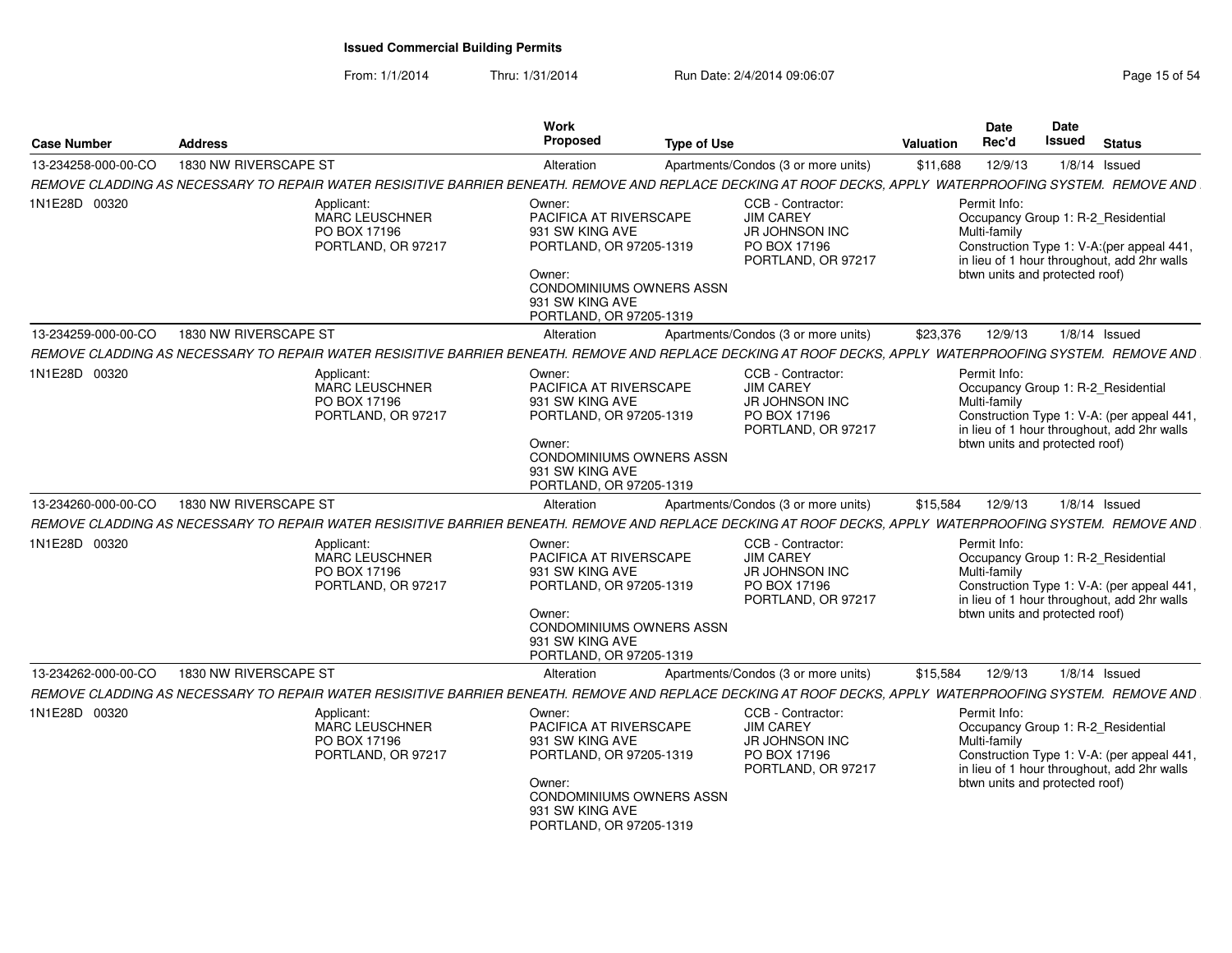| <b>Case Number</b>  | <b>Address</b>                                                                                                                                            | Work<br><b>Proposed</b><br><b>Type of Use</b>                                                                                                                             |                                                                                                      | <b>Date</b><br>Rec'd<br>Valuation | <b>Date</b><br><b>Issued</b>   |                 | <b>Status</b>                                                                                                                   |
|---------------------|-----------------------------------------------------------------------------------------------------------------------------------------------------------|---------------------------------------------------------------------------------------------------------------------------------------------------------------------------|------------------------------------------------------------------------------------------------------|-----------------------------------|--------------------------------|-----------------|---------------------------------------------------------------------------------------------------------------------------------|
| 13-234258-000-00-CO | 1830 NW RIVERSCAPE ST                                                                                                                                     | Alteration                                                                                                                                                                | Apartments/Condos (3 or more units)                                                                  | \$11,688                          | 12/9/13                        | $1/8/14$ Issued |                                                                                                                                 |
|                     | REMOVE CLADDING AS NECESSARY TO REPAIR WATER RESISITIVE BARRIER BENEATH. REMOVE AND REPLACE DECKING AT ROOF DECKS, APPLY WATERPROOFING SYSTEM. REMOVE AND |                                                                                                                                                                           |                                                                                                      |                                   |                                |                 |                                                                                                                                 |
| 1N1E28D 00320       | Applicant:<br><b>MARC LEUSCHNER</b><br>PO BOX 17196<br>PORTLAND, OR 97217                                                                                 | Owner:<br>PACIFICA AT RIVERSCAPE<br>931 SW KING AVE<br>PORTLAND, OR 97205-1319<br>Owner:<br><b>CONDOMINIUMS OWNERS ASSN</b><br>931 SW KING AVE<br>PORTLAND, OR 97205-1319 | CCB - Contractor:<br><b>JIM CAREY</b><br>JR JOHNSON INC<br>PO BOX 17196<br>PORTLAND, OR 97217        | Permit Info:<br>Multi-family      | btwn units and protected roof) |                 | Occupancy Group 1: R-2 Residential<br>Construction Type 1: V-A:(per appeal 441,<br>in lieu of 1 hour throughout, add 2hr walls  |
| 13-234259-000-00-CO | 1830 NW RIVERSCAPE ST                                                                                                                                     | Alteration                                                                                                                                                                | Apartments/Condos (3 or more units)                                                                  | \$23,376                          | 12/9/13                        | $1/8/14$ Issued |                                                                                                                                 |
|                     | REMOVE CLADDING AS NECESSARY TO REPAIR WATER RESISITIVE BARRIER BENEATH. REMOVE AND REPLACE DECKING AT ROOF DECKS, APPLY WATERPROOFING SYSTEM. REMOVE AND |                                                                                                                                                                           |                                                                                                      |                                   |                                |                 |                                                                                                                                 |
| 1N1E28D 00320       | Applicant:<br><b>MARC LEUSCHNER</b><br>PO BOX 17196<br>PORTLAND, OR 97217                                                                                 | Owner:<br>PACIFICA AT RIVERSCAPE<br>931 SW KING AVE<br>PORTLAND, OR 97205-1319<br>Owner:<br>CONDOMINIUMS OWNERS ASSN<br>931 SW KING AVE<br>PORTLAND, OR 97205-1319        | CCB - Contractor:<br><b>JIM CAREY</b><br><b>JR JOHNSON INC</b><br>PO BOX 17196<br>PORTLAND, OR 97217 | Permit Info:<br>Multi-family      | btwn units and protected roof) |                 | Occupancy Group 1: R-2 Residential<br>Construction Type 1: V-A: (per appeal 441,<br>in lieu of 1 hour throughout, add 2hr walls |
| 13-234260-000-00-CO | 1830 NW RIVERSCAPE ST                                                                                                                                     | Alteration                                                                                                                                                                | Apartments/Condos (3 or more units)                                                                  | \$15,584                          | 12/9/13                        | $1/8/14$ Issued |                                                                                                                                 |
|                     | REMOVE CLADDING AS NECESSARY TO REPAIR WATER RESISITIVE BARRIER BENEATH. REMOVE AND REPLACE DECKING AT ROOF DECKS, APPLY WATERPROOFING SYSTEM. REMOVE AND |                                                                                                                                                                           |                                                                                                      |                                   |                                |                 |                                                                                                                                 |
| 1N1E28D 00320       | Applicant:<br><b>MARC LEUSCHNER</b><br>PO BOX 17196<br>PORTLAND, OR 97217                                                                                 | Owner:<br>PACIFICA AT RIVERSCAPE<br>931 SW KING AVE<br>PORTLAND, OR 97205-1319<br>Owner:<br><b>CONDOMINIUMS OWNERS ASSN</b><br>931 SW KING AVE<br>PORTLAND, OR 97205-1319 | CCB - Contractor:<br><b>JIM CAREY</b><br><b>JR JOHNSON INC</b><br>PO BOX 17196<br>PORTLAND, OR 97217 | Permit Info:<br>Multi-family      | btwn units and protected roof) |                 | Occupancy Group 1: R-2_Residential<br>Construction Type 1: V-A: (per appeal 441,<br>in lieu of 1 hour throughout, add 2hr walls |
| 13-234262-000-00-CO | 1830 NW RIVERSCAPE ST                                                                                                                                     | Alteration                                                                                                                                                                | Apartments/Condos (3 or more units)                                                                  | \$15,584                          | 12/9/13                        | $1/8/14$ Issued |                                                                                                                                 |
|                     | REMOVE CLADDING AS NECESSARY TO REPAIR WATER RESISITIVE BARRIER BENEATH. REMOVE AND REPLACE DECKING AT ROOF DECKS, APPLY WATERPROOFING SYSTEM. REMOVE AND |                                                                                                                                                                           |                                                                                                      |                                   |                                |                 |                                                                                                                                 |
| 1N1E28D 00320       | Applicant:<br><b>MARC LEUSCHNER</b><br>PO BOX 17196<br>PORTLAND, OR 97217                                                                                 | Owner:<br>PACIFICA AT RIVERSCAPE<br>931 SW KING AVE<br>PORTLAND, OR 97205-1319<br>Owner:<br><b>CONDOMINIUMS OWNERS ASSN</b><br>931 SW KING AVE<br>PORTLAND, OR 97205-1319 | CCB - Contractor:<br><b>JIM CAREY</b><br><b>JR JOHNSON INC</b><br>PO BOX 17196<br>PORTLAND, OR 97217 | Permit Info:<br>Multi-family      | btwn units and protected roof) |                 | Occupancy Group 1: R-2_Residential<br>Construction Type 1: V-A: (per appeal 441,<br>in lieu of 1 hour throughout, add 2hr walls |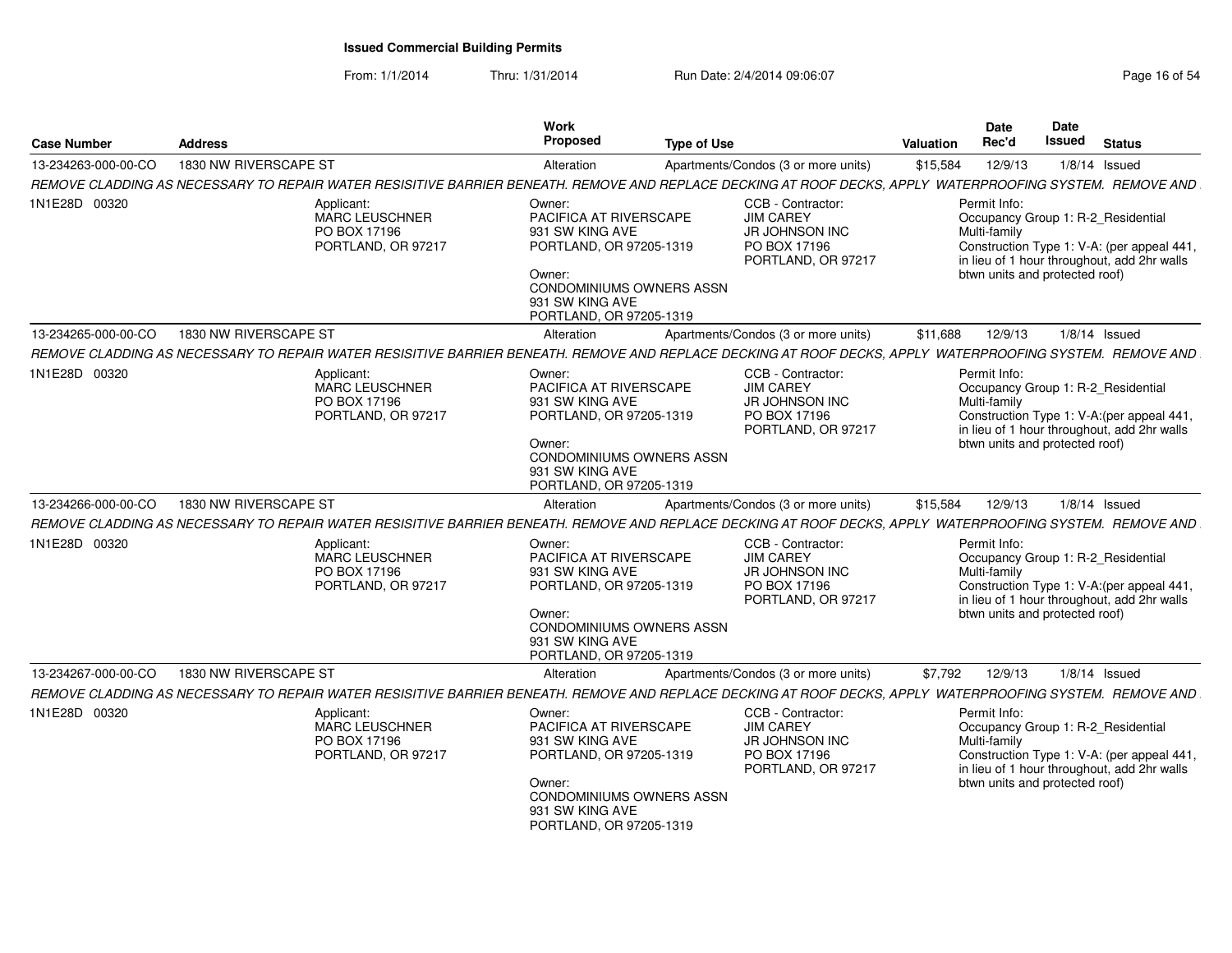| <b>Case Number</b>  | <b>Address</b>                                                                                                                                              | Work<br><b>Proposed</b><br><b>Type of Use</b>                                                                                                                             |                                                                                                      | Valuation                    | <b>Date</b><br>Rec'd           | Date<br><b>Issued</b> | <b>Status</b>                                                                                                                   |
|---------------------|-------------------------------------------------------------------------------------------------------------------------------------------------------------|---------------------------------------------------------------------------------------------------------------------------------------------------------------------------|------------------------------------------------------------------------------------------------------|------------------------------|--------------------------------|-----------------------|---------------------------------------------------------------------------------------------------------------------------------|
| 13-234263-000-00-CO | 1830 NW RIVERSCAPE ST                                                                                                                                       | Alteration                                                                                                                                                                | Apartments/Condos (3 or more units)                                                                  | \$15,584                     | 12/9/13                        |                       | $1/8/14$ Issued                                                                                                                 |
|                     | REMOVE CLADDING AS NECESSARY TO REPAIR WATER RESISITIVE BARRIER BENEATH. REMOVE AND REPLACE DECKING AT ROOF DECKS, APPLY WATERPROOFING SYSTEM. REMOVE AND   |                                                                                                                                                                           |                                                                                                      |                              |                                |                       |                                                                                                                                 |
| 1N1E28D 00320       | Applicant:<br>MARC LEUSCHNER<br>PO BOX 17196<br>PORTLAND, OR 97217                                                                                          | Owner:<br>PACIFICA AT RIVERSCAPE<br>931 SW KING AVE<br>PORTLAND, OR 97205-1319<br>Owner:<br>CONDOMINIUMS OWNERS ASSN<br>931 SW KING AVE<br>PORTLAND, OR 97205-1319        | CCB - Contractor:<br><b>JIM CAREY</b><br>JR JOHNSON INC<br>PO BOX 17196<br>PORTLAND, OR 97217        | Permit Info:<br>Multi-family | btwn units and protected roof) |                       | Occupancy Group 1: R-2 Residential<br>Construction Type 1: V-A: (per appeal 441,<br>in lieu of 1 hour throughout, add 2hr walls |
| 13-234265-000-00-CO | 1830 NW RIVERSCAPE ST                                                                                                                                       | Alteration                                                                                                                                                                | Apartments/Condos (3 or more units)                                                                  | \$11,688                     | 12/9/13                        |                       | $1/8/14$ Issued                                                                                                                 |
|                     | REMOVE CLADDING AS NECESSARY TO REPAIR WATER RESISITIVE BARRIER BENEATH. REMOVE AND REPLACE DECKING AT ROOF DECKS. APPLY  WATERPROOFING SYSTEM.  REMOVE AND |                                                                                                                                                                           |                                                                                                      |                              |                                |                       |                                                                                                                                 |
| 1N1E28D 00320       | Applicant:<br>MARC LEUSCHNER<br>PO BOX 17196<br>PORTLAND, OR 97217                                                                                          | Owner:<br>PACIFICA AT RIVERSCAPE<br>931 SW KING AVE<br>PORTLAND, OR 97205-1319<br>Owner:<br>CONDOMINIUMS OWNERS ASSN<br>931 SW KING AVE<br>PORTLAND, OR 97205-1319        | CCB - Contractor:<br><b>JIM CAREY</b><br><b>JR JOHNSON INC</b><br>PO BOX 17196<br>PORTLAND, OR 97217 | Permit Info:<br>Multi-family | btwn units and protected roof) |                       | Occupancy Group 1: R-2_Residential<br>Construction Type 1: V-A: (per appeal 441,<br>in lieu of 1 hour throughout, add 2hr walls |
| 13-234266-000-00-CO | 1830 NW RIVERSCAPE ST                                                                                                                                       | Alteration                                                                                                                                                                | Apartments/Condos (3 or more units)                                                                  | \$15,584                     | 12/9/13                        |                       | $1/8/14$ Issued                                                                                                                 |
|                     | REMOVE CLADDING AS NECESSARY TO REPAIR WATER RESISITIVE BARRIER BENEATH. REMOVE AND REPLACE DECKING AT ROOF DECKS, APPLY WATERPROOFING SYSTEM. REMOVE AND   |                                                                                                                                                                           |                                                                                                      |                              |                                |                       |                                                                                                                                 |
| 1N1E28D 00320       | Applicant:<br>MARC LEUSCHNER<br>PO BOX 17196<br>PORTLAND, OR 97217                                                                                          | Owner:<br>PACIFICA AT RIVERSCAPE<br>931 SW KING AVE<br>PORTLAND, OR 97205-1319<br>Owner:<br>CONDOMINIUMS OWNERS ASSN<br>931 SW KING AVE<br>PORTLAND, OR 97205-1319        | CCB - Contractor:<br><b>JIM CAREY</b><br>JR JOHNSON INC<br>PO BOX 17196<br>PORTLAND, OR 97217        | Permit Info:<br>Multi-family | btwn units and protected roof) |                       | Occupancy Group 1: R-2_Residential<br>Construction Type 1: V-A: (per appeal 441,<br>in lieu of 1 hour throughout, add 2hr walls |
| 13-234267-000-00-CO | 1830 NW RIVERSCAPE ST                                                                                                                                       | Alteration                                                                                                                                                                | Apartments/Condos (3 or more units)                                                                  | \$7.792                      | 12/9/13                        |                       | $1/8/14$ Issued                                                                                                                 |
|                     | REMOVE CLADDING AS NECESSARY TO REPAIR WATER RESISITIVE BARRIER BENEATH. REMOVE AND REPLACE DECKING AT ROOF DECKS, APPLY WATERPROOFING SYSTEM. REMOVE AND   |                                                                                                                                                                           |                                                                                                      |                              |                                |                       |                                                                                                                                 |
| 1N1E28D 00320       | Applicant:<br><b>MARC LEUSCHNER</b><br>PO BOX 17196<br>PORTLAND, OR 97217                                                                                   | Owner:<br>PACIFICA AT RIVERSCAPE<br>931 SW KING AVE<br>PORTLAND, OR 97205-1319<br>Owner:<br><b>CONDOMINIUMS OWNERS ASSN</b><br>931 SW KING AVE<br>PORTLAND, OR 97205-1319 | CCB - Contractor:<br><b>JIM CAREY</b><br>JR JOHNSON INC<br>PO BOX 17196<br>PORTLAND, OR 97217        | Permit Info:<br>Multi-family | btwn units and protected roof) |                       | Occupancy Group 1: R-2_Residential<br>Construction Type 1: V-A: (per appeal 441,<br>in lieu of 1 hour throughout, add 2hr walls |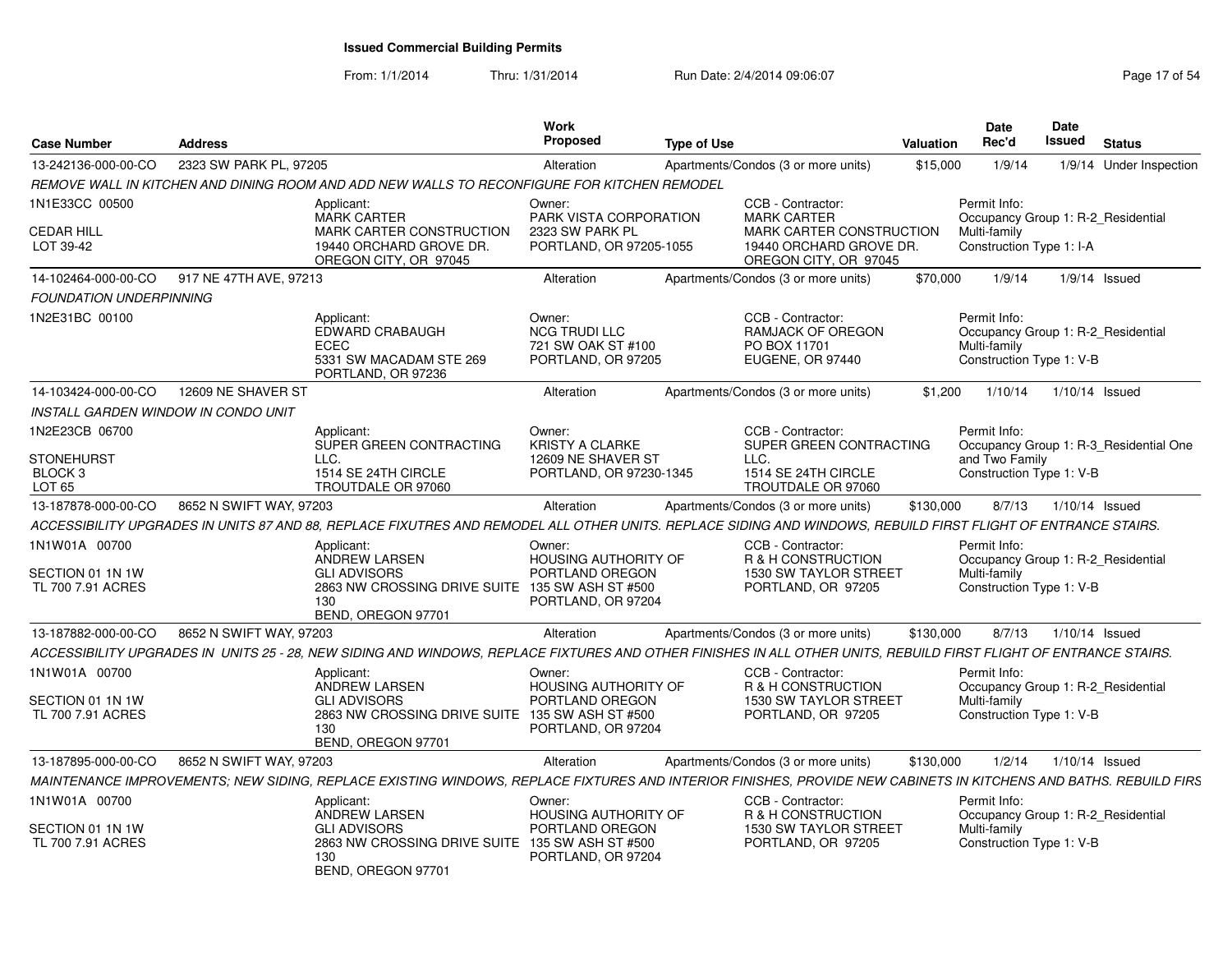| <b>Case Number</b>                                | <b>Address</b>          |                                                                                                                                                                   | <b>Work</b><br>Proposed                                                        | <b>Type of Use</b> |                                                                                                                         | Valuation | <b>Date</b><br>Rec'd                                                                           | Date<br><b>Issued</b> | <b>Status</b>                          |
|---------------------------------------------------|-------------------------|-------------------------------------------------------------------------------------------------------------------------------------------------------------------|--------------------------------------------------------------------------------|--------------------|-------------------------------------------------------------------------------------------------------------------------|-----------|------------------------------------------------------------------------------------------------|-----------------------|----------------------------------------|
| 13-242136-000-00-CO                               | 2323 SW PARK PL, 97205  |                                                                                                                                                                   | Alteration                                                                     |                    | Apartments/Condos (3 or more units)                                                                                     | \$15,000  | 1/9/14                                                                                         |                       | 1/9/14 Under Inspection                |
|                                                   |                         | REMOVE WALL IN KITCHEN AND DINING ROOM AND ADD NEW WALLS TO RECONFIGURE FOR KITCHEN REMODEL                                                                       |                                                                                |                    |                                                                                                                         |           |                                                                                                |                       |                                        |
| 1N1E33CC 00500<br><b>CEDAR HILL</b><br>LOT 39-42  |                         | Applicant:<br><b>MARK CARTER</b><br>MARK CARTER CONSTRUCTION<br>19440 ORCHARD GROVE DR.<br>OREGON CITY, OR 97045                                                  | Owner:<br>PARK VISTA CORPORATION<br>2323 SW PARK PL<br>PORTLAND, OR 97205-1055 |                    | CCB - Contractor:<br><b>MARK CARTER</b><br>MARK CARTER CONSTRUCTION<br>19440 ORCHARD GROVE DR.<br>OREGON CITY, OR 97045 |           | Permit Info:<br>Occupancy Group 1: R-2 Residential<br>Multi-family<br>Construction Type 1: I-A |                       |                                        |
| 14-102464-000-00-CO                               | 917 NE 47TH AVE, 97213  |                                                                                                                                                                   | Alteration                                                                     |                    | Apartments/Condos (3 or more units)                                                                                     | \$70,000  | 1/9/14                                                                                         |                       | $1/9/14$ Issued                        |
| <b>FOUNDATION UNDERPINNING</b>                    |                         |                                                                                                                                                                   |                                                                                |                    |                                                                                                                         |           |                                                                                                |                       |                                        |
| 1N2E31BC 00100                                    |                         | Applicant:<br><b>EDWARD CRABAUGH</b><br><b>ECEC</b><br>5331 SW MACADAM STE 269<br>PORTLAND, OR 97236                                                              | Owner:<br><b>NCG TRUDI LLC</b><br>721 SW OAK ST #100<br>PORTLAND, OR 97205     |                    | CCB - Contractor:<br><b>RAMJACK OF OREGON</b><br>PO BOX 11701<br>EUGENE, OR 97440                                       |           | Permit Info:<br>Occupancy Group 1: R-2 Residential<br>Multi-family<br>Construction Type 1: V-B |                       |                                        |
| 14-103424-000-00-CO                               | 12609 NE SHAVER ST      |                                                                                                                                                                   | Alteration                                                                     |                    | Apartments/Condos (3 or more units)                                                                                     | \$1,200   | 1/10/14                                                                                        | 1/10/14 Issued        |                                        |
| INSTALL GARDEN WINDOW IN CONDO UNIT               |                         |                                                                                                                                                                   |                                                                                |                    |                                                                                                                         |           |                                                                                                |                       |                                        |
| 1N2E23CB 06700                                    |                         | Applicant:<br>SUPER GREEN CONTRACTING                                                                                                                             | Owner:<br><b>KRISTY A CLARKE</b>                                               |                    | CCB - Contractor:<br>SUPER GREEN CONTRACTING                                                                            |           | Permit Info:                                                                                   |                       | Occupancy Group 1: R-3 Residential One |
| <b>STONEHURST</b><br>BLOCK 3<br>LOT <sub>65</sub> |                         | LLC.<br>1514 SE 24TH CIRCLE<br>TROUTDALE OR 97060                                                                                                                 | 12609 NE SHAVER ST<br>PORTLAND, OR 97230-1345                                  |                    | LLC.<br>1514 SE 24TH CIRCLE<br>TROUTDALE OR 97060                                                                       |           | and Two Family<br>Construction Type 1: V-B                                                     |                       |                                        |
| 13-187878-000-00-CO                               | 8652 N SWIFT WAY, 97203 |                                                                                                                                                                   | Alteration                                                                     |                    | Apartments/Condos (3 or more units)                                                                                     | \$130,000 | 8/7/13                                                                                         | 1/10/14 Issued        |                                        |
|                                                   |                         | ACCESSIBILITY UPGRADES IN UNITS 87 AND 88, REPLACE FIXUTRES AND REMODEL ALL OTHER UNITS. REPLACE SIDING AND WINDOWS, REBUILD FIRST FLIGHT OF ENTRANCE STAIRS.     |                                                                                |                    |                                                                                                                         |           |                                                                                                |                       |                                        |
| 1N1W01A 00700                                     |                         | Applicant:<br>ANDREW LARSEN                                                                                                                                       | Owner:<br>HOUSING AUTHORITY OF                                                 |                    | CCB - Contractor:<br>R & H CONSTRUCTION                                                                                 |           | Permit Info:<br>Occupancy Group 1: R-2 Residential                                             |                       |                                        |
| SECTION 01 1N 1W<br>TL 700 7.91 ACRES             |                         | <b>GLI ADVISORS</b><br>2863 NW CROSSING DRIVE SUITE 135 SW ASH ST #500<br>130<br>BEND, OREGON 97701                                                               | PORTLAND OREGON<br>PORTLAND, OR 97204                                          |                    | 1530 SW TAYLOR STREET<br>PORTLAND, OR 97205                                                                             |           | Multi-family<br>Construction Type 1: V-B                                                       |                       |                                        |
| 13-187882-000-00-CO                               | 8652 N SWIFT WAY, 97203 |                                                                                                                                                                   | Alteration                                                                     |                    | Apartments/Condos (3 or more units)                                                                                     | \$130,000 | 8/7/13                                                                                         | 1/10/14 Issued        |                                        |
|                                                   |                         | ACCESSIBILITY UPGRADES IN UNITS 25 - 28. NEW SIDING AND WINDOWS. REPLACE FIXTURES AND OTHER FINISHES IN ALL OTHER UNITS. REBUILD FIRST FLIGHT OF ENTRANCE STAIRS. |                                                                                |                    |                                                                                                                         |           |                                                                                                |                       |                                        |
| 1N1W01A 00700                                     |                         | Applicant:<br><b>ANDREW LARSEN</b>                                                                                                                                | Owner:<br>HOUSING AUTHORITY OF                                                 |                    | CCB - Contractor:<br>R & H CONSTRUCTION                                                                                 |           | Permit Info:<br>Occupancy Group 1: R-2 Residential                                             |                       |                                        |
| SECTION 01 1N 1W<br>TL 700 7.91 ACRES             |                         | <b>GLI ADVISORS</b><br>2863 NW CROSSING DRIVE SUITE 135 SW ASH ST #500<br>130<br>BEND, OREGON 97701                                                               | PORTLAND OREGON<br>PORTLAND, OR 97204                                          |                    | 1530 SW TAYLOR STREET<br>PORTLAND, OR 97205                                                                             |           | Multi-family<br>Construction Type 1: V-B                                                       |                       |                                        |
| 13-187895-000-00-CO                               | 8652 N SWIFT WAY, 97203 |                                                                                                                                                                   | Alteration                                                                     |                    | Apartments/Condos (3 or more units)                                                                                     | \$130,000 | 1/2/14                                                                                         | 1/10/14 Issued        |                                        |
|                                                   |                         | MAINTENANCE IMPROVEMENTS; NEW SIDING, REPLACE EXISTING WINDOWS, REPLACE FIXTURES AND INTERIOR FINISHES, PROVIDE NEW CABINETS IN KITCHENS AND BATHS. REBUILD FIRS  |                                                                                |                    |                                                                                                                         |           |                                                                                                |                       |                                        |
| 1N1W01A 00700                                     |                         | Applicant:<br>ANDREW LARSEN                                                                                                                                       | Owner:<br>HOUSING AUTHORITY OF                                                 |                    | CCB - Contractor:<br>R & H CONSTRUCTION                                                                                 |           | Permit Info:<br>Occupancy Group 1: R-2 Residential                                             |                       |                                        |
| SECTION 01 1N 1W<br>TL 700 7.91 ACRES             |                         | <b>GLI ADVISORS</b><br>2863 NW CROSSING DRIVE SUITE 135 SW ASH ST #500<br>130<br>BEND, OREGON 97701                                                               | PORTLAND OREGON<br>PORTLAND, OR 97204                                          |                    | 1530 SW TAYLOR STREET<br>PORTLAND, OR 97205                                                                             |           | Multi-family<br>Construction Type 1: V-B                                                       |                       |                                        |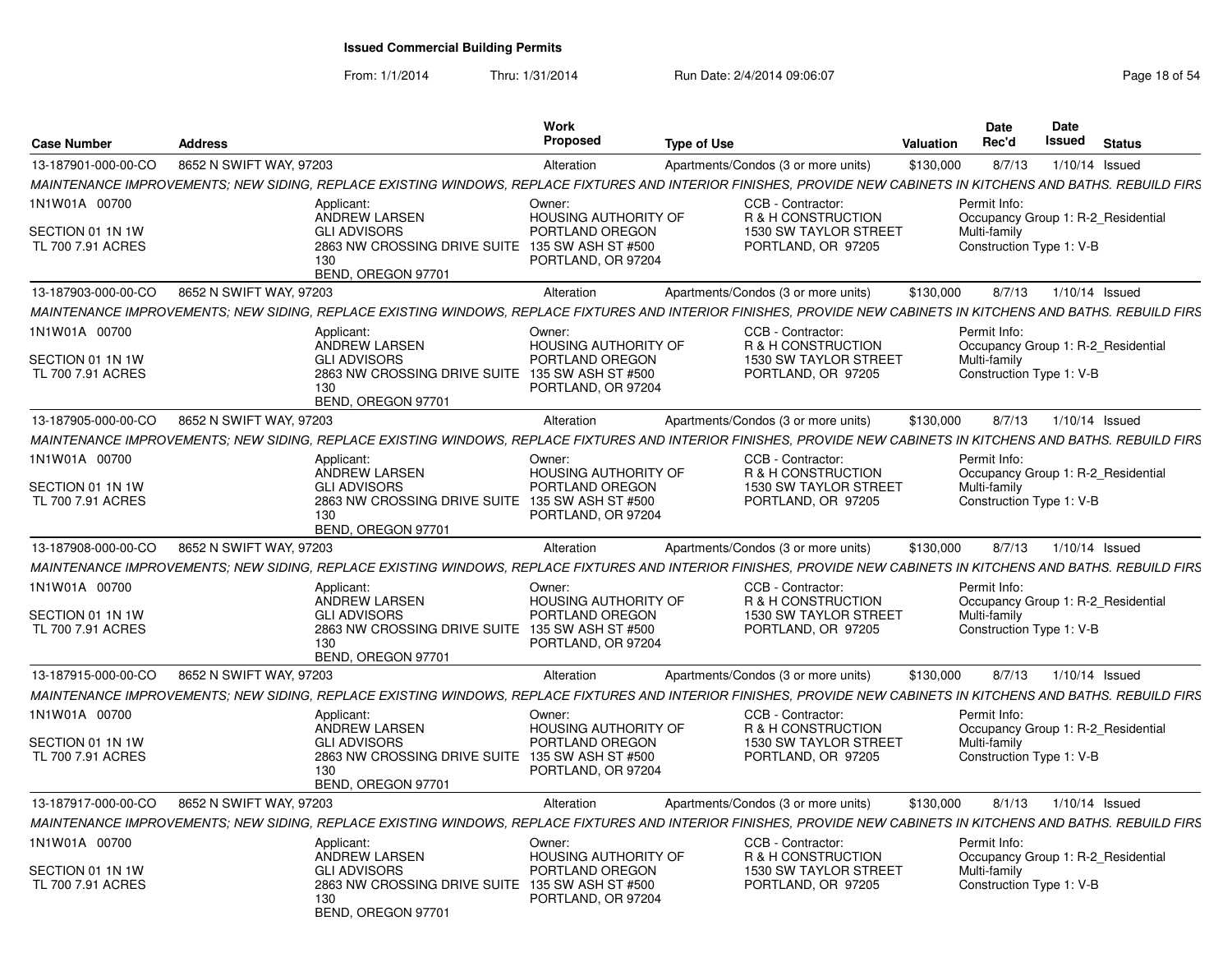| <b>Case Number</b>                    | <b>Address</b>          |                                                                                                                                                                  | Work<br><b>Proposed</b>                                              | <b>Type of Use</b> |                                                                   | <b>Valuation</b> | <b>Date</b><br>Rec'd                                                           | <b>Date</b><br>Issued | <b>Status</b> |
|---------------------------------------|-------------------------|------------------------------------------------------------------------------------------------------------------------------------------------------------------|----------------------------------------------------------------------|--------------------|-------------------------------------------------------------------|------------------|--------------------------------------------------------------------------------|-----------------------|---------------|
| 13-187901-000-00-CO                   | 8652 N SWIFT WAY, 97203 |                                                                                                                                                                  | Alteration                                                           |                    | Apartments/Condos (3 or more units)                               | \$130,000        | 8/7/13                                                                         | 1/10/14 Issued        |               |
|                                       |                         | MAINTENANCE IMPROVEMENTS: NEW SIDING, REPLACE EXISTING WINDOWS, REPLACE FIXTURES AND INTERIOR FINISHES, PROVIDE NEW CABINETS IN KITCHENS AND BATHS. REBUILD FIRS |                                                                      |                    |                                                                   |                  |                                                                                |                       |               |
| 1N1W01A 00700                         |                         | Applicant:                                                                                                                                                       | Owner:                                                               |                    | CCB - Contractor:                                                 |                  | Permit Info:                                                                   |                       |               |
| SECTION 01 1N 1W<br>TL 700 7.91 ACRES |                         | ANDREW LARSEN<br><b>GLI ADVISORS</b><br>2863 NW CROSSING DRIVE SUITE 135 SW ASH ST #500<br>130<br>BEND, OREGON 97701                                             | <b>HOUSING AUTHORITY OF</b><br>PORTLAND OREGON<br>PORTLAND, OR 97204 |                    | R & H CONSTRUCTION<br>1530 SW TAYLOR STREET<br>PORTLAND, OR 97205 |                  | Occupancy Group 1: R-2_Residential<br>Multi-family<br>Construction Type 1: V-B |                       |               |
| 13-187903-000-00-CO                   | 8652 N SWIFT WAY, 97203 |                                                                                                                                                                  | Alteration                                                           |                    | Apartments/Condos (3 or more units)                               | \$130,000        | 8/7/13                                                                         | $1/10/14$ Issued      |               |
|                                       |                         | MAINTENANCE IMPROVEMENTS: NEW SIDING. REPLACE EXISTING WINDOWS. REPLACE FIXTURES AND INTERIOR FINISHES. PROVIDE NEW CABINETS IN KITCHENS AND BATHS. REBUILD FIRS |                                                                      |                    |                                                                   |                  |                                                                                |                       |               |
| 1N1W01A 00700                         |                         | Applicant:<br>ANDREW LARSEN                                                                                                                                      | Owner:<br><b>HOUSING AUTHORITY OF</b>                                |                    | CCB - Contractor:<br>R & H CONSTRUCTION                           |                  | Permit Info:<br>Occupancy Group 1: R-2 Residential                             |                       |               |
| SECTION 01 1N 1W<br>TL 700 7.91 ACRES |                         | <b>GLI ADVISORS</b><br>2863 NW CROSSING DRIVE SUITE 135 SW ASH ST #500<br>130<br>BEND, OREGON 97701                                                              | PORTLAND OREGON<br>PORTLAND, OR 97204                                |                    | 1530 SW TAYLOR STREET<br>PORTLAND, OR 97205                       |                  | Multi-family<br>Construction Type 1: V-B                                       |                       |               |
| 13-187905-000-00-CO                   | 8652 N SWIFT WAY, 97203 |                                                                                                                                                                  | Alteration                                                           |                    | Apartments/Condos (3 or more units)                               | \$130,000        | 8/7/13                                                                         | $1/10/14$ Issued      |               |
|                                       |                         | MAINTENANCE IMPROVEMENTS: NEW SIDING. REPLACE EXISTING WINDOWS. REPLACE FIXTURES AND INTERIOR FINISHES. PROVIDE NEW CABINETS IN KITCHENS AND BATHS. REBUILD FIRS |                                                                      |                    |                                                                   |                  |                                                                                |                       |               |
| 1N1W01A 00700                         |                         | Applicant:<br>ANDREW LARSEN                                                                                                                                      | Owner:<br>HOUSING AUTHORITY OF                                       |                    | CCB - Contractor:<br>R & H CONSTRUCTION                           |                  | Permit Info:<br>Occupancy Group 1: R-2 Residential                             |                       |               |
| SECTION 01 1N 1W<br>TL 700 7.91 ACRES |                         | <b>GLI ADVISORS</b><br>2863 NW CROSSING DRIVE SUITE 135 SW ASH ST #500<br>130<br>BEND, OREGON 97701                                                              | PORTLAND OREGON<br>PORTLAND, OR 97204                                |                    | 1530 SW TAYLOR STREET<br>PORTLAND, OR 97205                       |                  | Multi-family<br>Construction Type 1: V-B                                       |                       |               |
| 13-187908-000-00-CO                   | 8652 N SWIFT WAY, 97203 |                                                                                                                                                                  | Alteration                                                           |                    | Apartments/Condos (3 or more units)                               | \$130,000        | 8/7/13                                                                         | $1/10/14$ Issued      |               |
|                                       |                         | MAINTENANCE IMPROVEMENTS; NEW SIDING, REPLACE EXISTING WINDOWS, REPLACE FIXTURES AND INTERIOR FINISHES, PROVIDE NEW CABINETS IN KITCHENS AND BATHS. REBUILD FIRS |                                                                      |                    |                                                                   |                  |                                                                                |                       |               |
| 1N1W01A 00700                         |                         | Applicant:<br>ANDREW LARSEN                                                                                                                                      | Owner:<br><b>HOUSING AUTHORITY OF</b>                                |                    | CCB - Contractor:<br>R & H CONSTRUCTION                           |                  | Permit Info:<br>Occupancy Group 1: R-2 Residential                             |                       |               |
| SECTION 01 1N 1W<br>TL 700 7.91 ACRES |                         | <b>GLI ADVISORS</b><br>2863 NW CROSSING DRIVE SUITE 135 SW ASH ST #500<br>130<br>BEND, OREGON 97701                                                              | PORTLAND OREGON<br>PORTLAND, OR 97204                                |                    | 1530 SW TAYLOR STREET<br>PORTLAND, OR 97205                       |                  | Multi-family<br>Construction Type 1: V-B                                       |                       |               |
| 13-187915-000-00-CO                   | 8652 N SWIFT WAY, 97203 |                                                                                                                                                                  | Alteration                                                           |                    | Apartments/Condos (3 or more units)                               | \$130,000        | 8/7/13                                                                         | 1/10/14 Issued        |               |
|                                       |                         | MAINTENANCE IMPROVEMENTS; NEW SIDING, REPLACE EXISTING WINDOWS, REPLACE FIXTURES AND INTERIOR FINISHES, PROVIDE NEW CABINETS IN KITCHENS AND BATHS. REBUILD FIRS |                                                                      |                    |                                                                   |                  |                                                                                |                       |               |
| 1N1W01A 00700                         |                         | Applicant:<br>ANDREW LARSEN                                                                                                                                      | Owner:<br><b>HOUSING AUTHORITY OF</b>                                |                    | CCB - Contractor:<br>R & H CONSTRUCTION                           |                  | Permit Info:<br>Occupancy Group 1: R-2 Residential                             |                       |               |
| SECTION 01 1N 1W<br>TL 700 7.91 ACRES |                         | <b>GLI ADVISORS</b><br>2863 NW CROSSING DRIVE SUITE 135 SW ASH ST #500<br>130<br>BEND, OREGON 97701                                                              | PORTLAND OREGON<br>PORTLAND, OR 97204                                |                    | 1530 SW TAYLOR STREET<br>PORTLAND, OR 97205                       |                  | Multi-family<br>Construction Type 1: V-B                                       |                       |               |
| 13-187917-000-00-CO                   | 8652 N SWIFT WAY, 97203 |                                                                                                                                                                  | Alteration                                                           |                    | Apartments/Condos (3 or more units)                               | \$130,000        | 8/1/13                                                                         | $1/10/14$ Issued      |               |
|                                       |                         | MAINTENANCE IMPROVEMENTS; NEW SIDING, REPLACE EXISTING WINDOWS, REPLACE FIXTURES AND INTERIOR FINISHES, PROVIDE NEW CABINETS IN KITCHENS AND BATHS. REBUILD FIRS |                                                                      |                    |                                                                   |                  |                                                                                |                       |               |
| 1N1W01A 00700                         |                         | Applicant:<br>ANDREW LARSEN                                                                                                                                      | Owner:<br>HOUSING AUTHORITY OF                                       |                    | CCB - Contractor:<br>R & H CONSTRUCTION                           |                  | Permit Info:<br>Occupancy Group 1: R-2 Residential                             |                       |               |
| SECTION 01 1N 1W<br>TL 700 7.91 ACRES |                         | <b>GLI ADVISORS</b><br>2863 NW CROSSING DRIVE SUITE 135 SW ASH ST #500<br>130<br>BEND, OREGON 97701                                                              | PORTLAND OREGON<br>PORTLAND, OR 97204                                |                    | 1530 SW TAYLOR STREET<br>PORTLAND, OR 97205                       |                  | Multi-family<br>Construction Type 1: V-B                                       |                       |               |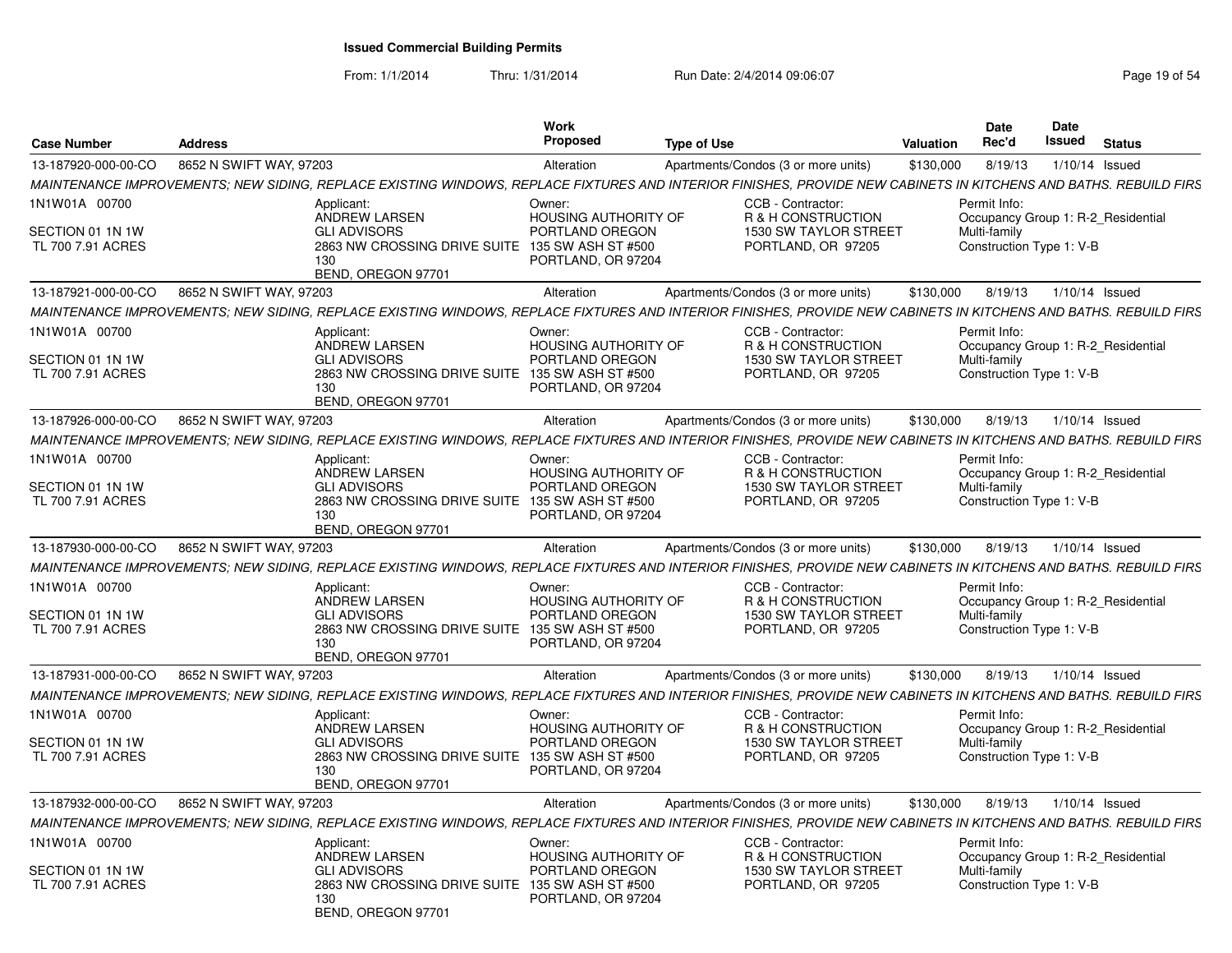| <b>Case Number</b>                                     | <b>Address</b>                                                                                                                                                   |                                                 | Work<br><b>Proposed</b>                                                                              | <b>Type of Use</b> |                                                                                        | Valuation | Date<br>Rec'd                                                                                  | Date<br><b>Issued</b> | <b>Status</b> |
|--------------------------------------------------------|------------------------------------------------------------------------------------------------------------------------------------------------------------------|-------------------------------------------------|------------------------------------------------------------------------------------------------------|--------------------|----------------------------------------------------------------------------------------|-----------|------------------------------------------------------------------------------------------------|-----------------------|---------------|
| 13-187920-000-00-CO                                    | 8652 N SWIFT WAY, 97203                                                                                                                                          |                                                 | Alteration                                                                                           |                    | Apartments/Condos (3 or more units)                                                    | \$130,000 | 8/19/13                                                                                        | 1/10/14 Issued        |               |
|                                                        | MAINTENANCE IMPROVEMENTS: NEW SIDING. REPLACE EXISTING WINDOWS. REPLACE FIXTURES AND INTERIOR FINISHES. PROVIDE NEW CABINETS IN KITCHENS AND BATHS. REBUILD FIRS |                                                 |                                                                                                      |                    |                                                                                        |           |                                                                                                |                       |               |
| 1N1W01A 00700<br>SECTION 01 1N 1W<br>TL 700 7.91 ACRES | Applicant:<br>ANDREW LARSEN<br><b>GLI ADVISORS</b><br>130<br>BEND, OREGON 97701                                                                                  | 2863 NW CROSSING DRIVE SUITE 135 SW ASH ST #500 | Owner:<br><b>HOUSING AUTHORITY OF</b><br>PORTLAND OREGON<br>PORTLAND, OR 97204                       |                    | CCB - Contractor:<br>R & H CONSTRUCTION<br>1530 SW TAYLOR STREET<br>PORTLAND, OR 97205 |           | Permit Info:<br>Occupancy Group 1: R-2_Residential<br>Multi-family<br>Construction Type 1: V-B |                       |               |
| 13-187921-000-00-CO                                    | 8652 N SWIFT WAY, 97203                                                                                                                                          |                                                 | Alteration                                                                                           |                    | Apartments/Condos (3 or more units)                                                    | \$130,000 | 8/19/13                                                                                        | $1/10/14$ Issued      |               |
|                                                        | MAINTENANCE IMPROVEMENTS; NEW SIDING, REPLACE EXISTING WINDOWS, REPLACE FIXTURES AND INTERIOR FINISHES, PROVIDE NEW CABINETS IN KITCHENS AND BATHS. REBUILD FIRS |                                                 |                                                                                                      |                    |                                                                                        |           |                                                                                                |                       |               |
| 1N1W01A 00700<br>SECTION 01 1N 1W<br>TL 700 7.91 ACRES | Applicant:<br>ANDREW LARSEN<br><b>GLI ADVISORS</b><br>130                                                                                                        | 2863 NW CROSSING DRIVE SUITE                    | Owner:<br><b>HOUSING AUTHORITY OF</b><br>PORTLAND OREGON<br>135 SW ASH ST #500<br>PORTLAND, OR 97204 |                    | CCB - Contractor:<br>R & H CONSTRUCTION<br>1530 SW TAYLOR STREET<br>PORTLAND, OR 97205 |           | Permit Info:<br>Occupancy Group 1: R-2_Residential<br>Multi-family<br>Construction Type 1: V-B |                       |               |
|                                                        | BEND, OREGON 97701                                                                                                                                               |                                                 |                                                                                                      |                    |                                                                                        |           |                                                                                                |                       |               |
| 13-187926-000-00-CO                                    | 8652 N SWIFT WAY, 97203                                                                                                                                          |                                                 | Alteration                                                                                           |                    | Apartments/Condos (3 or more units)                                                    | \$130,000 | 8/19/13                                                                                        | 1/10/14 Issued        |               |
|                                                        | MAINTENANCE IMPROVEMENTS: NEW SIDING. REPLACE EXISTING WINDOWS. REPLACE FIXTURES AND INTERIOR FINISHES. PROVIDE NEW CABINETS IN KITCHENS AND BATHS. REBUILD FIRS |                                                 |                                                                                                      |                    |                                                                                        |           |                                                                                                |                       |               |
| 1N1W01A 00700<br>SECTION 01 1N 1W<br>TL 700 7.91 ACRES | Applicant:<br><b>ANDREW LARSEN</b><br><b>GLI ADVISORS</b><br>130<br>BEND, OREGON 97701                                                                           | 2863 NW CROSSING DRIVE SUITE 135 SW ASH ST #500 | Owner:<br><b>HOUSING AUTHORITY OF</b><br>PORTLAND OREGON<br>PORTLAND, OR 97204                       |                    | CCB - Contractor:<br>R & H CONSTRUCTION<br>1530 SW TAYLOR STREET<br>PORTLAND, OR 97205 |           | Permit Info:<br>Occupancy Group 1: R-2 Residential<br>Multi-family<br>Construction Type 1: V-B |                       |               |
| 13-187930-000-00-CO                                    | 8652 N SWIFT WAY, 97203                                                                                                                                          |                                                 | Alteration                                                                                           |                    | Apartments/Condos (3 or more units)                                                    | \$130,000 | 8/19/13                                                                                        | $1/10/14$ Issued      |               |
|                                                        | MAINTENANCE IMPROVEMENTS; NEW SIDING, REPLACE EXISTING WINDOWS, REPLACE FIXTURES AND INTERIOR FINISHES, PROVIDE NEW CABINETS IN KITCHENS AND BATHS. REBUILD FIRS |                                                 |                                                                                                      |                    |                                                                                        |           |                                                                                                |                       |               |
| 1N1W01A 00700<br>SECTION 01 1N 1W<br>TL 700 7.91 ACRES | Applicant:<br>ANDREW LARSEN<br><b>GLI ADVISORS</b><br>130<br>BEND, OREGON 97701                                                                                  | 2863 NW CROSSING DRIVE SUITE 135 SW ASH ST #500 | Owner:<br><b>HOUSING AUTHORITY OF</b><br>PORTLAND OREGON<br>PORTLAND, OR 97204                       |                    | CCB - Contractor:<br>R & H CONSTRUCTION<br>1530 SW TAYLOR STREET<br>PORTLAND, OR 97205 |           | Permit Info:<br>Occupancy Group 1: R-2 Residential<br>Multi-family<br>Construction Type 1: V-B |                       |               |
| 13-187931-000-00-CO                                    | 8652 N SWIFT WAY, 97203                                                                                                                                          |                                                 | Alteration                                                                                           |                    | Apartments/Condos (3 or more units)                                                    | \$130,000 | 8/19/13                                                                                        | $1/10/14$ Issued      |               |
|                                                        | MAINTENANCE IMPROVEMENTS: NEW SIDING. REPLACE EXISTING WINDOWS. REPLACE FIXTURES AND INTERIOR FINISHES. PROVIDE NEW CABINETS IN KITCHENS AND BATHS. REBUILD FIRS |                                                 |                                                                                                      |                    |                                                                                        |           |                                                                                                |                       |               |
| 1N1W01A 00700<br>SECTION 01 1N 1W<br>TL 700 7.91 ACRES | Applicant:<br>ANDREW LARSEN<br><b>GLI ADVISORS</b>                                                                                                               | 2863 NW CROSSING DRIVE SUITE                    | Owner:<br><b>HOUSING AUTHORITY OF</b><br>PORTLAND OREGON<br>135 SW ASH ST #500                       |                    | CCB - Contractor:<br>R & H CONSTRUCTION<br>1530 SW TAYLOR STREET<br>PORTLAND, OR 97205 |           | Permit Info:<br>Occupancy Group 1: R-2 Residential<br>Multi-family<br>Construction Type 1: V-B |                       |               |
|                                                        | 130<br>BEND, OREGON 97701                                                                                                                                        |                                                 | PORTLAND, OR 97204                                                                                   |                    |                                                                                        |           |                                                                                                |                       |               |
| 13-187932-000-00-CO                                    | 8652 N SWIFT WAY, 97203                                                                                                                                          |                                                 | Alteration                                                                                           |                    | Apartments/Condos (3 or more units)                                                    | \$130,000 | 8/19/13                                                                                        | $1/10/14$ Issued      |               |
|                                                        | MAINTENANCE IMPROVEMENTS; NEW SIDING, REPLACE EXISTING WINDOWS, REPLACE FIXTURES AND INTERIOR FINISHES, PROVIDE NEW CABINETS IN KITCHENS AND BATHS. REBUILD FIRS |                                                 |                                                                                                      |                    |                                                                                        |           |                                                                                                |                       |               |
| 1N1W01A 00700<br>SECTION 01 1N 1W<br>TL 700 7.91 ACRES | Applicant:<br>ANDREW LARSEN<br><b>GLI ADVISORS</b>                                                                                                               | 2863 NW CROSSING DRIVE SUITE                    | Owner:<br><b>HOUSING AUTHORITY OF</b><br>PORTLAND OREGON<br>135 SW ASH ST #500                       |                    | CCB - Contractor:<br>R & H CONSTRUCTION<br>1530 SW TAYLOR STREET<br>PORTLAND, OR 97205 |           | Permit Info:<br>Occupancy Group 1: R-2 Residential<br>Multi-family<br>Construction Type 1: V-B |                       |               |
|                                                        | 130<br>BEND, OREGON 97701                                                                                                                                        |                                                 | PORTLAND, OR 97204                                                                                   |                    |                                                                                        |           |                                                                                                |                       |               |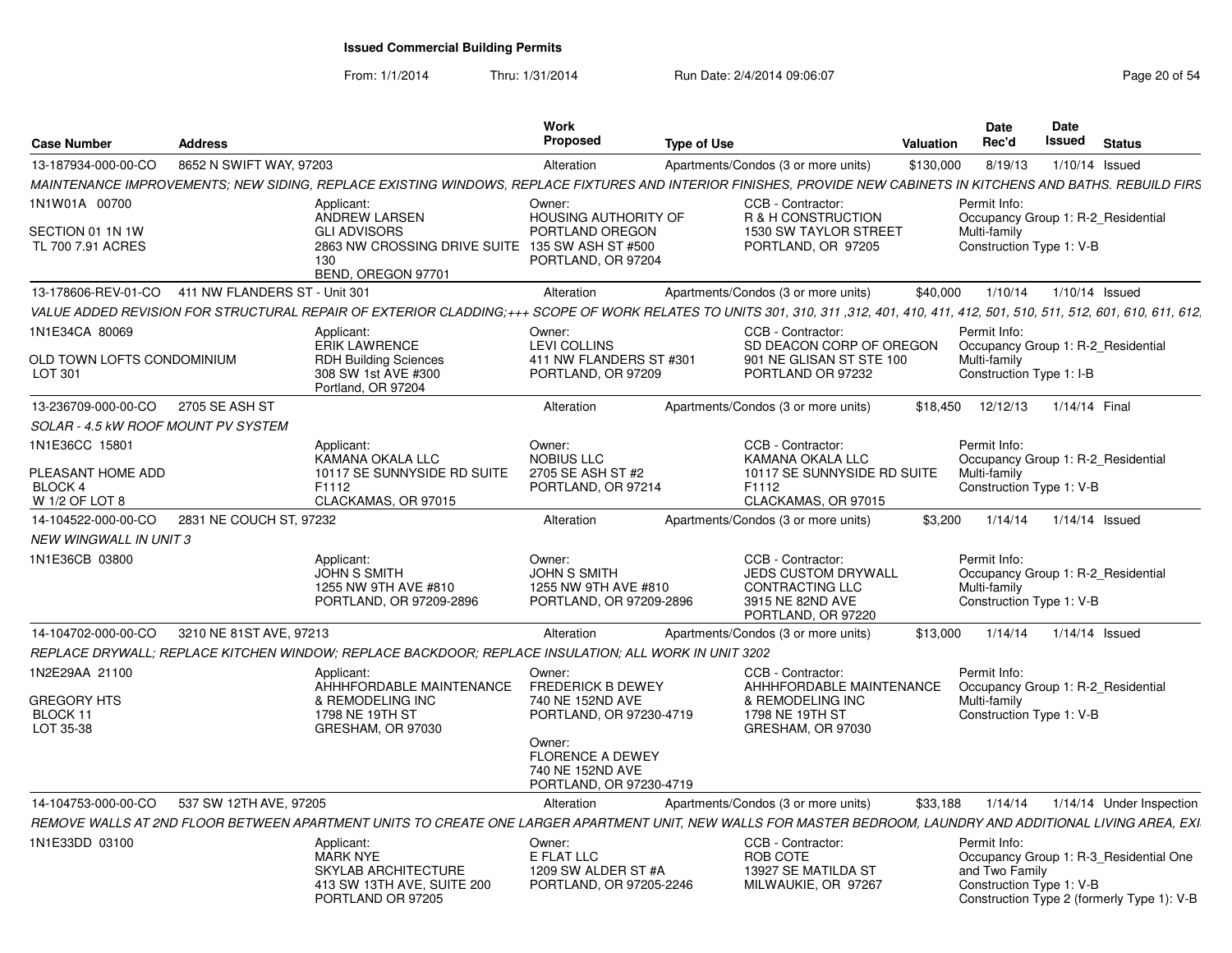| <b>Case Number</b>                                                      | <b>Address</b>                |                                                                                                                                                                                    | Work<br><b>Proposed</b>                                                                     | <b>Type of Use</b> |                                                                                                              | Valuation | Date<br>Rec'd                                                                                  | Date<br>Issued | <b>Status</b>                                                                        |
|-------------------------------------------------------------------------|-------------------------------|------------------------------------------------------------------------------------------------------------------------------------------------------------------------------------|---------------------------------------------------------------------------------------------|--------------------|--------------------------------------------------------------------------------------------------------------|-----------|------------------------------------------------------------------------------------------------|----------------|--------------------------------------------------------------------------------------|
| 13-187934-000-00-CO                                                     | 8652 N SWIFT WAY, 97203       |                                                                                                                                                                                    | Alteration                                                                                  |                    | Apartments/Condos (3 or more units)                                                                          | \$130,000 | 8/19/13                                                                                        |                | $1/10/14$ Issued                                                                     |
|                                                                         |                               | MAINTENANCE IMPROVEMENTS; NEW SIDING, REPLACE EXISTING WINDOWS, REPLACE FIXTURES AND INTERIOR FINISHES, PROVIDE NEW CABINETS IN KITCHENS AND BATHS. REBUILD FIRS                   |                                                                                             |                    |                                                                                                              |           |                                                                                                |                |                                                                                      |
| 1N1W01A 00700<br>SECTION 01 1N 1W<br>TL 700 7.91 ACRES                  |                               | Applicant:<br>ANDREW LARSEN<br><b>GLI ADVISORS</b><br>2863 NW CROSSING DRIVE SUITE 135 SW ASH ST #500<br>130<br>BEND, OREGON 97701                                                 | Owner:<br>HOUSING AUTHORITY OF<br>PORTLAND OREGON<br>PORTLAND, OR 97204                     |                    | CCB - Contractor:<br>R & H CONSTRUCTION<br>1530 SW TAYLOR STREET<br>PORTLAND, OR 97205                       |           | Permit Info:<br>Occupancy Group 1: R-2 Residential<br>Multi-family<br>Construction Type 1: V-B |                |                                                                                      |
| 13-178606-REV-01-CO                                                     | 411 NW FLANDERS ST - Unit 301 |                                                                                                                                                                                    | Alteration                                                                                  |                    | Apartments/Condos (3 or more units)                                                                          | \$40,000  | 1/10/14                                                                                        |                | $1/10/14$ Issued                                                                     |
|                                                                         |                               | VALUE ADDED REVISION FOR STRUCTURAL REPAIR OF EXTERIOR CLADDING;+++ SCOPE OF WORK RELATES TO UNITS 301, 310, 311, 312, 401, 410, 411, 412, 501, 510, 511, 512, 601, 610, 611, 612, |                                                                                             |                    |                                                                                                              |           |                                                                                                |                |                                                                                      |
| 1N1E34CA 80069<br>OLD TOWN LOFTS CONDOMINIUM<br>LOT 301                 |                               | Applicant:<br><b>ERIK LAWRENCE</b><br><b>RDH Building Sciences</b><br>308 SW 1st AVE #300<br>Portland, OR 97204                                                                    | Owner:<br><b>LEVI COLLINS</b><br>411 NW FLANDERS ST #301<br>PORTLAND, OR 97209              |                    | CCB - Contractor:<br>SD DEACON CORP OF OREGON<br>901 NE GLISAN ST STE 100<br>PORTLAND OR 97232               |           | Permit Info:<br>Occupancy Group 1: R-2 Residential<br>Multi-family<br>Construction Type 1: I-B |                |                                                                                      |
| 13-236709-000-00-CO                                                     | 2705 SE ASH ST                |                                                                                                                                                                                    | Alteration                                                                                  |                    | Apartments/Condos (3 or more units)                                                                          |           | \$18,450 12/12/13                                                                              | 1/14/14 Final  |                                                                                      |
| SOLAR - 4.5 kW ROOF MOUNT PV SYSTEM                                     |                               |                                                                                                                                                                                    |                                                                                             |                    |                                                                                                              |           |                                                                                                |                |                                                                                      |
| 1N1E36CC 15801<br>PLEASANT HOME ADD<br><b>BLOCK 4</b><br>W 1/2 OF LOT 8 |                               | Applicant:<br>KAMANA OKALA LLC<br>10117 SE SUNNYSIDE RD SUITE<br>F1112<br>CLACKAMAS, OR 97015                                                                                      | Owner:<br><b>NOBIUS LLC</b><br>2705 SE ASH ST #2<br>PORTLAND, OR 97214                      |                    | CCB - Contractor:<br>KAMANA OKALA LLC<br>10117 SE SUNNYSIDE RD SUITE<br>F1112<br>CLACKAMAS, OR 97015         |           | Permit Info:<br>Occupancy Group 1: R-2_Residential<br>Multi-family<br>Construction Type 1: V-B |                |                                                                                      |
| 14-104522-000-00-CO                                                     | 2831 NE COUCH ST, 97232       |                                                                                                                                                                                    | Alteration                                                                                  |                    | Apartments/Condos (3 or more units)                                                                          | \$3,200   | 1/14/14                                                                                        |                | $1/14/14$ Issued                                                                     |
| NEW WINGWALL IN UNIT 3                                                  |                               |                                                                                                                                                                                    |                                                                                             |                    |                                                                                                              |           |                                                                                                |                |                                                                                      |
| 1N1E36CB 03800                                                          |                               | Applicant:<br><b>JOHN S SMITH</b><br>1255 NW 9TH AVE #810<br>PORTLAND, OR 97209-2896                                                                                               | Owner:<br><b>JOHN S SMITH</b><br>1255 NW 9TH AVE #810<br>PORTLAND, OR 97209-2896            |                    | CCB - Contractor:<br><b>JEDS CUSTOM DRYWALL</b><br>CONTRACTING LLC<br>3915 NE 82ND AVE<br>PORTLAND, OR 97220 |           | Permit Info:<br>Occupancy Group 1: R-2 Residential<br>Multi-family<br>Construction Type 1: V-B |                |                                                                                      |
| 14-104702-000-00-CO                                                     | 3210 NE 81ST AVE, 97213       |                                                                                                                                                                                    | Alteration                                                                                  |                    | Apartments/Condos (3 or more units)                                                                          | \$13,000  | 1/14/14                                                                                        |                | $1/14/14$ Issued                                                                     |
|                                                                         |                               | REPLACE DRYWALL; REPLACE KITCHEN WINDOW; REPLACE BACKDOOR; REPLACE INSULATION; ALL WORK IN UNIT 3202                                                                               |                                                                                             |                    |                                                                                                              |           |                                                                                                |                |                                                                                      |
| 1N2E29AA 21100<br><b>GREGORY HTS</b><br>BLOCK 11<br>LOT 35-38           |                               | Applicant:<br>AHHHFORDABLE MAINTENANCE<br>& REMODELING INC<br>1798 NE 19TH ST<br>GRESHAM, OR 97030                                                                                 | Owner:<br><b>FREDERICK B DEWEY</b><br>740 NE 152ND AVE<br>PORTLAND, OR 97230-4719<br>Owner: |                    | CCB - Contractor:<br>AHHHFORDABLE MAINTENANCE<br>& REMODELING INC<br>1798 NE 19TH ST<br>GRESHAM, OR 97030    |           | Permit Info:<br>Occupancy Group 1: R-2 Residential<br>Multi-family<br>Construction Type 1: V-B |                |                                                                                      |
|                                                                         |                               |                                                                                                                                                                                    | <b>FLORENCE A DEWEY</b><br>740 NE 152ND AVE<br>PORTLAND, OR 97230-4719                      |                    |                                                                                                              |           |                                                                                                |                |                                                                                      |
| 14-104753-000-00-CO                                                     | 537 SW 12TH AVE, 97205        |                                                                                                                                                                                    | Alteration                                                                                  |                    | Apartments/Condos (3 or more units)                                                                          | \$33,188  | 1/14/14                                                                                        |                | 1/14/14 Under Inspection                                                             |
|                                                                         |                               | REMOVE WALLS AT 2ND FLOOR BETWEEN APARTMENT UNITS TO CREATE ONE LARGER APARTMENT UNIT, NEW WALLS FOR MASTER BEDROOM, LAUNDRY AND ADDITIONAL LIVING AREA, EXI                       |                                                                                             |                    |                                                                                                              |           |                                                                                                |                |                                                                                      |
| 1N1E33DD 03100                                                          |                               | Applicant:<br><b>MARK NYE</b><br><b>SKYLAB ARCHITECTURE</b><br>413 SW 13TH AVE, SUITE 200<br>PORTLAND OR 97205                                                                     | Owner:<br>E FLAT LLC<br>1209 SW ALDER ST #A<br>PORTLAND, OR 97205-2246                      |                    | CCB - Contractor:<br>ROB COTE<br>13927 SE MATILDA ST<br>MILWAUKIE, OR 97267                                  |           | Permit Info:<br>and Two Family<br>Construction Type 1: V-B                                     |                | Occupancy Group 1: R-3 Residential One<br>Construction Type 2 (formerly Type 1): V-B |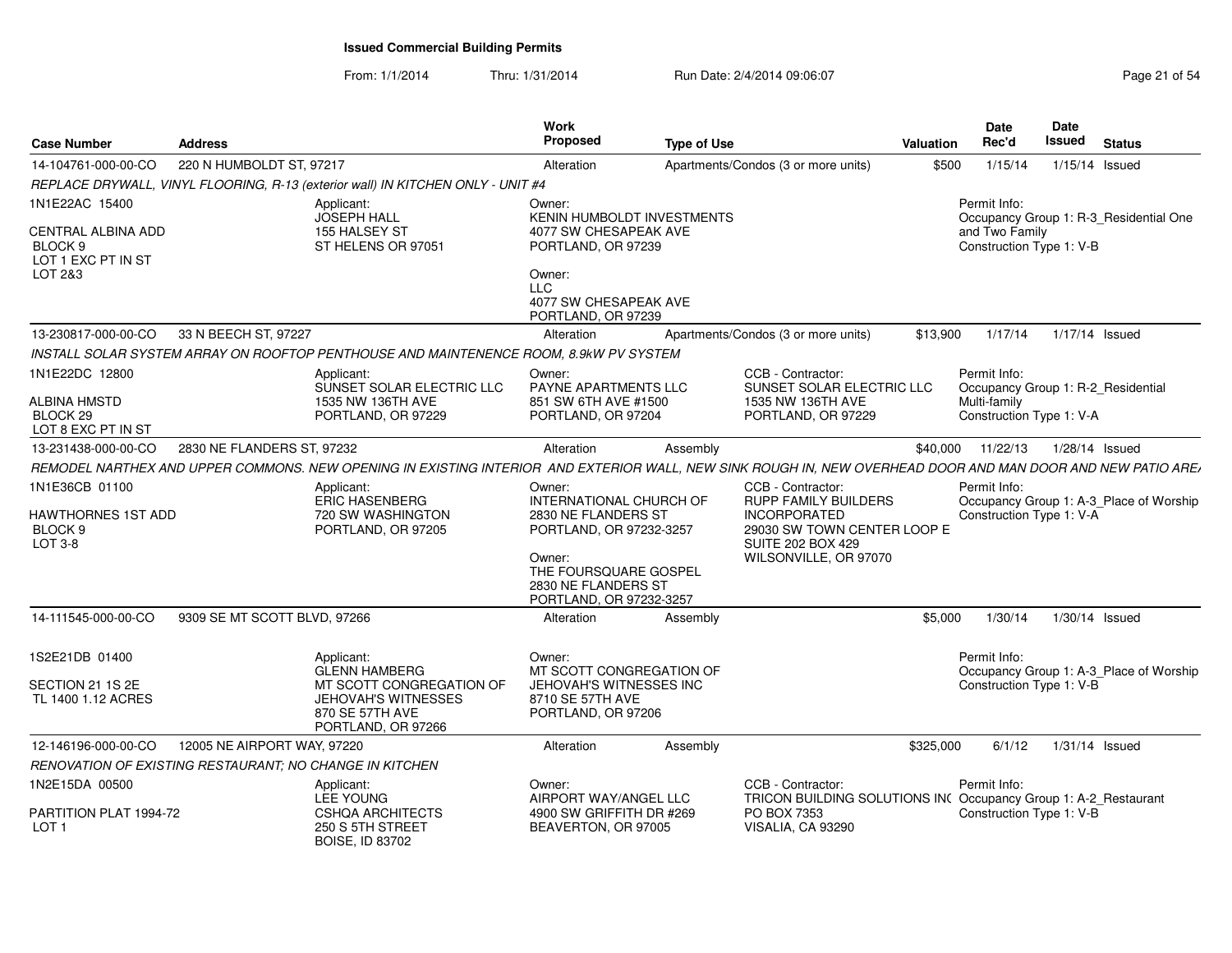| <b>Case Number</b>                                                                          | <b>Address</b>                                          |                                                                                                                                                             | Work<br><b>Proposed</b>                                                                                                                                                  | <b>Type of Use</b> |                                                                                                                                                      | Valuation | Date<br>Rec'd                                              | Date<br><b>Issued</b> | <b>Status</b>                           |
|---------------------------------------------------------------------------------------------|---------------------------------------------------------|-------------------------------------------------------------------------------------------------------------------------------------------------------------|--------------------------------------------------------------------------------------------------------------------------------------------------------------------------|--------------------|------------------------------------------------------------------------------------------------------------------------------------------------------|-----------|------------------------------------------------------------|-----------------------|-----------------------------------------|
| 14-104761-000-00-CO                                                                         | 220 N HUMBOLDT ST, 97217                                |                                                                                                                                                             | Alteration                                                                                                                                                               |                    | Apartments/Condos (3 or more units)                                                                                                                  | \$500     | 1/15/14                                                    |                       | 1/15/14 Issued                          |
|                                                                                             |                                                         | REPLACE DRYWALL, VINYL FLOORING, R-13 (exterior wall) IN KITCHEN ONLY - UNIT #4                                                                             |                                                                                                                                                                          |                    |                                                                                                                                                      |           |                                                            |                       |                                         |
| 1N1E22AC 15400<br>CENTRAL ALBINA ADD<br>BLOCK <sub>9</sub><br>LOT 1 EXC PT IN ST<br>LOT 2&3 |                                                         | Applicant:<br><b>JOSEPH HALL</b><br>155 HALSEY ST<br>ST HELENS OR 97051                                                                                     | Owner:<br>KENIN HUMBOLDT INVESTMENTS<br>4077 SW CHESAPEAK AVE<br>PORTLAND, OR 97239<br>Owner:<br><b>LLC</b><br>4077 SW CHESAPEAK AVE<br>PORTLAND, OR 97239               |                    |                                                                                                                                                      |           | Permit Info:<br>and Two Family<br>Construction Type 1: V-B |                       | Occupancy Group 1: R-3_Residential One  |
| 13-230817-000-00-CO                                                                         | 33 N BEECH ST, 97227                                    |                                                                                                                                                             | Alteration                                                                                                                                                               |                    | Apartments/Condos (3 or more units)                                                                                                                  | \$13,900  | 1/17/14                                                    |                       | 1/17/14 Issued                          |
|                                                                                             |                                                         | INSTALL SOLAR SYSTEM ARRAY ON ROOFTOP PENTHOUSE AND MAINTENENCE ROOM, 8.9kW PV SYSTEM                                                                       |                                                                                                                                                                          |                    |                                                                                                                                                      |           |                                                            |                       |                                         |
| 1N1E22DC 12800<br>ALBINA HMSTD<br>BLOCK <sub>29</sub><br>LOT 8 EXC PT IN ST                 |                                                         | Applicant:<br>SUNSET SOLAR ELECTRIC LLC<br>1535 NW 136TH AVE<br>PORTLAND, OR 97229                                                                          | Owner:<br>PAYNE APARTMENTS LLC<br>851 SW 6TH AVE #1500<br>PORTLAND, OR 97204                                                                                             |                    | CCB - Contractor:<br>SUNSET SOLAR ELECTRIC LLC<br>1535 NW 136TH AVE<br>PORTLAND, OR 97229                                                            |           | Permit Info:<br>Multi-family<br>Construction Type 1: V-A   |                       | Occupancy Group 1: R-2_Residential      |
| 13-231438-000-00-CO                                                                         | 2830 NE FLANDERS ST, 97232                              |                                                                                                                                                             | Alteration                                                                                                                                                               | Assembly           |                                                                                                                                                      | \$40,000  | 11/22/13                                                   |                       | 1/28/14 Issued                          |
|                                                                                             |                                                         | REMODEL NARTHEX AND UPPER COMMONS. NEW OPENING IN EXISTING INTERIOR AND EXTERIOR WALL, NEW SINK ROUGH IN, NEW OVERHEAD DOOR AND MAN DOOR AND NEW PATIO ARE/ |                                                                                                                                                                          |                    |                                                                                                                                                      |           |                                                            |                       |                                         |
| 1N1E36CB 01100<br>HAWTHORNES 1ST ADD<br>BLOCK <sub>9</sub><br>LOT 3-8                       |                                                         | Applicant:<br><b>ERIC HASENBERG</b><br>720 SW WASHINGTON<br>PORTLAND, OR 97205                                                                              | Owner:<br>INTERNATIONAL CHURCH OF<br>2830 NE FLANDERS ST<br>PORTLAND, OR 97232-3257<br>Owner:<br>THE FOURSQUARE GOSPEL<br>2830 NE FLANDERS ST<br>PORTLAND, OR 97232-3257 |                    | CCB - Contractor:<br>RUPP FAMILY BUILDERS<br><b>INCORPORATED</b><br>29030 SW TOWN CENTER LOOP E<br><b>SUITE 202 BOX 429</b><br>WILSONVILLE, OR 97070 |           | Permit Info:<br>Construction Type 1: V-A                   |                       | Occupancy Group 1: A-3_Place of Worship |
| 14-111545-000-00-CO                                                                         | 9309 SE MT SCOTT BLVD, 97266                            |                                                                                                                                                             | Alteration                                                                                                                                                               | Assembly           |                                                                                                                                                      | \$5,000   | 1/30/14                                                    |                       | $1/30/14$ Issued                        |
| 1S2E21DB 01400<br>SECTION 21 1S 2E<br>TL 1400 1.12 ACRES                                    |                                                         | Applicant:<br><b>GLENN HAMBERG</b><br>MT SCOTT CONGREGATION OF<br>JEHOVAH'S WITNESSES<br>870 SE 57TH AVE<br>PORTLAND, OR 97266                              | Owner:<br>MT SCOTT CONGREGATION OF<br><b>JEHOVAH'S WITNESSES INC</b><br>8710 SE 57TH AVE<br>PORTLAND, OR 97206                                                           |                    |                                                                                                                                                      |           | Permit Info:<br>Construction Type 1: V-B                   |                       | Occupancy Group 1: A-3 Place of Worship |
| 12-146196-000-00-CO                                                                         | 12005 NE AIRPORT WAY, 97220                             |                                                                                                                                                             | Alteration                                                                                                                                                               | Assembly           |                                                                                                                                                      | \$325,000 | 6/1/12                                                     |                       | $1/31/14$ Issued                        |
|                                                                                             | RENOVATION OF EXISTING RESTAURANT: NO CHANGE IN KITCHEN |                                                                                                                                                             |                                                                                                                                                                          |                    |                                                                                                                                                      |           |                                                            |                       |                                         |
| 1N2E15DA 00500<br>PARTITION PLAT 1994-72<br>LOT <sub>1</sub>                                |                                                         | Applicant:<br><b>LEE YOUNG</b><br><b>CSHQA ARCHITECTS</b><br>250 S 5TH STREET<br><b>BOISE, ID 83702</b>                                                     | Owner:<br>AIRPORT WAY/ANGEL LLC<br>4900 SW GRIFFITH DR #269<br>BEAVERTON, OR 97005                                                                                       |                    | CCB - Contractor:<br>TRICON BUILDING SOLUTIONS INC Occupancy Group 1: A-2_Restaurant<br>PO BOX 7353<br>VISALIA, CA 93290                             |           | Permit Info:<br>Construction Type 1: V-B                   |                       |                                         |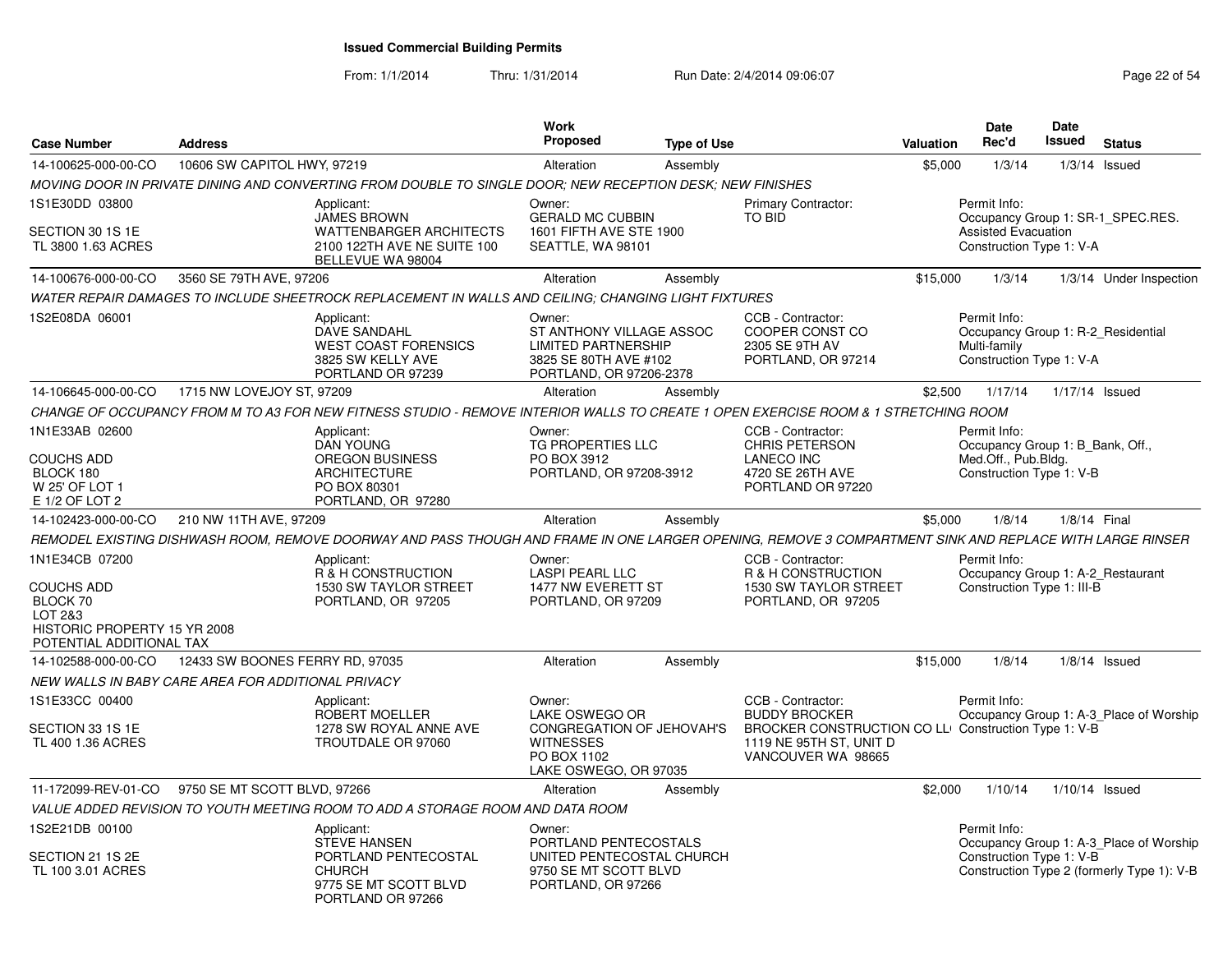From: 1/1/2014

Thru: 1/31/2014 Run Date: 2/4/2014 09:06:07 Research 2010 12:06:07 Page 22 of 54

| <b>Case Number</b>                                                                                              | <b>Address</b>                  |                                                                                                                                                         | <b>Work</b><br><b>Proposed</b>                                                                                       | <b>Type of Use</b> |                                                                                                                                                   | Valuation | Date<br>Rec'd                                                                                       | Date<br><b>Issued</b> | <b>Status</b>                                                                         |
|-----------------------------------------------------------------------------------------------------------------|---------------------------------|---------------------------------------------------------------------------------------------------------------------------------------------------------|----------------------------------------------------------------------------------------------------------------------|--------------------|---------------------------------------------------------------------------------------------------------------------------------------------------|-----------|-----------------------------------------------------------------------------------------------------|-----------------------|---------------------------------------------------------------------------------------|
| 14-100625-000-00-CO                                                                                             | 10606 SW CAPITOL HWY, 97219     |                                                                                                                                                         | Alteration                                                                                                           | Assembly           |                                                                                                                                                   | \$5,000   | 1/3/14                                                                                              | 1/3/14                | Issued                                                                                |
|                                                                                                                 |                                 | MOVING DOOR IN PRIVATE DINING AND CONVERTING FROM DOUBLE TO SINGLE DOOR: NEW RECEPTION DESK: NEW FINISHES                                               |                                                                                                                      |                    |                                                                                                                                                   |           |                                                                                                     |                       |                                                                                       |
| 1S1E30DD 03800<br>SECTION 30 1S 1E<br>TL 3800 1.63 ACRES                                                        |                                 | Applicant:<br><b>JAMES BROWN</b><br><b>WATTENBARGER ARCHITECTS</b><br>2100 122TH AVE NE SUITE 100<br>BELLEVUE WA 98004                                  | Owner:<br><b>GERALD MC CUBBIN</b><br>1601 FIFTH AVE STE 1900<br>SEATTLE, WA 98101                                    |                    | <b>Primary Contractor:</b><br>TO BID                                                                                                              |           | Permit Info:<br><b>Assisted Evacuation</b><br>Construction Type 1: V-A                              |                       | Occupancy Group 1: SR-1_SPEC.RES.                                                     |
| 14-100676-000-00-CO                                                                                             | 3560 SE 79TH AVE, 97206         |                                                                                                                                                         | Alteration                                                                                                           | Assembly           |                                                                                                                                                   | \$15,000  | 1/3/14                                                                                              |                       | 1/3/14 Under Inspection                                                               |
|                                                                                                                 |                                 | WATER REPAIR DAMAGES TO INCLUDE SHEETROCK REPLACEMENT IN WALLS AND CEILING: CHANGING LIGHT FIXTURES                                                     |                                                                                                                      |                    |                                                                                                                                                   |           |                                                                                                     |                       |                                                                                       |
| 1S2E08DA 06001                                                                                                  |                                 | Applicant:<br><b>DAVE SANDAHL</b><br><b>WEST COAST FORENSICS</b><br>3825 SW KELLY AVE<br>PORTLAND OR 97239                                              | Owner:<br>ST ANTHONY VILLAGE ASSOC<br><b>LIMITED PARTNERSHIP</b><br>3825 SE 80TH AVE #102<br>PORTLAND, OR 97206-2378 |                    | CCB - Contractor:<br>COOPER CONST CO<br>2305 SE 9TH AV<br>PORTLAND, OR 97214                                                                      |           | Permit Info:<br>Occupancy Group 1: R-2 Residential<br>Multi-family<br>Construction Type 1: V-A      |                       |                                                                                       |
| 14-106645-000-00-CO                                                                                             | 1715 NW LOVEJOY ST, 97209       |                                                                                                                                                         | Alteration                                                                                                           | Assembly           |                                                                                                                                                   | \$2,500   | 1/17/14                                                                                             | 1/17/14 Issued        |                                                                                       |
|                                                                                                                 |                                 | CHANGE OF OCCUPANCY FROM M TO A3 FOR NEW FITNESS STUDIO - REMOVE INTERIOR WALLS TO CREATE 1 OPEN EXERCISE ROOM & 1 STRETCHING ROOM                      |                                                                                                                      |                    |                                                                                                                                                   |           |                                                                                                     |                       |                                                                                       |
| 1N1E33AB 02600<br><b>COUCHS ADD</b><br>BLOCK 180<br>W 25' OF LOT 1<br>E 1/2 OF LOT 2                            |                                 | Applicant:<br><b>DAN YOUNG</b><br><b>OREGON BUSINESS</b><br><b>ARCHITECTURE</b><br>PO BOX 80301<br>PORTLAND, OR 97280                                   | Owner:<br><b>TG PROPERTIES LLC</b><br>PO BOX 3912<br>PORTLAND, OR 97208-3912                                         |                    | CCB - Contractor:<br><b>CHRIS PETERSON</b><br><b>LANECO INC</b><br>4720 SE 26TH AVE<br>PORTLAND OR 97220                                          |           | Permit Info:<br>Occupancy Group 1: B_Bank, Off.,<br>Med.Off., Pub.Bldg.<br>Construction Type 1: V-B |                       |                                                                                       |
| 14-102423-000-00-CO                                                                                             | 210 NW 11TH AVE, 97209          |                                                                                                                                                         | Alteration                                                                                                           | Assembly           |                                                                                                                                                   | \$5,000   | 1/8/14                                                                                              | 1/8/14 Final          |                                                                                       |
|                                                                                                                 |                                 | REMODEL EXISTING DISHWASH ROOM, REMOVE DOORWAY AND PASS THOUGH AND FRAME IN ONE LARGER OPENING, REMOVE 3 COMPARTMENT SINK AND REPLACE WITH LARGE RINSER |                                                                                                                      |                    |                                                                                                                                                   |           |                                                                                                     |                       |                                                                                       |
| 1N1E34CB 07200<br>COUCHS ADD<br>BLOCK 70<br>LOT 2&3<br>HISTORIC PROPERTY 15 YR 2008<br>POTENTIAL ADDITIONAL TAX |                                 | Applicant:<br>R & H CONSTRUCTION<br>1530 SW TAYLOR STREET<br>PORTLAND, OR 97205                                                                         | Owner:<br><b>LASPI PEARL LLC</b><br>1477 NW EVERETT ST<br>PORTLAND, OR 97209                                         |                    | CCB - Contractor:<br>R & H CONSTRUCTION<br>1530 SW TAYLOR STREET<br>PORTLAND, OR 97205                                                            |           | Permit Info:<br>Occupancy Group 1: A-2_Restaurant<br>Construction Type 1: III-B                     |                       |                                                                                       |
| 14-102588-000-00-CO                                                                                             | 12433 SW BOONES FERRY RD, 97035 |                                                                                                                                                         | Alteration                                                                                                           | Assembly           |                                                                                                                                                   | \$15,000  | 1/8/14                                                                                              |                       | $1/8/14$ Issued                                                                       |
| NEW WALLS IN BABY CARE AREA FOR ADDITIONAL PRIVACY                                                              |                                 |                                                                                                                                                         |                                                                                                                      |                    |                                                                                                                                                   |           |                                                                                                     |                       |                                                                                       |
| 1S1E33CC 00400<br>SECTION 33 1S 1E<br>TL 400 1.36 ACRES                                                         |                                 | Applicant:<br>ROBERT MOELLER<br>1278 SW ROYAL ANNE AVE<br>TROUTDALE OR 97060                                                                            | Owner:<br>LAKE OSWEGO OR<br>CONGREGATION OF JEHOVAH'S<br><b>WITNESSES</b><br>PO BOX 1102<br>LAKE OSWEGO, OR 97035    |                    | CCB - Contractor:<br><b>BUDDY BROCKER</b><br>BROCKER CONSTRUCTION CO LL Construction Type 1: V-B<br>1119 NE 95TH ST, UNIT D<br>VANCOUVER WA 98665 |           | Permit Info:                                                                                        |                       | Occupancy Group 1: A-3_Place of Worship                                               |
| 11-172099-REV-01-CO                                                                                             | 9750 SE MT SCOTT BLVD, 97266    |                                                                                                                                                         | Alteration                                                                                                           | Assembly           |                                                                                                                                                   | \$2,000   | 1/10/14                                                                                             | $1/10/14$ Issued      |                                                                                       |
|                                                                                                                 |                                 | VALUE ADDED REVISION TO YOUTH MEETING ROOM TO ADD A STORAGE ROOM AND DATA ROOM                                                                          |                                                                                                                      |                    |                                                                                                                                                   |           |                                                                                                     |                       |                                                                                       |
| 1S2E21DB 00100<br>SECTION 21 1S 2E<br>TL 100 3.01 ACRES                                                         |                                 | Applicant:<br><b>STEVE HANSEN</b><br>PORTLAND PENTECOSTAL<br><b>CHURCH</b><br>9775 SE MT SCOTT BLVD<br>PORTLAND OR 97266                                | Owner:<br>PORTLAND PENTECOSTALS<br>UNITED PENTECOSTAL CHURCH<br>9750 SE MT SCOTT BLVD<br>PORTLAND, OR 97266          |                    |                                                                                                                                                   |           | Permit Info:<br>Construction Type 1: V-B                                                            |                       | Occupancy Group 1: A-3_Place of Worship<br>Construction Type 2 (formerly Type 1): V-B |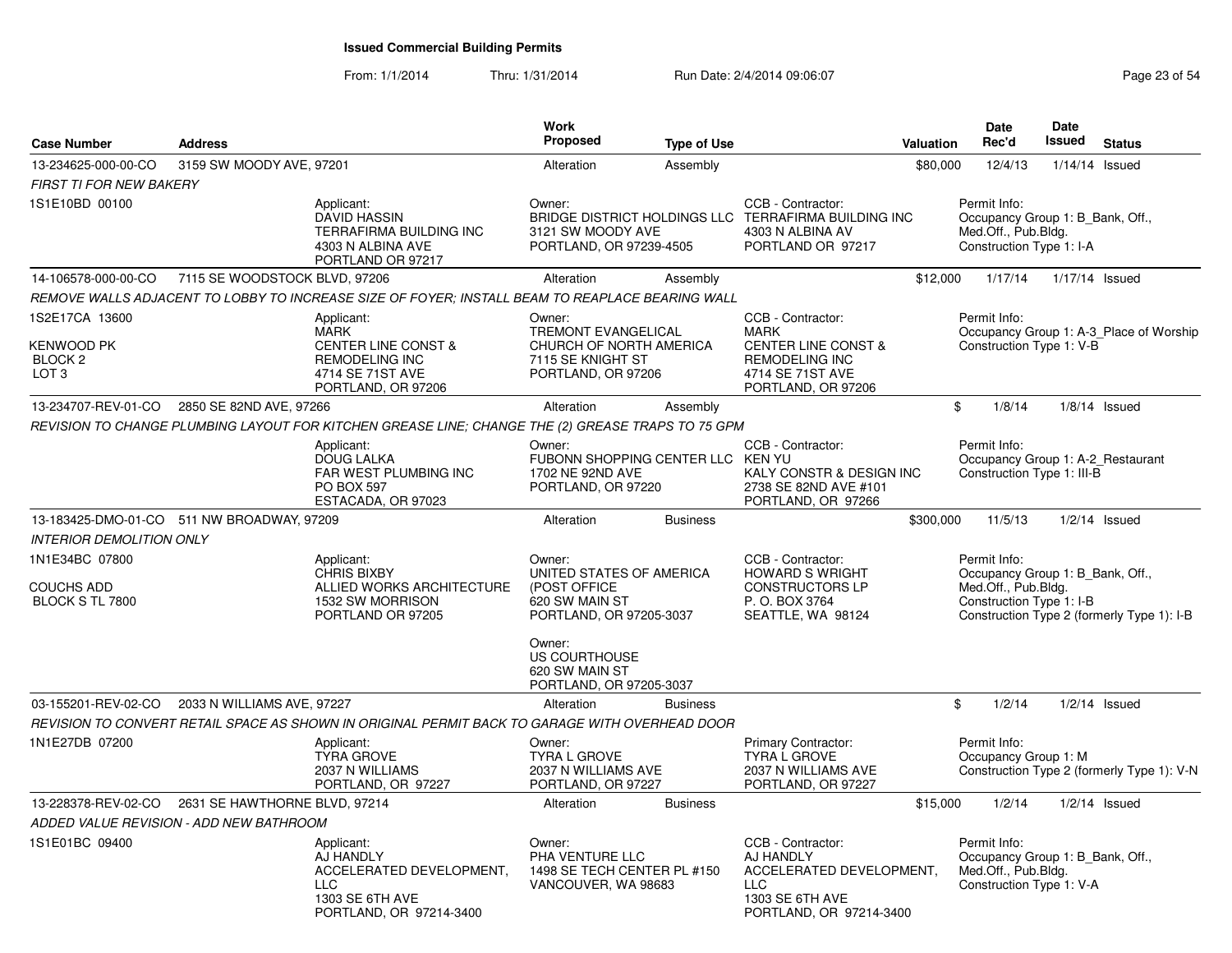| <b>Case Number</b>                                                            | <b>Address</b>                             |                                                                                                                                | Work<br><b>Proposed</b>                                                                                                           | <b>Type of Use</b> |                                                                                                                                       | Valuation | <b>Date</b><br>Rec'd                                                                                | Date<br><b>Issued</b> | <b>Status</b>                              |
|-------------------------------------------------------------------------------|--------------------------------------------|--------------------------------------------------------------------------------------------------------------------------------|-----------------------------------------------------------------------------------------------------------------------------------|--------------------|---------------------------------------------------------------------------------------------------------------------------------------|-----------|-----------------------------------------------------------------------------------------------------|-----------------------|--------------------------------------------|
| 13-234625-000-00-CO                                                           | 3159 SW MOODY AVE, 97201                   |                                                                                                                                | Alteration                                                                                                                        | Assembly           |                                                                                                                                       | \$80,000  | 12/4/13                                                                                             |                       | $1/14/14$ Issued                           |
| <b>FIRST TI FOR NEW BAKERY</b>                                                |                                            |                                                                                                                                |                                                                                                                                   |                    |                                                                                                                                       |           |                                                                                                     |                       |                                            |
| 1S1E10BD 00100                                                                |                                            | Applicant:<br>DAVID HASSIN<br>TERRAFIRMA BUILDING INC<br>4303 N ALBINA AVE<br>PORTLAND OR 97217                                | Owner:<br>3121 SW MOODY AVE<br>PORTLAND, OR 97239-4505                                                                            |                    | CCB - Contractor:<br>BRIDGE DISTRICT HOLDINGS LLC TERRAFIRMA BUILDING INC<br>4303 N ALBINA AV<br>PORTLAND OR 97217                    |           | Permit Info:<br>Occupancy Group 1: B Bank, Off.,<br>Med.Off., Pub.Bldg.<br>Construction Type 1: I-A |                       |                                            |
| 14-106578-000-00-CO                                                           | 7115 SE WOODSTOCK BLVD, 97206              |                                                                                                                                | Alteration                                                                                                                        | Assembly           |                                                                                                                                       | \$12,000  | 1/17/14                                                                                             |                       | 1/17/14 Issued                             |
|                                                                               |                                            | REMOVE WALLS ADJACENT TO LOBBY TO INCREASE SIZE OF FOYER; INSTALL BEAM TO REAPLACE BEARING WALL                                |                                                                                                                                   |                    |                                                                                                                                       |           |                                                                                                     |                       |                                            |
| 1S2E17CA 13600<br><b>KENWOOD PK</b><br>BLOCK <sub>2</sub><br>LOT <sub>3</sub> |                                            | Applicant:<br><b>MARK</b><br><b>CENTER LINE CONST &amp;</b><br><b>REMODELING INC</b><br>4714 SE 71ST AVE<br>PORTLAND, OR 97206 | Owner:<br>TREMONT EVANGELICAL<br>CHURCH OF NORTH AMERICA<br>7115 SE KNIGHT ST<br>PORTLAND, OR 97206                               |                    | CCB - Contractor:<br><b>MARK</b><br><b>CENTER LINE CONST &amp;</b><br><b>REMODELING INC</b><br>4714 SE 71ST AVE<br>PORTLAND, OR 97206 |           | Permit Info:<br>Construction Type 1: V-B                                                            |                       | Occupancy Group 1: A-3 Place of Worship    |
| 13-234707-REV-01-CO                                                           | 2850 SE 82ND AVE, 97266                    |                                                                                                                                | Alteration                                                                                                                        | Assembly           |                                                                                                                                       | \$        | 1/8/14                                                                                              |                       | $1/8/14$ Issued                            |
|                                                                               |                                            | REVISION TO CHANGE PLUMBING LAYOUT FOR KITCHEN GREASE LINE; CHANGE THE (2) GREASE TRAPS TO 75 GPM                              |                                                                                                                                   |                    |                                                                                                                                       |           |                                                                                                     |                       |                                            |
|                                                                               |                                            | Applicant:<br><b>DOUG LALKA</b><br>FAR WEST PLUMBING INC<br><b>PO BOX 597</b><br>ESTACADA, OR 97023                            | Owner:<br>FUBONN SHOPPING CENTER LLC KEN YU<br>1702 NE 92ND AVE<br>PORTLAND, OR 97220                                             |                    | CCB - Contractor:<br>KALY CONSTR & DESIGN INC<br>2738 SE 82ND AVE #101<br>PORTLAND, OR 97266                                          |           | Permit Info:<br>Occupancy Group 1: A-2 Restaurant<br>Construction Type 1: III-B                     |                       |                                            |
|                                                                               | 13-183425-DMO-01-CO 511 NW BROADWAY, 97209 |                                                                                                                                | Alteration                                                                                                                        | <b>Business</b>    |                                                                                                                                       | \$300,000 | 11/5/13                                                                                             |                       | $1/2/14$ Issued                            |
| <b>INTERIOR DEMOLITION ONLY</b>                                               |                                            |                                                                                                                                |                                                                                                                                   |                    |                                                                                                                                       |           |                                                                                                     |                       |                                            |
| 1N1E34BC 07800<br><b>COUCHS ADD</b><br>BLOCK S TL 7800                        |                                            | Applicant:<br><b>CHRIS BIXBY</b><br>ALLIED WORKS ARCHITECTURE<br>1532 SW MORRISON<br>PORTLAND OR 97205                         | Owner:<br>UNITED STATES OF AMERICA<br>(POST OFFICE<br>620 SW MAIN ST<br>PORTLAND, OR 97205-3037<br>Owner:<br><b>US COURTHOUSE</b> |                    | CCB - Contractor:<br><b>HOWARD S WRIGHT</b><br><b>CONSTRUCTORS LP</b><br>P.O. BOX 3764<br>SEATTLE, WA 98124                           |           | Permit Info:<br>Occupancy Group 1: B_Bank, Off.,<br>Med.Off., Pub.Bldg.<br>Construction Type 1: I-B |                       | Construction Type 2 (formerly Type 1): I-B |
|                                                                               |                                            |                                                                                                                                | 620 SW MAIN ST<br>PORTLAND, OR 97205-3037                                                                                         |                    |                                                                                                                                       |           |                                                                                                     |                       |                                            |
| 03-155201-REV-02-CO                                                           | 2033 N WILLIAMS AVE, 97227                 |                                                                                                                                | Alteration                                                                                                                        | <b>Business</b>    |                                                                                                                                       | \$        | 1/2/14                                                                                              |                       | $1/2/14$ Issued                            |
|                                                                               |                                            | REVISION TO CONVERT RETAIL SPACE AS SHOWN IN ORIGINAL PERMIT BACK TO GARAGE WITH OVERHEAD DOOR                                 |                                                                                                                                   |                    |                                                                                                                                       |           |                                                                                                     |                       |                                            |
| 1N1E27DB 07200                                                                |                                            | Applicant:<br><b>TYRA GROVE</b><br>2037 N WILLIAMS<br>PORTLAND, OR 97227                                                       | Owner:<br><b>TYRA L GROVE</b><br>2037 N WILLIAMS AVE<br>PORTLAND, OR 97227                                                        |                    | <b>Primary Contractor:</b><br><b>TYRA L GROVE</b><br>2037 N WILLIAMS AVE<br>PORTLAND, OR 97227                                        |           | Permit Info:<br>Occupancy Group 1: M                                                                |                       | Construction Type 2 (formerly Type 1): V-N |
| 13-228378-REV-02-CO                                                           | 2631 SE HAWTHORNE BLVD, 97214              |                                                                                                                                | Alteration                                                                                                                        | <b>Business</b>    |                                                                                                                                       | \$15,000  | 1/2/14                                                                                              |                       | $1/2/14$ Issued                            |
|                                                                               | ADDED VALUE REVISION - ADD NEW BATHROOM    |                                                                                                                                |                                                                                                                                   |                    |                                                                                                                                       |           |                                                                                                     |                       |                                            |
| 1S1E01BC 09400                                                                |                                            | Applicant:<br>AJ HANDLY<br>ACCELERATED DEVELOPMENT,<br><b>LLC</b><br>1303 SE 6TH AVE<br>PORTLAND, OR 97214-3400                | Owner:<br>PHA VENTURE LLC<br>1498 SE TECH CENTER PL #150<br>VANCOUVER, WA 98683                                                   |                    | CCB - Contractor:<br>AJ HANDLY<br>ACCELERATED DEVELOPMENT.<br><b>LLC</b><br>1303 SE 6TH AVE<br>PORTLAND, OR 97214-3400                |           | Permit Info:<br>Occupancy Group 1: B Bank, Off.,<br>Med.Off., Pub.Bldg.<br>Construction Type 1: V-A |                       |                                            |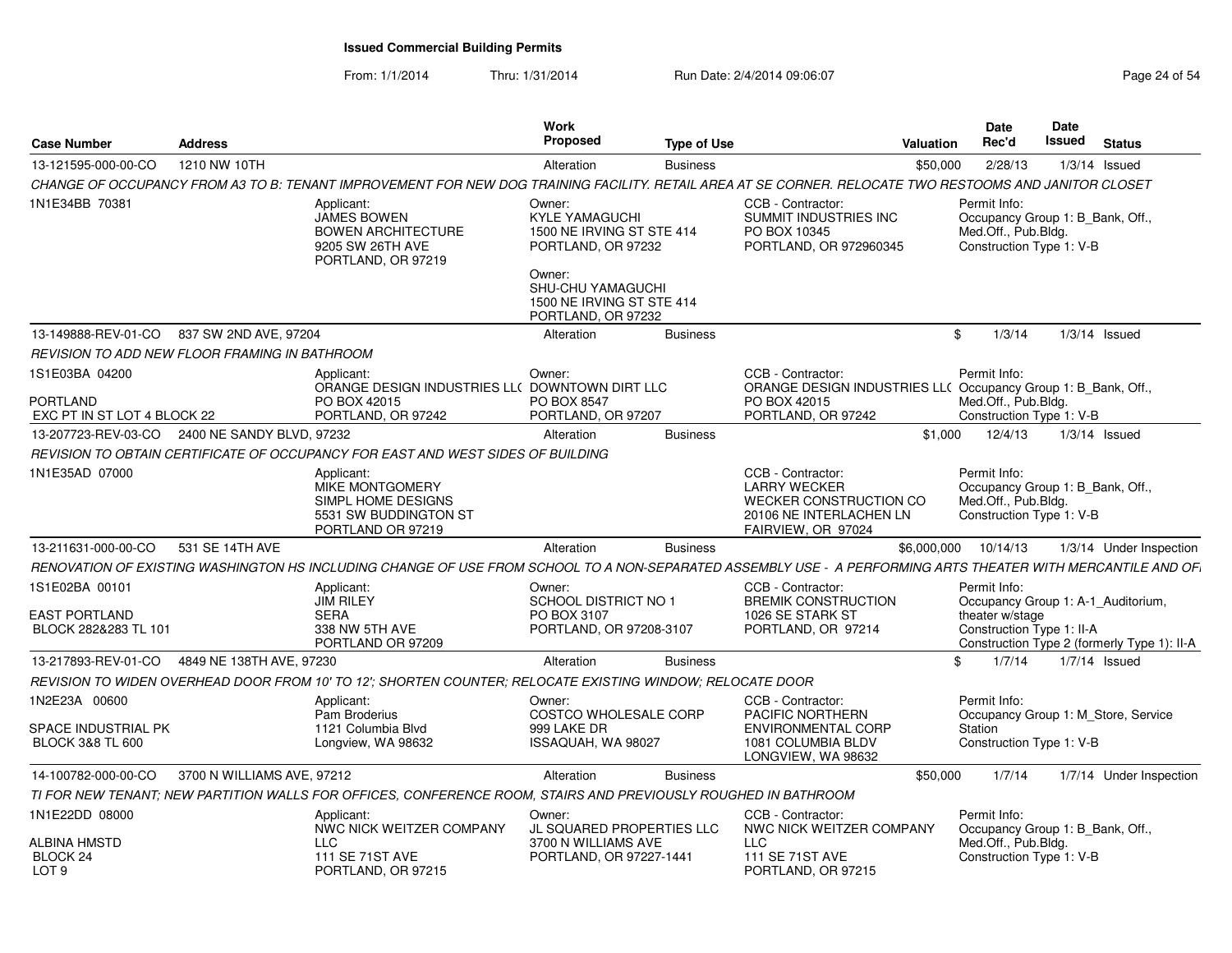| <b>Case Number</b>                                        | <b>Address</b>             |                                                                                                                                                             | Work<br>Proposed                                                                             | <b>Type of Use</b> | Valuation                                                                                                           |          | Date<br>Rec'd                                                                                       | <b>Date</b><br>Issued | <b>Status</b> |                                             |
|-----------------------------------------------------------|----------------------------|-------------------------------------------------------------------------------------------------------------------------------------------------------------|----------------------------------------------------------------------------------------------|--------------------|---------------------------------------------------------------------------------------------------------------------|----------|-----------------------------------------------------------------------------------------------------|-----------------------|---------------|---------------------------------------------|
| 13-121595-000-00-CO                                       | 1210 NW 10TH               |                                                                                                                                                             | Alteration                                                                                   | <b>Business</b>    |                                                                                                                     | \$50,000 | 2/28/13                                                                                             | $1/3/14$ Issued       |               |                                             |
|                                                           |                            | CHANGE OF OCCUPANCY FROM A3 TO B: TENANT IMPROVEMENT FOR NEW DOG TRAINING FACILITY. RETAIL AREA AT SE CORNER. RELOCATE TWO RESTOOMS AND JANITOR CLOSET      |                                                                                              |                    |                                                                                                                     |          |                                                                                                     |                       |               |                                             |
| 1N1E34BB 70381                                            |                            | Applicant:<br><b>JAMES BOWEN</b><br><b>BOWEN ARCHITECTURE</b><br>9205 SW 26TH AVE<br>PORTLAND, OR 97219                                                     | Owner:<br><b>KYLE YAMAGUCHI</b><br>1500 NE IRVING ST STE 414<br>PORTLAND, OR 97232<br>Owner: |                    | CCB - Contractor:<br>SUMMIT INDUSTRIES INC<br>PO BOX 10345<br>PORTLAND, OR 972960345                                |          | Permit Info:<br>Occupancy Group 1: B_Bank, Off.,<br>Med.Off., Pub.Blda.<br>Construction Type 1: V-B |                       |               |                                             |
|                                                           |                            |                                                                                                                                                             | SHU-CHU YAMAGUCHI<br>1500 NE IRVING ST STE 414<br>PORTLAND, OR 97232                         |                    |                                                                                                                     |          |                                                                                                     |                       |               |                                             |
| 13-149888-REV-01-CO 837 SW 2ND AVE, 97204                 |                            |                                                                                                                                                             | Alteration                                                                                   | <b>Business</b>    |                                                                                                                     | \$       | 1/3/14                                                                                              | $1/3/14$ Issued       |               |                                             |
| <b>REVISION TO ADD NEW FLOOR FRAMING IN BATHROOM</b>      |                            |                                                                                                                                                             |                                                                                              |                    |                                                                                                                     |          |                                                                                                     |                       |               |                                             |
| 1S1E03BA 04200<br>PORTLAND                                |                            | Applicant:<br>ORANGE DESIGN INDUSTRIES LL( DOWNTOWN DIRT LLC<br>PO BOX 42015                                                                                | Owner:<br>PO BOX 8547                                                                        |                    | CCB - Contractor:<br>ORANGE DESIGN INDUSTRIES LL( Occupancy Group 1: B_Bank, Off.,<br>PO BOX 42015                  |          | Permit Info:<br>Med.Off., Pub.Bldg.                                                                 |                       |               |                                             |
| EXC PT IN ST LOT 4 BLOCK 22                               |                            | PORTLAND, OR 97242                                                                                                                                          | PORTLAND, OR 97207                                                                           |                    | PORTLAND, OR 97242                                                                                                  |          | Construction Type 1: V-B                                                                            |                       |               |                                             |
| 13-207723-REV-03-CO 2400 NE SANDY BLVD, 97232             |                            |                                                                                                                                                             | Alteration                                                                                   | <b>Business</b>    |                                                                                                                     | \$1.000  | 12/4/13                                                                                             | $1/3/14$ Issued       |               |                                             |
|                                                           |                            | REVISION TO OBTAIN CERTIFICATE OF OCCUPANCY FOR EAST AND WEST SIDES OF BUILDING                                                                             |                                                                                              |                    |                                                                                                                     |          |                                                                                                     |                       |               |                                             |
| 1N1E35AD 07000                                            |                            | Applicant:<br><b>MIKE MONTGOMERY</b><br>SIMPL HOME DESIGNS<br>5531 SW BUDDINGTON ST<br>PORTLAND OR 97219                                                    |                                                                                              |                    | CCB - Contractor:<br><b>LARRY WECKER</b><br>WECKER CONSTRUCTION CO<br>20106 NE INTERLACHEN LN<br>FAIRVIEW, OR 97024 |          | Permit Info:<br>Occupancy Group 1: B Bank, Off.,<br>Med.Off., Pub.Blda.<br>Construction Type 1: V-B |                       |               |                                             |
| 13-211631-000-00-CO                                       | 531 SE 14TH AVE            |                                                                                                                                                             | Alteration                                                                                   | <b>Business</b>    |                                                                                                                     |          | \$6,000,000 10/14/13                                                                                |                       |               | 1/3/14 Under Inspection                     |
|                                                           |                            | RENOVATION OF EXISTING WASHINGTON HS INCLUDING CHANGE OF USE FROM SCHOOL TO A NON-SEPARATED ASSEMBLY USE - A PERFORMING ARTS THEATER WITH MERCANTILE AND OF |                                                                                              |                    |                                                                                                                     |          |                                                                                                     |                       |               |                                             |
| 1S1E02BA 00101<br>EAST PORTLAND<br>BLOCK 282&283 TL 101   |                            | Applicant:<br><b>JIM RILEY</b><br><b>SERA</b><br>338 NW 5TH AVE<br>PORTLAND OR 97209                                                                        | Owner:<br><b>SCHOOL DISTRICT NO 1</b><br>PO BOX 3107<br>PORTLAND, OR 97208-3107              |                    | CCB - Contractor:<br><b>BREMIK CONSTRUCTION</b><br>1026 SE STARK ST<br>PORTLAND, OR 97214                           |          | Permit Info:<br>Occupancy Group 1: A-1_Auditorium,<br>theater w/stage<br>Construction Type 1: II-A  |                       |               | Construction Type 2 (formerly Type 1): II-A |
| 13-217893-REV-01-CO                                       | 4849 NE 138TH AVE, 97230   |                                                                                                                                                             | Alteration                                                                                   | <b>Business</b>    |                                                                                                                     | \$       | 1/7/14                                                                                              | $1/7/14$ Issued       |               |                                             |
|                                                           |                            | REVISION TO WIDEN OVERHEAD DOOR FROM 10' TO 12'; SHORTEN COUNTER; RELOCATE EXISTING WINDOW; RELOCATE DOOR                                                   |                                                                                              |                    |                                                                                                                     |          |                                                                                                     |                       |               |                                             |
| 1N2E23A 00600                                             |                            | Applicant:<br>Pam Broderius                                                                                                                                 | Owner:<br>COSTCO WHOLESALE CORP                                                              |                    | CCB - Contractor:<br>PACIFIC NORTHERN                                                                               |          | Permit Info:<br>Occupancy Group 1: M_Store, Service                                                 |                       |               |                                             |
| <b>SPACE INDUSTRIAL PK</b><br><b>BLOCK 3&amp;8 TL 600</b> |                            | 1121 Columbia Blvd<br>Longview, WA 98632                                                                                                                    | 999 LAKE DR<br>ISSAQUAH, WA 98027                                                            |                    | <b>ENVIRONMENTAL CORP</b><br>1081 COLUMBIA BLDV<br>LONGVIEW, WA 98632                                               |          | Station<br>Construction Type 1: V-B                                                                 |                       |               |                                             |
| 14-100782-000-00-CO                                       | 3700 N WILLIAMS AVE, 97212 |                                                                                                                                                             | Alteration                                                                                   | <b>Business</b>    |                                                                                                                     | \$50,000 | 1/7/14                                                                                              |                       |               | 1/7/14 Under Inspection                     |
|                                                           |                            | TI FOR NEW TENANT: NEW PARTITION WALLS FOR OFFICES, CONFERENCE ROOM, STAIRS AND PREVIOUSLY ROUGHED IN BATHROOM                                              |                                                                                              |                    |                                                                                                                     |          |                                                                                                     |                       |               |                                             |
| 1N1E22DD 08000                                            |                            | Applicant:<br>NWC NICK WEITZER COMPANY                                                                                                                      | Owner:<br>JL SQUARED PROPERTIES LLC                                                          |                    | CCB - Contractor:<br>NWC NICK WEITZER COMPANY                                                                       |          | Permit Info:<br>Occupancy Group 1: B Bank, Off.,                                                    |                       |               |                                             |
| ALBINA HMSTD<br><b>BLOCK 24</b><br>LOT <sub>9</sub>       |                            | <b>LLC</b><br>111 SE 71ST AVE<br>PORTLAND, OR 97215                                                                                                         | 3700 N WILLIAMS AVE<br>PORTLAND, OR 97227-1441                                               |                    | <b>LLC</b><br>111 SE 71ST AVE<br>PORTLAND, OR 97215                                                                 |          | Med.Off., Pub.Bldg.<br>Construction Type 1: V-B                                                     |                       |               |                                             |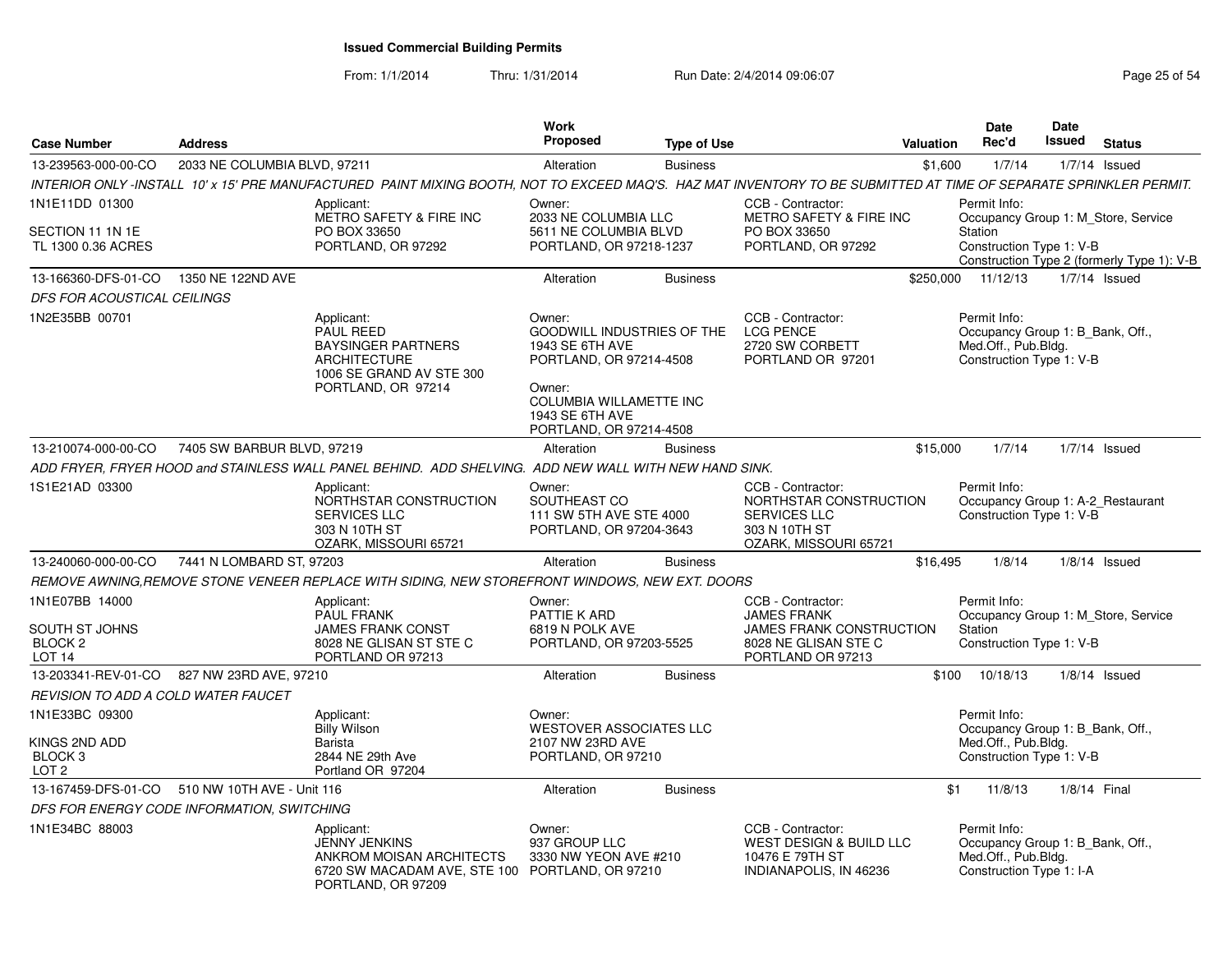| <b>Case Number</b>                                                        | <b>Address</b>                             |                                                                                                                                                                    | Work<br><b>Proposed</b>                                                                                                                                                             | <b>Type of Use</b> |                                                                                                                         | <b>Valuation</b> | <b>Date</b><br>Rec'd                                                                                | Date<br><b>Issued</b> | <b>Status</b>                                                                     |
|---------------------------------------------------------------------------|--------------------------------------------|--------------------------------------------------------------------------------------------------------------------------------------------------------------------|-------------------------------------------------------------------------------------------------------------------------------------------------------------------------------------|--------------------|-------------------------------------------------------------------------------------------------------------------------|------------------|-----------------------------------------------------------------------------------------------------|-----------------------|-----------------------------------------------------------------------------------|
| 13-239563-000-00-CO                                                       | 2033 NE COLUMBIA BLVD, 97211               |                                                                                                                                                                    | Alteration                                                                                                                                                                          | <b>Business</b>    |                                                                                                                         | \$1,600          | 1/7/14                                                                                              |                       | $1/7/14$ Issued                                                                   |
|                                                                           |                                            | INTERIOR ONLY -INSTALL 10' x 15' PRE MANUFACTURED PAINT MIXING BOOTH, NOT TO EXCEED MAQ'S. HAZ MAT INVENTORY TO BE SUBMITTED AT TIME OF SEPARATE SPRINKLER PERMIT. |                                                                                                                                                                                     |                    |                                                                                                                         |                  |                                                                                                     |                       |                                                                                   |
| 1N1E11DD 01300<br>SECTION 11 1N 1E<br>TL 1300 0.36 ACRES                  |                                            | Applicant:<br>METRO SAFETY & FIRE INC<br>PO BOX 33650<br>PORTLAND, OR 97292                                                                                        | Owner:<br>2033 NE COLUMBIA LLC<br>5611 NE COLUMBIA BLVD<br>PORTLAND, OR 97218-1237                                                                                                  |                    | CCB - Contractor:<br>METRO SAFETY & FIRE INC<br>PO BOX 33650<br>PORTLAND, OR 97292                                      |                  | Permit Info:<br><b>Station</b><br>Construction Type 1: V-B                                          |                       | Occupancy Group 1: M Store, Service<br>Construction Type 2 (formerly Type 1): V-B |
| 13-166360-DFS-01-CO                                                       | 1350 NE 122ND AVE                          |                                                                                                                                                                    | Alteration                                                                                                                                                                          | <b>Business</b>    |                                                                                                                         | \$250,000        | 11/12/13                                                                                            |                       | $1/7/14$ Issued                                                                   |
| <b>DFS FOR ACOUSTICAL CEILINGS</b>                                        |                                            |                                                                                                                                                                    |                                                                                                                                                                                     |                    |                                                                                                                         |                  |                                                                                                     |                       |                                                                                   |
| 1N2E35BB 00701                                                            |                                            | Applicant:<br><b>PAUL REED</b><br><b>BAYSINGER PARTNERS</b><br><b>ARCHITECTURE</b><br>1006 SE GRAND AV STE 300<br>PORTLAND, OR 97214                               | Owner:<br>GOODWILL INDUSTRIES OF THE<br><b>1943 SE 6TH AVE</b><br>PORTLAND, OR 97214-4508<br>Owner:<br><b>COLUMBIA WILLAMETTE INC</b><br>1943 SE 6TH AVE<br>PORTLAND, OR 97214-4508 |                    | CCB - Contractor:<br><b>LCG PENCE</b><br>2720 SW CORBETT<br>PORTLAND OR 97201                                           |                  | Permit Info:<br>Occupancy Group 1: B Bank, Off.,<br>Med.Off., Pub.Bldg.<br>Construction Type 1: V-B |                       |                                                                                   |
| 13-210074-000-00-CO                                                       | 7405 SW BARBUR BLVD, 97219                 |                                                                                                                                                                    | Alteration                                                                                                                                                                          | <b>Business</b>    |                                                                                                                         | \$15,000         | 1/7/14                                                                                              |                       | $1/7/14$ Issued                                                                   |
|                                                                           |                                            | ADD FRYER, FRYER HOOD and STAINLESS WALL PANEL BEHIND. ADD SHELVING. ADD NEW WALL WITH NEW HAND SINK.                                                              |                                                                                                                                                                                     |                    |                                                                                                                         |                  |                                                                                                     |                       |                                                                                   |
| 1S1E21AD 03300                                                            |                                            | Applicant:<br>NORTHSTAR CONSTRUCTION<br><b>SERVICES LLC</b><br>303 N 10TH ST<br>OZARK, MISSOURI 65721                                                              | Owner:<br>SOUTHEAST CO<br>111 SW 5TH AVE STE 4000<br>PORTLAND, OR 97204-3643                                                                                                        |                    | CCB - Contractor:<br>NORTHSTAR CONSTRUCTION<br><b>SERVICES LLC</b><br>303 N 10TH ST<br>OZARK, MISSOURI 65721            |                  | Permit Info:<br>Construction Type 1: V-B                                                            |                       | Occupancy Group 1: A-2_Restaurant                                                 |
| 13-240060-000-00-CO                                                       | 7441 N LOMBARD ST, 97203                   |                                                                                                                                                                    | Alteration                                                                                                                                                                          | <b>Business</b>    |                                                                                                                         | \$16,495         | 1/8/14                                                                                              |                       | $1/8/14$ Issued                                                                   |
|                                                                           |                                            | REMOVE AWNING, REMOVE STONE VENEER REPLACE WITH SIDING, NEW STOREFRONT WINDOWS, NEW EXT. DOORS                                                                     |                                                                                                                                                                                     |                    |                                                                                                                         |                  |                                                                                                     |                       |                                                                                   |
| 1N1E07BB 14000<br>SOUTH ST JOHNS<br><b>BLOCK 2</b><br>LOT <sub>14</sub>   |                                            | Applicant:<br><b>PAUL FRANK</b><br><b>JAMES FRANK CONST</b><br>8028 NE GLISAN ST STE C<br>PORTLAND OR 97213                                                        | Owner:<br>PATTIE K ARD<br>6819 N POLK AVE<br>PORTLAND, OR 97203-5525                                                                                                                |                    | CCB - Contractor:<br><b>JAMES FRANK</b><br><b>JAMES FRANK CONSTRUCTION</b><br>8028 NE GLISAN STE C<br>PORTLAND OR 97213 |                  | Permit Info:<br>Station<br>Construction Type 1: V-B                                                 |                       | Occupancy Group 1: M Store, Service                                               |
|                                                                           | 13-203341-REV-01-CO 827 NW 23RD AVE, 97210 |                                                                                                                                                                    | Alteration                                                                                                                                                                          | <b>Business</b>    |                                                                                                                         | \$100            | 10/18/13                                                                                            |                       | $1/8/14$ Issued                                                                   |
| REVISION TO ADD A COLD WATER FAUCET                                       |                                            |                                                                                                                                                                    |                                                                                                                                                                                     |                    |                                                                                                                         |                  |                                                                                                     |                       |                                                                                   |
| 1N1E33BC 09300<br>KINGS 2ND ADD<br>BLOCK <sub>3</sub><br>LOT <sub>2</sub> |                                            | Applicant:<br><b>Billy Wilson</b><br>Barista<br>2844 NE 29th Ave<br>Portland OR 97204                                                                              | Owner:<br><b>WESTOVER ASSOCIATES LLC</b><br>2107 NW 23RD AVE<br>PORTLAND, OR 97210                                                                                                  |                    |                                                                                                                         |                  | Permit Info:<br>Occupancy Group 1: B Bank, Off.,<br>Med.Off., Pub.Bldg.<br>Construction Type 1: V-B |                       |                                                                                   |
| 13-167459-DFS-01-CO                                                       | 510 NW 10TH AVE - Unit 116                 |                                                                                                                                                                    | Alteration                                                                                                                                                                          | <b>Business</b>    |                                                                                                                         | \$1              | 11/8/13                                                                                             |                       | 1/8/14 Final                                                                      |
|                                                                           | DFS FOR ENERGY CODE INFORMATION, SWITCHING |                                                                                                                                                                    |                                                                                                                                                                                     |                    |                                                                                                                         |                  |                                                                                                     |                       |                                                                                   |
| 1N1E34BC 88003                                                            |                                            | Applicant:<br><b>JENNY JENKINS</b><br>ANKROM MOISAN ARCHITECTS<br>6720 SW MACADAM AVE, STE 100 PORTLAND, OR 97210<br>PORTLAND, OR 97209                            | Owner:<br>937 GROUP LLC<br>3330 NW YEON AVE #210                                                                                                                                    |                    | CCB - Contractor:<br>WEST DESIGN & BUILD LLC<br>10476 E 79TH ST<br>INDIANAPOLIS, IN 46236                               |                  | Permit Info:<br>Occupancy Group 1: B Bank, Off.,<br>Med.Off., Pub.Bldg.<br>Construction Type 1: I-A |                       |                                                                                   |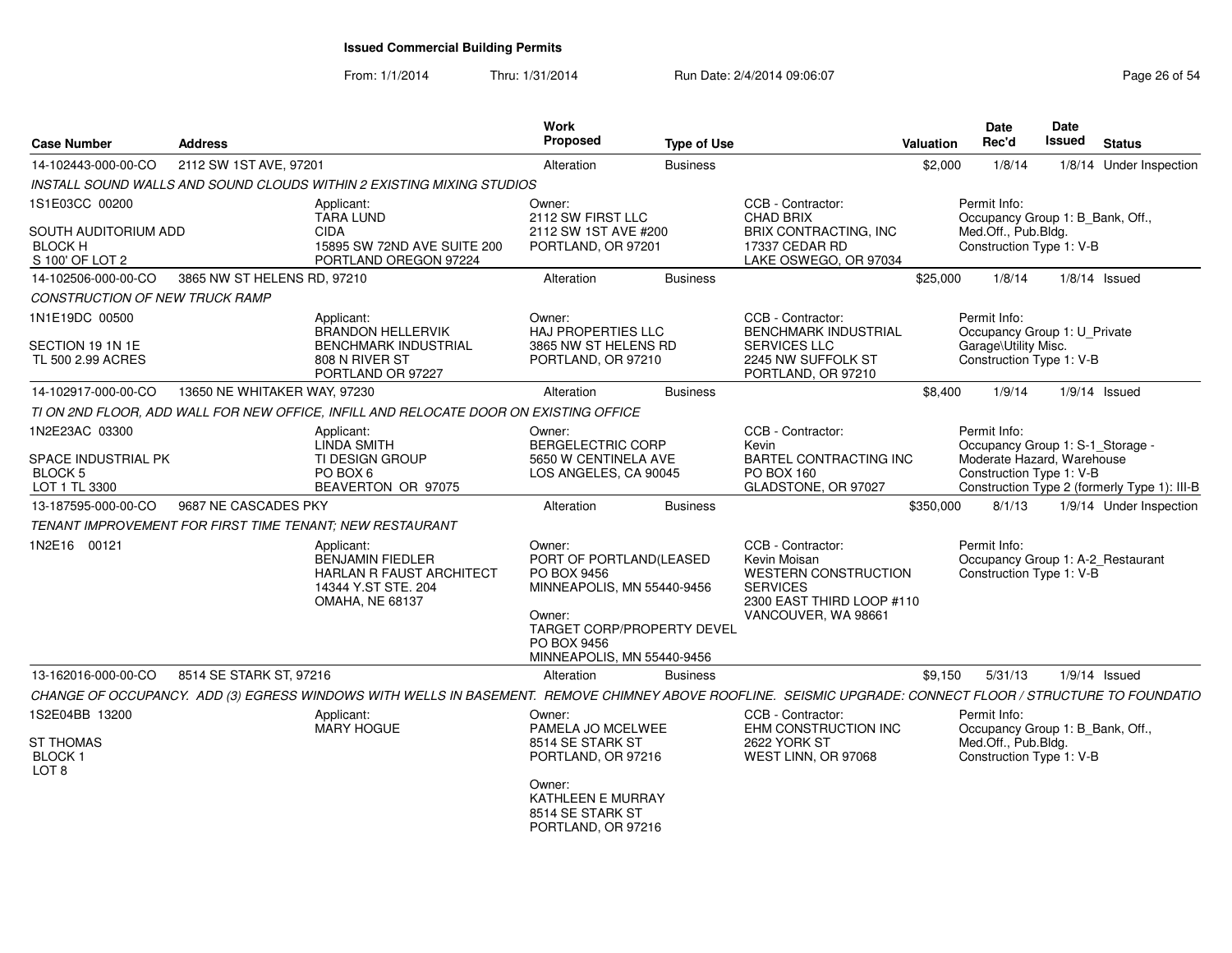| <b>Case Number</b>                              | <b>Address</b>               |                                                                                                                                                            | Work<br><b>Proposed</b>                                                                                                                                                    | <b>Type of Use</b> |                                                                                                                                         | Valuation | <b>Date</b><br>Rec'd                                                          | Date<br><b>Issued</b> | <b>Status</b>                                |
|-------------------------------------------------|------------------------------|------------------------------------------------------------------------------------------------------------------------------------------------------------|----------------------------------------------------------------------------------------------------------------------------------------------------------------------------|--------------------|-----------------------------------------------------------------------------------------------------------------------------------------|-----------|-------------------------------------------------------------------------------|-----------------------|----------------------------------------------|
| 14-102443-000-00-CO                             | 2112 SW 1ST AVE, 97201       |                                                                                                                                                            | Alteration                                                                                                                                                                 | <b>Business</b>    |                                                                                                                                         | \$2,000   | 1/8/14                                                                        |                       | 1/8/14 Under Inspection                      |
|                                                 |                              | INSTALL SOUND WALLS AND SOUND CLOUDS WITHIN 2 EXISTING MIXING STUDIOS                                                                                      |                                                                                                                                                                            |                    |                                                                                                                                         |           |                                                                               |                       |                                              |
| 1S1E03CC 00200                                  |                              | Applicant:<br><b>TARA LUND</b>                                                                                                                             | Owner:<br>2112 SW FIRST LLC                                                                                                                                                |                    | CCB - Contractor:<br><b>CHAD BRIX</b>                                                                                                   |           | Permit Info:<br>Occupancy Group 1: B_Bank, Off.,                              |                       |                                              |
| SOUTH AUDITORIUM ADD                            |                              | <b>CIDA</b>                                                                                                                                                | 2112 SW 1ST AVE #200                                                                                                                                                       |                    | <b>BRIX CONTRACTING, INC</b>                                                                                                            |           | Med.Off., Pub.Bldg.                                                           |                       |                                              |
| <b>BLOCK H</b><br>S 100' OF LOT 2               |                              | 15895 SW 72ND AVE SUITE 200<br>PORTLAND OREGON 97224                                                                                                       | PORTLAND, OR 97201                                                                                                                                                         |                    | 17337 CEDAR RD<br>LAKE OSWEGO, OR 97034                                                                                                 |           | Construction Type 1: V-B                                                      |                       |                                              |
| 14-102506-000-00-CO                             | 3865 NW ST HELENS RD, 97210  |                                                                                                                                                            | Alteration                                                                                                                                                                 | <b>Business</b>    |                                                                                                                                         | \$25,000  | 1/8/14                                                                        |                       | $1/8/14$ Issued                              |
| <b>CONSTRUCTION OF NEW TRUCK RAMP</b>           |                              |                                                                                                                                                            |                                                                                                                                                                            |                    |                                                                                                                                         |           |                                                                               |                       |                                              |
| 1N1E19DC 00500                                  |                              | Applicant:<br><b>BRANDON HELLERVIK</b>                                                                                                                     | Owner:<br><b>HAJ PROPERTIES LLC</b>                                                                                                                                        |                    | CCB - Contractor:<br><b>BENCHMARK INDUSTRIAL</b>                                                                                        |           | Permit Info:<br>Occupancy Group 1: U Private                                  |                       |                                              |
| SECTION 19 1N 1E<br>TL 500 2.99 ACRES           |                              | <b>BENCHMARK INDUSTRIAL</b><br>808 N RIVER ST<br>PORTLAND OR 97227                                                                                         | 3865 NW ST HELENS RD<br>PORTLAND, OR 97210                                                                                                                                 |                    | <b>SERVICES LLC</b><br>2245 NW SUFFOLK ST<br>PORTLAND, OR 97210                                                                         |           | Garage\Utility Misc.<br>Construction Type 1: V-B                              |                       |                                              |
| 14-102917-000-00-CO                             | 13650 NE WHITAKER WAY, 97230 |                                                                                                                                                            | Alteration                                                                                                                                                                 | <b>Business</b>    |                                                                                                                                         | \$8,400   | 1/9/14                                                                        |                       | $1/9/14$ Issued                              |
|                                                 |                              | TI ON 2ND FLOOR, ADD WALL FOR NEW OFFICE, INFILL AND RELOCATE DOOR ON EXISTING OFFICE                                                                      |                                                                                                                                                                            |                    |                                                                                                                                         |           |                                                                               |                       |                                              |
| 1N2E23AC 03300                                  |                              | Applicant:<br><b>LINDA SMITH</b>                                                                                                                           | Owner:<br><b>BERGELECTRIC CORP</b>                                                                                                                                         |                    | CCB - Contractor:<br>Kevin                                                                                                              |           | Permit Info:<br>Occupancy Group 1: S-1_Storage -                              |                       |                                              |
| SPACE INDUSTRIAL PK<br><b>BLOCK 5</b>           |                              | TI DESIGN GROUP<br>PO BOX 6                                                                                                                                | 5650 W CENTINELA AVE<br>LOS ANGELES, CA 90045                                                                                                                              |                    | <b>BARTEL CONTRACTING INC</b><br><b>PO BOX 160</b>                                                                                      |           | Moderate Hazard, Warehouse<br>Construction Type 1: V-B                        |                       |                                              |
| LOT 1 TL 3300                                   |                              | BEAVERTON OR 97075                                                                                                                                         |                                                                                                                                                                            |                    | GLADSTONE, OR 97027                                                                                                                     |           |                                                                               |                       | Construction Type 2 (formerly Type 1): III-B |
| 13-187595-000-00-CO                             | 9687 NE CASCADES PKY         |                                                                                                                                                            | Alteration                                                                                                                                                                 | <b>Business</b>    |                                                                                                                                         | \$350,000 | 8/1/13                                                                        |                       | 1/9/14 Under Inspection                      |
|                                                 |                              | TENANT IMPROVEMENT FOR FIRST TIME TENANT: NEW RESTAURANT                                                                                                   |                                                                                                                                                                            |                    |                                                                                                                                         |           |                                                                               |                       |                                              |
| 1N2E16 00121                                    |                              | Applicant:<br><b>BENJAMIN FIEDLER</b><br><b>HARLAN R FAUST ARCHITECT</b><br>14344 Y.ST STE. 204<br><b>OMAHA, NE 68137</b>                                  | Owner:<br>PORT OF PORTLAND(LEASED<br>PO BOX 9456<br>MINNEAPOLIS, MN 55440-9456<br>Owner:<br><b>TARGET CORP/PROPERTY DEVEL</b><br>PO BOX 9456<br>MINNEAPOLIS, MN 55440-9456 |                    | CCB - Contractor:<br>Kevin Moisan<br><b>WESTERN CONSTRUCTION</b><br><b>SERVICES</b><br>2300 EAST THIRD LOOP #110<br>VANCOUVER, WA 98661 |           | Permit Info:<br>Occupancy Group 1: A-2_Restaurant<br>Construction Type 1: V-B |                       |                                              |
| 13-162016-000-00-CO                             | 8514 SE STARK ST. 97216      |                                                                                                                                                            | Alteration                                                                                                                                                                 | <b>Business</b>    |                                                                                                                                         | \$9.150   | 5/31/13                                                                       |                       | $1/9/14$ Issued                              |
|                                                 |                              | CHANGE OF OCCUPANCY. ADD (3) EGRESS WINDOWS WITH WELLS IN BASEMENT. REMOVE CHIMNEY ABOVE ROOFLINE. SEISMIC UPGRADE: CONNECT FLOOR / STRUCTURE TO FOUNDATIO |                                                                                                                                                                            |                    |                                                                                                                                         |           |                                                                               |                       |                                              |
| 1S2E04BB 13200                                  |                              | Applicant:<br><b>MARY HOGUE</b>                                                                                                                            | Owner:<br>PAMELA JO MCELWEE                                                                                                                                                |                    | CCB - Contractor:<br>EHM CONSTRUCTION INC                                                                                               |           | Permit Info:<br>Occupancy Group 1: B_Bank, Off.,                              |                       |                                              |
| <b>ST THOMAS</b><br>BLOCK 1<br>LOT <sub>8</sub> |                              |                                                                                                                                                            | 8514 SE STARK ST<br>PORTLAND, OR 97216                                                                                                                                     |                    | 2622 YORK ST<br>WEST LINN, OR 97068                                                                                                     |           | Med.Off., Pub.Bldg.<br>Construction Type 1: V-B                               |                       |                                              |
|                                                 |                              |                                                                                                                                                            | Owner:<br>KATHLEEN E MURRAY<br>8514 SE STARK ST<br>PORTLAND, OR 97216                                                                                                      |                    |                                                                                                                                         |           |                                                                               |                       |                                              |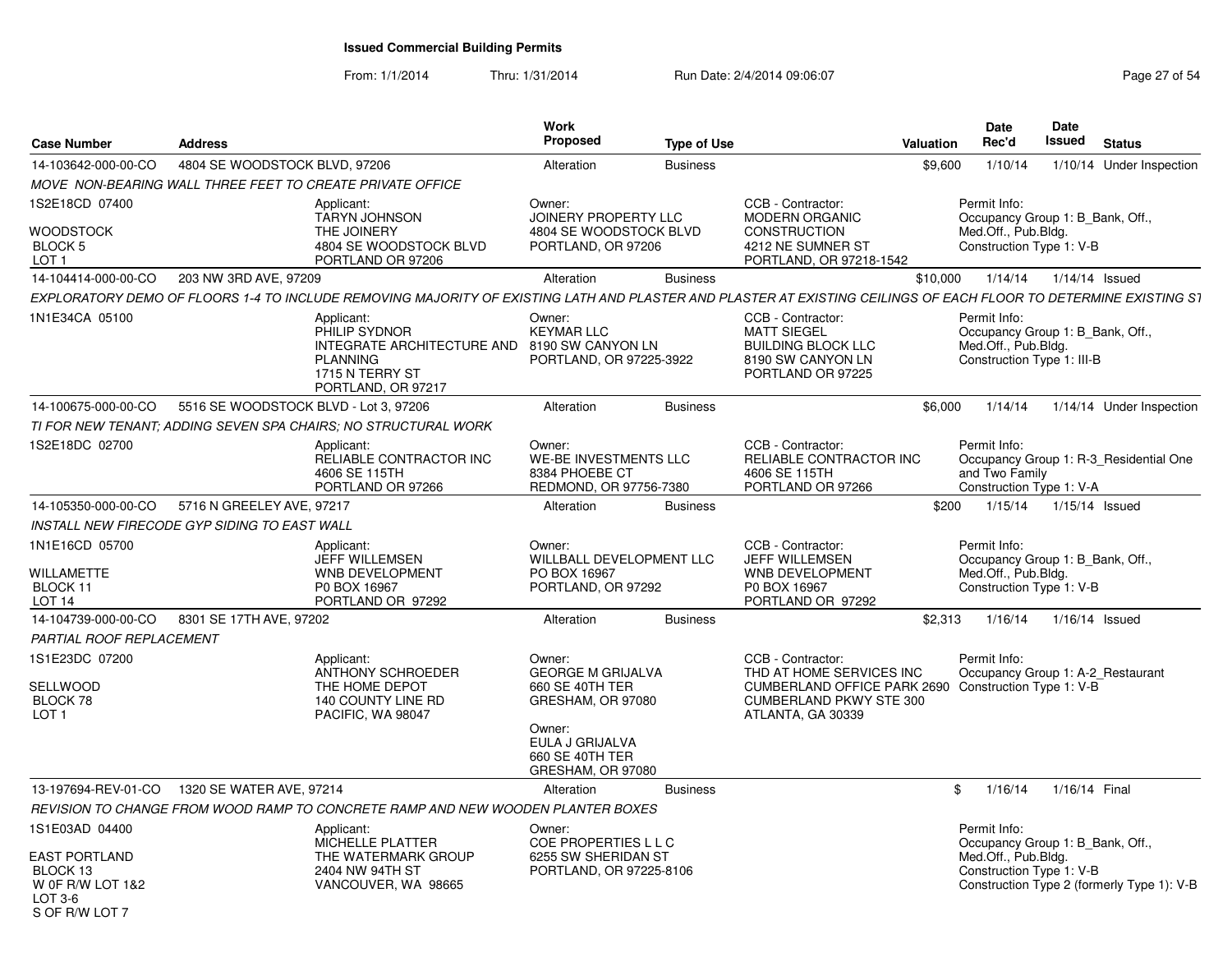| 14-103642-000-00-CO<br>4804 SE WOODSTOCK BLVD, 97206<br>1/10/14<br>1/10/14 Under Inspection<br>Alteration<br><b>Business</b><br>\$9,600<br>MOVE NON-BEARING WALL THREE FEET TO CREATE PRIVATE OFFICE<br>1S2E18CD 07400<br>Owner:<br>CCB - Contractor:<br>Permit Info:<br>Applicant:<br><b>JOINERY PROPERTY LLC</b><br>Occupancy Group 1: B Bank, Off.,<br><b>TARYN JOHNSON</b><br><b>MODERN ORGANIC</b><br>THE JOINERY<br>4804 SE WOODSTOCK BLVD<br><b>CONSTRUCTION</b><br>Med.Off., Pub.Blda.<br>BLOCK 5<br>4804 SE WOODSTOCK BLVD<br>PORTLAND, OR 97206<br>4212 NE SUMNER ST<br>Construction Type 1: V-B<br>LOT <sub>1</sub><br>PORTLAND OR 97206<br>PORTLAND, OR 97218-1542<br>203 NW 3RD AVE, 97209<br>14-104414-000-00-CO<br><b>Business</b><br>\$10,000<br>1/14/14<br>1/14/14 Issued<br>Alteration<br>EXPLORATORY DEMO OF FLOORS 1-4 TO INCLUDE REMOVING MAJORITY OF EXISTING LATH AND PLASTER AND PLASTER AT EXISTING CEILINGS OF EACH FLOOR TO DETERMINE EXISTING S1<br>1N1E34CA 05100<br>CCB - Contractor:<br>Applicant:<br>Owner:<br>Permit Info:<br>PHILIP SYDNOR<br><b>KEYMAR LLC</b><br><b>MATT SIEGEL</b><br>Occupancy Group 1: B_Bank, Off.,<br>INTEGRATE ARCHITECTURE AND 8190 SW CANYON LN<br>Med.Off., Pub.Bldg.<br><b>BUILDING BLOCK LLC</b><br>Construction Type 1: III-B<br><b>PLANNING</b><br>PORTLAND, OR 97225-3922<br>8190 SW CANYON LN<br>1715 N TERRY ST<br>PORTLAND OR 97225<br>PORTLAND, OR 97217<br>5516 SE WOODSTOCK BLVD - Lot 3, 97206<br>\$6,000<br>1/14/14<br>1/14/14 Under Inspection<br>14-100675-000-00-CO<br>Alteration<br><b>Business</b><br>TI FOR NEW TENANT: ADDING SEVEN SPA CHAIRS: NO STRUCTURAL WORK |
|-----------------------------------------------------------------------------------------------------------------------------------------------------------------------------------------------------------------------------------------------------------------------------------------------------------------------------------------------------------------------------------------------------------------------------------------------------------------------------------------------------------------------------------------------------------------------------------------------------------------------------------------------------------------------------------------------------------------------------------------------------------------------------------------------------------------------------------------------------------------------------------------------------------------------------------------------------------------------------------------------------------------------------------------------------------------------------------------------------------------------------------------------------------------------------------------------------------------------------------------------------------------------------------------------------------------------------------------------------------------------------------------------------------------------------------------------------------------------------------------------------------------------------------------------------------------------------------------------------------------------------------------------------|
|                                                                                                                                                                                                                                                                                                                                                                                                                                                                                                                                                                                                                                                                                                                                                                                                                                                                                                                                                                                                                                                                                                                                                                                                                                                                                                                                                                                                                                                                                                                                                                                                                                                     |
| <b>WOODSTOCK</b>                                                                                                                                                                                                                                                                                                                                                                                                                                                                                                                                                                                                                                                                                                                                                                                                                                                                                                                                                                                                                                                                                                                                                                                                                                                                                                                                                                                                                                                                                                                                                                                                                                    |
|                                                                                                                                                                                                                                                                                                                                                                                                                                                                                                                                                                                                                                                                                                                                                                                                                                                                                                                                                                                                                                                                                                                                                                                                                                                                                                                                                                                                                                                                                                                                                                                                                                                     |
|                                                                                                                                                                                                                                                                                                                                                                                                                                                                                                                                                                                                                                                                                                                                                                                                                                                                                                                                                                                                                                                                                                                                                                                                                                                                                                                                                                                                                                                                                                                                                                                                                                                     |
|                                                                                                                                                                                                                                                                                                                                                                                                                                                                                                                                                                                                                                                                                                                                                                                                                                                                                                                                                                                                                                                                                                                                                                                                                                                                                                                                                                                                                                                                                                                                                                                                                                                     |
|                                                                                                                                                                                                                                                                                                                                                                                                                                                                                                                                                                                                                                                                                                                                                                                                                                                                                                                                                                                                                                                                                                                                                                                                                                                                                                                                                                                                                                                                                                                                                                                                                                                     |
|                                                                                                                                                                                                                                                                                                                                                                                                                                                                                                                                                                                                                                                                                                                                                                                                                                                                                                                                                                                                                                                                                                                                                                                                                                                                                                                                                                                                                                                                                                                                                                                                                                                     |
|                                                                                                                                                                                                                                                                                                                                                                                                                                                                                                                                                                                                                                                                                                                                                                                                                                                                                                                                                                                                                                                                                                                                                                                                                                                                                                                                                                                                                                                                                                                                                                                                                                                     |
| 1S2E18DC 02700<br>CCB - Contractor:<br>Owner:<br>Permit Info:<br>Applicant:<br>RELIABLE CONTRACTOR INC<br><b>WE-BE INVESTMENTS LLC</b><br>RELIABLE CONTRACTOR INC<br>Occupancy Group 1: R-3 Residential One<br>4606 SE 115TH<br>8384 PHOEBE CT<br>4606 SE 115TH<br>and Two Family<br>PORTLAND OR 97266<br>REDMOND, OR 97756-7380<br>PORTLAND OR 97266<br>Construction Type 1: V-A                                                                                                                                                                                                                                                                                                                                                                                                                                                                                                                                                                                                                                                                                                                                                                                                                                                                                                                                                                                                                                                                                                                                                                                                                                                                   |
| 5716 N GREELEY AVE, 97217<br>1/15/14 Issued<br>14-105350-000-00-CO<br>\$200<br>1/15/14<br>Alteration<br><b>Business</b>                                                                                                                                                                                                                                                                                                                                                                                                                                                                                                                                                                                                                                                                                                                                                                                                                                                                                                                                                                                                                                                                                                                                                                                                                                                                                                                                                                                                                                                                                                                             |
| INSTALL NEW FIRECODE GYP SIDING TO EAST WALL                                                                                                                                                                                                                                                                                                                                                                                                                                                                                                                                                                                                                                                                                                                                                                                                                                                                                                                                                                                                                                                                                                                                                                                                                                                                                                                                                                                                                                                                                                                                                                                                        |
| 1N1E16CD 05700<br>CCB - Contractor:<br>Owner:<br>Permit Info:<br>Applicant:<br>JEFF WILLEMSEN<br>WILLBALL DEVELOPMENT LLC<br>JEFF WILLEMSEN<br>Occupancy Group 1: B_Bank, Off.,<br>WILLAMETTE<br>WNB DEVELOPMENT<br>PO BOX 16967<br>Med.Off., Pub.Bldg.<br>WNB DEVELOPMENT<br>BLOCK 11<br>Construction Type 1: V-B<br>PORTLAND, OR 97292<br>P0 BOX 16967<br>P0 BOX 16967<br>LOT <sub>14</sub><br>PORTLAND OR 97292<br>PORTLAND OR 97292                                                                                                                                                                                                                                                                                                                                                                                                                                                                                                                                                                                                                                                                                                                                                                                                                                                                                                                                                                                                                                                                                                                                                                                                             |
| 8301 SE 17TH AVE, 97202<br><b>Business</b><br>14-104739-000-00-CO<br>Alteration<br>\$2.313<br>1/16/14<br>1/16/14 Issued                                                                                                                                                                                                                                                                                                                                                                                                                                                                                                                                                                                                                                                                                                                                                                                                                                                                                                                                                                                                                                                                                                                                                                                                                                                                                                                                                                                                                                                                                                                             |
| PARTIAL ROOF REPLACEMENT                                                                                                                                                                                                                                                                                                                                                                                                                                                                                                                                                                                                                                                                                                                                                                                                                                                                                                                                                                                                                                                                                                                                                                                                                                                                                                                                                                                                                                                                                                                                                                                                                            |
| 1S1E23DC 07200<br>CCB - Contractor:<br>Permit Info:<br>Applicant:<br>Owner:<br>ANTHONY SCHROEDER<br><b>GEORGE M GRIJALVA</b><br>THD AT HOME SERVICES INC<br>Occupancy Group 1: A-2 Restaurant<br>THE HOME DEPOT<br><b>SELLWOOD</b><br>660 SE 40TH TER<br>CUMBERLAND OFFICE PARK 2690 Construction Type 1: V-B<br>BLOCK 78<br>140 COUNTY LINE RD<br>GRESHAM, OR 97080<br><b>CUMBERLAND PKWY STE 300</b><br>LOT <sub>1</sub><br>PACIFIC. WA 98047<br>ATLANTA, GA 30339<br>Owner:                                                                                                                                                                                                                                                                                                                                                                                                                                                                                                                                                                                                                                                                                                                                                                                                                                                                                                                                                                                                                                                                                                                                                                      |
| EULA J GRIJALVA<br>660 SE 40TH TER<br>GRESHAM, OR 97080                                                                                                                                                                                                                                                                                                                                                                                                                                                                                                                                                                                                                                                                                                                                                                                                                                                                                                                                                                                                                                                                                                                                                                                                                                                                                                                                                                                                                                                                                                                                                                                             |
| 13-197694-REV-01-CO  1320 SE WATER AVE, 97214<br>1/16/14<br>1/16/14 Final<br><b>Business</b><br>\$<br>Alteration                                                                                                                                                                                                                                                                                                                                                                                                                                                                                                                                                                                                                                                                                                                                                                                                                                                                                                                                                                                                                                                                                                                                                                                                                                                                                                                                                                                                                                                                                                                                    |
| REVISION TO CHANGE FROM WOOD RAMP TO CONCRETE RAMP AND NEW WOODEN PLANTER BOXES                                                                                                                                                                                                                                                                                                                                                                                                                                                                                                                                                                                                                                                                                                                                                                                                                                                                                                                                                                                                                                                                                                                                                                                                                                                                                                                                                                                                                                                                                                                                                                     |
| 1S1E03AD 04400<br>Applicant:<br>Permit Info:<br>Owner:<br>MICHELLE PLATTER<br>COE PROPERTIES L L C<br>Occupancy Group 1: B Bank, Off.,<br>THE WATERMARK GROUP<br>Med.Off., Pub.Bldg.<br><b>EAST PORTLAND</b><br>6255 SW SHERIDAN ST<br>BLOCK 13<br>PORTLAND, OR 97225-8106<br>Construction Type 1: V-B<br>2404 NW 94TH ST<br>W OF R/W LOT 1&2<br>Construction Type 2 (formerly Type 1): V-B<br>VANCOUVER, WA 98665<br>LOT 3-6<br>S OF R/W LOT 7                                                                                                                                                                                                                                                                                                                                                                                                                                                                                                                                                                                                                                                                                                                                                                                                                                                                                                                                                                                                                                                                                                                                                                                                     |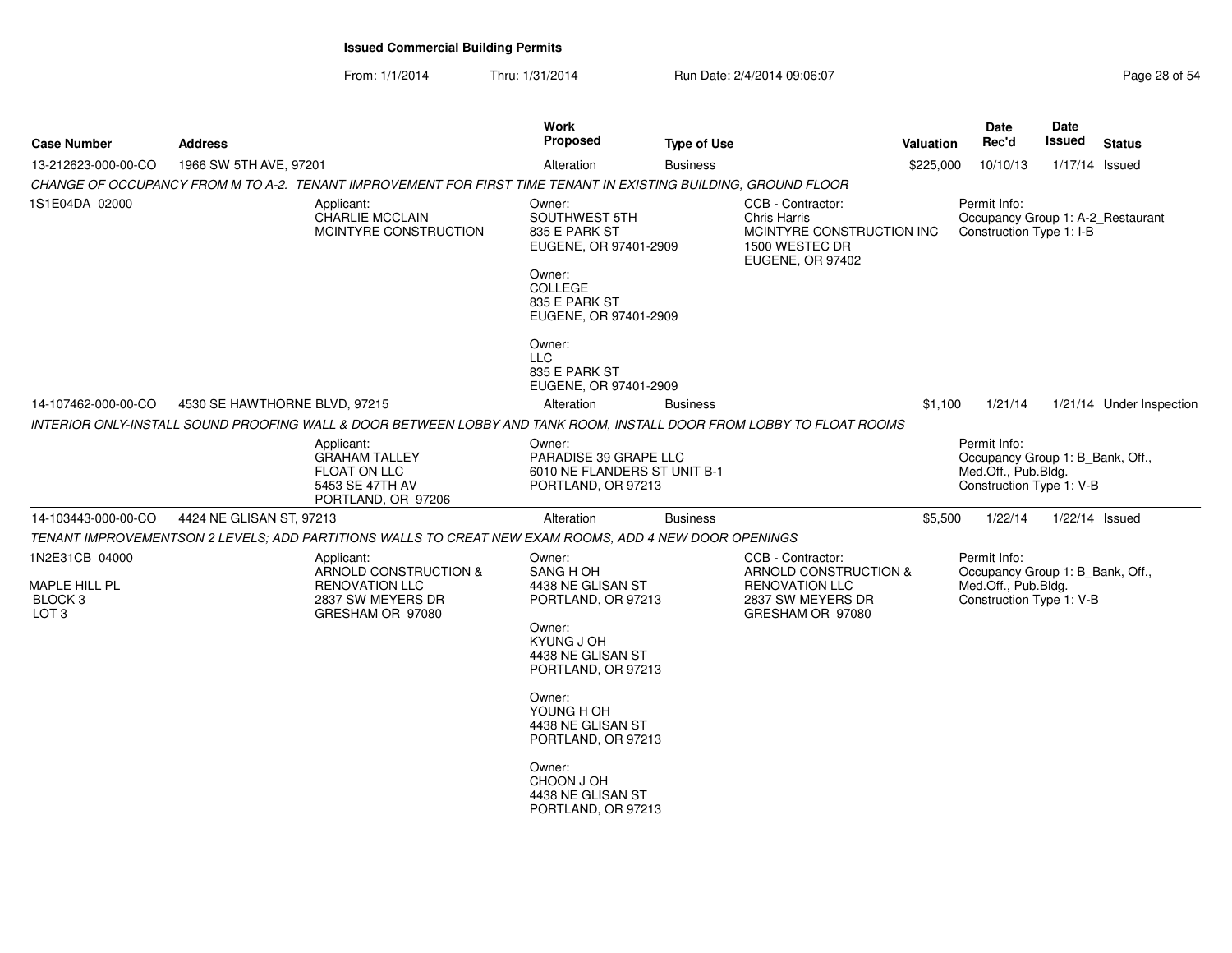| <b>Case Number</b>                                      | <b>Address</b>                |                                                                                                                      | <b>Work</b><br><b>Proposed</b>                                                                                                     | <b>Type of Use</b> |                                                                                                             | <b>Valuation</b> | Date<br>Rec'd                                                                                       | Date<br>Issued   | <b>Status</b>            |
|---------------------------------------------------------|-------------------------------|----------------------------------------------------------------------------------------------------------------------|------------------------------------------------------------------------------------------------------------------------------------|--------------------|-------------------------------------------------------------------------------------------------------------|------------------|-----------------------------------------------------------------------------------------------------|------------------|--------------------------|
| 13-212623-000-00-CO                                     | 1966 SW 5TH AVE, 97201        |                                                                                                                      | Alteration                                                                                                                         | <b>Business</b>    |                                                                                                             | \$225,000        | 10/10/13                                                                                            | 1/17/14 Issued   |                          |
|                                                         |                               | CHANGE OF OCCUPANCY FROM M TO A-2. TENANT IMPROVEMENT FOR FIRST TIME TENANT IN EXISTING BUILDING, GROUND FLOOR       |                                                                                                                                    |                    |                                                                                                             |                  |                                                                                                     |                  |                          |
| 1S1E04DA 02000                                          |                               | Applicant:<br><b>CHARLIE MCCLAIN</b><br>MCINTYRE CONSTRUCTION                                                        | Owner:<br>SOUTHWEST 5TH<br>835 E PARK ST<br>EUGENE, OR 97401-2909<br>Owner:<br>COLLEGE<br>835 E PARK ST<br>EUGENE, OR 97401-2909   |                    | CCB - Contractor:<br><b>Chris Harris</b><br>MCINTYRE CONSTRUCTION INC<br>1500 WESTEC DR<br>EUGENE, OR 97402 |                  | Permit Info:<br>Occupancy Group 1: A-2_Restaurant<br>Construction Type 1: I-B                       |                  |                          |
|                                                         |                               |                                                                                                                      | Owner:<br><b>LLC</b><br>835 E PARK ST<br>EUGENE, OR 97401-2909                                                                     |                    |                                                                                                             |                  |                                                                                                     |                  |                          |
| 14-107462-000-00-CO                                     | 4530 SE HAWTHORNE BLVD, 97215 |                                                                                                                      | Alteration                                                                                                                         | <b>Business</b>    |                                                                                                             | \$1,100          | 1/21/14                                                                                             |                  | 1/21/14 Under Inspection |
|                                                         |                               | INTERIOR ONLY-INSTALL SOUND PROOFING WALL & DOOR BETWEEN LOBBY AND TANK ROOM, INSTALL DOOR FROM LOBBY TO FLOAT ROOMS |                                                                                                                                    |                    |                                                                                                             |                  |                                                                                                     |                  |                          |
|                                                         |                               | Applicant:<br><b>GRAHAM TALLEY</b><br>FLOAT ON LLC<br>5453 SE 47TH AV<br>PORTLAND, OR 97206                          | Owner:<br>PARADISE 39 GRAPE LLC<br>6010 NE FLANDERS ST UNIT B-1<br>PORTLAND, OR 97213                                              |                    |                                                                                                             |                  | Permit Info:<br>Occupancy Group 1: B_Bank, Off.,<br>Med.Off., Pub.Bldg.<br>Construction Type 1: V-B |                  |                          |
| 14-103443-000-00-CO                                     | 4424 NE GLISAN ST, 97213      |                                                                                                                      | Alteration                                                                                                                         | <b>Business</b>    |                                                                                                             | \$5,500          | 1/22/14                                                                                             | $1/22/14$ Issued |                          |
|                                                         |                               | TENANT IMPROVEMENTSON 2 LEVELS; ADD PARTITIONS WALLS TO CREAT NEW EXAM ROOMS, ADD 4 NEW DOOR OPENINGS                |                                                                                                                                    |                    |                                                                                                             |                  |                                                                                                     |                  |                          |
| 1N2E31CB 04000                                          |                               | Applicant:<br>ARNOLD CONSTRUCTION &                                                                                  | Owner:<br>SANG HOH                                                                                                                 |                    | CCB - Contractor:<br>ARNOLD CONSTRUCTION &                                                                  |                  | Permit Info:                                                                                        |                  |                          |
| MAPLE HILL PL<br>BLOCK <sub>3</sub><br>LOT <sub>3</sub> |                               | <b>RENOVATION LLC</b><br>2837 SW MEYERS DR<br>GRESHAM OR 97080                                                       | 4438 NE GLISAN ST<br>PORTLAND, OR 97213<br>Owner:<br>KYUNG J OH<br>4438 NE GLISAN ST<br>PORTLAND, OR 97213                         |                    | <b>RENOVATION LLC</b><br>2837 SW MEYERS DR<br>GRESHAM OR 97080                                              |                  | Occupancy Group 1: B_Bank, Off.,<br>Med.Off., Pub.Bldg.<br>Construction Type 1: V-B                 |                  |                          |
|                                                         |                               |                                                                                                                      | Owner:<br>YOUNG H OH<br>4438 NE GLISAN ST<br>PORTLAND, OR 97213<br>Owner:<br>CHOON J OH<br>4438 NE GLISAN ST<br>PORTLAND, OR 97213 |                    |                                                                                                             |                  |                                                                                                     |                  |                          |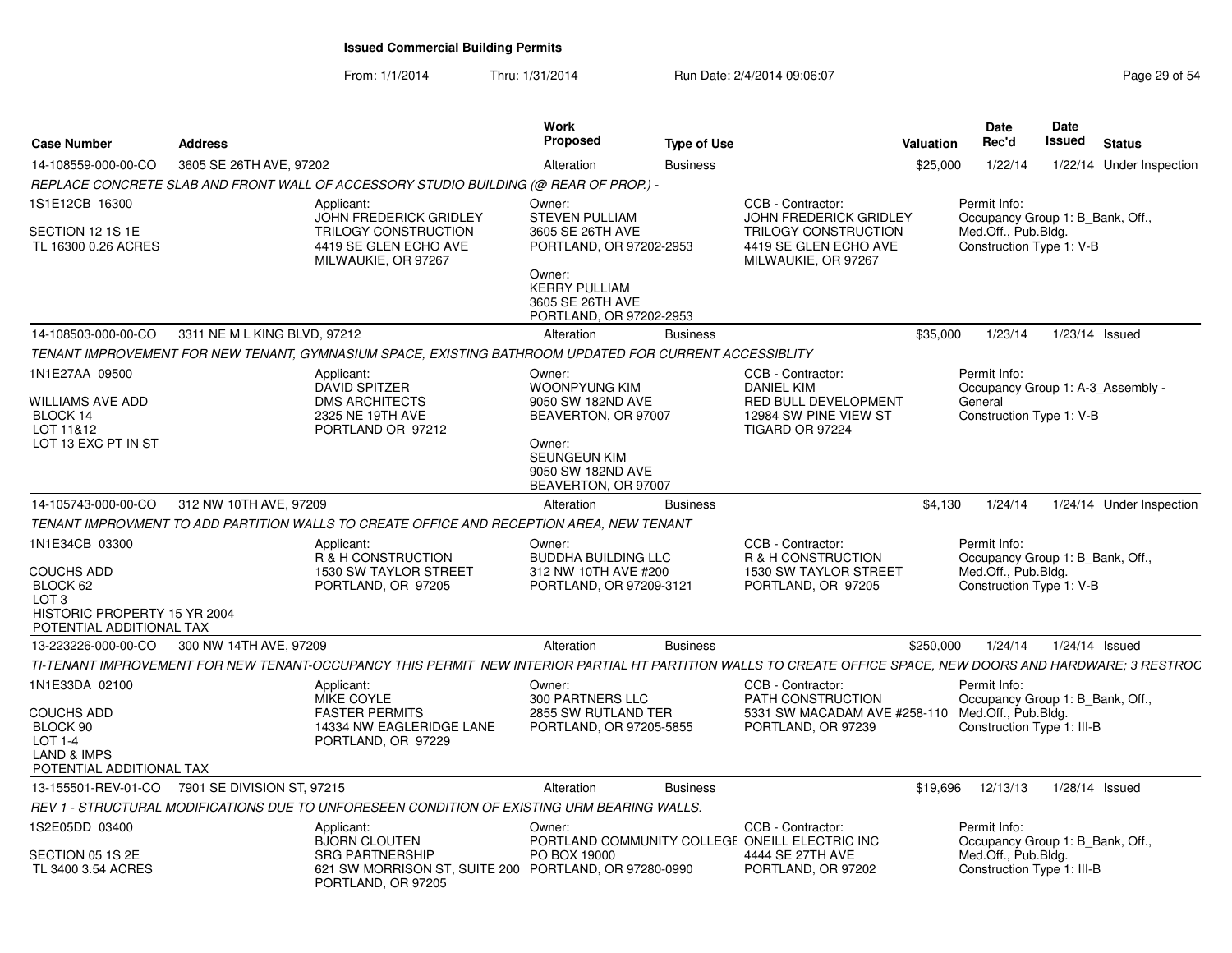| <b>Case Number</b>                                                                                    | <b>Address</b>               |                                                                                                                                                              | <b>Work</b><br><b>Proposed</b>                                                | <b>Type of Use</b> |                                                                                          | Valuation | Date<br>Rec'd                                                                         | Date<br><b>Issued</b> | <b>Status</b>            |
|-------------------------------------------------------------------------------------------------------|------------------------------|--------------------------------------------------------------------------------------------------------------------------------------------------------------|-------------------------------------------------------------------------------|--------------------|------------------------------------------------------------------------------------------|-----------|---------------------------------------------------------------------------------------|-----------------------|--------------------------|
| 14-108559-000-00-CO                                                                                   | 3605 SE 26TH AVE, 97202      |                                                                                                                                                              | Alteration                                                                    | <b>Business</b>    |                                                                                          | \$25,000  | 1/22/14                                                                               |                       | 1/22/14 Under Inspection |
|                                                                                                       |                              | REPLACE CONCRETE SLAB AND FRONT WALL OF ACCESSORY STUDIO BUILDING (@ REAR OF PROP.) -                                                                        |                                                                               |                    |                                                                                          |           |                                                                                       |                       |                          |
| 1S1E12CB 16300                                                                                        |                              | Applicant:<br>JOHN FREDERICK GRIDLEY                                                                                                                         | Owner:<br><b>STEVEN PULLIAM</b>                                               |                    | CCB - Contractor:<br>JOHN FREDERICK GRIDLEY                                              |           | Permit Info:<br>Occupancy Group 1: B_Bank, Off.,                                      |                       |                          |
| SECTION 12 1S 1E<br>TL 16300 0.26 ACRES                                                               |                              | TRILOGY CONSTRUCTION<br>4419 SE GLEN ECHO AVE<br>MILWAUKIE, OR 97267                                                                                         | 3605 SE 26TH AVE<br>PORTLAND, OR 97202-2953                                   |                    | TRILOGY CONSTRUCTION<br>4419 SE GLEN ECHO AVE<br>MILWAUKIE, OR 97267                     |           | Med.Off., Pub.Bldg.<br>Construction Type 1: V-B                                       |                       |                          |
|                                                                                                       |                              |                                                                                                                                                              | Owner:<br><b>KERRY PULLIAM</b><br>3605 SE 26TH AVE<br>PORTLAND, OR 97202-2953 |                    |                                                                                          |           |                                                                                       |                       |                          |
| 14-108503-000-00-CO                                                                                   | 3311 NE M L KING BLVD, 97212 |                                                                                                                                                              | Alteration                                                                    | <b>Business</b>    |                                                                                          | \$35,000  | 1/23/14                                                                               | 1/23/14 Issued        |                          |
|                                                                                                       |                              | TENANT IMPROVEMENT FOR NEW TENANT, GYMNASIUM SPACE, EXISTING BATHROOM UPDATED FOR CURRENT ACCESSIBLITY                                                       |                                                                               |                    |                                                                                          |           |                                                                                       |                       |                          |
| 1N1E27AA 09500                                                                                        |                              | Applicant:<br><b>DAVID SPITZER</b>                                                                                                                           | Owner:<br>WOONPYUNG KIM                                                       |                    | CCB - Contractor:<br><b>DANIEL KIM</b>                                                   |           | Permit Info:<br>Occupancy Group 1: A-3 Assembly -                                     |                       |                          |
| <b>WILLIAMS AVE ADD</b><br>BLOCK 14<br>LOT 11&12                                                      |                              | <b>DMS ARCHITECTS</b><br>2325 NE 19TH AVE<br>PORTLAND OR 97212                                                                                               | 9050 SW 182ND AVE<br>BEAVERTON, OR 97007                                      |                    | RED BULL DEVELOPMENT<br>12984 SW PINE VIEW ST<br>TIGARD OR 97224                         |           | General<br>Construction Type 1: V-B                                                   |                       |                          |
| LOT 13 EXC PT IN ST                                                                                   |                              |                                                                                                                                                              | Owner:<br>SEUNGEUN KIM<br>9050 SW 182ND AVE<br>BEAVERTON, OR 97007            |                    |                                                                                          |           |                                                                                       |                       |                          |
| 14-105743-000-00-CO                                                                                   | 312 NW 10TH AVE, 97209       |                                                                                                                                                              | Alteration                                                                    | <b>Business</b>    |                                                                                          | \$4,130   | 1/24/14                                                                               |                       | 1/24/14 Under Inspection |
|                                                                                                       |                              | TENANT IMPROVMENT TO ADD PARTITION WALLS TO CREATE OFFICE AND RECEPTION AREA, NEW TENANT                                                                     |                                                                               |                    |                                                                                          |           |                                                                                       |                       |                          |
| 1N1E34CB 03300                                                                                        |                              | Applicant:                                                                                                                                                   | Owner:                                                                        |                    | CCB - Contractor:                                                                        |           | Permit Info:                                                                          |                       |                          |
| <b>COUCHS ADD</b><br>BLOCK 62<br>LOT <sub>3</sub><br>HISTORIC PROPERTY 15 YR 2004                     |                              | R & H CONSTRUCTION<br>1530 SW TAYLOR STREET<br>PORTLAND, OR 97205                                                                                            | <b>BUDDHA BUILDING LLC</b><br>312 NW 10TH AVE #200<br>PORTLAND, OR 97209-3121 |                    | R & H CONSTRUCTION<br>1530 SW TAYLOR STREET<br>PORTLAND, OR 97205                        |           | Occupancy Group 1: B_Bank, Off.,<br>Med.Off., Pub.Bldg.<br>Construction Type 1: V-B   |                       |                          |
| POTENTIAL ADDITIONAL TAX<br>13-223226-000-00-CO                                                       | 300 NW 14TH AVE, 97209       |                                                                                                                                                              |                                                                               | <b>Business</b>    |                                                                                          | \$250,000 | 1/24/14                                                                               | 1/24/14 Issued        |                          |
|                                                                                                       |                              | TI-TENANT IMPROVEMENT FOR NEW TENANT-OCCUPANCY THIS PERMIT NEW INTERIOR PARTIAL HT PARTITION WALLS TO CREATE OFFICE SPACE, NEW DOORS AND HARDWARE; 3 RESTROC | Alteration                                                                    |                    |                                                                                          |           |                                                                                       |                       |                          |
| 1N1E33DA 02100                                                                                        |                              | Applicant:                                                                                                                                                   | Owner:                                                                        |                    | CCB - Contractor:                                                                        |           | Permit Info:                                                                          |                       |                          |
| <b>COUCHS ADD</b><br>BLOCK 90<br><b>LOT 1-4</b><br><b>LAND &amp; IMPS</b><br>POTENTIAL ADDITIONAL TAX |                              | MIKE COYLE<br><b>FASTER PERMITS</b><br>14334 NW EAGLERIDGE LANE<br>PORTLAND, OR 97229                                                                        | 300 PARTNERS LLC<br>2855 SW RUTLAND TER<br>PORTLAND, OR 97205-5855            |                    | PATH CONSTRUCTION<br>5331 SW MACADAM AVE #258-110<br>PORTLAND, OR 97239                  |           | Occupancy Group 1: B_Bank, Off.,<br>Med.Off., Pub.Bldg.<br>Construction Type 1: III-B |                       |                          |
| 13-155501-REV-01-CO 7901 SE DIVISION ST, 97215                                                        |                              |                                                                                                                                                              | Alteration                                                                    | <b>Business</b>    |                                                                                          | \$19.696  | 12/13/13                                                                              | 1/28/14 Issued        |                          |
|                                                                                                       |                              | REV 1 - STRUCTURAL MODIFICATIONS DUE TO UNFORESEEN CONDITION OF EXISTING URM BEARING WALLS.                                                                  |                                                                               |                    |                                                                                          |           |                                                                                       |                       |                          |
| 1S2E05DD 03400                                                                                        |                              | Applicant:                                                                                                                                                   | Owner:                                                                        |                    | CCB - Contractor:                                                                        |           | Permit Info:                                                                          |                       |                          |
| SECTION 05 1S 2E<br>TL 3400 3.54 ACRES                                                                |                              | <b>BJORN CLOUTEN</b><br><b>SRG PARTNERSHIP</b><br>621 SW MORRISON ST, SUITE 200 PORTLAND, OR 97280-0990<br>PORTLAND, OR 97205                                | PO BOX 19000                                                                  |                    | PORTLAND COMMUNITY COLLEGE ONEILL ELECTRIC INC<br>4444 SE 27TH AVE<br>PORTLAND, OR 97202 |           | Occupancy Group 1: B_Bank, Off.,<br>Med.Off., Pub.Bldg.<br>Construction Type 1: III-B |                       |                          |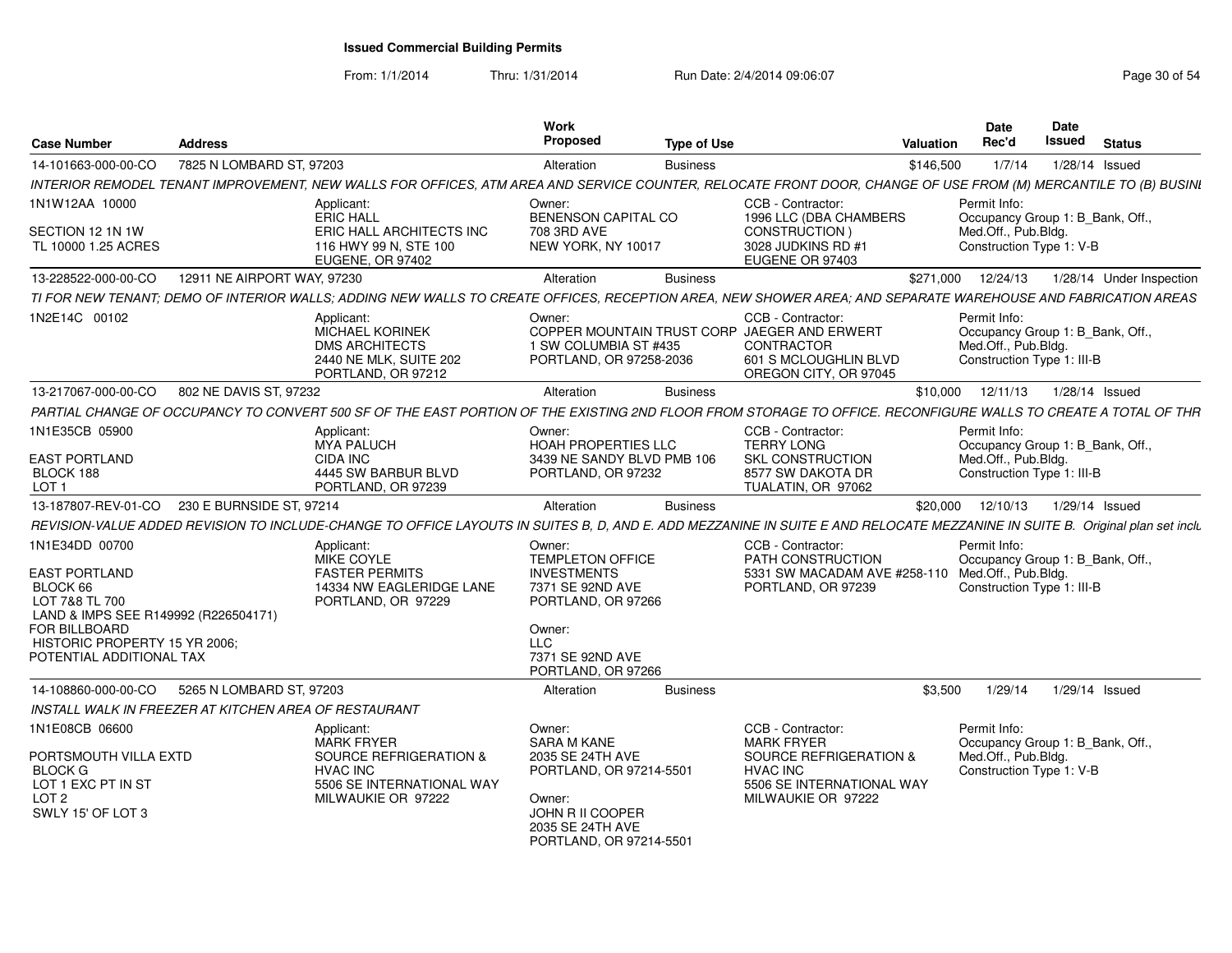From: 1/1/2014

Thru: 1/31/2014 Run Date: 2/4/2014 09:06:07 Research 2010 12:06:07 Page 30 of 54

| <b>Case Number</b>                                                                            | <b>Address</b>                                                                                                                                                               | Work<br>Proposed                                                                              | <b>Type of Use</b>                                                                                                                | Date<br>Rec'd<br><b>Valuation</b>   | Date<br>Issued<br><b>Status</b>                                |
|-----------------------------------------------------------------------------------------------|------------------------------------------------------------------------------------------------------------------------------------------------------------------------------|-----------------------------------------------------------------------------------------------|-----------------------------------------------------------------------------------------------------------------------------------|-------------------------------------|----------------------------------------------------------------|
| 14-101663-000-00-CO                                                                           | 7825 N LOMBARD ST, 97203                                                                                                                                                     | Alteration<br><b>Business</b>                                                                 |                                                                                                                                   | \$146,500<br>1/7/14                 | 1/28/14 Issued                                                 |
|                                                                                               | INTERIOR REMODEL TENANT IMPROVEMENT, NEW WALLS FOR OFFICES, ATM AREA AND SERVICE COUNTER, RELOCATE FRONT DOOR, CHANGE OF USE FROM (M) MERCANTILE TO (B) BUSINI               |                                                                                               |                                                                                                                                   |                                     |                                                                |
| 1N1W12AA 10000                                                                                | Applicant:<br>ERIC HALL                                                                                                                                                      | Owner:<br>BENENSON CAPITAL CO                                                                 | CCB - Contractor:<br>1996 LLC (DBA CHAMBERS                                                                                       | Permit Info:                        | Occupancy Group 1: B_Bank, Off.,                               |
| SECTION 12 1N 1W<br>TL 10000 1.25 ACRES                                                       | ERIC HALL ARCHITECTS INC<br>116 HWY 99 N, STE 100<br>EUGENE, OR 97402                                                                                                        | 708 3RD AVE<br>NEW YORK, NY 10017                                                             | CONSTRUCTION)<br>3028 JUDKINS RD #1<br>EUGENE OR 97403                                                                            | Med.Off., Pub.Bldg.                 | Construction Type 1: V-B                                       |
| 13-228522-000-00-CO                                                                           | 12911 NE AIRPORT WAY, 97230                                                                                                                                                  | Alteration<br><b>Business</b>                                                                 |                                                                                                                                   | \$271,000<br>12/24/13               | 1/28/14 Under Inspection                                       |
|                                                                                               | TI FOR NEW TENANT; DEMO OF INTERIOR WALLS; ADDING NEW WALLS TO CREATE OFFICES, RECEPTION AREA, NEW SHOWER AREA; AND SEPARATE WAREHOUSE AND FABRICATION AREAS                 |                                                                                               |                                                                                                                                   |                                     |                                                                |
| 1N2E14C 00102                                                                                 | Applicant:<br><b>MICHAEL KORINEK</b><br><b>DMS ARCHITECTS</b><br>2440 NE MLK, SUITE 202<br>PORTLAND, OR 97212                                                                | Owner:<br>1 SW COLUMBIA ST #435<br>PORTLAND, OR 97258-2036                                    | CCB - Contractor:<br>COPPER MOUNTAIN TRUST CORP JAEGER AND ERWERT<br>CONTRACTOR<br>601 S MCLOUGHLIN BLVD<br>OREGON CITY, OR 97045 | Permit Info:<br>Med.Off., Pub.Bldg. | Occupancy Group 1: B_Bank, Off.,<br>Construction Type 1: III-B |
| 13-217067-000-00-CO                                                                           | 802 NE DAVIS ST, 97232                                                                                                                                                       | Alteration<br><b>Business</b>                                                                 |                                                                                                                                   | \$10,000<br>12/11/13                | 1/28/14 Issued                                                 |
|                                                                                               | PARTIAL CHANGE OF OCCUPANCY TO CONVERT 500 SF OF THE EAST PORTION OF THE EXISTING 2ND FLOOR FROM STORAGE TO OFFICE. RECONFIGURE WALLS TO CREATE A TOTAL OF THR               |                                                                                               |                                                                                                                                   |                                     |                                                                |
| 1N1E35CB 05900                                                                                | Applicant:<br><b>MYA PALUCH</b>                                                                                                                                              | Owner:<br>HOAH PROPERTIES LLC                                                                 | CCB - Contractor:<br><b>TERRY LONG</b>                                                                                            | Permit Info:                        | Occupancy Group 1: B Bank, Off.,                               |
| <b>EAST PORTLAND</b><br>BLOCK 188<br>LOT <sub>1</sub>                                         | CIDA INC<br>4445 SW BARBUR BLVD<br>PORTLAND, OR 97239                                                                                                                        | 3439 NE SANDY BLVD PMB 106<br>PORTLAND, OR 97232                                              | <b>SKL CONSTRUCTION</b><br>8577 SW DAKOTA DR<br>TUALATIN, OR 97062                                                                | Med.Off., Pub.Bldg.                 | Construction Type 1: III-B                                     |
| 13-187807-REV-01-CO                                                                           | 230 E BURNSIDE ST, 97214                                                                                                                                                     | Alteration                                                                                    | <b>Business</b>                                                                                                                   | 12/10/13<br>\$20,000                | 1/29/14 Issued                                                 |
|                                                                                               | REVISION-VALUE ADDED REVISION TO INCLUDE-CHANGE TO OFFICE LAYOUTS IN SUITES B, D, AND E. ADD MEZZANINE IN SUITE B AND RELOCATE MEZZANINE IN SUITE B. Original plan set inclu |                                                                                               |                                                                                                                                   |                                     |                                                                |
| 1N1E34DD 00700                                                                                | Applicant:<br>MIKE COYLE                                                                                                                                                     | Owner:<br><b>TEMPLETON OFFICE</b>                                                             | CCB - Contractor:<br>PATH CONSTRUCTION                                                                                            | Permit Info:                        | Occupancy Group 1: B_Bank, Off.,                               |
| <b>EAST PORTLAND</b><br>BLOCK 66<br>LOT 7&8 TL 700                                            | <b>FASTER PERMITS</b><br>14334 NW EAGLERIDGE LANE<br>PORTLAND, OR 97229                                                                                                      | <b>INVESTMENTS</b><br>7371 SE 92ND AVE<br>PORTLAND, OR 97266                                  | 5331 SW MACADAM AVE #258-110<br>PORTLAND, OR 97239                                                                                | Med.Off., Pub.Bldg.                 | Construction Type 1: III-B                                     |
| LAND & IMPS SEE R149992 (R226504171)<br><b>FOR BILLBOARD</b><br>HISTORIC PROPERTY 15 YR 2006; |                                                                                                                                                                              | Owner:<br><b>LLC</b>                                                                          |                                                                                                                                   |                                     |                                                                |
| POTENTIAL ADDITIONAL TAX                                                                      |                                                                                                                                                                              | 7371 SE 92ND AVE<br>PORTLAND, OR 97266                                                        |                                                                                                                                   |                                     |                                                                |
| 14-108860-000-00-CO                                                                           | 5265 N LOMBARD ST, 97203                                                                                                                                                     | Alteration<br><b>Business</b>                                                                 |                                                                                                                                   | \$3.500<br>1/29/14                  | 1/29/14 Issued                                                 |
|                                                                                               | INSTALL WALK IN FREEZER AT KITCHEN AREA OF RESTAURANT                                                                                                                        |                                                                                               |                                                                                                                                   |                                     |                                                                |
| 1N1E08CB 06600                                                                                | Applicant:<br><b>MARK FRYER</b>                                                                                                                                              | Owner:<br><b>SARA M KANE</b>                                                                  | CCB - Contractor:<br><b>MARK FRYER</b>                                                                                            | Permit Info:                        | Occupancy Group 1: B Bank, Off.,                               |
| PORTSMOUTH VILLA EXTD<br><b>BLOCK G</b><br>LOT 1 EXC PT IN ST<br>LOT 2<br>SWLY 15' OF LOT 3   | SOURCE REFRIGERATION &<br><b>HVAC INC</b><br>5506 SE INTERNATIONAL WAY<br>MILWAUKIE OR 97222                                                                                 | 2035 SE 24TH AVE<br>PORTLAND, OR 97214-5501<br>Owner:<br>JOHN R II COOPER<br>2035 SE 24TH AVE | SOURCE REFRIGERATION &<br><b>HVAC INC</b><br>5506 SE INTERNATIONAL WAY<br>MILWAUKIE OR 97222                                      | Med.Off., Pub.Bldg.                 | Construction Type 1: V-B                                       |
|                                                                                               |                                                                                                                                                                              | PORTLAND, OR 97214-5501                                                                       |                                                                                                                                   |                                     |                                                                |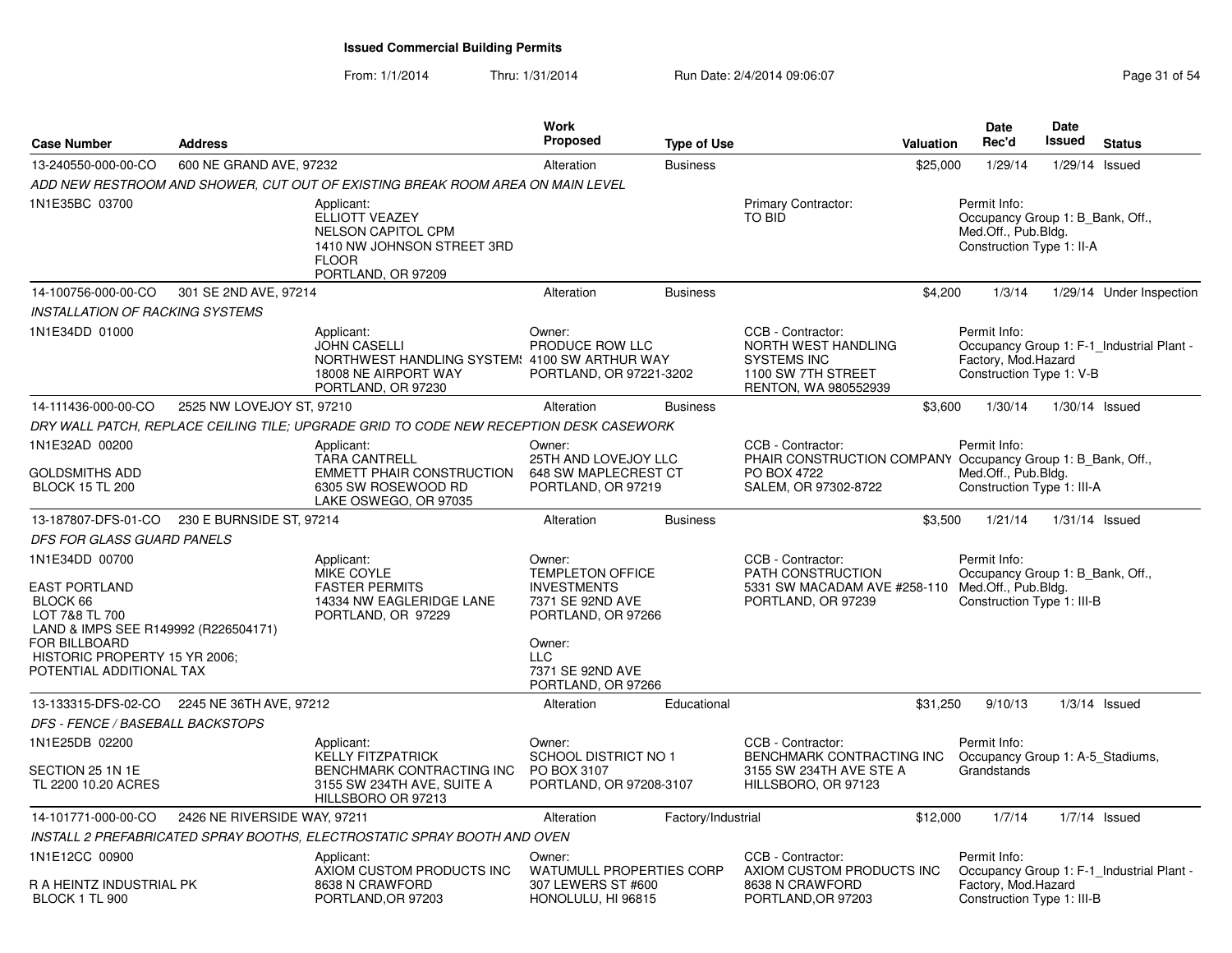| <b>Case Number</b>                                                                                                                                                                                | <b>Address</b>               |                                                                                                                                  | <b>Work</b><br><b>Proposed</b>                                                                                                                                      | <b>Type of Use</b> |                                                                                                                  | Valuation | <b>Date</b><br>Rec'd                                                                                 | <b>Date</b><br><b>Issued</b> | <b>Status</b>                             |
|---------------------------------------------------------------------------------------------------------------------------------------------------------------------------------------------------|------------------------------|----------------------------------------------------------------------------------------------------------------------------------|---------------------------------------------------------------------------------------------------------------------------------------------------------------------|--------------------|------------------------------------------------------------------------------------------------------------------|-----------|------------------------------------------------------------------------------------------------------|------------------------------|-------------------------------------------|
| 13-240550-000-00-CO                                                                                                                                                                               | 600 NE GRAND AVE, 97232      |                                                                                                                                  | Alteration                                                                                                                                                          | <b>Business</b>    |                                                                                                                  | \$25,000  | 1/29/14                                                                                              |                              | 1/29/14 Issued                            |
|                                                                                                                                                                                                   |                              | ADD NEW RESTROOM AND SHOWER, CUT OUT OF EXISTING BREAK ROOM AREA ON MAIN LEVEL                                                   |                                                                                                                                                                     |                    |                                                                                                                  |           |                                                                                                      |                              |                                           |
| 1N1E35BC 03700                                                                                                                                                                                    |                              | Applicant:<br>ELLIOTT VEAZEY<br><b>NELSON CAPITOL CPM</b><br>1410 NW JOHNSON STREET 3RD<br><b>FLOOR</b><br>PORTLAND, OR 97209    |                                                                                                                                                                     |                    | Primary Contractor:<br>TO BID                                                                                    |           | Permit Info:<br>Occupancy Group 1: B_Bank, Off.,<br>Med.Off., Pub.Bldg.<br>Construction Type 1: II-A |                              |                                           |
| 14-100756-000-00-CO                                                                                                                                                                               | 301 SE 2ND AVE, 97214        |                                                                                                                                  | Alteration                                                                                                                                                          | <b>Business</b>    |                                                                                                                  | \$4,200   | 1/3/14                                                                                               |                              | 1/29/14 Under Inspection                  |
| <b>INSTALLATION OF RACKING SYSTEMS</b>                                                                                                                                                            |                              |                                                                                                                                  |                                                                                                                                                                     |                    |                                                                                                                  |           |                                                                                                      |                              |                                           |
| 1N1E34DD 01000                                                                                                                                                                                    |                              | Applicant:<br><b>JOHN CASELLI</b><br>NORTHWEST HANDLING SYSTEM: 4100 SW ARTHUR WAY<br>18008 NE AIRPORT WAY<br>PORTLAND, OR 97230 | Owner:<br>PRODUCE ROW LLC<br>PORTLAND, OR 97221-3202                                                                                                                |                    | CCB - Contractor:<br>NORTH WEST HANDLING<br><b>SYSTEMS INC</b><br>1100 SW 7TH STREET<br>RENTON, WA 980552939     |           | Permit Info:<br>Factory, Mod.Hazard<br>Construction Type 1: V-B                                      |                              | Occupancy Group 1: F-1 Industrial Plant - |
| 14-111436-000-00-CO                                                                                                                                                                               | 2525 NW LOVEJOY ST, 97210    |                                                                                                                                  | Alteration                                                                                                                                                          | <b>Business</b>    |                                                                                                                  | \$3,600   | 1/30/14                                                                                              |                              | $1/30/14$ Issued                          |
|                                                                                                                                                                                                   |                              | DRY WALL PATCH, REPLACE CEILING TILE; UPGRADE GRID TO CODE NEW RECEPTION DESK CASEWORK                                           |                                                                                                                                                                     |                    |                                                                                                                  |           |                                                                                                      |                              |                                           |
| 1N1E32AD 00200                                                                                                                                                                                    |                              | Applicant:<br><b>TARA CANTRELL</b>                                                                                               | Owner:<br>25TH AND LOVEJOY LLC                                                                                                                                      |                    | CCB - Contractor:<br>PHAIR CONSTRUCTION COMPANY Occupancy Group 1: B_Bank, Off.,                                 |           | Permit Info:                                                                                         |                              |                                           |
| <b>GOLDSMITHS ADD</b><br><b>BLOCK 15 TL 200</b>                                                                                                                                                   |                              | <b>EMMETT PHAIR CONSTRUCTION</b><br>6305 SW ROSEWOOD RD<br>LAKE OSWEGO, OR 97035                                                 | 648 SW MAPLECREST CT<br>PORTLAND, OR 97219                                                                                                                          |                    | PO BOX 4722<br>SALEM, OR 97302-8722                                                                              |           | Med.Off., Pub.Bldg.<br>Construction Type 1: III-A                                                    |                              |                                           |
| 13-187807-DFS-01-CO                                                                                                                                                                               | 230 E BURNSIDE ST, 97214     |                                                                                                                                  | Alteration                                                                                                                                                          | <b>Business</b>    |                                                                                                                  | \$3,500   | 1/21/14                                                                                              |                              | $1/31/14$ Issued                          |
| DFS FOR GLASS GUARD PANELS                                                                                                                                                                        |                              |                                                                                                                                  |                                                                                                                                                                     |                    |                                                                                                                  |           |                                                                                                      |                              |                                           |
| 1N1E34DD 00700<br><b>EAST PORTLAND</b><br>BLOCK 66<br>LOT 7&8 TL 700<br>LAND & IMPS SEE R149992 (R226504171)<br><b>FOR BILLBOARD</b><br>HISTORIC PROPERTY 15 YR 2006;<br>POTENTIAL ADDITIONAL TAX |                              | Applicant:<br><b>MIKE COYLE</b><br><b>FASTER PERMITS</b><br>14334 NW EAGLERIDGE LANE<br>PORTLAND, OR 97229                       | Owner:<br><b>TEMPLETON OFFICE</b><br><b>INVESTMENTS</b><br>7371 SE 92ND AVE<br>PORTLAND, OR 97266<br>Owner:<br><b>LLC</b><br>7371 SE 92ND AVE<br>PORTLAND, OR 97266 |                    | CCB - Contractor:<br>PATH CONSTRUCTION<br>5331 SW MACADAM AVE #258-110 Med.Off., Pub.Bldg.<br>PORTLAND, OR 97239 |           | Permit Info:<br>Occupancy Group 1: B_Bank, Off.,<br>Construction Type 1: III-B                       |                              |                                           |
| 13-133315-DFS-02-CO                                                                                                                                                                               | 2245 NE 36TH AVE, 97212      |                                                                                                                                  | Alteration                                                                                                                                                          | Educational        |                                                                                                                  | \$31,250  | 9/10/13                                                                                              |                              | $1/3/14$ Issued                           |
| DFS - FENCE / BASEBALL BACKSTOPS                                                                                                                                                                  |                              |                                                                                                                                  |                                                                                                                                                                     |                    |                                                                                                                  |           |                                                                                                      |                              |                                           |
| 1N1E25DB 02200                                                                                                                                                                                    |                              | Applicant:                                                                                                                       | Owner:                                                                                                                                                              |                    | CCB - Contractor:                                                                                                |           | Permit Info:                                                                                         |                              |                                           |
| SECTION 25 1N 1E<br>TL 2200 10.20 ACRES                                                                                                                                                           |                              | <b>KELLY FITZPATRICK</b><br>BENCHMARK CONTRACTING INC<br>3155 SW 234TH AVE, SUITE A<br>HILLSBORO OR 97213                        | <b>SCHOOL DISTRICT NO 1</b><br>PO BOX 3107<br>PORTLAND, OR 97208-3107                                                                                               |                    | BENCHMARK CONTRACTING INC<br>3155 SW 234TH AVE STE A<br>HILLSBORO, OR 97123                                      |           | Occupancy Group 1: A-5_Stadiums,<br>Grandstands                                                      |                              |                                           |
| 14-101771-000-00-CO                                                                                                                                                                               | 2426 NE RIVERSIDE WAY, 97211 |                                                                                                                                  | Alteration                                                                                                                                                          | Factory/Industrial |                                                                                                                  | \$12,000  | 1/7/14                                                                                               |                              | $1/7/14$ Issued                           |
|                                                                                                                                                                                                   |                              | INSTALL 2 PREFABRICATED SPRAY BOOTHS, ELECTROSTATIC SPRAY BOOTH AND OVEN                                                         |                                                                                                                                                                     |                    |                                                                                                                  |           |                                                                                                      |                              |                                           |
| 1N1E12CC 00900<br>R A HEINTZ INDUSTRIAL PK<br>BLOCK 1 TL 900                                                                                                                                      |                              | Applicant:<br>AXIOM CUSTOM PRODUCTS INC<br>8638 N CRAWFORD<br>PORTLAND, OR 97203                                                 | Owner:<br><b>WATUMULL PROPERTIES CORP</b><br>307 LEWERS ST #600<br>HONOLULU, HI 96815                                                                               |                    | CCB - Contractor:<br>AXIOM CUSTOM PRODUCTS INC<br>8638 N CRAWFORD<br>PORTLAND, OR 97203                          |           | Permit Info:<br>Factory, Mod.Hazard<br>Construction Type 1: III-B                                    |                              | Occupancy Group 1: F-1 Industrial Plant - |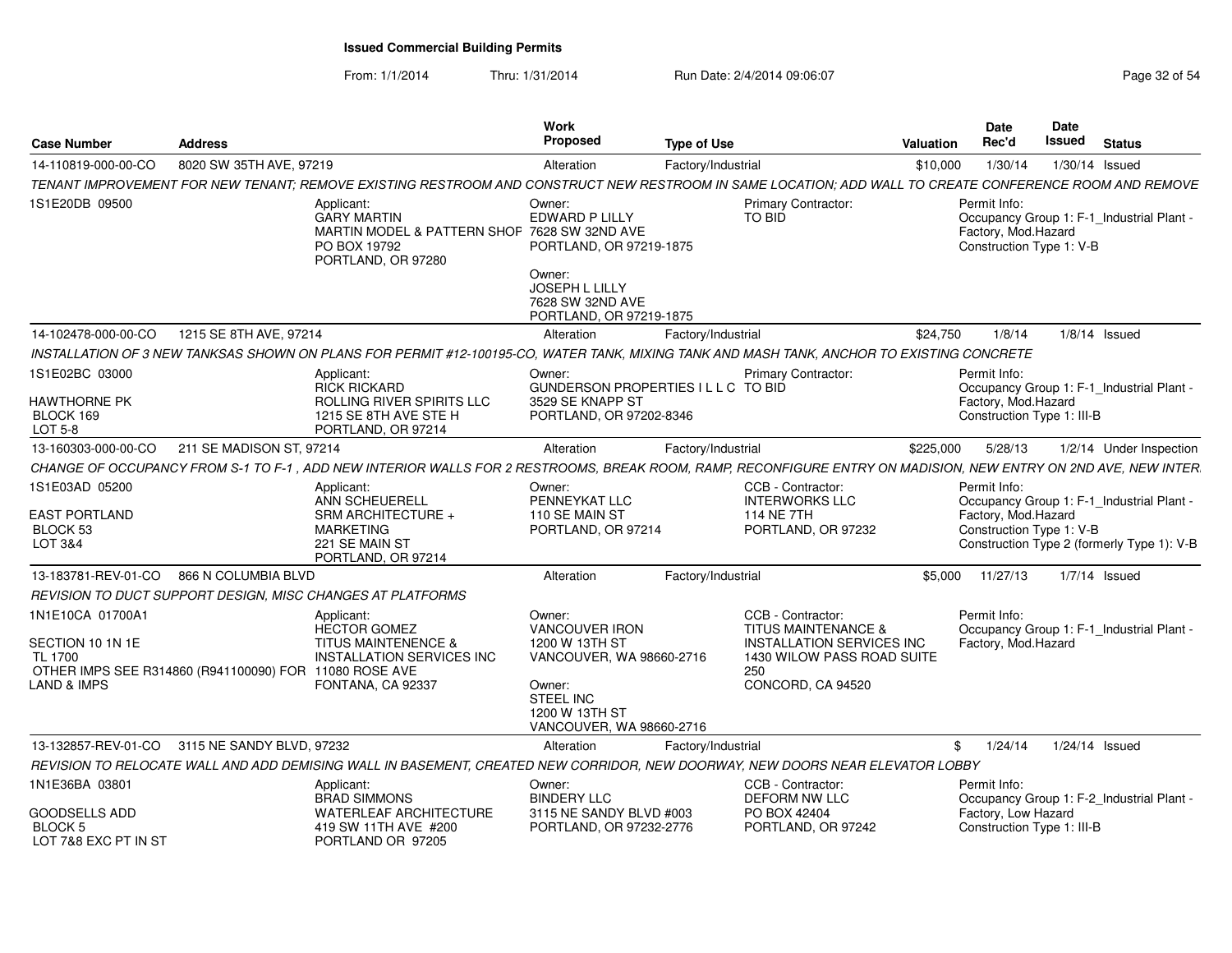| <b>Case Number</b>                                            | <b>Address</b>                                         |                                                                                                                                                                | <b>Work</b><br><b>Proposed</b>                                                               | <b>Type of Use</b> |                                                                                         | Valuation  | <b>Date</b><br>Rec'd                                              | <b>Date</b><br>Issued | <b>Status</b>                              |
|---------------------------------------------------------------|--------------------------------------------------------|----------------------------------------------------------------------------------------------------------------------------------------------------------------|----------------------------------------------------------------------------------------------|--------------------|-----------------------------------------------------------------------------------------|------------|-------------------------------------------------------------------|-----------------------|--------------------------------------------|
| 14-110819-000-00-CO                                           | 8020 SW 35TH AVE, 97219                                |                                                                                                                                                                | Alteration                                                                                   | Factory/Industrial |                                                                                         | \$10,000   | 1/30/14                                                           |                       | 1/30/14 Issued                             |
|                                                               |                                                        | TENANT IMPROVEMENT FOR NEW TENANT: REMOVE EXISTING RESTROOM AND CONSTRUCT NEW RESTROOM IN SAME LOCATION: ADD WALL TO CREATE CONFERENCE ROOM AND REMOVE         |                                                                                              |                    |                                                                                         |            |                                                                   |                       |                                            |
| 1S1E20DB 09500                                                |                                                        | Applicant:<br><b>GARY MARTIN</b><br>MARTIN MODEL & PATTERN SHOP 7628 SW 32ND AVE<br>PO BOX 19792<br>PORTLAND, OR 97280                                         | Owner:<br>EDWARD P LILLY<br>PORTLAND, OR 97219-1875                                          |                    | <b>Primary Contractor:</b><br><b>TO BID</b>                                             |            | Permit Info:<br>Factory, Mod.Hazard<br>Construction Type 1: V-B   |                       | Occupancy Group 1: F-1_Industrial Plant -  |
|                                                               |                                                        |                                                                                                                                                                | Owner:<br>JOSEPH L LILLY<br>7628 SW 32ND AVE<br>PORTLAND, OR 97219-1875                      |                    |                                                                                         |            |                                                                   |                       |                                            |
| 14-102478-000-00-CO                                           | 1215 SE 8TH AVE, 97214                                 |                                                                                                                                                                | Alteration                                                                                   | Factory/Industrial |                                                                                         | \$24,750   | 1/8/14                                                            |                       | $1/8/14$ Issued                            |
|                                                               |                                                        | INSTALLATION OF 3 NEW TANKSAS SHOWN ON PLANS FOR PERMIT #12-100195-CO, WATER TANK, MIXING TANK AND MASH TANK, ANCHOR TO EXISTING CONCRETE                      |                                                                                              |                    |                                                                                         |            |                                                                   |                       |                                            |
| 1S1E02BC 03000<br><b>HAWTHORNE PK</b><br>BLOCK 169<br>LOT 5-8 |                                                        | Applicant:<br><b>RICK RICKARD</b><br>ROLLING RIVER SPIRITS LLC<br>1215 SE 8TH AVE STE H<br>PORTLAND, OR 97214                                                  | Owner:<br>GUNDERSON PROPERTIES I L L C TO BID<br>3529 SE KNAPP ST<br>PORTLAND, OR 97202-8346 |                    | <b>Primary Contractor:</b>                                                              |            | Permit Info:<br>Factory, Mod.Hazard<br>Construction Type 1: III-B |                       | Occupancy Group 1: F-1_Industrial Plant -  |
| 13-160303-000-00-CO                                           | 211 SE MADISON ST, 97214                               |                                                                                                                                                                | Alteration                                                                                   | Factory/Industrial |                                                                                         | \$225,000  | 5/28/13                                                           |                       | 1/2/14 Under Inspection                    |
|                                                               |                                                        | CHANGE OF OCCUPANCY FROM S-1 TO F-1, ADD NEW INTERIOR WALLS FOR 2 RESTROOMS, BREAK ROOM, RAMP, RECONFIGURE ENTRY ON MADISION, NEW ENTRY ON 2ND AVE, NEW INTER. |                                                                                              |                    |                                                                                         |            |                                                                   |                       |                                            |
| 1S1E03AD 05200                                                |                                                        | Applicant:<br>ANN SCHEUERELL                                                                                                                                   | Owner:<br>PENNEYKAT LLC                                                                      |                    | CCB - Contractor:<br><b>INTERWORKS LLC</b>                                              |            | Permit Info:                                                      |                       | Occupancy Group 1: F-1_Industrial Plant -  |
| <b>EAST PORTLAND</b><br>BLOCK 53<br>LOT 3&4                   |                                                        | SRM ARCHITECTURE +<br><b>MARKETING</b><br>221 SE MAIN ST<br>PORTLAND, OR 97214                                                                                 | 110 SE MAIN ST<br>PORTLAND, OR 97214                                                         |                    | 114 NE 7TH<br>PORTLAND, OR 97232                                                        |            | Factory, Mod.Hazard<br>Construction Type 1: V-B                   |                       | Construction Type 2 (formerly Type 1): V-B |
|                                                               | 13-183781-REV-01-CO 866 N COLUMBIA BLVD                |                                                                                                                                                                | Alteration                                                                                   | Factory/Industrial |                                                                                         | \$5.000    | 11/27/13                                                          |                       | $1/7/14$ Issued                            |
|                                                               |                                                        | REVISION TO DUCT SUPPORT DESIGN, MISC CHANGES AT PLATFORMS                                                                                                     |                                                                                              |                    |                                                                                         |            |                                                                   |                       |                                            |
| 1N1E10CA 01700A1<br>SECTION 10 1N 1E                          |                                                        | Applicant:<br><b>HECTOR GOMEZ</b><br>TITUS MAINTENENCE &                                                                                                       | Owner:<br><b>VANCOUVER IRON</b><br>1200 W 13TH ST                                            |                    | CCB - Contractor:<br><b>TITUS MAINTENANCE &amp;</b><br><b>INSTALLATION SERVICES INC</b> |            | Permit Info:<br>Factory, Mod.Hazard                               |                       | Occupancy Group 1: F-1 Industrial Plant -  |
| TL 1700<br>LAND & IMPS                                        | OTHER IMPS SEE R314860 (R941100090) FOR 11080 ROSE AVE | <b>INSTALLATION SERVICES INC</b><br>FONTANA, CA 92337                                                                                                          | VANCOUVER, WA 98660-2716<br>Owner:                                                           |                    | 1430 WILOW PASS ROAD SUITE<br>250<br>CONCORD, CA 94520                                  |            |                                                                   |                       |                                            |
|                                                               |                                                        |                                                                                                                                                                | <b>STEEL INC</b><br>1200 W 13TH ST<br>VANCOUVER, WA 98660-2716                               |                    |                                                                                         |            |                                                                   |                       |                                            |
|                                                               | 13-132857-REV-01-CO 3115 NE SANDY BLVD, 97232          |                                                                                                                                                                | Alteration                                                                                   | Factory/Industrial |                                                                                         | $^{\circ}$ | 1/24/14                                                           |                       | 1/24/14 Issued                             |
|                                                               |                                                        | REVISION TO RELOCATE WALL AND ADD DEMISING WALL IN BASEMENT, CREATED NEW CORRIDOR, NEW DOORWAY, NEW DOORS NEAR ELEVATOR LOBBY                                  |                                                                                              |                    |                                                                                         |            |                                                                   |                       |                                            |
| 1N1E36BA 03801                                                |                                                        | Applicant:<br><b>BRAD SIMMONS</b>                                                                                                                              | Owner:<br><b>BINDERY LLC</b>                                                                 |                    | CCB - Contractor:<br><b>DEFORM NW LLC</b>                                               |            | Permit Info:                                                      |                       | Occupancy Group 1: F-2_Industrial Plant -  |
| <b>GOODSELLS ADD</b><br>BLOCK 5<br>LOT 7&8 EXC PT IN ST       |                                                        | WATERLEAF ARCHITECTURE<br>419 SW 11TH AVE #200<br>PORTLAND OR 97205                                                                                            | 3115 NE SANDY BLVD #003<br>PORTLAND, OR 97232-2776                                           |                    | PO BOX 42404<br>PORTLAND, OR 97242                                                      |            | Factory, Low Hazard<br>Construction Type 1: III-B                 |                       |                                            |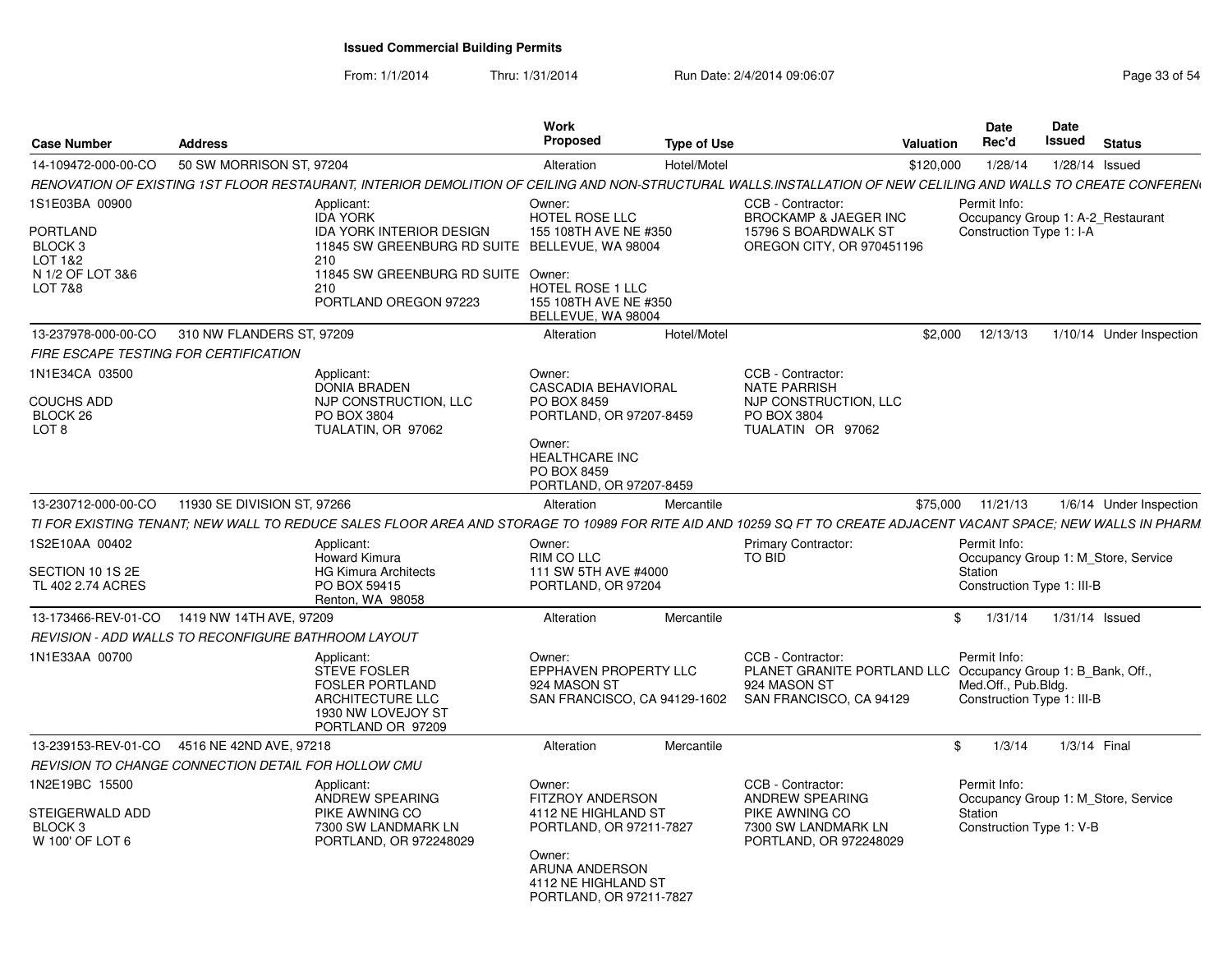|                                                    | Work                                           |                                                                                                                                                                                                                                                                                                                                                                                                                                                                                                                                                    |                                                                                                                                                                                                                                                                                                                                                                                                                                                                                 | Date                    | Date                              |                                                                                                                                                                                                                                                                                                                                                                                                                                                                                                                                                                                                                                                                                                                                                             |
|----------------------------------------------------|------------------------------------------------|----------------------------------------------------------------------------------------------------------------------------------------------------------------------------------------------------------------------------------------------------------------------------------------------------------------------------------------------------------------------------------------------------------------------------------------------------------------------------------------------------------------------------------------------------|---------------------------------------------------------------------------------------------------------------------------------------------------------------------------------------------------------------------------------------------------------------------------------------------------------------------------------------------------------------------------------------------------------------------------------------------------------------------------------|-------------------------|-----------------------------------|-------------------------------------------------------------------------------------------------------------------------------------------------------------------------------------------------------------------------------------------------------------------------------------------------------------------------------------------------------------------------------------------------------------------------------------------------------------------------------------------------------------------------------------------------------------------------------------------------------------------------------------------------------------------------------------------------------------------------------------------------------------|
| <b>Address</b>                                     | <b>Proposed</b>                                |                                                                                                                                                                                                                                                                                                                                                                                                                                                                                                                                                    |                                                                                                                                                                                                                                                                                                                                                                                                                                                                                 | Rec'd                   |                                   | Status                                                                                                                                                                                                                                                                                                                                                                                                                                                                                                                                                                                                                                                                                                                                                      |
| 14-109472-000-00-CO<br>50 SW MORRISON ST, 97204    | Alteration                                     | Hotel/Motel                                                                                                                                                                                                                                                                                                                                                                                                                                                                                                                                        |                                                                                                                                                                                                                                                                                                                                                                                                                                                                                 |                         |                                   | 1/28/14 Issued                                                                                                                                                                                                                                                                                                                                                                                                                                                                                                                                                                                                                                                                                                                                              |
|                                                    |                                                |                                                                                                                                                                                                                                                                                                                                                                                                                                                                                                                                                    |                                                                                                                                                                                                                                                                                                                                                                                                                                                                                 |                         |                                   |                                                                                                                                                                                                                                                                                                                                                                                                                                                                                                                                                                                                                                                                                                                                                             |
| Applicant:<br><b>IDA YORK</b><br>210               | Owner:                                         |                                                                                                                                                                                                                                                                                                                                                                                                                                                                                                                                                    | CCB - Contractor:<br><b>BROCKAMP &amp; JAEGER INC</b><br>15796 S BOARDWALK ST<br>OREGON CITY, OR 970451196                                                                                                                                                                                                                                                                                                                                                                      | Permit Info:            |                                   |                                                                                                                                                                                                                                                                                                                                                                                                                                                                                                                                                                                                                                                                                                                                                             |
| 210                                                |                                                |                                                                                                                                                                                                                                                                                                                                                                                                                                                                                                                                                    |                                                                                                                                                                                                                                                                                                                                                                                                                                                                                 |                         |                                   |                                                                                                                                                                                                                                                                                                                                                                                                                                                                                                                                                                                                                                                                                                                                                             |
| 13-237978-000-00-CO 310 NW FLANDERS ST, 97209      | Alteration                                     | Hotel/Motel                                                                                                                                                                                                                                                                                                                                                                                                                                                                                                                                        |                                                                                                                                                                                                                                                                                                                                                                                                                                                                                 |                         |                                   | 1/10/14 Under Inspection                                                                                                                                                                                                                                                                                                                                                                                                                                                                                                                                                                                                                                                                                                                                    |
| FIRE ESCAPE TESTING FOR CERTIFICATION              |                                                |                                                                                                                                                                                                                                                                                                                                                                                                                                                                                                                                                    |                                                                                                                                                                                                                                                                                                                                                                                                                                                                                 |                         |                                   |                                                                                                                                                                                                                                                                                                                                                                                                                                                                                                                                                                                                                                                                                                                                                             |
| Applicant:<br>PO BOX 3804                          | Owner:<br>PO BOX 8459<br>Owner:<br>PO BOX 8459 |                                                                                                                                                                                                                                                                                                                                                                                                                                                                                                                                                    | CCB - Contractor:<br><b>NATE PARRISH</b><br>NJP CONSTRUCTION, LLC<br>PO BOX 3804<br>TUALATIN OR 97062                                                                                                                                                                                                                                                                                                                                                                           |                         |                                   |                                                                                                                                                                                                                                                                                                                                                                                                                                                                                                                                                                                                                                                                                                                                                             |
| 13-230712-000-00-CO<br>11930 SE DIVISION ST, 97266 | Alteration                                     | Mercantile                                                                                                                                                                                                                                                                                                                                                                                                                                                                                                                                         |                                                                                                                                                                                                                                                                                                                                                                                                                                                                                 |                         |                                   | 1/6/14 Under Inspection                                                                                                                                                                                                                                                                                                                                                                                                                                                                                                                                                                                                                                                                                                                                     |
|                                                    |                                                |                                                                                                                                                                                                                                                                                                                                                                                                                                                                                                                                                    |                                                                                                                                                                                                                                                                                                                                                                                                                                                                                 |                         |                                   |                                                                                                                                                                                                                                                                                                                                                                                                                                                                                                                                                                                                                                                                                                                                                             |
| Applicant:<br>Howard Kimura<br>PO BOX 59415        | Owner:<br>RIM CO LLC                           |                                                                                                                                                                                                                                                                                                                                                                                                                                                                                                                                                    | <b>Primary Contractor:</b><br>TO BID                                                                                                                                                                                                                                                                                                                                                                                                                                            | Permit Info:<br>Station |                                   |                                                                                                                                                                                                                                                                                                                                                                                                                                                                                                                                                                                                                                                                                                                                                             |
| 13-173466-REV-01-CO 1419 NW 14TH AVE, 97209        | Alteration                                     | Mercantile                                                                                                                                                                                                                                                                                                                                                                                                                                                                                                                                         |                                                                                                                                                                                                                                                                                                                                                                                                                                                                                 |                         |                                   | 1/31/14 Issued                                                                                                                                                                                                                                                                                                                                                                                                                                                                                                                                                                                                                                                                                                                                              |
|                                                    |                                                |                                                                                                                                                                                                                                                                                                                                                                                                                                                                                                                                                    |                                                                                                                                                                                                                                                                                                                                                                                                                                                                                 |                         |                                   |                                                                                                                                                                                                                                                                                                                                                                                                                                                                                                                                                                                                                                                                                                                                                             |
| Applicant:                                         | Owner:<br>924 MASON ST                         |                                                                                                                                                                                                                                                                                                                                                                                                                                                                                                                                                    | CCB - Contractor:<br>924 MASON ST<br>SAN FRANCISCO, CA 94129                                                                                                                                                                                                                                                                                                                                                                                                                    | Permit Info:            |                                   |                                                                                                                                                                                                                                                                                                                                                                                                                                                                                                                                                                                                                                                                                                                                                             |
| 13-239153-REV-01-CO 4516 NE 42ND AVE, 97218        | Alteration                                     | Mercantile                                                                                                                                                                                                                                                                                                                                                                                                                                                                                                                                         |                                                                                                                                                                                                                                                                                                                                                                                                                                                                                 | $\mathbb{S}$            |                                   | 1/3/14 Final                                                                                                                                                                                                                                                                                                                                                                                                                                                                                                                                                                                                                                                                                                                                                |
|                                                    |                                                |                                                                                                                                                                                                                                                                                                                                                                                                                                                                                                                                                    |                                                                                                                                                                                                                                                                                                                                                                                                                                                                                 |                         |                                   |                                                                                                                                                                                                                                                                                                                                                                                                                                                                                                                                                                                                                                                                                                                                                             |
| Applicant:                                         | Owner:<br>Owner:                               |                                                                                                                                                                                                                                                                                                                                                                                                                                                                                                                                                    | CCB - Contractor:<br>ANDREW SPEARING<br>PIKE AWNING CO<br>7300 SW LANDMARK LN<br>PORTLAND, OR 972248029                                                                                                                                                                                                                                                                                                                                                                         | Permit Info:<br>Station |                                   |                                                                                                                                                                                                                                                                                                                                                                                                                                                                                                                                                                                                                                                                                                                                                             |
|                                                    |                                                | <b>IDA YORK INTERIOR DESIGN</b><br>11845 SW GREENBURG RD SUITE Owner:<br>PORTLAND OREGON 97223<br><b>DONIA BRADEN</b><br>NJP CONSTRUCTION, LLC<br>TUALATIN, OR 97062<br><b>HG Kimura Architects</b><br>Renton, WA 98058<br>REVISION - ADD WALLS TO RECONFIGURE BATHROOM LAYOUT<br><b>STEVE FOSLER</b><br><b>FOSLER PORTLAND</b><br><b>ARCHITECTURE LLC</b><br>1930 NW LOVEJOY ST<br>PORTLAND OR 97209<br>REVISION TO CHANGE CONNECTION DETAIL FOR HOLLOW CMU<br>ANDREW SPEARING<br>PIKE AWNING CO<br>7300 SW LANDMARK LN<br>PORTLAND, OR 972248029 | HOTEL ROSE LLC<br>155 108TH AVE NE #350<br>11845 SW GREENBURG RD SUITE BELLEVUE, WA 98004<br>HOTEL ROSE 1 LLC<br>155 108TH AVE NE #350<br>BELLEVUE, WA 98004<br><b>CASCADIA BEHAVIORAL</b><br>PORTLAND, OR 97207-8459<br><b>HEALTHCARE INC</b><br>PORTLAND, OR 97207-8459<br>111 SW 5TH AVE #4000<br>PORTLAND, OR 97204<br>EPPHAVEN PROPERTY LLC<br>SAN FRANCISCO, CA 94129-1602<br><b>FITZROY ANDERSON</b><br>4112 NE HIGHLAND ST<br>PORTLAND, OR 97211-7827<br>ARUNA ANDERSON | <b>Type of Use</b>      | Valuation<br>\$120,000<br>\$2.000 | Issued<br>1/28/14<br>RENOVATION OF EXISTING 1ST FLOOR RESTAURANT, INTERIOR DEMOLITION OF CEILING AND NON-STRUCTURAL WALLS.INSTALLATION OF NEW CELILING AND WALLS TO CREATE CONFEREN <sub>'</sub><br>Occupancy Group 1: A-2_Restaurant<br>Construction Type 1: I-A<br>12/13/13<br>\$75,000 11/21/13<br>TI FOR EXISTING TENANT; NEW WALL TO REDUCE SALES FLOOR AREA AND STORAGE TO 10989 FOR RITE AID AND 10259 SQ FT TO CREATE ADJACENT VACANT SPACE; NEW WALLS IN PHARM<br>Occupancy Group 1: M Store, Service<br>Construction Type 1: III-B<br>\$1/31/14<br>PLANET GRANITE PORTLAND LLC Occupancy Group 1: B Bank, Off.,<br>Med.Off., Pub.Bldg.<br>Construction Type 1: III-B<br>1/3/14<br>Occupancy Group 1: M_Store, Service<br>Construction Type 1: V-B |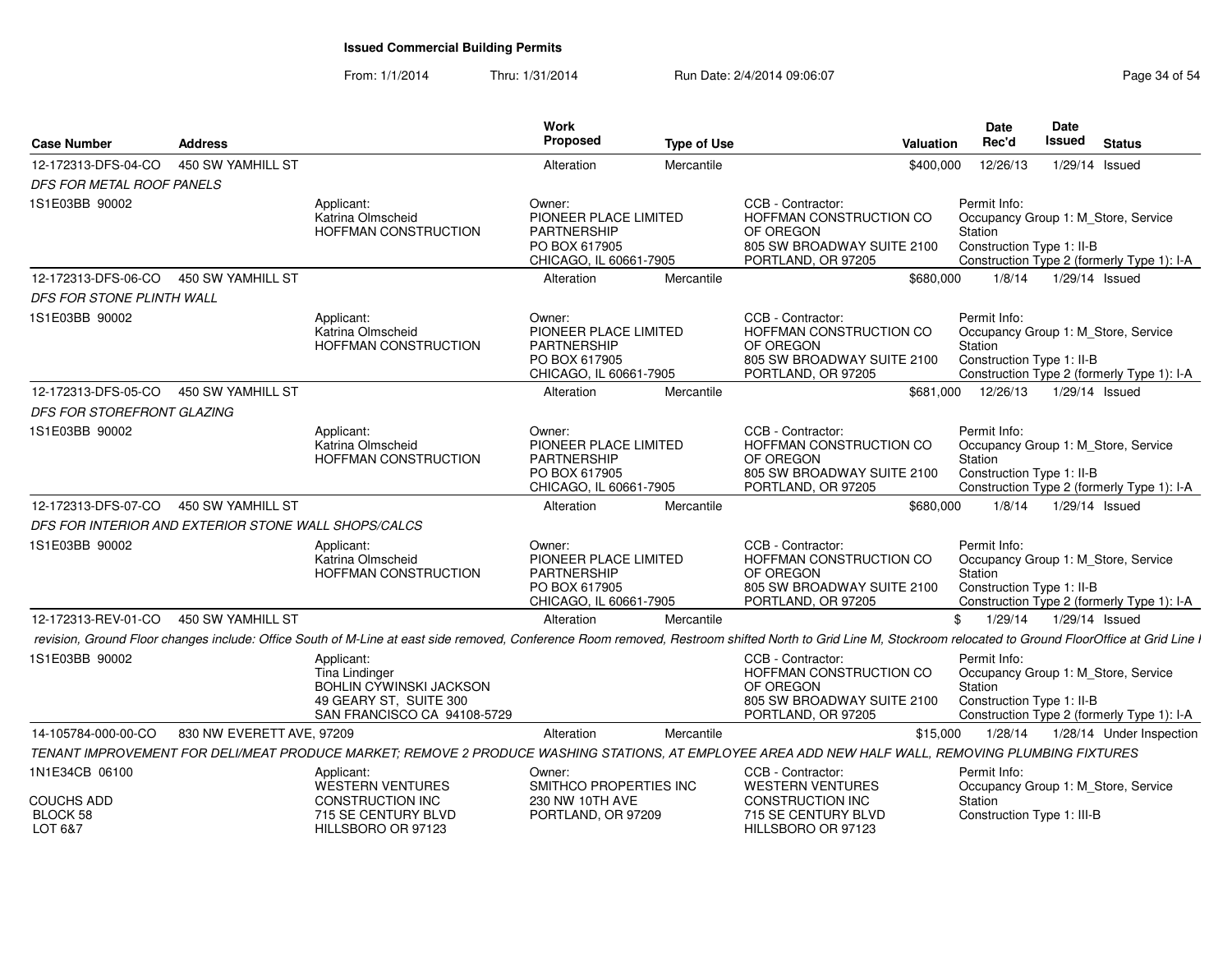|                                                                      |                           |                                                                                                                  | Work<br>Proposed                                                                          |                    |                                                                                                                                                                                                               | <b>Date</b><br>Rec'd    | Date<br>Issued                                                                                                 |
|----------------------------------------------------------------------|---------------------------|------------------------------------------------------------------------------------------------------------------|-------------------------------------------------------------------------------------------|--------------------|---------------------------------------------------------------------------------------------------------------------------------------------------------------------------------------------------------------|-------------------------|----------------------------------------------------------------------------------------------------------------|
| <b>Case Number</b>                                                   | <b>Address</b>            |                                                                                                                  |                                                                                           | <b>Type of Use</b> | <b>Valuation</b>                                                                                                                                                                                              |                         | Status                                                                                                         |
| 12-172313-DFS-04-CO  450 SW YAMHILL ST                               |                           |                                                                                                                  | Alteration                                                                                | Mercantile         | \$400,000                                                                                                                                                                                                     | 12/26/13                | 1/29/14 Issued                                                                                                 |
| DFS FOR METAL ROOF PANELS                                            |                           |                                                                                                                  |                                                                                           |                    |                                                                                                                                                                                                               |                         |                                                                                                                |
| 1S1E03BB 90002                                                       |                           | Applicant:<br>Katrina Olmscheid<br>HOFFMAN CONSTRUCTION                                                          | Owner:<br>PIONEER PLACE LIMITED<br>PARTNERSHIP<br>PO BOX 617905<br>CHICAGO, IL 60661-7905 |                    | CCB - Contractor:<br>HOFFMAN CONSTRUCTION CO<br>OF OREGON<br>805 SW BROADWAY SUITE 2100<br>PORTLAND, OR 97205                                                                                                 | Permit Info:<br>Station | Occupancy Group 1: M_Store, Service<br>Construction Type 1: II-B<br>Construction Type 2 (formerly Type 1): I-A |
| 12-172313-DFS-06-CO  450 SW YAMHILL ST                               |                           |                                                                                                                  | Alteration                                                                                | Mercantile         | \$680,000                                                                                                                                                                                                     | 1/8/14                  | 1/29/14 Issued                                                                                                 |
| DFS FOR STONE PLINTH WALL                                            |                           |                                                                                                                  |                                                                                           |                    |                                                                                                                                                                                                               |                         |                                                                                                                |
| 1S1E03BB 90002                                                       |                           | Applicant:<br>Katrina Olmscheid<br>HOFFMAN CONSTRUCTION                                                          | Owner:<br>PIONEER PLACE LIMITED<br>PARTNERSHIP<br>PO BOX 617905<br>CHICAGO. IL 60661-7905 |                    | CCB - Contractor:<br>HOFFMAN CONSTRUCTION CO<br>OF OREGON<br>805 SW BROADWAY SUITE 2100<br>PORTLAND, OR 97205                                                                                                 | Permit Info:<br>Station | Occupancy Group 1: M_Store, Service<br>Construction Type 1: II-B<br>Construction Type 2 (formerly Type 1): I-A |
| 12-172313-DFS-05-CO  450 SW YAMHILL ST<br>DFS FOR STOREFRONT GLAZING |                           |                                                                                                                  | Alteration                                                                                | Mercantile         |                                                                                                                                                                                                               | \$681.000 12/26/13      | 1/29/14 Issued                                                                                                 |
| 1S1E03BB 90002                                                       |                           | Applicant:<br>Katrina Olmscheid<br>HOFFMAN CONSTRUCTION                                                          | Owner:<br>PIONEER PLACE LIMITED<br>PARTNERSHIP<br>PO BOX 617905<br>CHICAGO, IL 60661-7905 |                    | CCB - Contractor:<br>HOFFMAN CONSTRUCTION CO<br>OF OREGON<br>805 SW BROADWAY SUITE 2100<br>PORTLAND, OR 97205                                                                                                 | Permit Info:<br>Station | Occupancy Group 1: M_Store, Service<br>Construction Type 1: II-B<br>Construction Type 2 (formerly Type 1): I-A |
| 12-172313-DFS-07-CO  450 SW YAMHILL ST                               |                           |                                                                                                                  | Alteration                                                                                | Mercantile         | \$680,000                                                                                                                                                                                                     | 1/8/14                  | 1/29/14 Issued                                                                                                 |
| DFS FOR INTERIOR AND EXTERIOR STONE WALL SHOPS/CALCS                 |                           |                                                                                                                  |                                                                                           |                    |                                                                                                                                                                                                               |                         |                                                                                                                |
| 1S1E03BB 90002                                                       |                           | Applicant:<br>Katrina Olmscheid<br>HOFFMAN CONSTRUCTION                                                          | Owner:<br>PIONEER PLACE LIMITED<br>PARTNERSHIP<br>PO BOX 617905<br>CHICAGO, IL 60661-7905 |                    | CCB - Contractor:<br>HOFFMAN CONSTRUCTION CO<br>OF OREGON<br>805 SW BROADWAY SUITE 2100<br>PORTLAND, OR 97205                                                                                                 | Permit Info:<br>Station | Occupancy Group 1: M_Store, Service<br>Construction Type 1: II-B<br>Construction Type 2 (formerly Type 1): I-A |
| 12-172313-REV-01-CO 450 SW YAMHILL ST                                |                           |                                                                                                                  | Alteration                                                                                | Mercantile         |                                                                                                                                                                                                               |                         | \$ 1/29/14 1/29/14 Issued                                                                                      |
|                                                                      |                           |                                                                                                                  |                                                                                           |                    | revision, Ground Floor changes include: Office South of M-Line at east side removed, Conference Room removed, Restroom shifted North to Grid Line M, Stockroom relocated to Ground FloorOffice at Grid Line I |                         |                                                                                                                |
| 1S1E03BB 90002                                                       |                           | Applicant:<br>Tina Lindinger<br>BOHLIN CYWINSKI JACKSON<br>49 GEARY ST. SUITE 300<br>SAN FRANCISCO CA 94108-5729 |                                                                                           |                    | CCB - Contractor:<br>HOFFMAN CONSTRUCTION CO<br>OF OREGON<br>805 SW BROADWAY SUITE 2100<br>PORTLAND, OR 97205                                                                                                 | Permit Info:<br>Station | Occupancy Group 1: M_Store, Service<br>Construction Type 1: II-B<br>Construction Type 2 (formerly Type 1): I-A |
| 14-105784-000-00-CO                                                  | 830 NW EVERETT AVE, 97209 |                                                                                                                  | Alteration                                                                                | Mercantile         | \$15,000                                                                                                                                                                                                      |                         | 1/28/14  1/28/14  Under Inspection                                                                             |
|                                                                      |                           |                                                                                                                  |                                                                                           |                    | TENANT IMPROVEMENT FOR DELI/MEAT PRODUCE MARKET; REMOVE 2 PRODUCE WASHING STATIONS, AT EMPLOYEE AREA ADD NEW HALF WALL, REMOVING PLUMBING FIXTURES                                                            |                         |                                                                                                                |
| 1N1E34CB 06100                                                       |                           | Applicant:                                                                                                       | Owner:                                                                                    |                    | CCB - Contractor:                                                                                                                                                                                             | Permit Info:            |                                                                                                                |
| <b>COUCHS ADD</b><br>BLOCK 58<br>LOT 6&7                             |                           | WESTERN VENTURES<br>CONSTRUCTION INC<br>715 SE CENTURY BLVD<br>HILLSBORO OR 97123                                | SMITHCO PROPERTIES INC<br>230 NW 10TH AVE<br>PORTLAND, OR 97209                           |                    | <b>WESTERN VENTURES</b><br><b>CONSTRUCTION INC</b><br>715 SE CENTURY BLVD<br>HILLSBORO OR 97123                                                                                                               | Station                 | Occupancy Group 1: M_Store, Service<br>Construction Type 1: III-B                                              |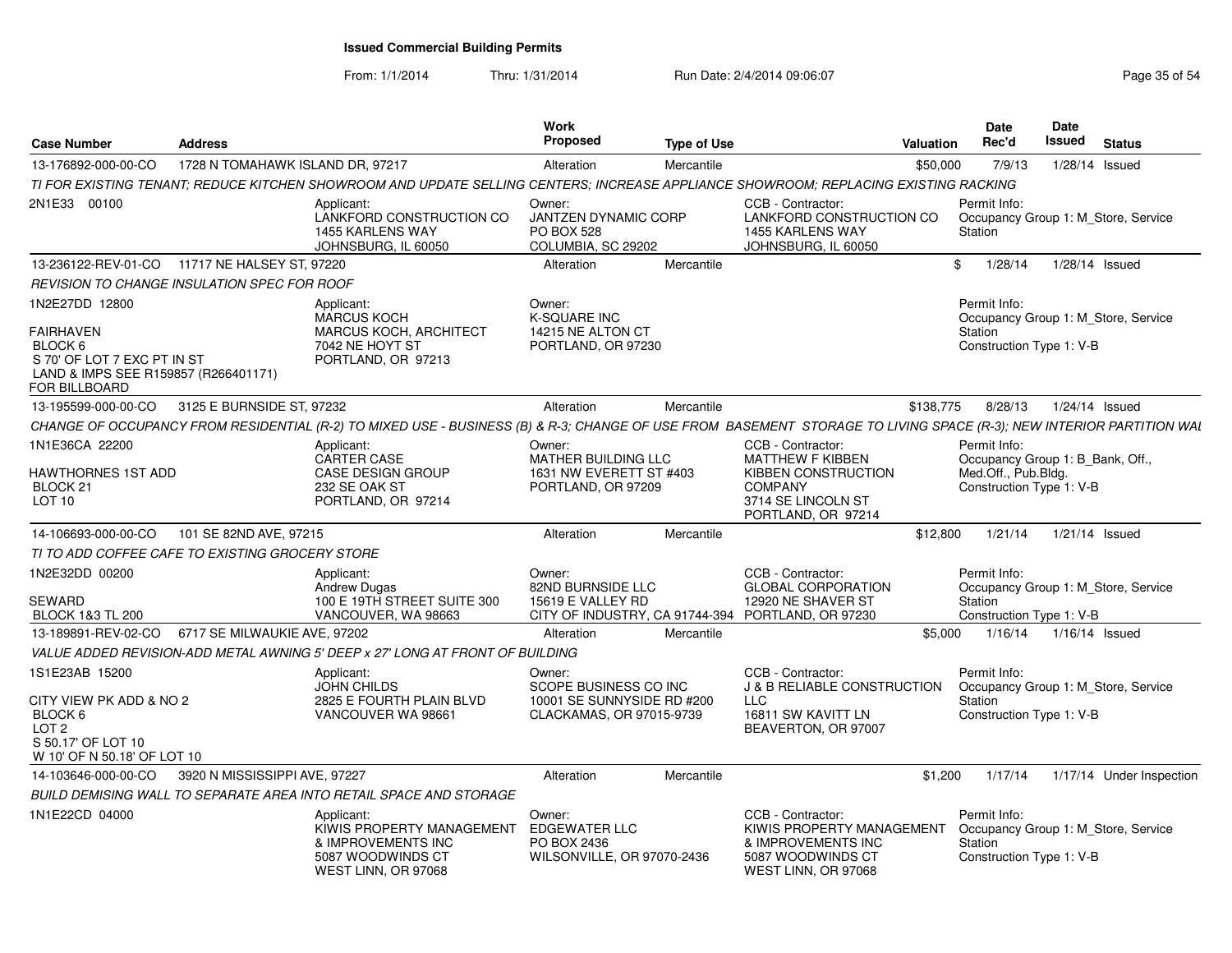|                                                                                                                            |                                  |                                                                                                                                                                     | Work<br><b>Proposed</b>                                                          |                    |                                                                                                                  | <b>Date</b><br>Rec'd                                                                       | Date<br>Issued                      |                  |                          |
|----------------------------------------------------------------------------------------------------------------------------|----------------------------------|---------------------------------------------------------------------------------------------------------------------------------------------------------------------|----------------------------------------------------------------------------------|--------------------|------------------------------------------------------------------------------------------------------------------|--------------------------------------------------------------------------------------------|-------------------------------------|------------------|--------------------------|
| <b>Case Number</b>                                                                                                         | <b>Address</b>                   |                                                                                                                                                                     |                                                                                  | <b>Type of Use</b> | Valuation                                                                                                        |                                                                                            |                                     | <b>Status</b>    |                          |
| 13-176892-000-00-CO                                                                                                        | 1728 N TOMAHAWK ISLAND DR, 97217 |                                                                                                                                                                     | Alteration                                                                       | Mercantile         | \$50,000                                                                                                         | 7/9/13                                                                                     |                                     | 1/28/14 Issued   |                          |
|                                                                                                                            |                                  | TI FOR EXISTING TENANT: REDUCE KITCHEN SHOWROOM AND UPDATE SELLING CENTERS: INCREASE APPLIANCE SHOWROOM: REPLACING EXISTING RACKING                                 |                                                                                  |                    |                                                                                                                  |                                                                                            |                                     |                  |                          |
| 2N1E33 00100                                                                                                               |                                  | Applicant:<br>LANKFORD CONSTRUCTION CO<br>1455 KARLENS WAY<br>JOHNSBURG. IL 60050                                                                                   | Owner:<br><b>JANTZEN DYNAMIC CORP</b><br><b>PO BOX 528</b><br>COLUMBIA, SC 29202 |                    | CCB - Contractor:<br>LANKFORD CONSTRUCTION CO<br>1455 KARLENS WAY<br>JOHNSBURG, IL 60050                         | Permit Info:<br>Occupancy Group 1: M_Store, Service<br>Station                             |                                     |                  |                          |
| 13-236122-REV-01-CO                                                                                                        | 11717 NE HALSEY ST, 97220        |                                                                                                                                                                     | Alteration                                                                       | Mercantile         |                                                                                                                  | 1/28/14<br>\$                                                                              |                                     | 1/28/14 Issued   |                          |
| REVISION TO CHANGE INSULATION SPEC FOR ROOF                                                                                |                                  |                                                                                                                                                                     |                                                                                  |                    |                                                                                                                  |                                                                                            |                                     |                  |                          |
| 1N2E27DD 12800                                                                                                             |                                  | Applicant:<br><b>MARCUS KOCH</b>                                                                                                                                    | Owner:<br><b>K-SQUARE INC</b>                                                    |                    |                                                                                                                  | Permit Info:<br>Occupancy Group 1: M_Store, Service                                        |                                     |                  |                          |
| <b>FAIRHAVEN</b><br>BLOCK 6<br>S 70' OF LOT 7 EXC PT IN ST<br>LAND & IMPS SEE R159857 (R266401171)<br><b>FOR BILLBOARD</b> |                                  | <b>MARCUS KOCH, ARCHITECT</b><br>7042 NE HOYT ST<br>PORTLAND, OR 97213                                                                                              | 14215 NE ALTON CT<br>PORTLAND, OR 97230                                          |                    |                                                                                                                  | Station<br>Construction Type 1: V-B                                                        |                                     |                  |                          |
| 13-195599-000-00-CO                                                                                                        | 3125 E BURNSIDE ST, 97232        |                                                                                                                                                                     | Alteration                                                                       | Mercantile         | \$138,775                                                                                                        | 8/28/13                                                                                    |                                     | 1/24/14 Issued   |                          |
|                                                                                                                            |                                  | CHANGE OF OCCUPANCY FROM RESIDENTIAL (R-2) TO MIXED USE - BUSINESS (B) & R-3; CHANGE OF USE FROM BASEMENT STORAGE TO LIVING SPACE (R-3); NEW INTERIOR PARTITION WAI |                                                                                  |                    |                                                                                                                  |                                                                                            |                                     |                  |                          |
| 1N1E36CA 22200                                                                                                             |                                  | Applicant:<br><b>CARTER CASE</b>                                                                                                                                    | Owner:<br>MATHER BUILDING LLC                                                    |                    | CCB - Contractor:<br><b>MATTHEW F KIBBEN</b>                                                                     | Permit Info:<br>Occupancy Group 1: B_Bank, Off.,                                           |                                     |                  |                          |
| HAWTHORNES 1ST ADD<br>BLOCK 21<br>LOT 10                                                                                   |                                  | <b>CASE DESIGN GROUP</b><br>232 SE OAK ST<br>PORTLAND, OR 97214                                                                                                     | 1631 NW EVERETT ST #403<br>PORTLAND, OR 97209                                    |                    | <b>KIBBEN CONSTRUCTION</b><br><b>COMPANY</b><br>3714 SE LINCOLN ST<br>PORTLAND, OR 97214                         | Med.Off., Pub.Bldg.<br>Construction Type 1: V-B                                            |                                     |                  |                          |
| 14-106693-000-00-CO                                                                                                        | 101 SE 82ND AVE, 97215           |                                                                                                                                                                     | Alteration                                                                       | Mercantile         | \$12,800                                                                                                         | 1/21/14                                                                                    |                                     | 1/21/14 Issued   |                          |
| TI TO ADD COFFEE CAFE TO EXISTING GROCERY STORE                                                                            |                                  |                                                                                                                                                                     |                                                                                  |                    |                                                                                                                  |                                                                                            |                                     |                  |                          |
| 1N2E32DD 00200                                                                                                             |                                  | Applicant:<br><b>Andrew Dugas</b>                                                                                                                                   | Owner:<br>82ND BURNSIDE LLC                                                      |                    | CCB - Contractor:<br><b>GLOBAL CORPORATION</b>                                                                   | Permit Info:                                                                               | Occupancy Group 1: M Store, Service |                  |                          |
| <b>SEWARD</b><br><b>BLOCK 1&amp;3 TL 200</b>                                                                               |                                  | 100 E 19TH STREET SUITE 300<br>VANCOUVER, WA 98663                                                                                                                  | 15619 E VALLEY RD                                                                |                    | 12920 NE SHAVER ST<br>CITY OF INDUSTRY, CA 91744-394 PORTLAND, OR 97230                                          | Station                                                                                    | Construction Type 1: V-B            |                  |                          |
| 13-189891-REV-02-CO   6717 SE MILWAUKIE AVE, 97202                                                                         |                                  |                                                                                                                                                                     | Alteration                                                                       | Mercantile         | \$5.000                                                                                                          | 1/16/14                                                                                    |                                     | $1/16/14$ Issued |                          |
|                                                                                                                            |                                  | VALUE ADDED REVISION-ADD METAL AWNING 5' DEEP x 27' LONG AT FRONT OF BUILDING                                                                                       |                                                                                  |                    |                                                                                                                  |                                                                                            |                                     |                  |                          |
| 1S1E23AB 15200                                                                                                             |                                  | Applicant:<br>JOHN CHILDS                                                                                                                                           | Owner:<br>SCOPE BUSINESS CO INC                                                  |                    | CCB - Contractor:<br><b>J &amp; B RELIABLE CONSTRUCTION</b>                                                      | Permit Info:<br>Occupancy Group 1: M Store, Service                                        |                                     |                  |                          |
| CITY VIEW PK ADD & NO 2<br>BLOCK 6<br>LOT <sub>2</sub><br>S 50.17' OF LOT 10<br>W 10' OF N 50.18' OF LOT 10                |                                  | 2825 E FOURTH PLAIN BLVD<br>VANCOUVER WA 98661                                                                                                                      | 10001 SE SUNNYSIDE RD #200<br>CLACKAMAS, OR 97015-9739                           |                    | LLC<br>16811 SW KAVITT LN<br>BEAVERTON, OR 97007                                                                 | Station<br>Construction Type 1: V-B                                                        |                                     |                  |                          |
| 14-103646-000-00-CO                                                                                                        | 3920 N MISSISSIPPI AVE, 97227    |                                                                                                                                                                     | Alteration                                                                       | Mercantile         | \$1,200                                                                                                          | 1/17/14                                                                                    |                                     |                  | 1/17/14 Under Inspection |
|                                                                                                                            |                                  | BUILD DEMISING WALL TO SEPARATE AREA INTO RETAIL SPACE AND STORAGE                                                                                                  |                                                                                  |                    |                                                                                                                  |                                                                                            |                                     |                  |                          |
| 1N1E22CD 04000                                                                                                             |                                  | Applicant:<br>KIWIS PROPERTY MANAGEMENT<br>& IMPROVEMENTS INC<br>5087 WOODWINDS CT<br>WEST LINN, OR 97068                                                           | Owner:<br>EDGEWATER LLC<br>PO BOX 2436<br>WILSONVILLE, OR 97070-2436             |                    | CCB - Contractor:<br>KIWIS PROPERTY MANAGEMENT<br>& IMPROVEMENTS INC<br>5087 WOODWINDS CT<br>WEST LINN, OR 97068 | Permit Info:<br>Occupancy Group 1: M Store, Service<br>Station<br>Construction Type 1: V-B |                                     |                  |                          |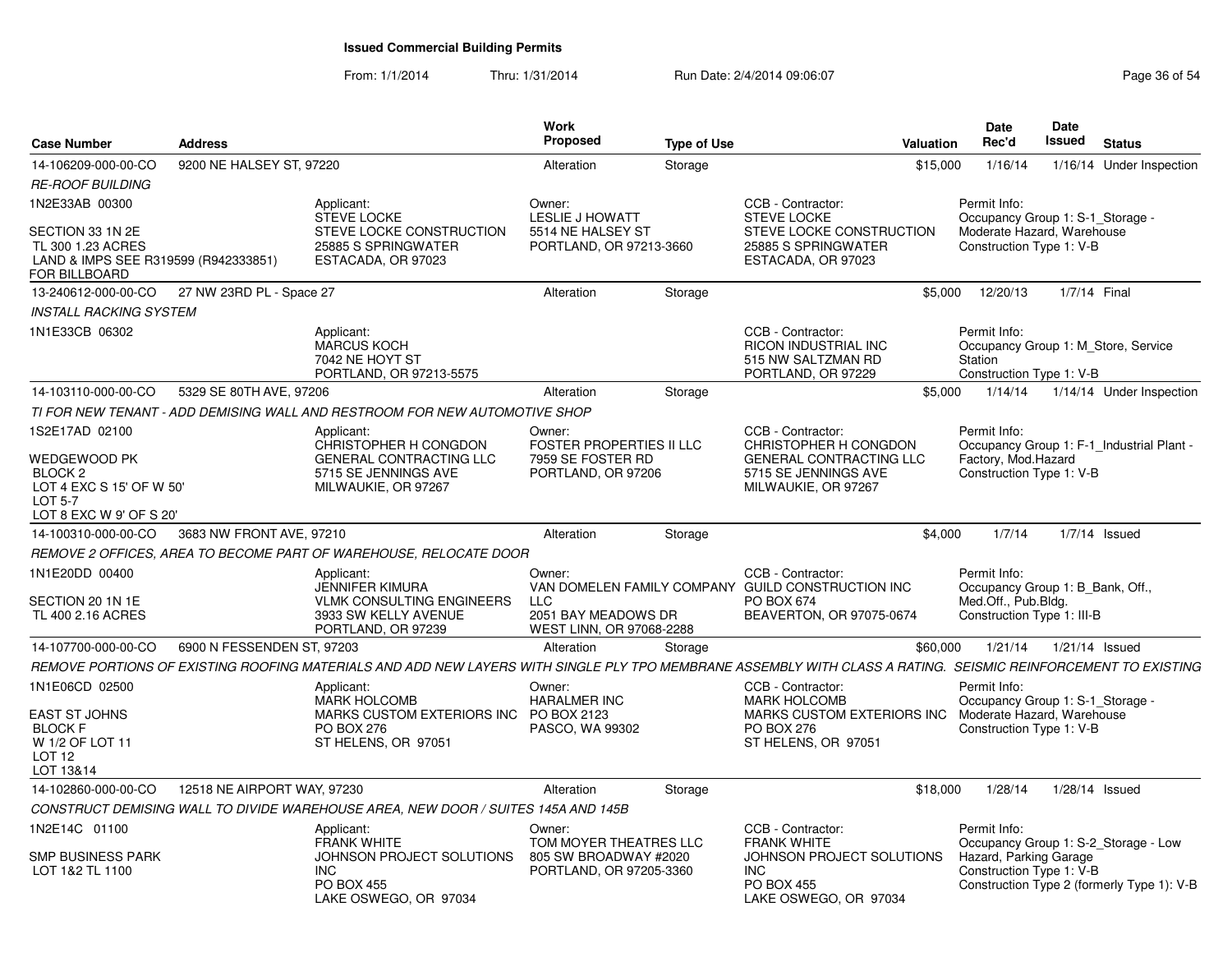| <b>Case Number</b>                                                                                          | <b>Address</b>              |                                                                                                                                                               | <b>Work</b><br><b>Proposed</b>                                             | <b>Type of Use</b> |                                                                                                             | <b>Valuation</b> | <b>Date</b><br>Rec'd                                                                       | Date<br>Issued | <b>Status</b>                                                                      |
|-------------------------------------------------------------------------------------------------------------|-----------------------------|---------------------------------------------------------------------------------------------------------------------------------------------------------------|----------------------------------------------------------------------------|--------------------|-------------------------------------------------------------------------------------------------------------|------------------|--------------------------------------------------------------------------------------------|----------------|------------------------------------------------------------------------------------|
| 14-106209-000-00-CO                                                                                         | 9200 NE HALSEY ST, 97220    |                                                                                                                                                               | Alteration                                                                 | Storage            |                                                                                                             | \$15,000         | 1/16/14                                                                                    |                | 1/16/14 Under Inspection                                                           |
| <b>RE-ROOF BUILDING</b>                                                                                     |                             |                                                                                                                                                               |                                                                            |                    |                                                                                                             |                  |                                                                                            |                |                                                                                    |
| 1N2E33AB 00300                                                                                              |                             | Applicant:<br><b>STEVE LOCKE</b>                                                                                                                              | Owner:<br><b>LESLIE J HOWATT</b>                                           |                    | CCB - Contractor:<br><b>STEVE LOCKE</b>                                                                     |                  | Permit Info:<br>Occupancy Group 1: S-1_Storage -                                           |                |                                                                                    |
| SECTION 33 1N 2E<br>TL 300 1.23 ACRES<br>LAND & IMPS SEE R319599 (R942333851)<br>FOR BILLBOARD              |                             | STEVE LOCKE CONSTRUCTION<br>25885 S SPRINGWATER<br>ESTACADA, OR 97023                                                                                         | 5514 NE HALSEY ST<br>PORTLAND, OR 97213-3660                               |                    | STEVE LOCKE CONSTRUCTION<br>25885 S SPRINGWATER<br>ESTACADA, OR 97023                                       |                  | Moderate Hazard, Warehouse<br>Construction Type 1: V-B                                     |                |                                                                                    |
| 13-240612-000-00-CO                                                                                         | 27 NW 23RD PL - Space 27    |                                                                                                                                                               | Alteration                                                                 | Storage            |                                                                                                             | \$5,000          | 12/20/13                                                                                   | 1/7/14 Final   |                                                                                    |
| <b>INSTALL RACKING SYSTEM</b>                                                                               |                             |                                                                                                                                                               |                                                                            |                    |                                                                                                             |                  |                                                                                            |                |                                                                                    |
| 1N1E33CB 06302                                                                                              |                             | Applicant:<br><b>MARCUS KOCH</b><br>7042 NE HOYT ST<br>PORTLAND, OR 97213-5575                                                                                |                                                                            |                    | CCB - Contractor:<br><b>RICON INDUSTRIAL INC</b><br>515 NW SALTZMAN RD<br>PORTLAND, OR 97229                |                  | Permit Info:<br>Station<br>Construction Type 1: V-B                                        |                | Occupancy Group 1: M Store, Service                                                |
| 14-103110-000-00-CO                                                                                         | 5329 SE 80TH AVE, 97206     |                                                                                                                                                               | Alteration                                                                 | Storage            |                                                                                                             | \$5,000          | 1/14/14                                                                                    |                | 1/14/14 Under Inspection                                                           |
|                                                                                                             |                             | TI FOR NEW TENANT - ADD DEMISING WALL AND RESTROOM FOR NEW AUTOMOTIVE SHOP                                                                                    |                                                                            |                    |                                                                                                             |                  |                                                                                            |                |                                                                                    |
| 1S2E17AD 02100                                                                                              |                             | Applicant:<br>CHRISTOPHER H CONGDON                                                                                                                           | Owner:<br><b>FOSTER PROPERTIES II LLC</b>                                  |                    | CCB - Contractor:<br>CHRISTOPHER H CONGDON                                                                  |                  | Permit Info:                                                                               |                | Occupancy Group 1: F-1 Industrial Plant -                                          |
| WEDGEWOOD PK<br>BLOCK <sub>2</sub><br>LOT 4 EXC S 15' OF W 50'<br><b>LOT 5-7</b><br>LOT 8 EXC W 9' OF S 20' |                             | <b>GENERAL CONTRACTING LLC</b><br>5715 SE JENNINGS AVE<br>MILWAUKIE, OR 97267                                                                                 | 7959 SE FOSTER RD<br>PORTLAND, OR 97206                                    |                    | <b>GENERAL CONTRACTING LLC</b><br>5715 SE JENNINGS AVE<br>MILWAUKIE, OR 97267                               |                  | Factory, Mod.Hazard<br>Construction Type 1: V-B                                            |                |                                                                                    |
| 14-100310-000-00-CO                                                                                         | 3683 NW FRONT AVE, 97210    |                                                                                                                                                               | Alteration                                                                 | Storage            |                                                                                                             | \$4,000          | 1/7/14                                                                                     |                | $1/7/14$ Issued                                                                    |
|                                                                                                             |                             | REMOVE 2 OFFICES, AREA TO BECOME PART OF WAREHOUSE, RELOCATE DOOR                                                                                             |                                                                            |                    |                                                                                                             |                  |                                                                                            |                |                                                                                    |
| 1N1E20DD 00400                                                                                              |                             | Applicant:                                                                                                                                                    | Owner:                                                                     |                    | CCB - Contractor:                                                                                           |                  | Permit Info:                                                                               |                |                                                                                    |
| SECTION 20 1N 1E<br>TL 400 2.16 ACRES                                                                       |                             | JENNIFER KIMURA<br><b>VLMK CONSULTING ENGINEERS</b><br>3933 SW KELLY AVENUE<br>PORTLAND, OR 97239                                                             | <b>LLC</b><br>2051 BAY MEADOWS DR<br>WEST LINN, OR 97068-2288              |                    | VAN DOMELEN FAMILY COMPANY GUILD CONSTRUCTION INC<br>PO BOX 674<br>BEAVERTON, OR 97075-0674                 |                  | Occupancy Group 1: B_Bank, Off.,<br>Med.Off., Pub.Bldg.<br>Construction Type 1: III-B      |                |                                                                                    |
| 14-107700-000-00-CO                                                                                         | 6900 N FESSENDEN ST, 97203  |                                                                                                                                                               | Alteration                                                                 | Storage            |                                                                                                             | \$60,000         | 1/21/14                                                                                    |                | $1/21/14$ Issued                                                                   |
|                                                                                                             |                             | REMOVE PORTIONS OF EXISTING ROOFING MATERIALS AND ADD NEW LAYERS WITH SINGLE PLY TPO MEMBRANE ASSEMBLY WITH CLASS A RATING. SEISMIC REINFORCEMENT TO EXISTING |                                                                            |                    |                                                                                                             |                  |                                                                                            |                |                                                                                    |
| 1N1E06CD 02500                                                                                              |                             | Applicant:                                                                                                                                                    | Owner:                                                                     |                    | CCB - Contractor:                                                                                           |                  | Permit Info:                                                                               |                |                                                                                    |
| <b>EAST ST JOHNS</b><br><b>BLOCK F</b><br>W 1/2 OF LOT 11<br><b>LOT 12</b><br>LOT 13&14                     |                             | <b>MARK HOLCOMB</b><br>MARKS CUSTOM EXTERIORS INC<br>PO BOX 276<br>ST HELENS, OR 97051                                                                        | <b>HARALMER INC</b><br>PO BOX 2123<br>PASCO, WA 99302                      |                    | <b>MARK HOLCOMB</b><br>MARKS CUSTOM EXTERIORS INC<br><b>PO BOX 276</b><br>ST HELENS, OR 97051               |                  | Occupancy Group 1: S-1_Storage -<br>Moderate Hazard, Warehouse<br>Construction Type 1: V-B |                |                                                                                    |
| 14-102860-000-00-CO                                                                                         | 12518 NE AIRPORT WAY, 97230 |                                                                                                                                                               | Alteration                                                                 | Storage            |                                                                                                             | \$18,000         | 1/28/14                                                                                    |                | 1/28/14 Issued                                                                     |
|                                                                                                             |                             | CONSTRUCT DEMISING WALL TO DIVIDE WAREHOUSE AREA, NEW DOOR / SUITES 145A AND 145B                                                                             |                                                                            |                    |                                                                                                             |                  |                                                                                            |                |                                                                                    |
| 1N2E14C 01100                                                                                               |                             | Applicant:                                                                                                                                                    | Owner:                                                                     |                    | CCB - Contractor:                                                                                           |                  | Permit Info:                                                                               |                |                                                                                    |
| <b>SMP BUSINESS PARK</b><br>LOT 1&2 TL 1100                                                                 |                             | <b>FRANK WHITE</b><br>JOHNSON PROJECT SOLUTIONS<br><b>INC</b><br><b>PO BOX 455</b><br>LAKE OSWEGO, OR 97034                                                   | TOM MOYER THEATRES LLC<br>805 SW BROADWAY #2020<br>PORTLAND, OR 97205-3360 |                    | <b>FRANK WHITE</b><br>JOHNSON PROJECT SOLUTIONS<br><b>INC</b><br><b>PO BOX 455</b><br>LAKE OSWEGO, OR 97034 |                  | Hazard, Parking Garage<br>Construction Type 1: V-B                                         |                | Occupancy Group 1: S-2_Storage - Low<br>Construction Type 2 (formerly Type 1): V-B |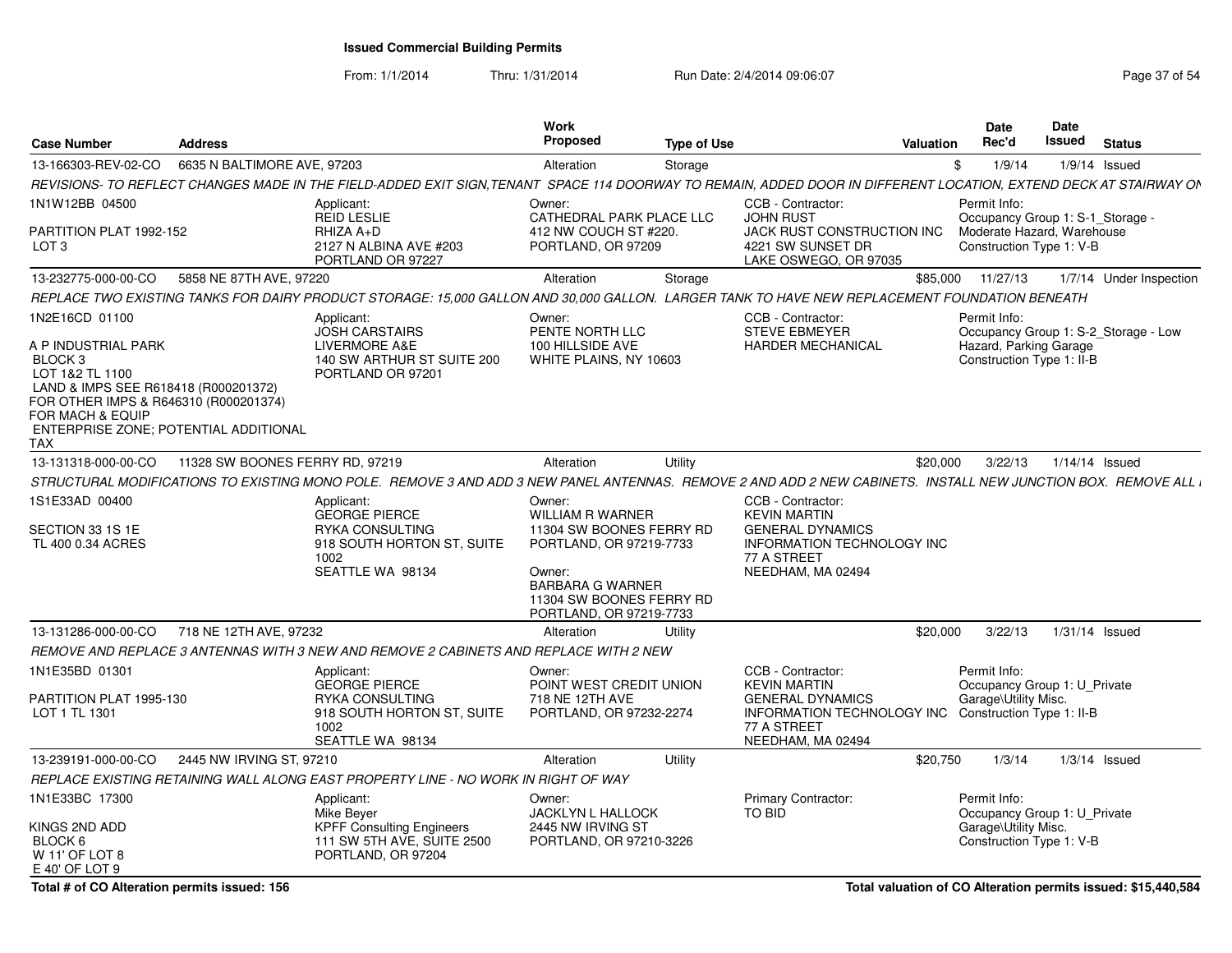From: 1/1/2014

Thru: 1/31/2014 Run Date: 2/4/2014 09:06:07 Research 2010 12:00 Page 37 of 54

| <b>Case Number</b>                                                                                                                                                                                | <b>Address</b>                        |                                                                                                                                                                   | Work<br>Proposed                                                                                                                                                                     | <b>Type of Use</b> |                                                                                                                                              | <b>Valuation</b> | <b>Date</b><br>Rec'd                                                                              | Date<br>Issued | <b>Status</b>                        |
|---------------------------------------------------------------------------------------------------------------------------------------------------------------------------------------------------|---------------------------------------|-------------------------------------------------------------------------------------------------------------------------------------------------------------------|--------------------------------------------------------------------------------------------------------------------------------------------------------------------------------------|--------------------|----------------------------------------------------------------------------------------------------------------------------------------------|------------------|---------------------------------------------------------------------------------------------------|----------------|--------------------------------------|
| 13-166303-REV-02-CO                                                                                                                                                                               | 6635 N BALTIMORE AVE, 97203           |                                                                                                                                                                   | Alteration                                                                                                                                                                           | Storage            |                                                                                                                                              | \$               | 1/9/14                                                                                            |                | $1/9/14$ Issued                      |
|                                                                                                                                                                                                   |                                       | REVISIONS- TO REFLECT CHANGES MADE IN THE FIELD-ADDED EXIT SIGN,TENANT  SPACE 114 DOORWAY TO REMAIN, ADDED DOOR IN DIFFERENT LOCATION, EXTEND DECK AT STAIRWAY ON |                                                                                                                                                                                      |                    |                                                                                                                                              |                  |                                                                                                   |                |                                      |
| 1N1W12BB 04500                                                                                                                                                                                    |                                       | Applicant:<br><b>REID LESLIE</b>                                                                                                                                  | Owner:<br>CATHEDRAL PARK PLACE LLC                                                                                                                                                   |                    | CCB - Contractor:<br><b>JOHN RUST</b>                                                                                                        |                  | Permit Info:<br>Occupancy Group 1: S-1 Storage -                                                  |                |                                      |
| PARTITION PLAT 1992-152<br>LOT <sub>3</sub>                                                                                                                                                       |                                       | RHIZA A+D<br>2127 N ALBINA AVE #203<br>PORTLAND OR 97227                                                                                                          | 412 NW COUCH ST #220.<br>PORTLAND, OR 97209                                                                                                                                          |                    | JACK RUST CONSTRUCTION INC<br>4221 SW SUNSET DR<br>LAKE OSWEGO, OR 97035                                                                     |                  | Moderate Hazard, Warehouse<br>Construction Type 1: V-B                                            |                |                                      |
| 13-232775-000-00-CO                                                                                                                                                                               | 5858 NE 87TH AVE, 97220               |                                                                                                                                                                   | Alteration                                                                                                                                                                           | Storage            |                                                                                                                                              | \$85.000         | 11/27/13                                                                                          |                | 1/7/14 Under Inspection              |
|                                                                                                                                                                                                   |                                       | REPLACE TWO EXISTING TANKS FOR DAIRY PRODUCT STORAGE: 15,000 GALLON AND 30,000 GALLON. LARGER TANK TO HAVE NEW REPLACEMENT FOUNDATION BENEATH                     |                                                                                                                                                                                      |                    |                                                                                                                                              |                  |                                                                                                   |                |                                      |
| 1N2E16CD 01100<br>A P INDUSTRIAL PARK<br>BLOCK <sub>3</sub><br>LOT 1&2 TL 1100<br>LAND & IMPS SEE R618418 (R000201372)<br>FOR OTHER IMPS & R646310 (R000201374)<br>FOR MACH & EQUIP<br><b>TAX</b> | ENTERPRISE ZONE: POTENTIAL ADDITIONAL | Applicant:<br><b>JOSH CARSTAIRS</b><br>LIVERMORE A&E<br>140 SW ARTHUR ST SUITE 200<br>PORTLAND OR 97201                                                           | Owner:<br>PENTE NORTH LLC<br>100 HILLSIDE AVE<br>WHITE PLAINS, NY 10603                                                                                                              |                    | CCB - Contractor:<br><b>STEVE EBMEYER</b><br><b>HARDER MECHANICAL</b>                                                                        |                  | Permit Info:<br>Hazard, Parking Garage<br>Construction Type 1: II-B                               |                | Occupancy Group 1: S-2 Storage - Low |
| 13-131318-000-00-CO                                                                                                                                                                               | 11328 SW BOONES FERRY RD, 97219       |                                                                                                                                                                   | Alteration                                                                                                                                                                           | Utility            |                                                                                                                                              | \$20,000         | 3/22/13                                                                                           |                | $1/14/14$ Issued                     |
|                                                                                                                                                                                                   |                                       | STRUCTURAL MODIFICATIONS TO EXISTING MONO POLE. REMOVE 3 AND ADD 3 NEW PANEL ANTENNAS. REMOVE 2 AND ADD 2 NEW CABINETS. INSTALL NEW JUNCTION BOX. REMOVE ALL i    |                                                                                                                                                                                      |                    |                                                                                                                                              |                  |                                                                                                   |                |                                      |
| 1S1E33AD 00400<br>SECTION 33 1S 1E<br>TL 400 0.34 ACRES                                                                                                                                           |                                       | Applicant:<br><b>GEORGE PIERCE</b><br><b>RYKA CONSULTING</b><br>918 SOUTH HORTON ST, SUITE<br>1002<br>SEATTLE WA 98134                                            | Owner:<br><b>WILLIAM R WARNER</b><br>11304 SW BOONES FERRY RD<br>PORTLAND, OR 97219-7733<br>Owner:<br><b>BARBARA G WARNER</b><br>11304 SW BOONES FERRY RD<br>PORTLAND, OR 97219-7733 |                    | CCB - Contractor:<br><b>KEVIN MARTIN</b><br><b>GENERAL DYNAMICS</b><br><b>INFORMATION TECHNOLOGY INC</b><br>77 A STREET<br>NEEDHAM, MA 02494 |                  |                                                                                                   |                |                                      |
| 13-131286-000-00-CO                                                                                                                                                                               | 718 NE 12TH AVE, 97232                |                                                                                                                                                                   | Alteration                                                                                                                                                                           | Utility            |                                                                                                                                              | \$20,000         | 3/22/13                                                                                           |                | $1/31/14$ Issued                     |
|                                                                                                                                                                                                   |                                       | REMOVE AND REPLACE 3 ANTENNAS WITH 3 NEW AND REMOVE 2 CABINETS AND REPLACE WITH 2 NEW                                                                             |                                                                                                                                                                                      |                    |                                                                                                                                              |                  |                                                                                                   |                |                                      |
| 1N1E35BD 01301<br>PARTITION PLAT 1995-130<br>LOT 1 TL 1301                                                                                                                                        |                                       | Applicant:<br><b>GEORGE PIERCE</b><br><b>RYKA CONSULTING</b><br>918 SOUTH HORTON ST, SUITE<br>1002<br>SEATTLE WA 98134                                            | Owner:<br>POINT WEST CREDIT UNION<br>718 NE 12TH AVE<br>PORTLAND, OR 97232-2274                                                                                                      |                    | CCB - Contractor:<br><b>KEVIN MARTIN</b><br><b>GENERAL DYNAMICS</b><br>INFORMATION TECHNOLOGY INC<br>77 A STREET<br>NEEDHAM, MA 02494        |                  | Permit Info:<br>Occupancy Group 1: U Private<br>Garage\Utility Misc.<br>Construction Type 1: II-B |                |                                      |
| 13-239191-000-00-CO                                                                                                                                                                               | 2445 NW IRVING ST, 97210              |                                                                                                                                                                   | Alteration                                                                                                                                                                           | Utility            |                                                                                                                                              | \$20,750         | 1/3/14                                                                                            |                | $1/3/14$ Issued                      |
|                                                                                                                                                                                                   |                                       | REPLACE EXISTING RETAINING WALL ALONG EAST PROPERTY LINE - NO WORK IN RIGHT OF WAY                                                                                |                                                                                                                                                                                      |                    |                                                                                                                                              |                  |                                                                                                   |                |                                      |
| 1N1E33BC 17300<br>KINGS 2ND ADD<br>BLOCK <sub>6</sub><br>W 11' OF LOT 8<br>E 40' OF LOT 9                                                                                                         |                                       | Applicant:<br>Mike Bever<br><b>KPFF Consulting Engineers</b><br>111 SW 5TH AVE, SUITE 2500<br>PORTLAND, OR 97204                                                  | Owner:<br>JACKLYN L HALLOCK<br>2445 NW IRVING ST<br>PORTLAND, OR 97210-3226                                                                                                          |                    | <b>Primary Contractor:</b><br>TO BID                                                                                                         |                  | Permit Info:<br>Occupancy Group 1: U Private<br>Garage\Utility Misc.<br>Construction Type 1: V-B  |                |                                      |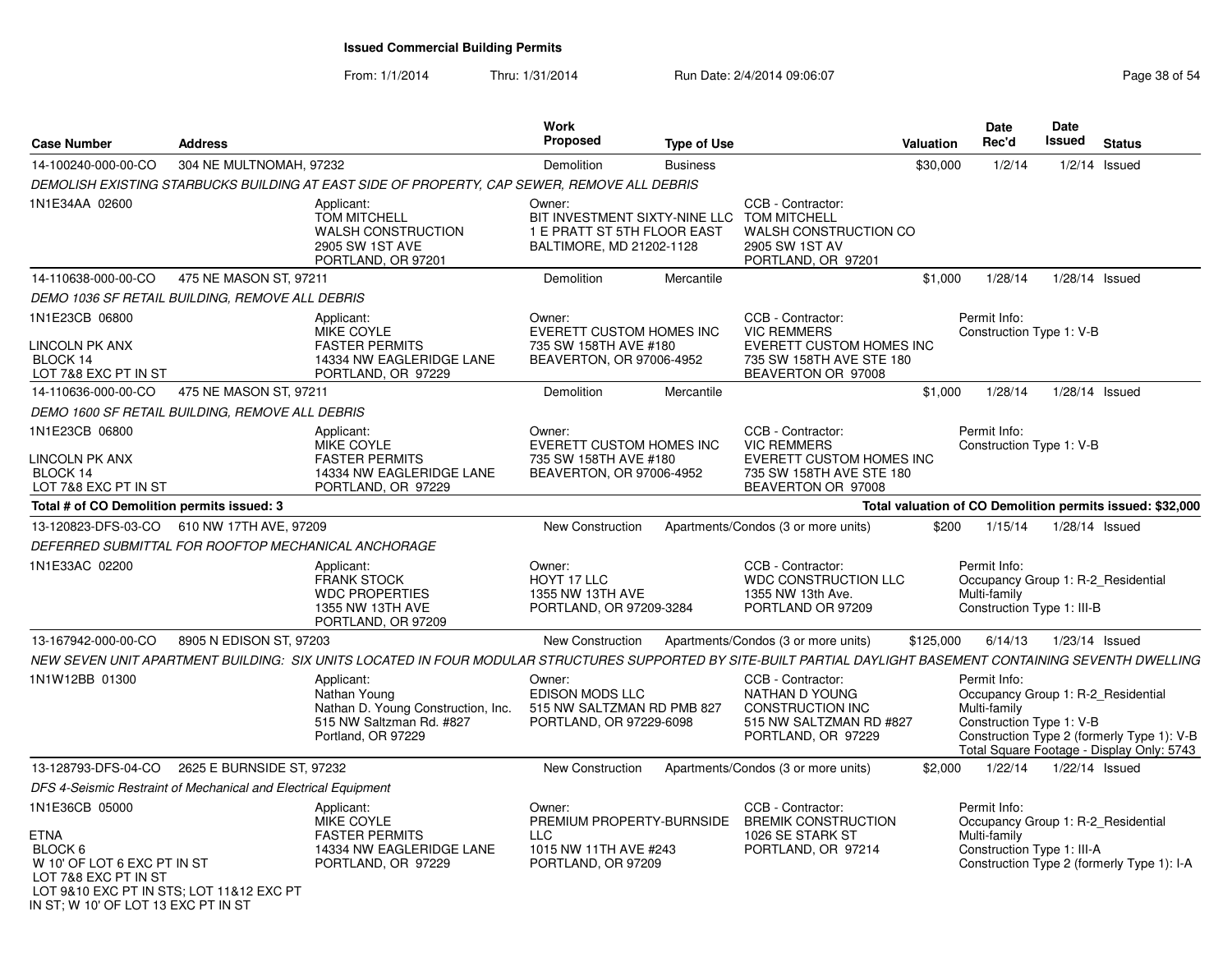| <b>Case Number</b>                                                                                                                                                                 | <b>Address</b>                                                 |                                                                                                                                                               | Work<br><b>Proposed</b>                                                                            | <b>Type of Use</b> |                                                                                                                              | <b>Valuation</b> | Date<br>Rec'd                                                                                    | <b>Date</b><br><b>Issued</b> | <b>Status</b>                                                                           |
|------------------------------------------------------------------------------------------------------------------------------------------------------------------------------------|----------------------------------------------------------------|---------------------------------------------------------------------------------------------------------------------------------------------------------------|----------------------------------------------------------------------------------------------------|--------------------|------------------------------------------------------------------------------------------------------------------------------|------------------|--------------------------------------------------------------------------------------------------|------------------------------|-----------------------------------------------------------------------------------------|
| 14-100240-000-00-CO                                                                                                                                                                | 304 NE MULTNOMAH, 97232                                        |                                                                                                                                                               | Demolition                                                                                         | <b>Business</b>    |                                                                                                                              | \$30,000         | 1/2/14                                                                                           | $1/2/14$ Issued              |                                                                                         |
|                                                                                                                                                                                    |                                                                | DEMOLISH EXISTING STARBUCKS BUILDING AT EAST SIDE OF PROPERTY, CAP SEWER, REMOVE ALL DEBRIS                                                                   |                                                                                                    |                    |                                                                                                                              |                  |                                                                                                  |                              |                                                                                         |
| 1N1E34AA 02600                                                                                                                                                                     |                                                                | Applicant:<br><b>TOM MITCHELL</b><br>WALSH CONSTRUCTION<br>2905 SW 1ST AVE<br>PORTLAND, OR 97201                                                              | Owner:<br>BIT INVESTMENT SIXTY-NINE LLC<br>1 E PRATT ST 5TH FLOOR EAST<br>BALTIMORE, MD 21202-1128 |                    | CCB - Contractor:<br><b>TOM MITCHELL</b><br>WALSH CONSTRUCTION CO<br>2905 SW 1ST AV<br>PORTLAND, OR 97201                    |                  |                                                                                                  |                              |                                                                                         |
| 14-110638-000-00-CO                                                                                                                                                                | 475 NE MASON ST, 97211                                         |                                                                                                                                                               | Demolition                                                                                         | Mercantile         |                                                                                                                              | \$1,000          | 1/28/14                                                                                          | $1/28/14$ Issued             |                                                                                         |
|                                                                                                                                                                                    | DEMO 1036 SF RETAIL BUILDING, REMOVE ALL DEBRIS                |                                                                                                                                                               |                                                                                                    |                    |                                                                                                                              |                  |                                                                                                  |                              |                                                                                         |
| 1N1E23CB 06800<br>LINCOLN PK ANX<br>BLOCK 14<br>LOT 7&8 EXC PT IN ST                                                                                                               |                                                                | Applicant:<br>MIKE COYLE<br><b>FASTER PERMITS</b><br>14334 NW EAGLERIDGE LANE<br>PORTLAND, OR 97229                                                           | Owner:<br><b>EVERETT CUSTOM HOMES INC</b><br>735 SW 158TH AVE #180<br>BEAVERTON, OR 97006-4952     |                    | CCB - Contractor:<br><b>VIC REMMERS</b><br><b>EVERETT CUSTOM HOMES INC</b><br>735 SW 158TH AVE STE 180<br>BEAVERTON OR 97008 |                  | Permit Info:<br>Construction Type 1: V-B                                                         |                              |                                                                                         |
| 14-110636-000-00-CO                                                                                                                                                                | 475 NE MASON ST, 97211                                         |                                                                                                                                                               | <b>Demolition</b>                                                                                  | Mercantile         |                                                                                                                              | \$1,000          | 1/28/14                                                                                          | $1/28/14$ Issued             |                                                                                         |
|                                                                                                                                                                                    | DEMO 1600 SF RETAIL BUILDING, REMOVE ALL DEBRIS                |                                                                                                                                                               |                                                                                                    |                    |                                                                                                                              |                  |                                                                                                  |                              |                                                                                         |
| 1N1E23CB 06800<br><b>LINCOLN PK ANX</b><br>BLOCK 14<br>LOT 7&8 EXC PT IN ST                                                                                                        |                                                                | Applicant:<br>MIKE COYLE<br><b>FASTER PERMITS</b><br>14334 NW EAGLERIDGE LANE<br>PORTLAND, OR 97229                                                           | Owner:<br><b>EVERETT CUSTOM HOMES INC</b><br>735 SW 158TH AVE #180<br>BEAVERTON, OR 97006-4952     |                    | CCB - Contractor:<br><b>VIC REMMERS</b><br>EVERETT CUSTOM HOMES INC<br>735 SW 158TH AVE STE 180<br>BEAVERTON OR 97008        |                  | Permit Info:<br>Construction Type 1: V-B                                                         |                              |                                                                                         |
| Total # of CO Demolition permits issued: 3                                                                                                                                         |                                                                |                                                                                                                                                               |                                                                                                    |                    |                                                                                                                              |                  |                                                                                                  |                              | Total valuation of CO Demolition permits issued: \$32,000                               |
|                                                                                                                                                                                    | 13-120823-DFS-03-CO 610 NW 17TH AVE, 97209                     |                                                                                                                                                               | New Construction                                                                                   |                    | Apartments/Condos (3 or more units)                                                                                          | \$200            | 1/15/14                                                                                          | $1/28/14$ Issued             |                                                                                         |
|                                                                                                                                                                                    | DEFERRED SUBMITTAL FOR ROOFTOP MECHANICAL ANCHORAGE            |                                                                                                                                                               |                                                                                                    |                    |                                                                                                                              |                  |                                                                                                  |                              |                                                                                         |
| 1N1E33AC 02200                                                                                                                                                                     |                                                                | Applicant:<br><b>FRANK STOCK</b><br><b>WDC PROPERTIES</b><br>1355 NW 13TH AVE<br>PORTLAND, OR 97209                                                           | Owner:<br>HOYT 17 LLC<br>1355 NW 13TH AVE<br>PORTLAND, OR 97209-3284                               |                    | CCB - Contractor:<br><b>WDC CONSTRUCTION LLC</b><br>1355 NW 13th Ave.<br>PORTLAND OR 97209                                   |                  | Permit Info:<br>Occupancy Group 1: R-2 Residential<br>Multi-family<br>Construction Type 1: III-B |                              |                                                                                         |
| 13-167942-000-00-CO                                                                                                                                                                | 8905 N EDISON ST, 97203                                        |                                                                                                                                                               | New Construction                                                                                   |                    | Apartments/Condos (3 or more units)                                                                                          | \$125,000        | 6/14/13                                                                                          | 1/23/14 Issued               |                                                                                         |
|                                                                                                                                                                                    |                                                                | NEW SEVEN UNIT APARTMENT BUILDING: SIX UNITS LOCATED IN FOUR MODULAR STRUCTURES SUPPORTED BY SITE-BUILT PARTIAL DAYLIGHT BASEMENT CONTAINING SEVENTH DWELLING |                                                                                                    |                    |                                                                                                                              |                  |                                                                                                  |                              |                                                                                         |
| 1N1W12BB 01300                                                                                                                                                                     |                                                                | Applicant:<br>Nathan Young<br>Nathan D. Young Construction, Inc.<br>515 NW Saltzman Rd. #827<br>Portland, OR 97229                                            | Owner:<br>EDISON MODS LLC<br>515 NW SALTZMAN RD PMB 827<br>PORTLAND, OR 97229-6098                 |                    | CCB - Contractor:<br>NATHAN D YOUNG<br>CONSTRUCTION INC<br>515 NW SALTZMAN RD #827<br>PORTLAND, OR 97229                     |                  | Permit Info:<br>Occupancy Group 1: R-2 Residential<br>Multi-family<br>Construction Type 1: V-B   |                              | Construction Type 2 (formerly Type 1): V-B<br>Total Square Footage - Display Only: 5743 |
| 13-128793-DFS-04-CO                                                                                                                                                                | 2625 E BURNSIDE ST, 97232                                      |                                                                                                                                                               | New Construction                                                                                   |                    | Apartments/Condos (3 or more units)                                                                                          | \$2,000          | 1/22/14                                                                                          | $1/22/14$ Issued             |                                                                                         |
|                                                                                                                                                                                    | DFS 4-Seismic Restraint of Mechanical and Electrical Equipment |                                                                                                                                                               |                                                                                                    |                    |                                                                                                                              |                  |                                                                                                  |                              |                                                                                         |
| 1N1E36CB 05000<br><b>ETNA</b><br>BLOCK 6<br>W 10' OF LOT 6 EXC PT IN ST<br>LOT 7&8 EXC PT IN ST<br>LOT 9&10 EXC PT IN STS; LOT 11&12 EXC PT<br>IN ST; W 10' OF LOT 13 EXC PT IN ST |                                                                | Applicant:<br>MIKE COYLE<br><b>FASTER PERMITS</b><br>14334 NW EAGLERIDGE LANE<br>PORTLAND, OR 97229                                                           | Owner:<br>PREMIUM PROPERTY-BURNSIDE<br><b>LLC</b><br>1015 NW 11TH AVE #243<br>PORTLAND, OR 97209   |                    | CCB - Contractor:<br><b>BREMIK CONSTRUCTION</b><br>1026 SE STARK ST<br>PORTLAND, OR 97214                                    |                  | Permit Info:<br>Occupancy Group 1: R-2_Residential<br>Multi-family<br>Construction Type 1: III-A |                              | Construction Type 2 (formerly Type 1): I-A                                              |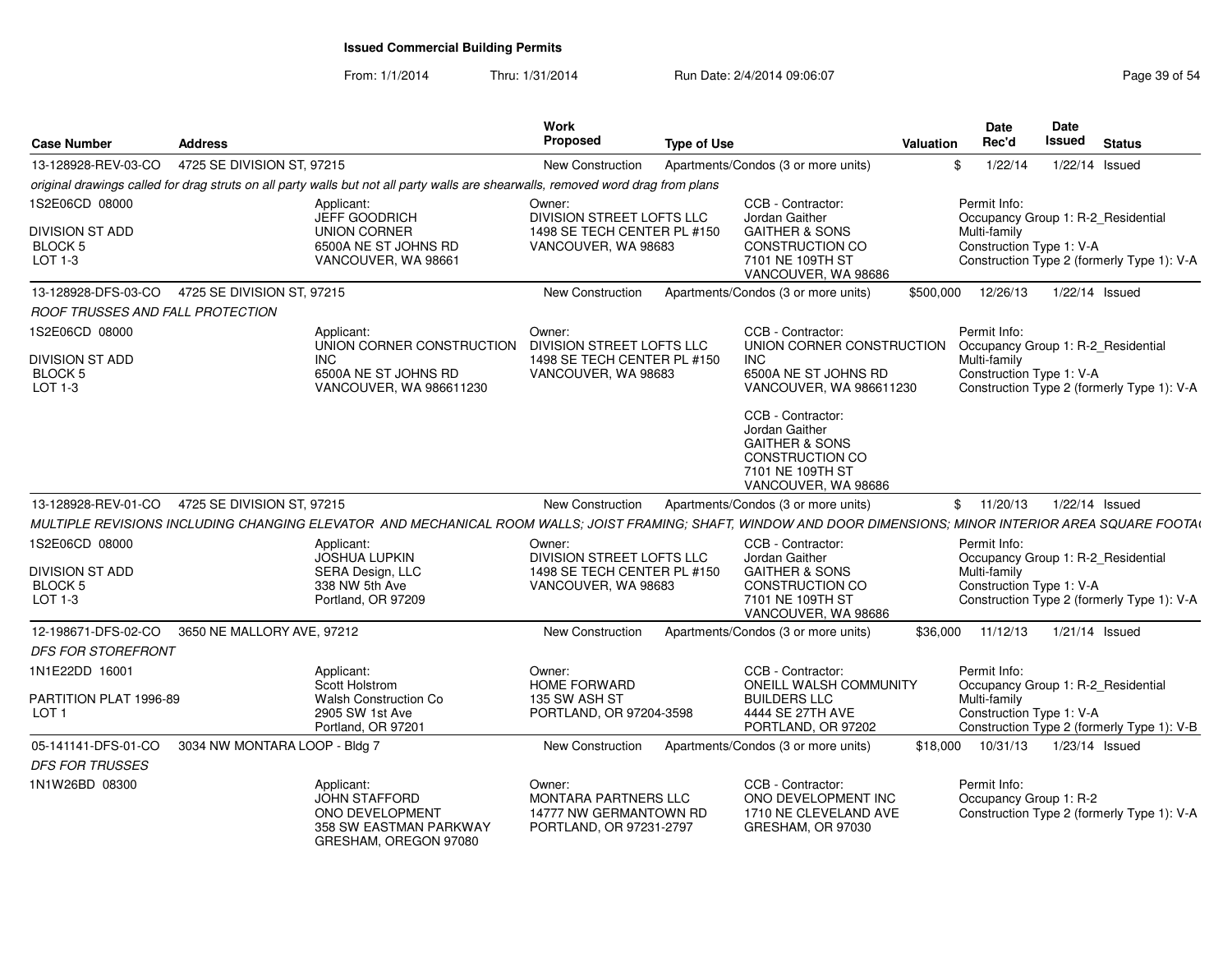| <b>Case Number</b>                                                 | <b>Address</b>                                 |                                                                                                                                                               | <b>Work</b><br><b>Proposed</b>                                                            | <b>Type of Use</b> |                                                                                                                                | Valuation | Date<br>Rec'd                                            | Date<br>Issued | <b>Status</b>                                                                    |
|--------------------------------------------------------------------|------------------------------------------------|---------------------------------------------------------------------------------------------------------------------------------------------------------------|-------------------------------------------------------------------------------------------|--------------------|--------------------------------------------------------------------------------------------------------------------------------|-----------|----------------------------------------------------------|----------------|----------------------------------------------------------------------------------|
| 13-128928-REV-03-CO                                                | 4725 SE DIVISION ST, 97215                     |                                                                                                                                                               | <b>New Construction</b>                                                                   |                    | Apartments/Condos (3 or more units)                                                                                            |           | 1/22/14                                                  | 1/22/14 Issued |                                                                                  |
|                                                                    |                                                | original drawings called for drag struts on all party walls but not all party walls are shearwalls, removed word drag from plans                              |                                                                                           |                    |                                                                                                                                |           |                                                          |                |                                                                                  |
| 1S2E06CD 08000                                                     |                                                | Applicant:<br>JEFF GOODRICH                                                                                                                                   | Owner:<br>DIVISION STREET LOFTS LLC                                                       |                    | CCB - Contractor:<br>Jordan Gaither                                                                                            |           | Permit Info:                                             |                | Occupancy Group 1: R-2_Residential                                               |
| <b>DIVISION ST ADD</b><br><b>BLOCK 5</b><br>LOT 1-3                |                                                | <b>UNION CORNER</b><br>6500A NE ST JOHNS RD<br>VANCOUVER, WA 98661                                                                                            | 1498 SE TECH CENTER PL #150<br>VANCOUVER, WA 98683                                        |                    | <b>GAITHER &amp; SONS</b><br>CONSTRUCTION CO<br>7101 NE 109TH ST<br>VANCOUVER, WA 98686                                        |           | Multi-family<br>Construction Type 1: V-A                 |                | Construction Type 2 (formerly Type 1): V-A                                       |
|                                                                    | 13-128928-DFS-03-CO 4725 SE DIVISION ST, 97215 |                                                                                                                                                               | <b>New Construction</b>                                                                   |                    | Apartments/Condos (3 or more units)                                                                                            | \$500,000 | 12/26/13                                                 | 1/22/14 Issued |                                                                                  |
| <b>ROOF TRUSSES AND FALL PROTECTION</b>                            |                                                |                                                                                                                                                               |                                                                                           |                    |                                                                                                                                |           |                                                          |                |                                                                                  |
| 1S2E06CD 08000                                                     |                                                | Applicant:<br>UNION CORNER CONSTRUCTION                                                                                                                       | Owner:<br>DIVISION STREET LOFTS LLC                                                       |                    | CCB - Contractor:<br>UNION CORNER CONSTRUCTION                                                                                 |           | Permit Info:                                             |                | Occupancy Group 1: R-2_Residential                                               |
| DIVISION ST ADD<br>BLOCK 5<br>LOT 1-3                              |                                                | <b>INC</b><br>6500A NE ST JOHNS RD<br>VANCOUVER, WA 986611230                                                                                                 | 1498 SE TECH CENTER PL #150<br>VANCOUVER, WA 98683                                        |                    | <b>INC</b><br>6500A NE ST JOHNS RD<br>VANCOUVER, WA 986611230                                                                  |           | Multi-family<br>Construction Type 1: V-A                 |                | Construction Type 2 (formerly Type 1): V-A                                       |
|                                                                    |                                                |                                                                                                                                                               |                                                                                           |                    | CCB - Contractor:<br>Jordan Gaither<br><b>GAITHER &amp; SONS</b><br>CONSTRUCTION CO<br>7101 NE 109TH ST<br>VANCOUVER, WA 98686 |           |                                                          |                |                                                                                  |
|                                                                    | 13-128928-REV-01-CO 4725 SE DIVISION ST, 97215 |                                                                                                                                                               | <b>New Construction</b>                                                                   |                    | Apartments/Condos (3 or more units)                                                                                            |           | \$11/20/13                                               | 1/22/14 Issued |                                                                                  |
|                                                                    |                                                | MULTIPLE REVISIONS INCLUDING CHANGING ELEVATOR AND MECHANICAL ROOM WALLS; JOIST FRAMING; SHAFT, WINDOW AND DOOR DIMENSIONS; MINOR INTERIOR AREA SQUARE FOOTAL |                                                                                           |                    |                                                                                                                                |           |                                                          |                |                                                                                  |
| 1S2E06CD 08000<br>DIVISION ST ADD<br>BLOCK <sub>5</sub><br>LOT 1-3 |                                                | Applicant:<br><b>JOSHUA LUPKIN</b><br>SERA Design, LLC<br>338 NW 5th Ave<br>Portland, OR 97209                                                                | Owner:<br>DIVISION STREET LOFTS LLC<br>1498 SE TECH CENTER PL #150<br>VANCOUVER, WA 98683 |                    | CCB - Contractor:<br>Jordan Gaither<br><b>GAITHER &amp; SONS</b><br>CONSTRUCTION CO<br>7101 NE 109TH ST                        |           | Permit Info:<br>Multi-family<br>Construction Type 1: V-A |                | Occupancy Group 1: R-2_Residential<br>Construction Type 2 (formerly Type 1): V-A |
|                                                                    | 12-198671-DFS-02-CO 3650 NE MALLORY AVE, 97212 |                                                                                                                                                               | <b>New Construction</b>                                                                   |                    | VANCOUVER, WA 98686<br>Apartments/Condos (3 or more units)                                                                     | \$36,000  | 11/12/13                                                 | 1/21/14 Issued |                                                                                  |
| <b>DFS FOR STOREFRONT</b>                                          |                                                |                                                                                                                                                               |                                                                                           |                    |                                                                                                                                |           |                                                          |                |                                                                                  |
| 1N1E22DD 16001                                                     |                                                | Applicant:<br>Scott Holstrom                                                                                                                                  | Owner:<br>HOME FORWARD                                                                    |                    | CCB - Contractor:<br><b>ONEILL WALSH COMMUNITY</b>                                                                             |           | Permit Info:                                             |                | Occupancy Group 1: R-2 Residential                                               |
| PARTITION PLAT 1996-89<br>LOT <sub>1</sub>                         |                                                | <b>Walsh Construction Co</b><br>2905 SW 1st Ave<br>Portland, OR 97201                                                                                         | 135 SW ASH ST<br>PORTLAND, OR 97204-3598                                                  |                    | <b>BUILDERS LLC</b><br>4444 SE 27TH AVE<br>PORTLAND, OR 97202                                                                  |           | Multi-family<br>Construction Type 1: V-A                 |                | Construction Type 2 (formerly Type 1): V-B                                       |
| 05-141141-DFS-01-CO                                                | 3034 NW MONTARA LOOP - Bldg 7                  |                                                                                                                                                               | New Construction                                                                          |                    | Apartments/Condos (3 or more units)                                                                                            | \$18,000  | 10/31/13                                                 | 1/23/14 Issued |                                                                                  |
| <b>DFS FOR TRUSSES</b>                                             |                                                |                                                                                                                                                               |                                                                                           |                    |                                                                                                                                |           |                                                          |                |                                                                                  |
| 1N1W26BD 08300                                                     |                                                | Applicant:<br><b>JOHN STAFFORD</b><br>ONO DEVELOPMENT<br>358 SW EASTMAN PARKWAY<br>GRESHAM, OREGON 97080                                                      | Owner:<br>MONTARA PARTNERS LLC<br>14777 NW GERMANTOWN RD<br>PORTLAND, OR 97231-2797       |                    | CCB - Contractor:<br>ONO DEVELOPMENT INC<br>1710 NE CLEVELAND AVE<br>GRESHAM, OR 97030                                         |           | Permit Info:<br>Occupancy Group 1: R-2                   |                | Construction Type 2 (formerly Type 1): V-A                                       |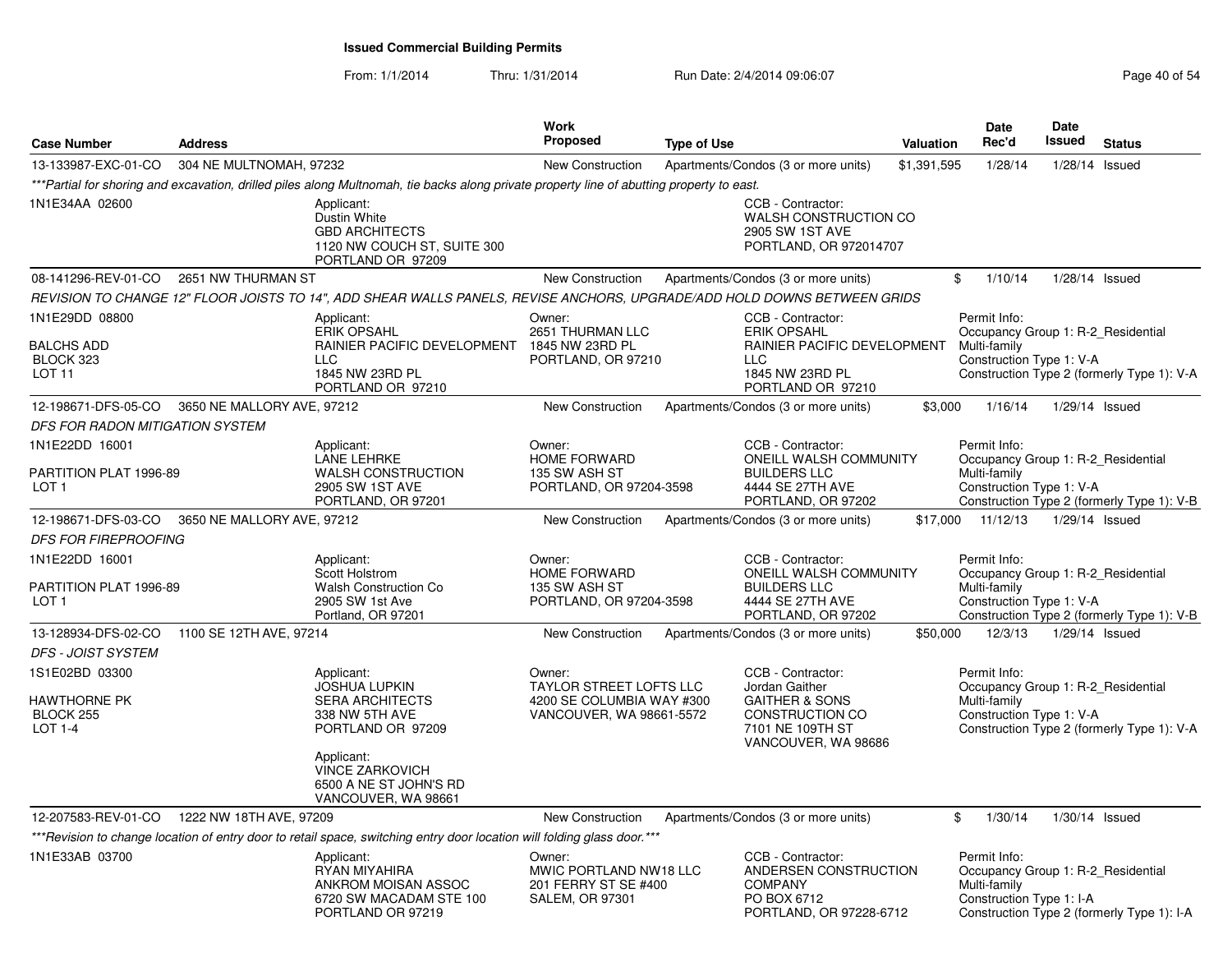From: 1/1/2014

Thru: 1/31/2014 Run Date: 2/4/2014 09:06:07 Research 2010 154

| <b>Case Number</b>                                                                       | <b>Address</b>             |                                                                                                                                                                                              | <b>Work</b><br>Proposed                                                                    | <b>Type of Use</b> |                                                                                                                                       | <b>Valuation</b> | <b>Date</b><br>Rec'd                                                                           | <b>Date</b><br><b>Issued</b> | <b>Status</b>                              |
|------------------------------------------------------------------------------------------|----------------------------|----------------------------------------------------------------------------------------------------------------------------------------------------------------------------------------------|--------------------------------------------------------------------------------------------|--------------------|---------------------------------------------------------------------------------------------------------------------------------------|------------------|------------------------------------------------------------------------------------------------|------------------------------|--------------------------------------------|
| 13-133987-EXC-01-CO                                                                      | 304 NE MULTNOMAH, 97232    |                                                                                                                                                                                              | New Construction                                                                           |                    | Apartments/Condos (3 or more units)                                                                                                   | \$1,391,595      | 1/28/14                                                                                        | $1/28/14$ Issued             |                                            |
|                                                                                          |                            | ***Partial for shoring and excavation, drilled piles along Multnomah, tie backs along private property line of abutting property to east.                                                    |                                                                                            |                    |                                                                                                                                       |                  |                                                                                                |                              |                                            |
| 1N1E34AA 02600                                                                           |                            | Applicant:<br>Dustin White<br><b>GBD ARCHITECTS</b><br>1120 NW COUCH ST, SUITE 300<br>PORTLAND OR 97209                                                                                      |                                                                                            |                    | CCB - Contractor:<br>WALSH CONSTRUCTION CO<br>2905 SW 1ST AVE<br>PORTLAND, OR 972014707                                               |                  |                                                                                                |                              |                                            |
| 08-141296-REV-01-CO                                                                      | 2651 NW THURMAN ST         |                                                                                                                                                                                              | New Construction                                                                           |                    | Apartments/Condos (3 or more units)                                                                                                   | \$               | 1/10/14                                                                                        | $1/28/14$ Issued             |                                            |
|                                                                                          |                            | REVISION TO CHANGE 12" FLOOR JOISTS TO 14", ADD SHEAR WALLS PANELS, REVISE ANCHORS, UPGRADE/ADD HOLD DOWNS BETWEEN GRIDS                                                                     |                                                                                            |                    |                                                                                                                                       |                  |                                                                                                |                              |                                            |
| 1N1E29DD 08800<br><b>BALCHS ADD</b><br>BLOCK 323<br>LOT 11                               |                            | Applicant:<br><b>ERIK OPSAHL</b><br>RAINIER PACIFIC DEVELOPMENT<br><b>LLC</b><br>1845 NW 23RD PL                                                                                             | Owner:<br>2651 THURMAN LLC<br>1845 NW 23RD PL<br>PORTLAND, OR 97210                        |                    | CCB - Contractor:<br><b>ERIK OPSAHL</b><br>RAINIER PACIFIC DEVELOPMENT<br><b>LLC</b><br>1845 NW 23RD PL                               |                  | Permit Info:<br>Occupancy Group 1: R-2 Residential<br>Multi-family<br>Construction Type 1: V-A |                              | Construction Type 2 (formerly Type 1): V-A |
|                                                                                          |                            | PORTLAND OR 97210                                                                                                                                                                            |                                                                                            |                    | PORTLAND OR 97210                                                                                                                     |                  |                                                                                                |                              |                                            |
| 12-198671-DFS-05-CO 3650 NE MALLORY AVE, 97212<br><b>DFS FOR RADON MITIGATION SYSTEM</b> |                            |                                                                                                                                                                                              | New Construction                                                                           |                    | Apartments/Condos (3 or more units)                                                                                                   | \$3,000          | 1/16/14                                                                                        | 1/29/14 Issued               |                                            |
| 1N1E22DD 16001                                                                           |                            |                                                                                                                                                                                              |                                                                                            |                    | CCB - Contractor:                                                                                                                     |                  |                                                                                                |                              |                                            |
| PARTITION PLAT 1996-89<br>LOT <sub>1</sub>                                               |                            | Applicant:<br><b>LANE LEHRKE</b><br><b>WALSH CONSTRUCTION</b><br>2905 SW 1ST AVE<br>PORTLAND, OR 97201                                                                                       | Owner:<br><b>HOME FORWARD</b><br>135 SW ASH ST<br>PORTLAND, OR 97204-3598                  |                    | ONEILL WALSH COMMUNITY<br><b>BUILDERS LLC</b><br>4444 SE 27TH AVE<br>PORTLAND, OR 97202                                               |                  | Permit Info:<br>Occupancy Group 1: R-2 Residential<br>Multi-family<br>Construction Type 1: V-A |                              | Construction Type 2 (formerly Type 1): V-B |
| 12-198671-DFS-03-CO                                                                      | 3650 NE MALLORY AVE, 97212 |                                                                                                                                                                                              | <b>New Construction</b>                                                                    |                    | Apartments/Condos (3 or more units)                                                                                                   |                  | \$17.000 11/12/13                                                                              | 1/29/14 Issued               |                                            |
| <b>DFS FOR FIREPROOFING</b>                                                              |                            |                                                                                                                                                                                              |                                                                                            |                    |                                                                                                                                       |                  |                                                                                                |                              |                                            |
| 1N1E22DD 16001<br>PARTITION PLAT 1996-89<br>LOT <sub>1</sub>                             |                            | Applicant:<br>Scott Holstrom<br><b>Walsh Construction Co</b><br>2905 SW 1st Ave<br>Portland, OR 97201                                                                                        | Owner:<br>HOME FORWARD<br>135 SW ASH ST<br>PORTLAND, OR 97204-3598                         |                    | CCB - Contractor:<br>ONEILL WALSH COMMUNITY<br><b>BUILDERS LLC</b><br>4444 SE 27TH AVE<br>PORTLAND, OR 97202                          |                  | Permit Info:<br>Occupancy Group 1: R-2_Residential<br>Multi-family<br>Construction Type 1: V-A |                              | Construction Type 2 (formerly Type 1): V-B |
| 13-128934-DFS-02-CO                                                                      | 1100 SE 12TH AVE, 97214    |                                                                                                                                                                                              | <b>New Construction</b>                                                                    |                    | Apartments/Condos (3 or more units)                                                                                                   | \$50,000         | 12/3/13                                                                                        | 1/29/14 Issued               |                                            |
| <b>DFS - JOIST SYSTEM</b>                                                                |                            |                                                                                                                                                                                              |                                                                                            |                    |                                                                                                                                       |                  |                                                                                                |                              |                                            |
| 1S1E02BD 03300<br>HAWTHORNE PK<br>BLOCK 255<br><b>LOT 1-4</b>                            |                            | Applicant:<br><b>JOSHUA LUPKIN</b><br><b>SERA ARCHITECTS</b><br>338 NW 5TH AVE<br>PORTLAND OR 97209<br>Applicant:<br><b>VINCE ZARKOVICH</b><br>6500 A NE ST JOHN'S RD<br>VANCOUVER, WA 98661 | Owner:<br>TAYLOR STREET LOFTS LLC<br>4200 SE COLUMBIA WAY #300<br>VANCOUVER, WA 98661-5572 |                    | CCB - Contractor:<br>Jordan Gaither<br><b>GAITHER &amp; SONS</b><br><b>CONSTRUCTION CO</b><br>7101 NE 109TH ST<br>VANCOUVER, WA 98686 |                  | Permit Info:<br>Occupancy Group 1: R-2 Residential<br>Multi-family<br>Construction Type 1: V-A |                              | Construction Type 2 (formerly Type 1): V-A |
| 12-207583-REV-01-CO  1222 NW 18TH AVE, 97209                                             |                            |                                                                                                                                                                                              | <b>New Construction</b>                                                                    |                    | Apartments/Condos (3 or more units)                                                                                                   | \$               | 1/30/14                                                                                        | $1/30/14$ Issued             |                                            |
|                                                                                          |                            | *** Revision to change location of entry door to retail space, switching entry door location will folding glass door. ***                                                                    |                                                                                            |                    |                                                                                                                                       |                  |                                                                                                |                              |                                            |
| 1N1E33AB 03700                                                                           |                            | Applicant:<br>RYAN MIYAHIRA<br>ANKROM MOISAN ASSOC<br>6720 SW MACADAM STE 100<br>PORTLAND OR 97219                                                                                           | Owner:<br>MWIC PORTLAND NW18 LLC<br>201 FERRY ST SE #400<br><b>SALEM, OR 97301</b>         |                    | CCB - Contractor:<br>ANDERSEN CONSTRUCTION<br><b>COMPANY</b><br>PO BOX 6712<br>PORTLAND, OR 97228-6712                                |                  | Permit Info:<br>Occupancy Group 1: R-2_Residential<br>Multi-family<br>Construction Type 1: I-A |                              | Construction Type 2 (formerly Type 1): I-A |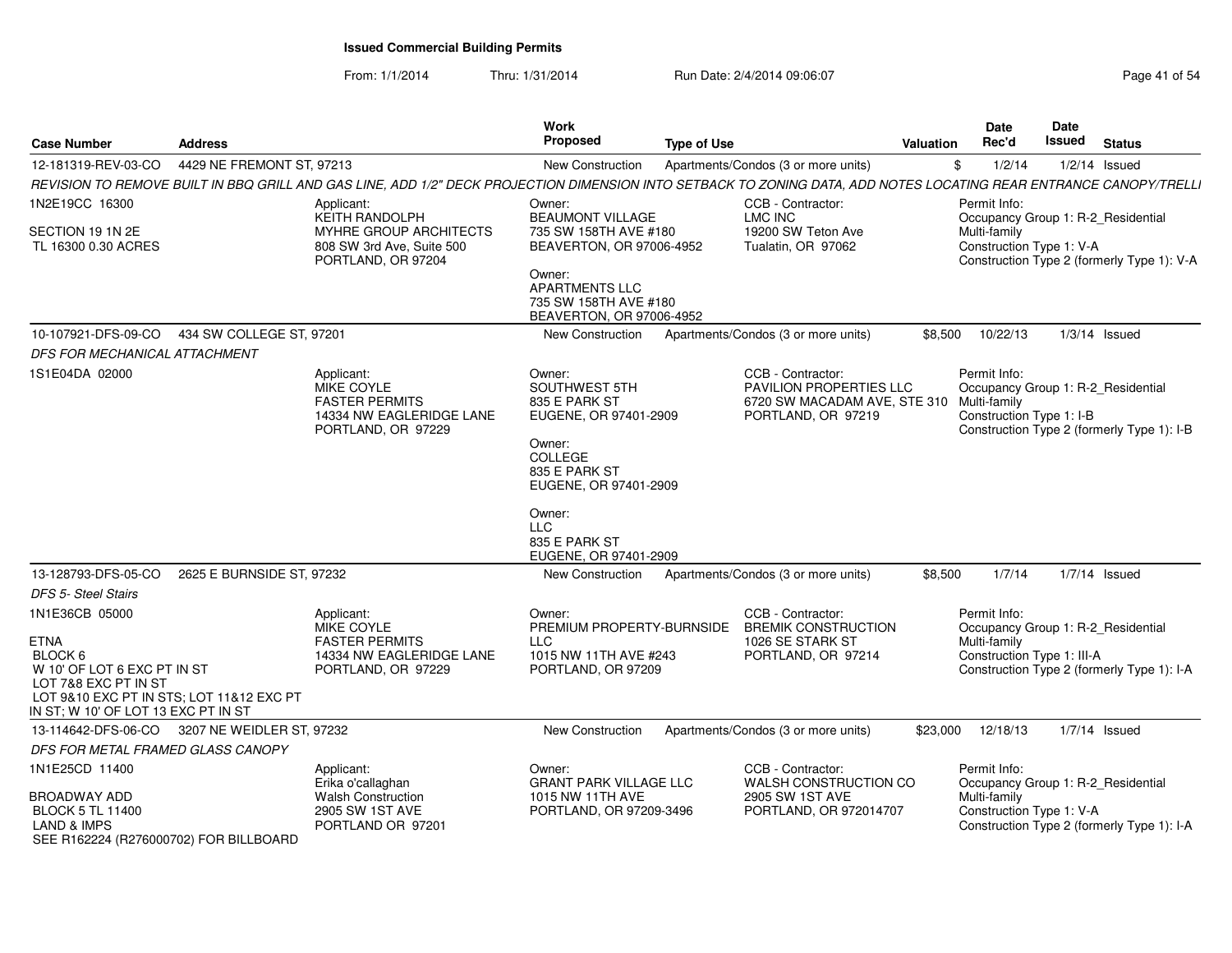From: 1/1/2014Thru: 1/31/2014 Run Date: 2/4/2014 09:06:07 Run Date: 2/4/2014 09:06:07

| <b>Case Number</b>                                                                                                                                                                 | <b>Address</b>            |                                                                                                            | Work<br><b>Proposed</b>                                                                                                                                                                                   | <b>Type of Use</b>                                                                                                                                                 | <b>Valuation</b> | Date<br>Rec'd                                                                                    | <b>Date</b><br>Issued | <b>Status</b>                              |
|------------------------------------------------------------------------------------------------------------------------------------------------------------------------------------|---------------------------|------------------------------------------------------------------------------------------------------------|-----------------------------------------------------------------------------------------------------------------------------------------------------------------------------------------------------------|--------------------------------------------------------------------------------------------------------------------------------------------------------------------|------------------|--------------------------------------------------------------------------------------------------|-----------------------|--------------------------------------------|
| 12-181319-REV-03-CO                                                                                                                                                                | 4429 NE FREMONT ST, 97213 |                                                                                                            | <b>New Construction</b>                                                                                                                                                                                   | Apartments/Condos (3 or more units)                                                                                                                                |                  | \$<br>1/2/14                                                                                     |                       | $1/2/14$ Issued                            |
|                                                                                                                                                                                    |                           |                                                                                                            |                                                                                                                                                                                                           | REVISION TO REMOVE BUILT IN BBQ GRILL AND GAS LINE, ADD 1/2" DECK PROJECTION DIMENSION INTO SETBACK TO ZONING DATA, ADD NOTES LOCATING REAR ENTRANCE CANOPY/TRELLI |                  |                                                                                                  |                       |                                            |
| 1N2E19CC 16300                                                                                                                                                                     |                           | Applicant:<br><b>KEITH RANDOLPH</b>                                                                        | Owner:<br><b>BEAUMONT VILLAGE</b>                                                                                                                                                                         | CCB - Contractor:<br>LMC INC                                                                                                                                       |                  | Permit Info:<br>Occupancy Group 1: R-2_Residential                                               |                       |                                            |
| SECTION 19 1N 2E<br>TL 16300 0.30 ACRES                                                                                                                                            |                           | MYHRE GROUP ARCHITECTS<br>808 SW 3rd Ave, Suite 500<br>PORTLAND, OR 97204                                  | 735 SW 158TH AVE #180<br>BEAVERTON, OR 97006-4952<br>Owner:<br>APARTMENTS LLC<br>735 SW 158TH AVE #180<br>BEAVERTON, OR 97006-4952                                                                        | 19200 SW Teton Ave<br>Tualatin, OR 97062                                                                                                                           |                  | Multi-family<br>Construction Type 1: V-A                                                         |                       | Construction Type 2 (formerly Type 1): V-A |
| 10-107921-DFS-09-CO                                                                                                                                                                | 434 SW COLLEGE ST, 97201  |                                                                                                            | New Construction                                                                                                                                                                                          | Apartments/Condos (3 or more units)                                                                                                                                | \$8,500          | 10/22/13                                                                                         |                       | $1/3/14$ Issued                            |
| DFS FOR MECHANICAL ATTACHMENT                                                                                                                                                      |                           |                                                                                                            |                                                                                                                                                                                                           |                                                                                                                                                                    |                  |                                                                                                  |                       |                                            |
| 1S1E04DA 02000                                                                                                                                                                     |                           | Applicant:<br><b>MIKE COYLE</b><br><b>FASTER PERMITS</b><br>14334 NW EAGLERIDGE LANE<br>PORTLAND, OR 97229 | Owner:<br><b>SOUTHWEST 5TH</b><br>835 E PARK ST<br>EUGENE, OR 97401-2909<br>Owner:<br>COLLEGE<br>835 E PARK ST<br>EUGENE, OR 97401-2909<br>Owner:<br><b>LLC</b><br>835 E PARK ST<br>EUGENE, OR 97401-2909 | CCB - Contractor:<br><b>PAVILION PROPERTIES LLC</b><br>6720 SW MACADAM AVE, STE 310<br>PORTLAND, OR 97219                                                          |                  | Permit Info:<br>Occupancy Group 1: R-2_Residential<br>Multi-family<br>Construction Type 1: I-B   |                       | Construction Type 2 (formerly Type 1): I-B |
| 13-128793-DFS-05-CO                                                                                                                                                                | 2625 E BURNSIDE ST, 97232 |                                                                                                            | New Construction                                                                                                                                                                                          | Apartments/Condos (3 or more units)                                                                                                                                | \$8,500          | 1/7/14                                                                                           |                       | $1/7/14$ Issued                            |
| <b>DFS 5- Steel Stairs</b>                                                                                                                                                         |                           |                                                                                                            |                                                                                                                                                                                                           |                                                                                                                                                                    |                  |                                                                                                  |                       |                                            |
| 1N1E36CB 05000<br><b>ETNA</b><br>BLOCK 6<br>W 10' OF LOT 6 EXC PT IN ST<br>LOT 7&8 EXC PT IN ST<br>LOT 9&10 EXC PT IN STS; LOT 11&12 EXC PT<br>IN ST; W 10' OF LOT 13 EXC PT IN ST |                           | Applicant:<br><b>MIKE COYLE</b><br><b>FASTER PERMITS</b><br>14334 NW EAGLERIDGE LANE<br>PORTLAND, OR 97229 | Owner:<br>PREMIUM PROPERTY-BURNSIDE<br><b>LLC</b><br>1015 NW 11TH AVE #243<br>PORTLAND, OR 97209                                                                                                          | CCB - Contractor:<br><b>BREMIK CONSTRUCTION</b><br>1026 SE STARK ST<br>PORTLAND, OR 97214                                                                          |                  | Permit Info:<br>Occupancy Group 1: R-2_Residential<br>Multi-family<br>Construction Type 1: III-A |                       | Construction Type 2 (formerly Type 1): I-A |
| 13-114642-DFS-06-CO 3207 NE WEIDLER ST, 97232                                                                                                                                      |                           |                                                                                                            | <b>New Construction</b>                                                                                                                                                                                   | Apartments/Condos (3 or more units)                                                                                                                                | \$23,000         | 12/18/13                                                                                         |                       | $1/7/14$ Issued                            |
| DFS FOR METAL FRAMED GLASS CANOPY                                                                                                                                                  |                           |                                                                                                            |                                                                                                                                                                                                           |                                                                                                                                                                    |                  |                                                                                                  |                       |                                            |
| 1N1E25CD 11400<br><b>BROADWAY ADD</b><br><b>BLOCK 5 TL 11400</b><br><b>LAND &amp; IMPS</b><br>SEE R162224 (R276000702) FOR BILLBOARD                                               |                           | Applicant:<br>Erika o'callaghan<br><b>Walsh Construction</b><br>2905 SW 1ST AVE<br>PORTLAND OR 97201       | Owner:<br><b>GRANT PARK VILLAGE LLC</b><br>1015 NW 11TH AVE<br>PORTLAND, OR 97209-3496                                                                                                                    | CCB - Contractor:<br>WALSH CONSTRUCTION CO<br>2905 SW 1ST AVE<br>PORTLAND, OR 972014707                                                                            |                  | Permit Info:<br>Occupancy Group 1: R-2_Residential<br>Multi-family<br>Construction Type 1: V-A   |                       | Construction Type 2 (formerly Type 1): I-A |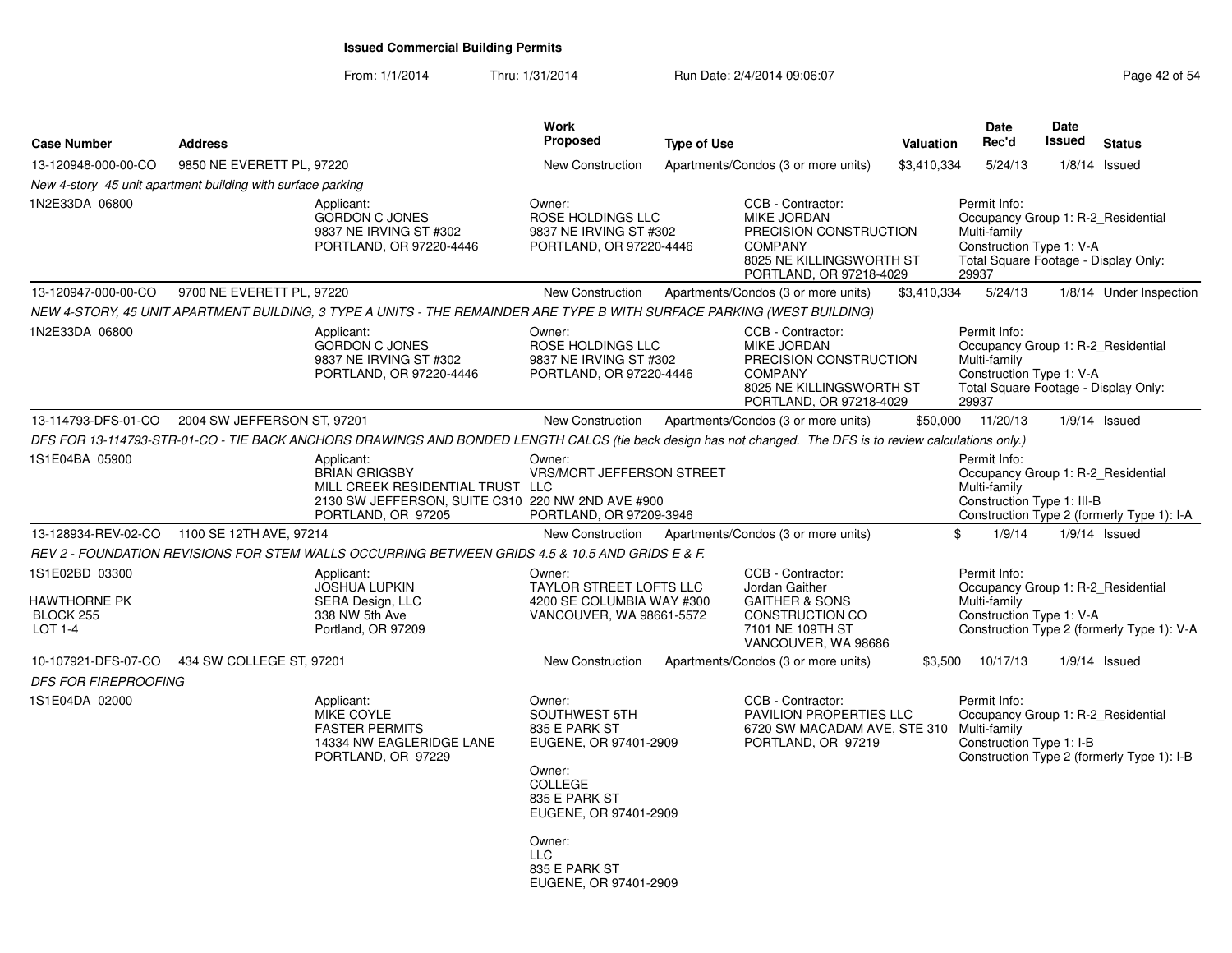| <b>Case Number</b>                                                   | <b>Address</b>              |                                                                                                                                                            | Work<br><b>Proposed</b>                                                                                                                                                                            | <b>Type of Use</b> |                                                                                                                                            | Valuation   | <b>Date</b><br>Rec'd                                                                                                                            | Date<br><b>Issued</b> | <b>Status</b>                              |
|----------------------------------------------------------------------|-----------------------------|------------------------------------------------------------------------------------------------------------------------------------------------------------|----------------------------------------------------------------------------------------------------------------------------------------------------------------------------------------------------|--------------------|--------------------------------------------------------------------------------------------------------------------------------------------|-------------|-------------------------------------------------------------------------------------------------------------------------------------------------|-----------------------|--------------------------------------------|
| 13-120948-000-00-CO                                                  | 9850 NE EVERETT PL, 97220   |                                                                                                                                                            | <b>New Construction</b>                                                                                                                                                                            |                    | Apartments/Condos (3 or more units)                                                                                                        | \$3,410,334 | 5/24/13                                                                                                                                         |                       | $1/8/14$ Issued                            |
| New 4-story 45 unit apartment building with surface parking          |                             |                                                                                                                                                            |                                                                                                                                                                                                    |                    |                                                                                                                                            |             |                                                                                                                                                 |                       |                                            |
| 1N2E33DA 06800                                                       |                             | Applicant:<br><b>GORDON C JONES</b><br>9837 NE IRVING ST #302<br>PORTLAND, OR 97220-4446                                                                   | Owner:<br>ROSE HOLDINGS LLC<br>9837 NE IRVING ST #302<br>PORTLAND, OR 97220-4446                                                                                                                   |                    | CCB - Contractor:<br><b>MIKE JORDAN</b><br>PRECISION CONSTRUCTION<br><b>COMPANY</b><br>8025 NE KILLINGSWORTH ST<br>PORTLAND, OR 97218-4029 |             | Permit Info:<br>Occupancy Group 1: R-2_Residential<br>Multi-family<br>Construction Type 1: V-A<br>Total Square Footage - Display Only:<br>29937 |                       |                                            |
| 13-120947-000-00-CO                                                  | 9700 NE EVERETT PL, 97220   |                                                                                                                                                            | <b>New Construction</b>                                                                                                                                                                            |                    | Apartments/Condos (3 or more units)                                                                                                        | \$3,410,334 | 5/24/13                                                                                                                                         |                       | 1/8/14 Under Inspection                    |
|                                                                      |                             | NEW 4-STORY, 45 UNIT APARTMENT BUILDING, 3 TYPE A UNITS - THE REMAINDER ARE TYPE B WITH SURFACE PARKING (WEST BUILDING)                                    |                                                                                                                                                                                                    |                    |                                                                                                                                            |             |                                                                                                                                                 |                       |                                            |
| 1N2E33DA 06800                                                       |                             | Applicant:<br><b>GORDON C JONES</b><br>9837 NE IRVING ST #302<br>PORTLAND, OR 97220-4446                                                                   | Owner:<br>ROSE HOLDINGS LLC<br>9837 NE IRVING ST #302<br>PORTLAND, OR 97220-4446                                                                                                                   |                    | CCB - Contractor:<br>MIKE JORDAN<br>PRECISION CONSTRUCTION<br><b>COMPANY</b><br>8025 NE KILLINGSWORTH ST<br>PORTLAND, OR 97218-4029        |             | Permit Info:<br>Occupancy Group 1: R-2 Residential<br>Multi-family<br>Construction Type 1: V-A<br>Total Square Footage - Display Only:<br>29937 |                       |                                            |
| 13-114793-DFS-01-CO                                                  | 2004 SW JEFFERSON ST, 97201 |                                                                                                                                                            | <b>New Construction</b>                                                                                                                                                                            |                    | Apartments/Condos (3 or more units)                                                                                                        |             | \$50,000 11/20/13                                                                                                                               |                       | $1/9/14$ Issued                            |
|                                                                      |                             | DFS FOR 13-114793-STR-01-CO - TIE BACK ANCHORS DRAWINGS AND BONDED LENGTH CALCS (tie back design has not changed. The DFS is to review calculations only.) |                                                                                                                                                                                                    |                    |                                                                                                                                            |             |                                                                                                                                                 |                       |                                            |
| 1S1E04BA 05900                                                       |                             | Applicant:<br><b>BRIAN GRIGSBY</b><br>MILL CREEK RESIDENTIAL TRUST LLC<br>2130 SW JEFFERSON, SUITE C310 220 NW 2ND AVE #900<br>PORTLAND, OR 97205          | Owner:<br><b>VRS/MCRT JEFFERSON STREET</b><br>PORTLAND, OR 97209-3946                                                                                                                              |                    |                                                                                                                                            |             | Permit Info:<br>Occupancy Group 1: R-2 Residential<br>Multi-family<br>Construction Type 1: III-B                                                |                       | Construction Type 2 (formerly Type 1): I-A |
| 13-128934-REV-02-CO 1100 SE 12TH AVE, 97214                          |                             |                                                                                                                                                            | <b>New Construction</b>                                                                                                                                                                            |                    | Apartments/Condos (3 or more units)                                                                                                        |             | 1/9/14<br>\$                                                                                                                                    |                       | $1/9/14$ Issued                            |
|                                                                      |                             | REV 2 - FOUNDATION REVISIONS FOR STEM WALLS OCCURRING BETWEEN GRIDS 4.5 & 10.5 AND GRIDS E & F.                                                            |                                                                                                                                                                                                    |                    |                                                                                                                                            |             |                                                                                                                                                 |                       |                                            |
| 1S1E02BD 03300<br><b>HAWTHORNE PK</b><br><b>BLOCK 255</b><br>LOT 1-4 |                             | Applicant:<br><b>JOSHUA LUPKIN</b><br><b>SERA Design, LLC</b><br>338 NW 5th Ave<br>Portland, OR 97209                                                      | Owner:<br>TAYLOR STREET LOFTS LLC<br>4200 SE COLUMBIA WAY #300<br>VANCOUVER, WA 98661-5572                                                                                                         |                    | CCB - Contractor:<br>Jordan Gaither<br><b>GAITHER &amp; SONS</b><br>CONSTRUCTION CO<br>7101 NE 109TH ST<br>VANCOUVER, WA 98686             |             | Permit Info:<br>Occupancy Group 1: R-2_Residential<br>Multi-family<br>Construction Type 1: V-A                                                  |                       | Construction Type 2 (formerly Type 1): V-A |
| 10-107921-DFS-07-CO                                                  | 434 SW COLLEGE ST, 97201    |                                                                                                                                                            | New Construction                                                                                                                                                                                   |                    | Apartments/Condos (3 or more units)                                                                                                        | \$3,500     | 10/17/13                                                                                                                                        |                       | $1/9/14$ Issued                            |
| <b>DFS FOR FIREPROOFING</b>                                          |                             |                                                                                                                                                            |                                                                                                                                                                                                    |                    |                                                                                                                                            |             |                                                                                                                                                 |                       |                                            |
| 1S1E04DA 02000                                                       |                             | Applicant:<br>MIKE COYLE<br><b>FASTER PERMITS</b><br>14334 NW EAGLERIDGE LANE<br>PORTLAND, OR 97229                                                        | Owner:<br>SOUTHWEST 5TH<br>835 E PARK ST<br>EUGENE, OR 97401-2909<br>Owner:<br><b>COLLEGE</b><br>835 E PARK ST<br>EUGENE, OR 97401-2909<br>Owner:<br>LLC<br>835 E PARK ST<br>EUGENE, OR 97401-2909 |                    | CCB - Contractor:<br>PAVILION PROPERTIES LLC<br>6720 SW MACADAM AVE, STE 310 Multi-family<br>PORTLAND, OR 97219                            |             | Permit Info:<br>Occupancy Group 1: R-2 Residential<br>Construction Type 1: I-B                                                                  |                       | Construction Type 2 (formerly Type 1): I-B |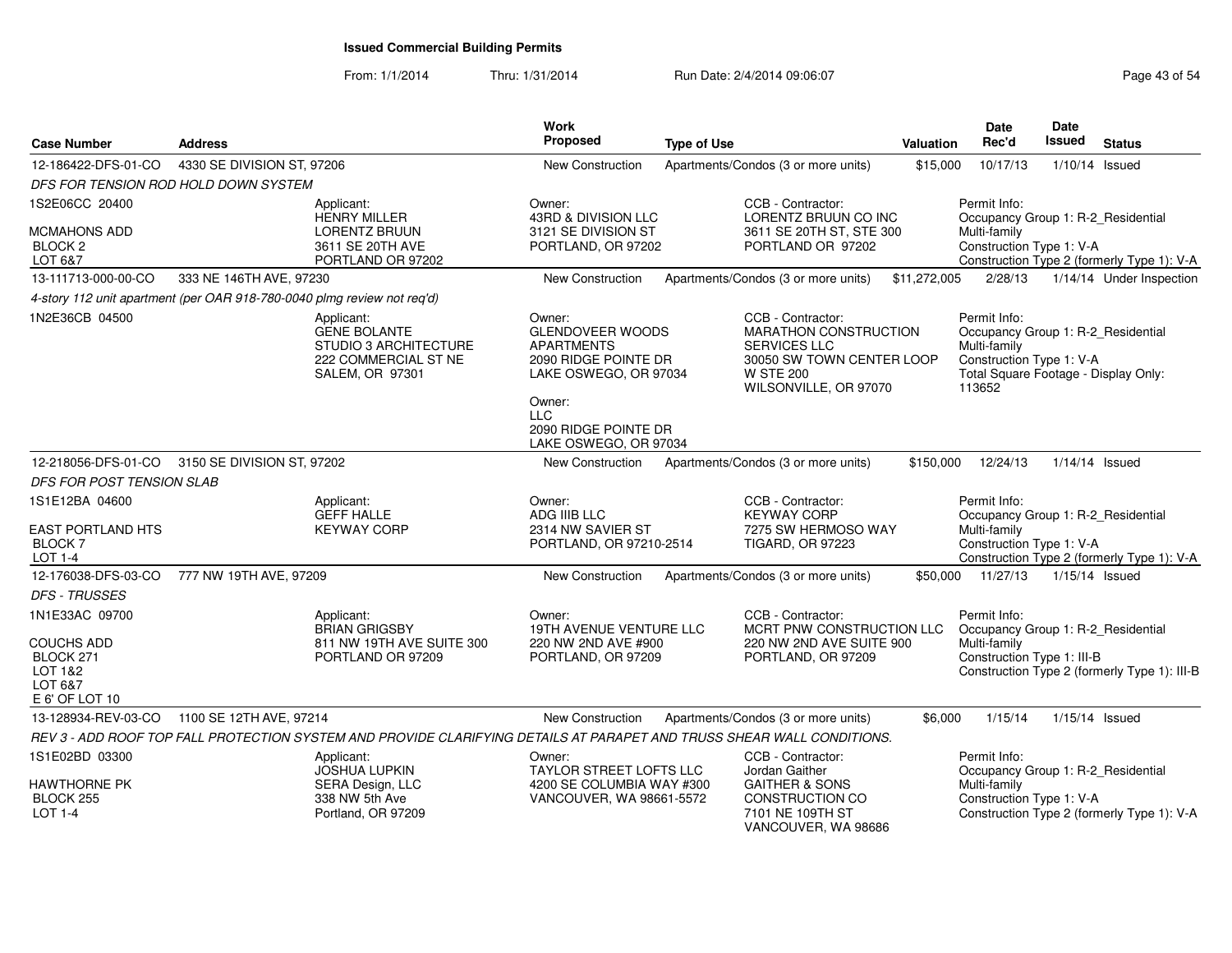| <b>Case Number</b>                                                      | <b>Address</b>             |                                                                                                       | <b>Work</b><br>Proposed                                                                                 | <b>Type of Use</b>                                                                                                                                 | Valuation    | <b>Date</b><br>Rec'd                                                                                                                             | <b>Date</b><br><b>Issued</b> | <b>Status</b>                                |
|-------------------------------------------------------------------------|----------------------------|-------------------------------------------------------------------------------------------------------|---------------------------------------------------------------------------------------------------------|----------------------------------------------------------------------------------------------------------------------------------------------------|--------------|--------------------------------------------------------------------------------------------------------------------------------------------------|------------------------------|----------------------------------------------|
| 12-186422-DFS-01-CO                                                     | 4330 SE DIVISION ST, 97206 |                                                                                                       | <b>New Construction</b>                                                                                 | Apartments/Condos (3 or more units)                                                                                                                | \$15,000     | 10/17/13                                                                                                                                         |                              | $1/10/14$ Issued                             |
| DFS FOR TENSION ROD HOLD DOWN SYSTEM                                    |                            |                                                                                                       |                                                                                                         |                                                                                                                                                    |              |                                                                                                                                                  |                              |                                              |
| 1S2E06CC 20400                                                          |                            | Applicant:<br><b>HENRY MILLER</b>                                                                     | Owner:<br>43RD & DIVISION LLC                                                                           | CCB - Contractor:<br>LORENTZ BRUUN CO INC                                                                                                          |              | Permit Info:<br>Occupancy Group 1: R-2_Residential                                                                                               |                              |                                              |
| MCMAHONS ADD                                                            |                            | <b>LORENTZ BRUUN</b>                                                                                  | 3121 SE DIVISION ST                                                                                     | 3611 SE 20TH ST, STE 300                                                                                                                           |              | Multi-family                                                                                                                                     |                              |                                              |
| <b>BLOCK 2</b><br>LOT 6&7                                               |                            | 3611 SE 20TH AVE<br>PORTLAND OR 97202                                                                 | PORTLAND, OR 97202                                                                                      | PORTLAND OR 97202                                                                                                                                  |              | Construction Type 1: V-A                                                                                                                         |                              | Construction Type 2 (formerly Type 1): V-A   |
| 13-111713-000-00-CO                                                     | 333 NE 146TH AVE, 97230    |                                                                                                       | <b>New Construction</b>                                                                                 | Apartments/Condos (3 or more units)                                                                                                                | \$11,272,005 | 2/28/13                                                                                                                                          |                              | 1/14/14 Under Inspection                     |
| 4-story 112 unit apartment (per OAR 918-780-0040 plmg review not req'd) |                            |                                                                                                       |                                                                                                         |                                                                                                                                                    |              |                                                                                                                                                  |                              |                                              |
| 1N2E36CB 04500                                                          |                            | Applicant:<br><b>GENE BOLANTE</b><br>STUDIO 3 ARCHITECTURE<br>222 COMMERCIAL ST NE<br>SALEM, OR 97301 | Owner:<br><b>GLENDOVEER WOODS</b><br><b>APARTMENTS</b><br>2090 RIDGE POINTE DR<br>LAKE OSWEGO, OR 97034 | CCB - Contractor:<br><b>MARATHON CONSTRUCTION</b><br><b>SERVICES LLC</b><br>30050 SW TOWN CENTER LOOP<br><b>W STE 200</b><br>WILSONVILLE, OR 97070 |              | Permit Info:<br>Occupancy Group 1: R-2_Residential<br>Multi-family<br>Construction Type 1: V-A<br>Total Square Footage - Display Only:<br>113652 |                              |                                              |
|                                                                         |                            |                                                                                                       | Owner:<br><b>LLC</b><br>2090 RIDGE POINTE DR<br>LAKE OSWEGO, OR 97034                                   |                                                                                                                                                    |              |                                                                                                                                                  |                              |                                              |
| 12-218056-DFS-01-CO                                                     | 3150 SE DIVISION ST, 97202 |                                                                                                       | New Construction                                                                                        | Apartments/Condos (3 or more units)                                                                                                                | \$150,000    | 12/24/13                                                                                                                                         |                              | $1/14/14$ Issued                             |
| DFS FOR POST TENSION SLAB                                               |                            |                                                                                                       |                                                                                                         |                                                                                                                                                    |              |                                                                                                                                                  |                              |                                              |
| 1S1E12BA 04600                                                          |                            | Applicant:<br><b>GEFF HALLE</b>                                                                       | Owner:<br>ADG IIIB LLC                                                                                  | CCB - Contractor:<br><b>KEYWAY CORP</b>                                                                                                            |              | Permit Info:<br>Occupancy Group 1: R-2_Residential                                                                                               |                              |                                              |
| <b>EAST PORTLAND HTS</b><br><b>BLOCK 7</b><br>LOT 1-4                   |                            | <b>KEYWAY CORP</b>                                                                                    | 2314 NW SAVIER ST<br>PORTLAND, OR 97210-2514                                                            | 7275 SW HERMOSO WAY<br><b>TIGARD, OR 97223</b>                                                                                                     |              | Multi-family<br>Construction Type 1: V-A                                                                                                         |                              | Construction Type 2 (formerly Type 1): V-A   |
| 12-176038-DFS-03-CO                                                     | 777 NW 19TH AVE, 97209     |                                                                                                       | New Construction                                                                                        | Apartments/Condos (3 or more units)                                                                                                                | \$50,000     | 11/27/13                                                                                                                                         | 1/15/14 Issued               |                                              |
| <b>DFS - TRUSSES</b>                                                    |                            |                                                                                                       |                                                                                                         |                                                                                                                                                    |              |                                                                                                                                                  |                              |                                              |
| 1N1E33AC 09700                                                          |                            | Applicant:<br><b>BRIAN GRIGSBY</b>                                                                    | Owner:<br><b>19TH AVENUE VENTURE LLC</b>                                                                | CCB - Contractor:<br>MCRT PNW CONSTRUCTION LLC                                                                                                     |              | Permit Info:<br>Occupancy Group 1: R-2_Residential                                                                                               |                              |                                              |
| <b>COUCHS ADD</b><br>BLOCK 271<br>LOT 1&2<br>LOT 6&7<br>E 6' OF LOT 10  |                            | 811 NW 19TH AVE SUITE 300<br>PORTLAND OR 97209                                                        | 220 NW 2ND AVE #900<br>PORTLAND, OR 97209                                                               | 220 NW 2ND AVE SUITE 900<br>PORTLAND, OR 97209                                                                                                     |              | Multi-family<br>Construction Type 1: III-B                                                                                                       |                              | Construction Type 2 (formerly Type 1): III-B |
| 13-128934-REV-03-CO                                                     | 1100 SE 12TH AVE, 97214    |                                                                                                       | <b>New Construction</b>                                                                                 | Apartments/Condos (3 or more units)                                                                                                                | \$6,000      | 1/15/14                                                                                                                                          |                              | $1/15/14$ Issued                             |
|                                                                         |                            |                                                                                                       |                                                                                                         | REV 3 - ADD ROOF TOP FALL PROTECTION SYSTEM AND PROVIDE CLARIFYING DETAILS AT PARAPET AND TRUSS SHEAR WALL CONDITIONS.                             |              |                                                                                                                                                  |                              |                                              |
| 1S1E02BD 03300<br><b>HAWTHORNE PK</b><br>BLOCK 255<br>LOT 1-4           |                            | Applicant:<br><b>JOSHUA LUPKIN</b><br>SERA Design, LLC<br>338 NW 5th Ave<br>Portland, OR 97209        | Owner:<br>TAYLOR STREET LOFTS LLC<br>4200 SE COLUMBIA WAY #300<br>VANCOUVER, WA 98661-5572              | CCB - Contractor:<br>Jordan Gaither<br><b>GAITHER &amp; SONS</b><br><b>CONSTRUCTION CO</b><br>7101 NE 109TH ST<br>VANCOUVER, WA 98686              |              | Permit Info:<br>Occupancy Group 1: R-2_Residential<br>Multi-family<br>Construction Type 1: V-A                                                   |                              | Construction Type 2 (formerly Type 1): V-A   |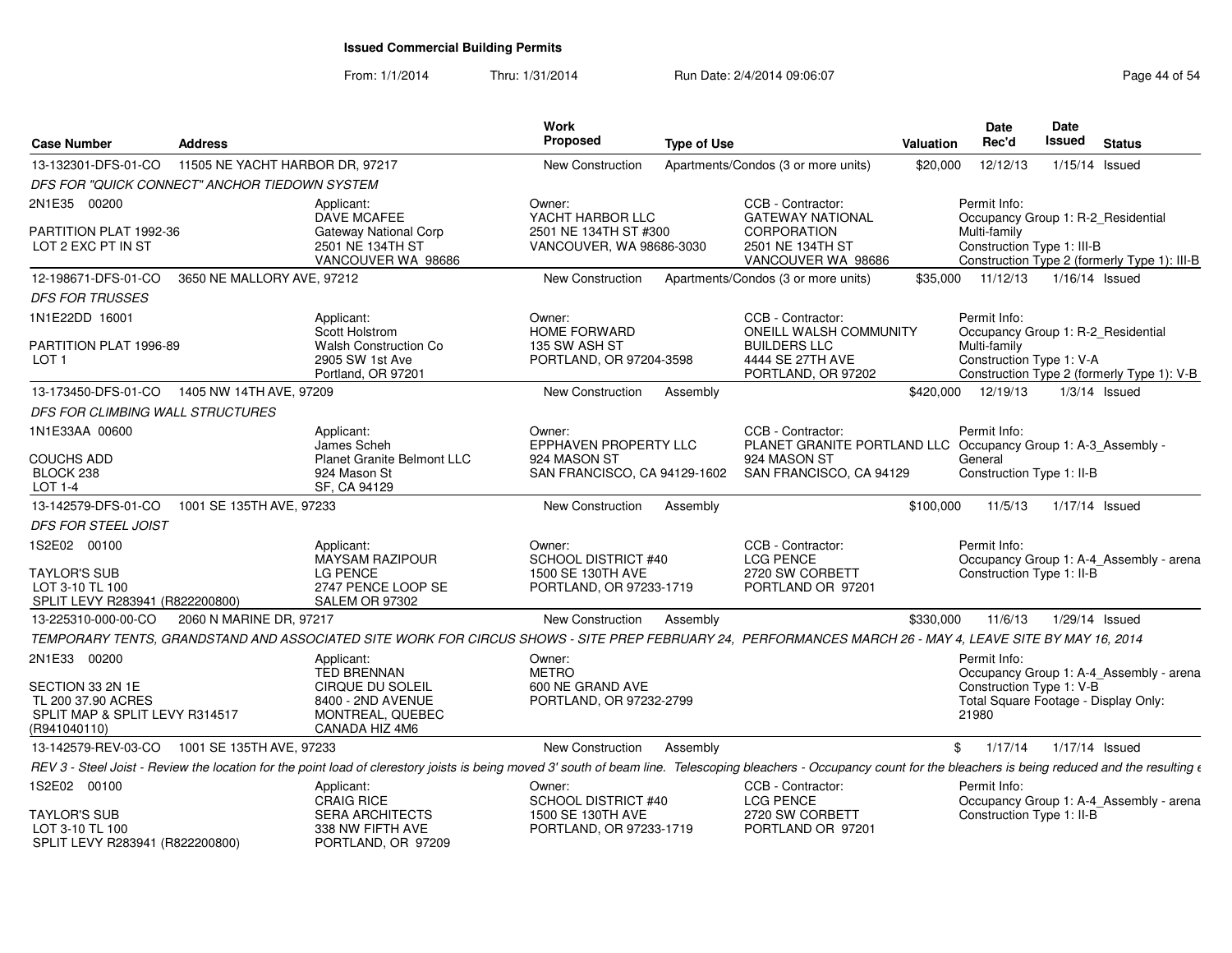| <b>Case Number</b>                                                                       | <b>Address</b>                  |                                                                                                                                                                                                                                 | Work<br>Proposed                                                      | <b>Type of Use</b> |                                                                                         | Valuation | Date<br>Rec'd                              | Date<br>Issued | <b>Status</b>                                                                      |
|------------------------------------------------------------------------------------------|---------------------------------|---------------------------------------------------------------------------------------------------------------------------------------------------------------------------------------------------------------------------------|-----------------------------------------------------------------------|--------------------|-----------------------------------------------------------------------------------------|-----------|--------------------------------------------|----------------|------------------------------------------------------------------------------------|
| 13-132301-DFS-01-CO                                                                      | 11505 NE YACHT HARBOR DR, 97217 |                                                                                                                                                                                                                                 | New Construction                                                      |                    | Apartments/Condos (3 or more units)                                                     | \$20,000  | 12/12/13                                   |                | $1/15/14$ Issued                                                                   |
| DFS FOR "QUICK CONNECT" ANCHOR TIEDOWN SYSTEM                                            |                                 |                                                                                                                                                                                                                                 |                                                                       |                    |                                                                                         |           |                                            |                |                                                                                    |
| 2N1E35 00200                                                                             |                                 | Applicant:                                                                                                                                                                                                                      | Owner:                                                                |                    | CCB - Contractor:                                                                       |           | Permit Info:                               |                |                                                                                    |
| PARTITION PLAT 1992-36<br>LOT 2 EXC PT IN ST                                             |                                 | <b>DAVE MCAFEE</b><br><b>Gateway National Corp</b><br>2501 NE 134TH ST<br>VANCOUVER WA 98686                                                                                                                                    | YACHT HARBOR LLC<br>2501 NE 134TH ST #300<br>VANCOUVER, WA 98686-3030 |                    | <b>GATEWAY NATIONAL</b><br><b>CORPORATION</b><br>2501 NE 134TH ST<br>VANCOUVER WA 98686 |           | Multi-family<br>Construction Type 1: III-B |                | Occupancy Group 1: R-2_Residential<br>Construction Type 2 (formerly Type 1): III-B |
| 12-198671-DFS-01-CO                                                                      | 3650 NE MALLORY AVE, 97212      |                                                                                                                                                                                                                                 | <b>New Construction</b>                                               |                    | Apartments/Condos (3 or more units)                                                     | \$35.000  | 11/12/13                                   |                | 1/16/14 Issued                                                                     |
| <b>DFS FOR TRUSSES</b>                                                                   |                                 |                                                                                                                                                                                                                                 |                                                                       |                    |                                                                                         |           |                                            |                |                                                                                    |
| 1N1E22DD 16001                                                                           |                                 | Applicant:                                                                                                                                                                                                                      | Owner:                                                                |                    | CCB - Contractor:                                                                       |           | Permit Info:                               |                |                                                                                    |
| PARTITION PLAT 1996-89<br>LOT <sub>1</sub>                                               |                                 | Scott Holstrom<br><b>Walsh Construction Co</b><br>2905 SW 1st Ave<br>Portland, OR 97201                                                                                                                                         | <b>HOME FORWARD</b><br>135 SW ASH ST<br>PORTLAND, OR 97204-3598       |                    | ONEILL WALSH COMMUNITY<br><b>BUILDERS LLC</b><br>4444 SE 27TH AVE<br>PORTLAND, OR 97202 |           | Multi-family<br>Construction Type 1: V-A   |                | Occupancy Group 1: R-2_Residential<br>Construction Type 2 (formerly Type 1): V-B   |
| 13-173450-DFS-01-CO  1405 NW 14TH AVE, 97209                                             |                                 |                                                                                                                                                                                                                                 | New Construction                                                      | Assembly           |                                                                                         |           | \$420,000 12/19/13                         |                | $1/3/14$ Issued                                                                    |
| DFS FOR CLIMBING WALL STRUCTURES                                                         |                                 |                                                                                                                                                                                                                                 |                                                                       |                    |                                                                                         |           |                                            |                |                                                                                    |
| 1N1E33AA 00600                                                                           |                                 | Applicant:<br>James Scheh                                                                                                                                                                                                       | Owner:<br><b>EPPHAVEN PROPERTY LLC</b>                                |                    | CCB - Contractor:<br>PLANET GRANITE PORTLAND LLC Occupancy Group 1: A-3_Assembly -      |           | Permit Info:                               |                |                                                                                    |
| <b>COUCHS ADD</b><br>BLOCK 238<br>LOT 1-4                                                |                                 | <b>Planet Granite Belmont LLC</b><br>924 Mason St<br>SF, CA 94129                                                                                                                                                               | 924 MASON ST<br>SAN FRANCISCO, CA 94129-1602                          |                    | 924 MASON ST<br>SAN FRANCISCO, CA 94129                                                 |           | General<br>Construction Type 1: II-B       |                |                                                                                    |
| 13-142579-DFS-01-CO                                                                      | 1001 SE 135TH AVE, 97233        |                                                                                                                                                                                                                                 | New Construction                                                      | Assembly           |                                                                                         | \$100.000 | 11/5/13                                    |                | 1/17/14 Issued                                                                     |
| <b>DFS FOR STEEL JOIST</b>                                                               |                                 |                                                                                                                                                                                                                                 |                                                                       |                    |                                                                                         |           |                                            |                |                                                                                    |
| 1S2E02 00100                                                                             |                                 | Applicant:<br>MAYSAM RAZIPOUR                                                                                                                                                                                                   | Owner:<br>SCHOOL DISTRICT #40                                         |                    | CCB - Contractor:<br><b>LCG PENCE</b>                                                   |           | Permit Info:                               |                | Occupancy Group 1: A-4_Assembly - arena                                            |
| TAYLOR'S SUB<br>LOT 3-10 TL 100<br>SPLIT LEVY R283941 (R822200800)                       |                                 | <b>LG PENCE</b><br>2747 PENCE LOOP SE<br>SALEM OR 97302                                                                                                                                                                         | 1500 SE 130TH AVE<br>PORTLAND, OR 97233-1719                          |                    | 2720 SW CORBETT<br>PORTLAND OR 97201                                                    |           | Construction Type 1: II-B                  |                |                                                                                    |
| 13-225310-000-00-CO                                                                      | 2060 N MARINE DR, 97217         |                                                                                                                                                                                                                                 | New Construction                                                      | Assembly           |                                                                                         | \$330,000 | 11/6/13                                    |                | 1/29/14 Issued                                                                     |
|                                                                                          |                                 | TEMPORARY TENTS, GRANDSTAND AND ASSOCIATED SITE WORK FOR CIRCUS SHOWS - SITE PREP FEBRUARY 24, PERFORMANCES MARCH 26 - MAY 4, LEAVE SITE BY MAY 16, 2014                                                                        |                                                                       |                    |                                                                                         |           |                                            |                |                                                                                    |
| 2N1E33 00200                                                                             |                                 | Applicant:<br><b>TED BRENNAN</b>                                                                                                                                                                                                | Owner:<br><b>METRO</b>                                                |                    |                                                                                         |           | Permit Info:                               |                | Occupancy Group 1: A-4_Assembly - arena                                            |
| SECTION 33 2N 1E<br>TL 200 37.90 ACRES<br>SPLIT MAP & SPLIT LEVY R314517<br>(R941040110) |                                 | CIRQUE DU SOLEIL<br>8400 - 2ND AVENUE<br>MONTREAL, QUEBEC<br>CANADA HIZ 4M6                                                                                                                                                     | 600 NE GRAND AVE<br>PORTLAND, OR 97232-2799                           |                    |                                                                                         |           | Construction Type 1: V-B<br>21980          |                | Total Square Footage - Display Only:                                               |
| 13-142579-REV-03-CO                                                                      | 1001 SE 135TH AVE, 97233        |                                                                                                                                                                                                                                 | <b>New Construction</b>                                               | Assembly           |                                                                                         | \$        | 1/17/14                                    |                | 1/17/14 Issued                                                                     |
|                                                                                          |                                 | REV 3 - Steel Joist - Review the location for the point load of clerestory joists is being moved 3' south of beam line. Telescoping bleachers - Occupancy count for the bleachers is being reduced and the resulting $\epsilon$ |                                                                       |                    |                                                                                         |           |                                            |                |                                                                                    |
| 1S2E02 00100                                                                             |                                 | Applicant:<br><b>CRAIG RICE</b>                                                                                                                                                                                                 | Owner:<br><b>SCHOOL DISTRICT #40</b>                                  |                    | CCB - Contractor:<br><b>LCG PENCE</b>                                                   |           | Permit Info:                               |                | Occupancy Group 1: A-4_Assembly - arena                                            |
| TAYLOR'S SUB<br>LOT 3-10 TL 100<br>SPLIT LEVY R283941 (R822200800)                       |                                 | <b>SERA ARCHITECTS</b><br>338 NW FIFTH AVE<br>PORTLAND, OR 97209                                                                                                                                                                | 1500 SE 130TH AVE<br>PORTLAND, OR 97233-1719                          |                    | 2720 SW CORBETT<br>PORTLAND OR 97201                                                    |           | Construction Type 1: II-B                  |                |                                                                                    |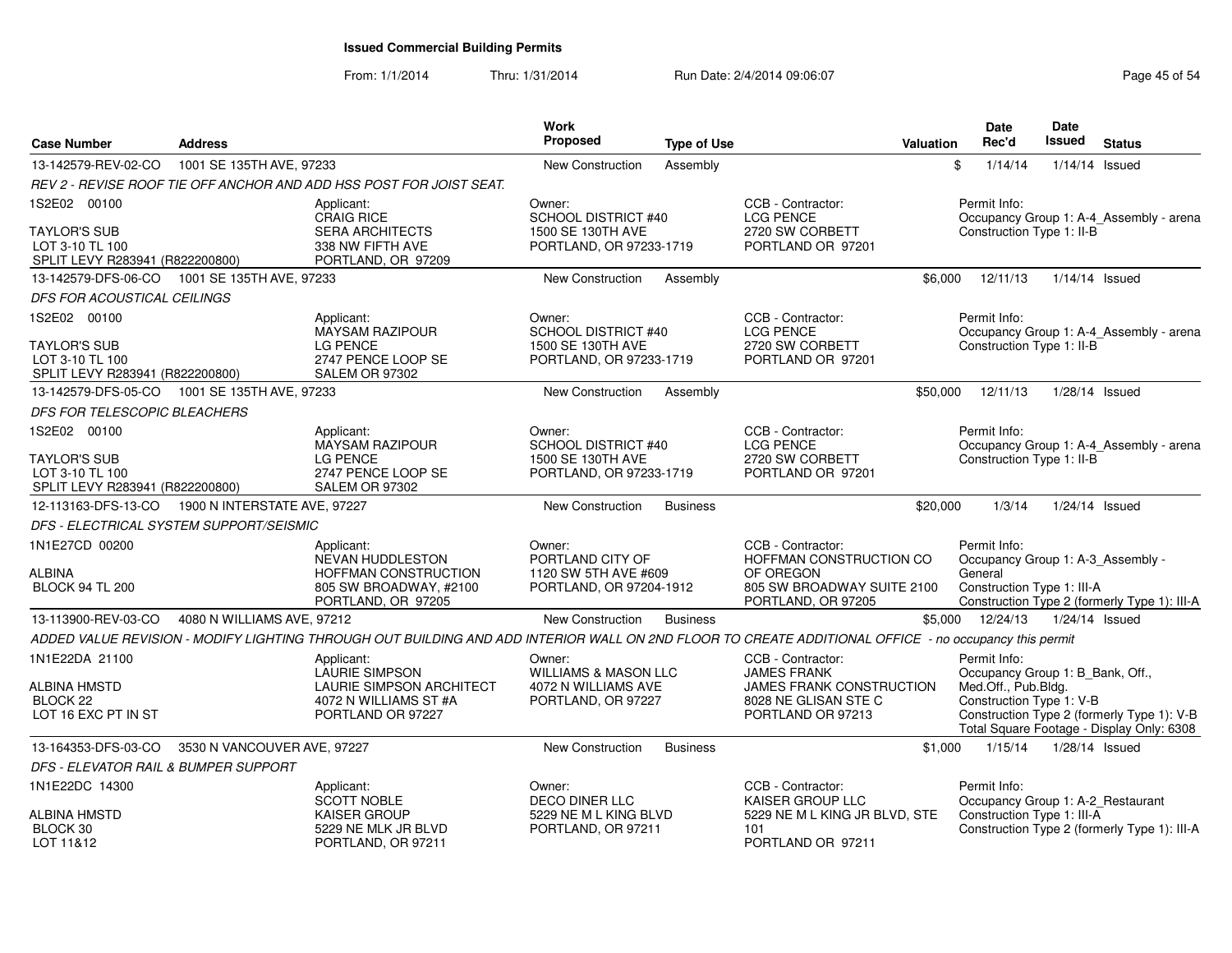| <b>Case Number</b>                                                        | <b>Address</b>                               |                                                                                                                                                       | <b>Work</b><br>Proposed                         | <b>Type of Use</b> |                                                                       | <b>Valuation</b> | <b>Date</b><br>Rec'd                              | <b>Date</b><br><b>Issued</b> | <b>Status</b>                                                                           |
|---------------------------------------------------------------------------|----------------------------------------------|-------------------------------------------------------------------------------------------------------------------------------------------------------|-------------------------------------------------|--------------------|-----------------------------------------------------------------------|------------------|---------------------------------------------------|------------------------------|-----------------------------------------------------------------------------------------|
| 13-142579-REV-02-CO                                                       | 1001 SE 135TH AVE, 97233                     |                                                                                                                                                       | <b>New Construction</b>                         | Assembly           |                                                                       | \$               | 1/14/14                                           | $1/14/14$ Issued             |                                                                                         |
|                                                                           |                                              | REV 2 - REVISE ROOF TIE OFF ANCHOR AND ADD HSS POST FOR JOIST SEAT.                                                                                   |                                                 |                    |                                                                       |                  |                                                   |                              |                                                                                         |
| 1S2E02 00100                                                              |                                              | Applicant:<br><b>CRAIG RICE</b>                                                                                                                       | Owner:<br><b>SCHOOL DISTRICT #40</b>            |                    | CCB - Contractor:<br><b>LCG PENCE</b>                                 |                  | Permit Info:                                      |                              | Occupancy Group 1: A-4_Assembly - arena                                                 |
| <b>TAYLOR'S SUB</b><br>LOT 3-10 TL 100<br>SPLIT LEVY R283941 (R822200800) |                                              | <b>SERA ARCHITECTS</b><br>338 NW FIFTH AVE<br>PORTLAND, OR 97209                                                                                      | 1500 SE 130TH AVE<br>PORTLAND, OR 97233-1719    |                    | 2720 SW CORBETT<br>PORTLAND OR 97201                                  |                  | Construction Type 1: II-B                         |                              |                                                                                         |
| 13-142579-DFS-06-CO                                                       | 1001 SE 135TH AVE, 97233                     |                                                                                                                                                       | <b>New Construction</b>                         | Assembly           |                                                                       | \$6,000          | 12/11/13                                          | $1/14/14$ Issued             |                                                                                         |
| DFS FOR ACOUSTICAL CEILINGS                                               |                                              |                                                                                                                                                       |                                                 |                    |                                                                       |                  |                                                   |                              |                                                                                         |
| 1S2E02 00100                                                              |                                              | Applicant:<br><b>MAYSAM RAZIPOUR</b>                                                                                                                  | Owner:<br>SCHOOL DISTRICT #40                   |                    | CCB - Contractor:<br><b>LCG PENCE</b>                                 |                  | Permit Info:                                      |                              | Occupancy Group 1: A-4_Assembly - arena                                                 |
| <b>TAYLOR'S SUB</b><br>LOT 3-10 TL 100<br>SPLIT LEVY R283941 (R822200800) |                                              | <b>LG PENCE</b><br>2747 PENCE LOOP SE<br><b>SALEM OR 97302</b>                                                                                        | 1500 SE 130TH AVE<br>PORTLAND, OR 97233-1719    |                    | 2720 SW CORBETT<br>PORTLAND OR 97201                                  |                  | Construction Type 1: II-B                         |                              |                                                                                         |
|                                                                           | 13-142579-DFS-05-CO 1001 SE 135TH AVE, 97233 |                                                                                                                                                       | <b>New Construction</b>                         | Assembly           |                                                                       | \$50,000         | 12/11/13                                          | 1/28/14 Issued               |                                                                                         |
| DFS FOR TELESCOPIC BLEACHERS                                              |                                              |                                                                                                                                                       |                                                 |                    |                                                                       |                  |                                                   |                              |                                                                                         |
| 1S2E02 00100                                                              |                                              | Applicant:<br><b>MAYSAM RAZIPOUR</b>                                                                                                                  | Owner:<br><b>SCHOOL DISTRICT #40</b>            |                    | CCB - Contractor:<br><b>LCG PENCE</b>                                 |                  | Permit Info:                                      |                              | Occupancy Group 1: A-4_Assembly - arena                                                 |
| <b>TAYLOR'S SUB</b><br>LOT 3-10 TL 100<br>SPLIT LEVY R283941 (R822200800) |                                              | <b>LG PENCE</b><br>2747 PENCE LOOP SE<br><b>SALEM OR 97302</b>                                                                                        | 1500 SE 130TH AVE<br>PORTLAND, OR 97233-1719    |                    | 2720 SW CORBETT<br>PORTLAND OR 97201                                  |                  | Construction Type 1: II-B                         |                              |                                                                                         |
| 12-113163-DFS-13-CO                                                       | 1900 N INTERSTATE AVE, 97227                 |                                                                                                                                                       | New Construction                                | <b>Business</b>    |                                                                       | \$20,000         | 1/3/14                                            | 1/24/14 Issued               |                                                                                         |
|                                                                           | DFS - ELECTRICAL SYSTEM SUPPORT/SEISMIC      |                                                                                                                                                       |                                                 |                    |                                                                       |                  |                                                   |                              |                                                                                         |
| 1N1E27CD 00200                                                            |                                              | Applicant:<br><b>NEVAN HUDDLESTON</b>                                                                                                                 | Owner:<br>PORTLAND CITY OF                      |                    | CCB - Contractor:<br>HOFFMAN CONSTRUCTION CO                          |                  | Permit Info:<br>Occupancy Group 1: A-3_Assembly - |                              |                                                                                         |
| ALBINA<br><b>BLOCK 94 TL 200</b>                                          |                                              | HOFFMAN CONSTRUCTION<br>805 SW BROADWAY, #2100<br>PORTLAND, OR 97205                                                                                  | 1120 SW 5TH AVE #609<br>PORTLAND, OR 97204-1912 |                    | OF OREGON<br>805 SW BROADWAY SUITE 2100<br>PORTLAND, OR 97205         |                  | General<br>Construction Type 1: III-A             |                              | Construction Type 2 (formerly Type 1): III-A                                            |
| 13-113900-REV-03-CO                                                       | 4080 N WILLIAMS AVE, 97212                   |                                                                                                                                                       | <b>New Construction</b>                         | <b>Business</b>    |                                                                       | \$5,000          | 12/24/13                                          | $1/24/14$ Issued             |                                                                                         |
|                                                                           |                                              | ADDED VALUE REVISION - MODIFY LIGHTING THROUGH OUT BUILDING AND ADD INTERIOR WALL ON 2ND FLOOR TO CREATE ADDITIONAL OFFICE - no occupancy this permit |                                                 |                    |                                                                       |                  |                                                   |                              |                                                                                         |
| 1N1E22DA 21100                                                            |                                              | Applicant:<br>LAURIE SIMPSON                                                                                                                          | Owner:<br><b>WILLIAMS &amp; MASON LLC</b>       |                    | CCB - Contractor:<br><b>JAMES FRANK</b>                               |                  | Permit Info:<br>Occupancy Group 1: B_Bank, Off.,  |                              |                                                                                         |
| <b>ALBINA HMSTD</b><br>BLOCK <sub>22</sub><br>LOT 16 EXC PT IN ST         |                                              | <b>LAURIE SIMPSON ARCHITECT</b><br>4072 N WILLIAMS ST #A<br>PORTLAND OR 97227                                                                         | 4072 N WILLIAMS AVE<br>PORTLAND, OR 97227       |                    | JAMES FRANK CONSTRUCTION<br>8028 NE GLISAN STE C<br>PORTLAND OR 97213 |                  | Med.Off., Pub.Bldg.<br>Construction Type 1: V-B   |                              | Construction Type 2 (formerly Type 1): V-B<br>Total Square Footage - Display Only: 6308 |
| 13-164353-DFS-03-CO                                                       | 3530 N VANCOUVER AVE, 97227                  |                                                                                                                                                       | New Construction                                | <b>Business</b>    |                                                                       | \$1,000          | 1/15/14                                           | 1/28/14 Issued               |                                                                                         |
| DFS - ELEVATOR RAIL & BUMPER SUPPORT                                      |                                              |                                                                                                                                                       |                                                 |                    |                                                                       |                  |                                                   |                              |                                                                                         |
| 1N1E22DC 14300                                                            |                                              | Applicant:<br><b>SCOTT NOBLE</b>                                                                                                                      | Owner:<br><b>DECO DINER LLC</b>                 |                    | CCB - Contractor:<br>KAISER GROUP LLC                                 |                  | Permit Info:<br>Occupancy Group 1: A-2_Restaurant |                              |                                                                                         |
| <b>ALBINA HMSTD</b><br>BLOCK 30<br>LOT 11&12                              |                                              | KAISER GROUP<br>5229 NE MLK JR BLVD<br>PORTLAND, OR 97211                                                                                             | 5229 NE M L KING BLVD<br>PORTLAND, OR 97211     |                    | 5229 NE M L KING JR BLVD, STE<br>101<br>PORTLAND OR 97211             |                  | Construction Type 1: III-A                        |                              | Construction Type 2 (formerly Type 1): III-A                                            |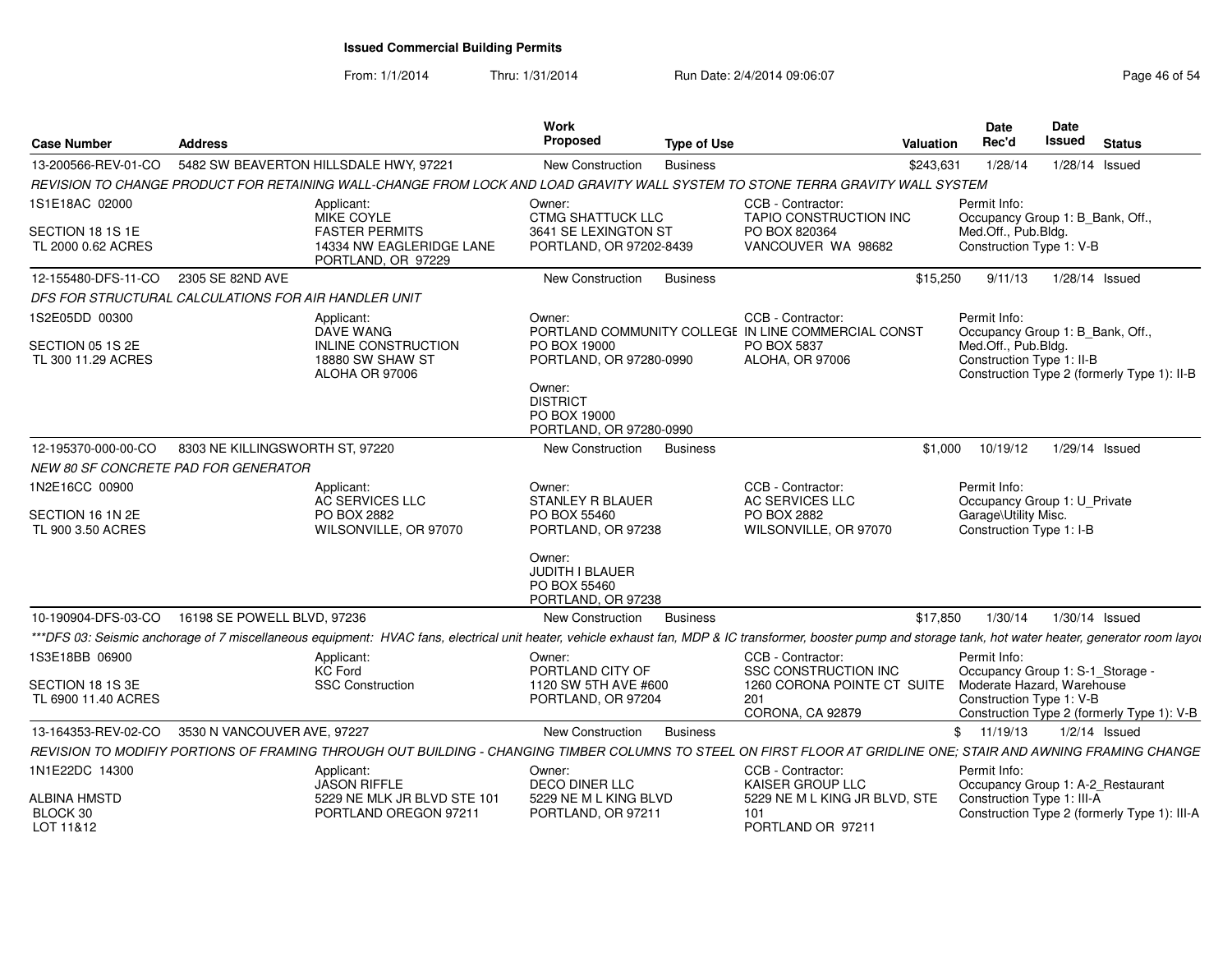From: 1/1/2014

Thru: 1/31/2014 Run Date: 2/4/2014 09:06:07 Research 2010 12:00:07 Page 46 of 54

| <b>Case Number</b>                      | <b>Address</b>                                                                                                                                                                                                 | <b>Work</b><br>Proposed                                                | <b>Type of Use</b> |                                                                          | Valuation | <b>Date</b><br>Rec'd                                   | Date<br>Issued   | <b>Status</b>                                |
|-----------------------------------------|----------------------------------------------------------------------------------------------------------------------------------------------------------------------------------------------------------------|------------------------------------------------------------------------|--------------------|--------------------------------------------------------------------------|-----------|--------------------------------------------------------|------------------|----------------------------------------------|
| 13-200566-REV-01-CO                     | 5482 SW BEAVERTON HILLSDALE HWY, 97221                                                                                                                                                                         | <b>New Construction</b>                                                | <b>Business</b>    |                                                                          | \$243,631 | 1/28/14                                                | $1/28/14$ Issued |                                              |
|                                         | REVISION TO CHANGE PRODUCT FOR RETAINING WALL-CHANGE FROM LOCK AND LOAD GRAVITY WALL SYSTEM TO STONE TERRA GRAVITY WALL SYSTEM                                                                                 |                                                                        |                    |                                                                          |           |                                                        |                  |                                              |
| 1S1E18AC 02000                          | Applicant:<br>MIKE COYLE                                                                                                                                                                                       | Owner:<br><b>CTMG SHATTUCK LLC</b>                                     |                    | CCB - Contractor:<br><b>TAPIO CONSTRUCTION INC</b>                       |           | Permit Info:<br>Occupancy Group 1: B Bank, Off.,       |                  |                                              |
| SECTION 18 1S 1E<br>TL 2000 0.62 ACRES  | <b>FASTER PERMITS</b><br>14334 NW EAGLERIDGE LANE<br>PORTLAND, OR 97229                                                                                                                                        | 3641 SE LEXINGTON ST<br>PORTLAND, OR 97202-8439                        |                    | PO BOX 820364<br>VANCOUVER WA 98682                                      |           | Med.Off., Pub.Bldg.<br>Construction Type 1: V-B        |                  |                                              |
| 12-155480-DFS-11-CO                     | 2305 SE 82ND AVE                                                                                                                                                                                               | New Construction                                                       | <b>Business</b>    |                                                                          | \$15,250  | 9/11/13                                                | 1/28/14 Issued   |                                              |
|                                         | DFS FOR STRUCTURAL CALCULATIONS FOR AIR HANDLER UNIT                                                                                                                                                           |                                                                        |                    |                                                                          |           |                                                        |                  |                                              |
| 1S2E05DD 00300                          | Applicant:<br><b>DAVE WANG</b>                                                                                                                                                                                 | Owner:                                                                 |                    | CCB - Contractor:<br>PORTLAND COMMUNITY COLLEGE IN LINE COMMERCIAL CONST |           | Permit Info:<br>Occupancy Group 1: B Bank, Off.,       |                  |                                              |
| SECTION 05 1S 2E<br>TL 300 11.29 ACRES  | INLINE CONSTRUCTION<br>18880 SW SHAW ST<br>ALOHA OR 97006                                                                                                                                                      | PO BOX 19000<br>PORTLAND, OR 97280-0990                                |                    | PO BOX 5837<br>ALOHA, OR 97006                                           |           | Med.Off., Pub.Bldg.<br>Construction Type 1: II-B       |                  | Construction Type 2 (formerly Type 1): II-B  |
|                                         |                                                                                                                                                                                                                | Owner:<br><b>DISTRICT</b><br>PO BOX 19000<br>PORTLAND, OR 97280-0990   |                    |                                                                          |           |                                                        |                  |                                              |
| 12-195370-000-00-CO                     | 8303 NE KILLINGSWORTH ST, 97220                                                                                                                                                                                | New Construction                                                       | <b>Business</b>    |                                                                          | \$1,000   | 10/19/12                                               | $1/29/14$ Issued |                                              |
|                                         | NEW 80 SF CONCRETE PAD FOR GENERATOR                                                                                                                                                                           |                                                                        |                    |                                                                          |           |                                                        |                  |                                              |
| 1N2E16CC 00900                          | Applicant:<br><b>AC SERVICES LLC</b>                                                                                                                                                                           | Owner:<br><b>STANLEY R BLAUER</b>                                      |                    | CCB - Contractor:<br><b>AC SERVICES LLC</b>                              |           | Permit Info:<br>Occupancy Group 1: U Private           |                  |                                              |
| SECTION 16 1N 2E<br>TL 900 3.50 ACRES   | PO BOX 2882<br>WILSONVILLE, OR 97070                                                                                                                                                                           | PO BOX 55460<br>PORTLAND, OR 97238                                     |                    | PO BOX 2882<br>WILSONVILLE, OR 97070                                     |           | Garage\Utility Misc.<br>Construction Type 1: I-B       |                  |                                              |
|                                         |                                                                                                                                                                                                                | Owner:<br><b>JUDITH I BLAUER</b><br>PO BOX 55460<br>PORTLAND, OR 97238 |                    |                                                                          |           |                                                        |                  |                                              |
| 10-190904-DFS-03-CO                     | 16198 SE POWELL BLVD, 97236                                                                                                                                                                                    | <b>New Construction</b>                                                | <b>Business</b>    |                                                                          | \$17,850  | 1/30/14                                                | 1/30/14 Issued   |                                              |
|                                         | ***DFS 03: Seismic anchorage of 7 miscellaneous equipment: HVAC fans, electrical unit heater, vehicle exhaust fan, MDP & IC transformer, booster pump and storage tank, hot water heater, generator room layou |                                                                        |                    |                                                                          |           |                                                        |                  |                                              |
| 1S3E18BB 06900                          | Applicant:<br><b>KC Ford</b>                                                                                                                                                                                   | Owner:<br>PORTLAND CITY OF                                             |                    | CCB - Contractor:<br><b>SSC CONSTRUCTION INC</b>                         |           | Permit Info:<br>Occupancy Group 1: S-1_Storage -       |                  |                                              |
| SECTION 18 1S 3E<br>TL 6900 11.40 ACRES | <b>SSC Construction</b>                                                                                                                                                                                        | 1120 SW 5TH AVE #600<br>PORTLAND, OR 97204                             |                    | 1260 CORONA POINTE CT SUITE<br>201<br>CORONA, CA 92879                   |           | Moderate Hazard, Warehouse<br>Construction Type 1: V-B |                  | Construction Type 2 (formerly Type 1): V-B   |
| 13-164353-REV-02-CO                     | 3530 N VANCOUVER AVE, 97227                                                                                                                                                                                    | New Construction                                                       | <b>Business</b>    |                                                                          |           | \$11/19/13                                             |                  | $1/2/14$ Issued                              |
|                                         | REVISION TO MODIFIY PORTIONS OF FRAMING THROUGH OUT BUILDING - CHANGING TIMBER COLUMNS TO STEEL ON FIRST FLOOR AT GRIDLINE ONE; STAIR AND AWNING FRAMING CHANGE                                                |                                                                        |                    |                                                                          |           |                                                        |                  |                                              |
| 1N1E22DC 14300                          | Applicant:<br><b>JASON RIFFLE</b>                                                                                                                                                                              | Owner:<br><b>DECO DINER LLC</b>                                        |                    | CCB - Contractor:<br>KAISER GROUP LLC                                    |           | Permit Info:<br>Occupancy Group 1: A-2_Restaurant      |                  |                                              |
| ALBINA HMSTD<br>BLOCK 30<br>LOT 11&12   | 5229 NE MLK JR BLVD STE 101<br>PORTLAND OREGON 97211                                                                                                                                                           | 5229 NE M L KING BLVD<br>PORTLAND, OR 97211                            |                    | 5229 NE M L KING JR BLVD, STE<br>101<br>PORTLAND OR 97211                |           | Construction Type 1: III-A                             |                  | Construction Type 2 (formerly Type 1): III-A |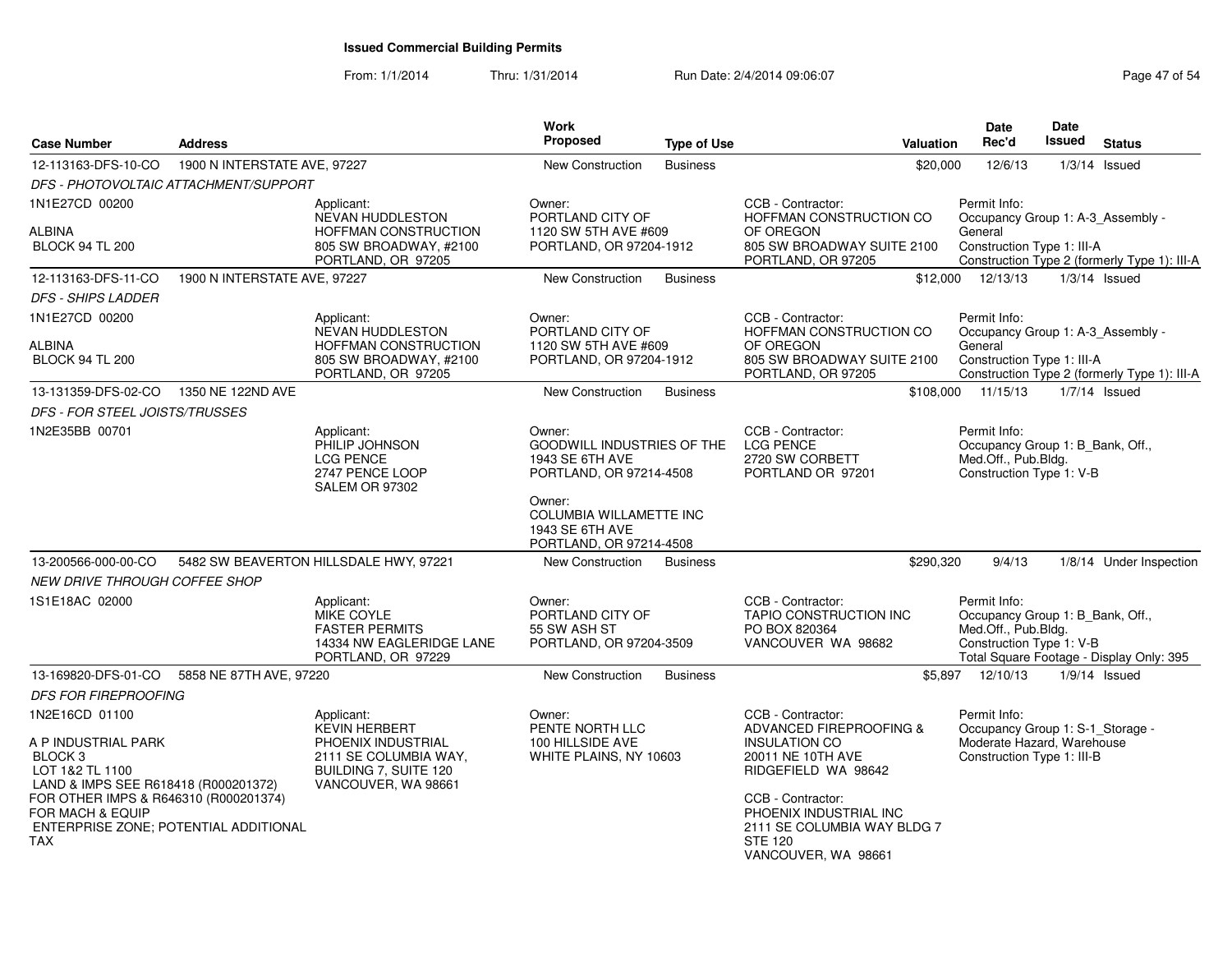| <b>Case Number</b>                                                                                                                                                                                | <b>Address</b>                        |                                                                                                                                   | <b>Work</b><br>Proposed                                                                | <b>Type of Use</b> | Valuation                                                                                                                                                                                                                               | <b>Date</b><br>Rec'd                                                                                         | <b>Date</b><br>Issued | <b>Status</b>                                |
|---------------------------------------------------------------------------------------------------------------------------------------------------------------------------------------------------|---------------------------------------|-----------------------------------------------------------------------------------------------------------------------------------|----------------------------------------------------------------------------------------|--------------------|-----------------------------------------------------------------------------------------------------------------------------------------------------------------------------------------------------------------------------------------|--------------------------------------------------------------------------------------------------------------|-----------------------|----------------------------------------------|
| 12-113163-DFS-10-CO                                                                                                                                                                               | 1900 N INTERSTATE AVE, 97227          |                                                                                                                                   | <b>New Construction</b>                                                                | <b>Business</b>    | \$20,000                                                                                                                                                                                                                                | 12/6/13                                                                                                      |                       | $1/3/14$ Issued                              |
|                                                                                                                                                                                                   | DFS - PHOTOVOLTAIC ATTACHMENT/SUPPORT |                                                                                                                                   |                                                                                        |                    |                                                                                                                                                                                                                                         |                                                                                                              |                       |                                              |
| 1N1E27CD 00200                                                                                                                                                                                    |                                       | Applicant:                                                                                                                        | Owner:                                                                                 |                    | CCB - Contractor:                                                                                                                                                                                                                       | Permit Info:                                                                                                 |                       |                                              |
| ALBINA<br><b>BLOCK 94 TL 200</b>                                                                                                                                                                  |                                       | <b>NEVAN HUDDLESTON</b><br>HOFFMAN CONSTRUCTION<br>805 SW BROADWAY, #2100<br>PORTLAND, OR 97205                                   | PORTLAND CITY OF<br>1120 SW 5TH AVE #609<br>PORTLAND, OR 97204-1912                    |                    | HOFFMAN CONSTRUCTION CO<br>OF OREGON<br>805 SW BROADWAY SUITE 2100<br>PORTLAND, OR 97205                                                                                                                                                | Occupancy Group 1: A-3 Assembly -<br>General<br>Construction Type 1: III-A                                   |                       | Construction Type 2 (formerly Type 1): III-A |
| 12-113163-DFS-11-CO                                                                                                                                                                               | 1900 N INTERSTATE AVE, 97227          |                                                                                                                                   | <b>New Construction</b>                                                                | <b>Business</b>    |                                                                                                                                                                                                                                         | \$12,000 12/13/13                                                                                            |                       | $1/3/14$ Issued                              |
| <i>DFS - SHIPS LADDER</i>                                                                                                                                                                         |                                       |                                                                                                                                   |                                                                                        |                    |                                                                                                                                                                                                                                         |                                                                                                              |                       |                                              |
| 1N1E27CD 00200<br>ALBINA<br><b>BLOCK 94 TL 200</b>                                                                                                                                                |                                       | Applicant:<br><b>NEVAN HUDDLESTON</b><br>HOFFMAN CONSTRUCTION<br>805 SW BROADWAY, #2100                                           | Owner:<br>PORTLAND CITY OF<br>1120 SW 5TH AVE #609<br>PORTLAND, OR 97204-1912          |                    | CCB - Contractor:<br>HOFFMAN CONSTRUCTION CO<br>OF OREGON<br>805 SW BROADWAY SUITE 2100                                                                                                                                                 | Permit Info:<br>Occupancy Group 1: A-3_Assembly -<br>General<br>Construction Type 1: III-A                   |                       |                                              |
|                                                                                                                                                                                                   |                                       | PORTLAND, OR 97205                                                                                                                |                                                                                        |                    | PORTLAND, OR 97205                                                                                                                                                                                                                      |                                                                                                              |                       | Construction Type 2 (formerly Type 1): III-A |
| 13-131359-DFS-02-CO                                                                                                                                                                               | 1350 NE 122ND AVE                     |                                                                                                                                   | New Construction                                                                       | <b>Business</b>    |                                                                                                                                                                                                                                         | \$108,000 11/15/13                                                                                           |                       | $1/7/14$ Issued                              |
| DFS - FOR STEEL JOISTS/TRUSSES                                                                                                                                                                    |                                       |                                                                                                                                   |                                                                                        |                    |                                                                                                                                                                                                                                         |                                                                                                              |                       |                                              |
| 1N2E35BB 00701                                                                                                                                                                                    |                                       | Applicant:<br>PHILIP JOHNSON<br><b>LCG PENCE</b><br>2747 PENCE LOOP<br>SALEM OR 97302                                             | Owner:<br>GOODWILL INDUSTRIES OF THE<br>1943 SE 6TH AVE<br>PORTLAND, OR 97214-4508     |                    | CCB - Contractor:<br><b>LCG PENCE</b><br>2720 SW CORBETT<br>PORTLAND OR 97201                                                                                                                                                           | Permit Info:<br>Occupancy Group 1: B_Bank, Off.,<br>Med.Off., Pub.Bldg.<br>Construction Type 1: V-B          |                       |                                              |
|                                                                                                                                                                                                   |                                       |                                                                                                                                   | Owner:<br><b>COLUMBIA WILLAMETTE INC</b><br>1943 SE 6TH AVE<br>PORTLAND, OR 97214-4508 |                    |                                                                                                                                                                                                                                         |                                                                                                              |                       |                                              |
| 13-200566-000-00-CO                                                                                                                                                                               |                                       | 5482 SW BEAVERTON HILLSDALE HWY, 97221                                                                                            | New Construction                                                                       | <b>Business</b>    | \$290,320                                                                                                                                                                                                                               | 9/4/13                                                                                                       |                       | 1/8/14 Under Inspection                      |
| <i>NEW DRIVE THROUGH COFFEE SHOP</i>                                                                                                                                                              |                                       |                                                                                                                                   |                                                                                        |                    |                                                                                                                                                                                                                                         |                                                                                                              |                       |                                              |
| 1S1E18AC 02000                                                                                                                                                                                    |                                       | Applicant:<br>MIKE COYLE<br><b>FASTER PERMITS</b><br>14334 NW EAGLERIDGE LANE<br>PORTLAND, OR 97229                               | Owner:<br>PORTLAND CITY OF<br>55 SW ASH ST<br>PORTLAND, OR 97204-3509                  |                    | CCB - Contractor:<br>TAPIO CONSTRUCTION INC<br>PO BOX 820364<br>VANCOUVER WA 98682                                                                                                                                                      | Permit Info:<br>Occupancy Group 1: B_Bank, Off.,<br>Med.Off., Pub.Bldg.<br>Construction Type 1: V-B          |                       | Total Square Footage - Display Only: 395     |
| 13-169820-DFS-01-CO                                                                                                                                                                               | 5858 NE 87TH AVE, 97220               |                                                                                                                                   | <b>New Construction</b>                                                                | <b>Business</b>    |                                                                                                                                                                                                                                         | \$5,897 12/10/13                                                                                             |                       | $1/9/14$ Issued                              |
| <b>DFS FOR FIREPROOFING</b>                                                                                                                                                                       |                                       |                                                                                                                                   |                                                                                        |                    |                                                                                                                                                                                                                                         |                                                                                                              |                       |                                              |
| 1N2E16CD 01100<br>A P INDUSTRIAL PARK<br>BLOCK <sub>3</sub><br>LOT 1&2 TL 1100<br>LAND & IMPS SEE R618418 (R000201372)<br>FOR OTHER IMPS & R646310 (R000201374)<br>FOR MACH & EQUIP<br><b>TAX</b> | ENTERPRISE ZONE; POTENTIAL ADDITIONAL | Applicant:<br><b>KEVIN HERBERT</b><br>PHOENIX INDUSTRIAL<br>2111 SE COLUMBIA WAY,<br>BUILDING 7, SUITE 120<br>VANCOUVER, WA 98661 | Owner:<br>PENTE NORTH LLC<br>100 HILLSIDE AVE<br>WHITE PLAINS, NY 10603                |                    | CCB - Contractor:<br>ADVANCED FIREPROOFING &<br><b>INSULATION CO</b><br>20011 NE 10TH AVE<br>RIDGEFIELD WA 98642<br>CCB - Contractor:<br>PHOENIX INDUSTRIAL INC<br>2111 SE COLUMBIA WAY BLDG 7<br><b>STE 120</b><br>VANCOUVER, WA 98661 | Permit Info:<br>Occupancy Group 1: S-1_Storage -<br>Moderate Hazard, Warehouse<br>Construction Type 1: III-B |                       |                                              |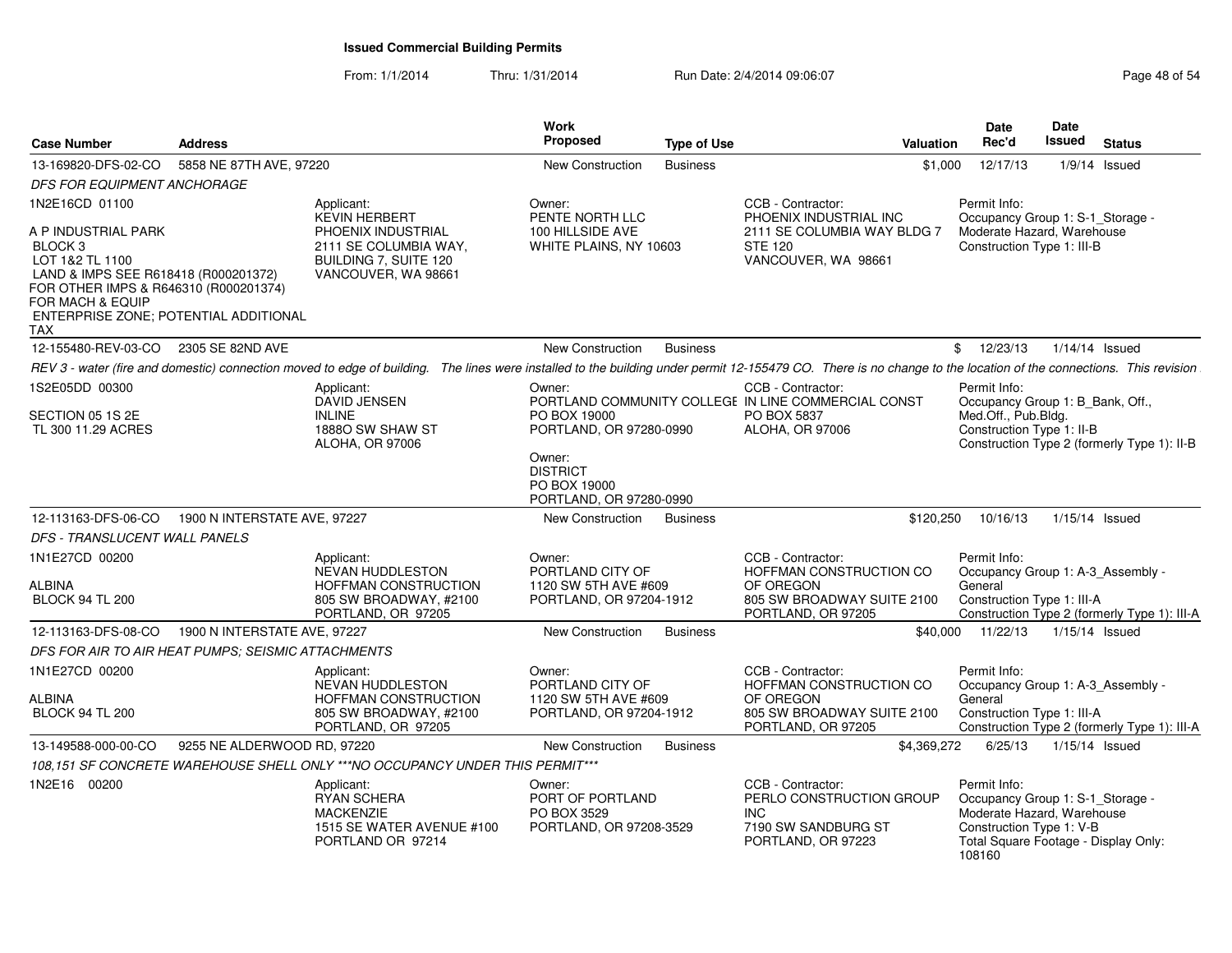| <b>Case Number</b>                                                                                                                                                                                                | <b>Address</b>               |                                                                                                                                                                                                                  | Work<br><b>Proposed</b>                                              | <b>Type of Use</b> | <b>Valuation</b>                                                                                           | <b>Date</b><br>Rec'd                                                                                                                                         | Date<br>Issued   | <b>Status</b>                                |
|-------------------------------------------------------------------------------------------------------------------------------------------------------------------------------------------------------------------|------------------------------|------------------------------------------------------------------------------------------------------------------------------------------------------------------------------------------------------------------|----------------------------------------------------------------------|--------------------|------------------------------------------------------------------------------------------------------------|--------------------------------------------------------------------------------------------------------------------------------------------------------------|------------------|----------------------------------------------|
| 13-169820-DFS-02-CO                                                                                                                                                                                               | 5858 NE 87TH AVE, 97220      |                                                                                                                                                                                                                  | New Construction                                                     | <b>Business</b>    | \$1,000                                                                                                    | 12/17/13                                                                                                                                                     |                  | $1/9/14$ Issued                              |
| DFS FOR EQUIPMENT ANCHORAGE                                                                                                                                                                                       |                              |                                                                                                                                                                                                                  |                                                                      |                    |                                                                                                            |                                                                                                                                                              |                  |                                              |
| 1N2E16CD 01100                                                                                                                                                                                                    |                              | Applicant:<br><b>KEVIN HERBERT</b>                                                                                                                                                                               | Owner:<br>PENTE NORTH LLC                                            |                    | CCB - Contractor:<br>PHOENIX INDUSTRIAL INC                                                                | Permit Info:<br>Occupancy Group 1: S-1_Storage -                                                                                                             |                  |                                              |
| A P INDUSTRIAL PARK<br>BLOCK 3<br>LOT 1&2 TL 1100<br>LAND & IMPS SEE R618418 (R000201372)<br>FOR OTHER IMPS & R646310 (R000201374)<br><b>FOR MACH &amp; EQUIP</b><br>ENTERPRISE ZONE; POTENTIAL ADDITIONAL<br>TAX |                              | PHOENIX INDUSTRIAL<br>2111 SE COLUMBIA WAY,<br>BUILDING 7, SUITE 120<br>VANCOUVER, WA 98661                                                                                                                      | 100 HILLSIDE AVE<br>WHITE PLAINS, NY 10603                           |                    | 2111 SE COLUMBIA WAY BLDG 7<br><b>STE 120</b><br>VANCOUVER, WA 98661                                       | Moderate Hazard. Warehouse<br>Construction Type 1: III-B                                                                                                     |                  |                                              |
| 12-155480-REV-03-CO 2305 SE 82ND AVE                                                                                                                                                                              |                              |                                                                                                                                                                                                                  | New Construction                                                     | <b>Business</b>    |                                                                                                            | \$12/23/13                                                                                                                                                   | $1/14/14$ Issued |                                              |
|                                                                                                                                                                                                                   |                              | REV 3 - water (fire and domestic) connection moved to edge of building. The lines were installed to the building under permit 12-155479 CO. There is no change to the location of the connections. This revision |                                                                      |                    |                                                                                                            |                                                                                                                                                              |                  |                                              |
| 1S2E05DD 00300<br>SECTION 05 1S 2E<br>TL 300 11.29 ACRES                                                                                                                                                          |                              | Applicant:<br><b>DAVID JENSEN</b><br><b>INLINE</b><br>1888O SW SHAW ST<br>ALOHA, OR 97006                                                                                                                        | Owner:<br>PO BOX 19000<br>PORTLAND, OR 97280-0990                    |                    | CCB - Contractor:<br>PORTLAND COMMUNITY COLLEGE IN LINE COMMERCIAL CONST<br>PO BOX 5837<br>ALOHA, OR 97006 | Permit Info:<br>Occupancy Group 1: B_Bank, Off.,<br>Med.Off., Pub.Bldg.<br>Construction Type 1: II-B                                                         |                  | Construction Type 2 (formerly Type 1): II-B  |
|                                                                                                                                                                                                                   |                              |                                                                                                                                                                                                                  | Owner:<br><b>DISTRICT</b><br>PO BOX 19000<br>PORTLAND, OR 97280-0990 |                    |                                                                                                            |                                                                                                                                                              |                  |                                              |
| 12-113163-DFS-06-CO                                                                                                                                                                                               | 1900 N INTERSTATE AVE, 97227 |                                                                                                                                                                                                                  | New Construction                                                     | <b>Business</b>    | \$120,250                                                                                                  | 10/16/13                                                                                                                                                     | $1/15/14$ Issued |                                              |
| DFS - TRANSLUCENT WALL PANELS                                                                                                                                                                                     |                              |                                                                                                                                                                                                                  |                                                                      |                    |                                                                                                            |                                                                                                                                                              |                  |                                              |
| 1N1E27CD 00200<br>ALBINA                                                                                                                                                                                          |                              | Applicant:<br>NEVAN HUDDLESTON<br>HOFFMAN CONSTRUCTION                                                                                                                                                           | Owner:<br>PORTLAND CITY OF<br>1120 SW 5TH AVE #609                   |                    | CCB - Contractor:<br>HOFFMAN CONSTRUCTION CO<br>OF OREGON                                                  | Permit Info:<br>Occupancy Group 1: A-3_Assembly -<br>General                                                                                                 |                  |                                              |
| <b>BLOCK 94 TL 200</b>                                                                                                                                                                                            |                              | 805 SW BROADWAY, #2100<br>PORTLAND, OR 97205                                                                                                                                                                     | PORTLAND, OR 97204-1912                                              |                    | 805 SW BROADWAY SUITE 2100<br>PORTLAND, OR 97205                                                           | Construction Type 1: III-A                                                                                                                                   |                  | Construction Type 2 (formerly Type 1): III-A |
| 12-113163-DFS-08-CO                                                                                                                                                                                               | 1900 N INTERSTATE AVE, 97227 |                                                                                                                                                                                                                  | New Construction                                                     | <b>Business</b>    | \$40,000                                                                                                   | 11/22/13                                                                                                                                                     | $1/15/14$ Issued |                                              |
| DFS FOR AIR TO AIR HEAT PUMPS; SEISMIC ATTACHMENTS                                                                                                                                                                |                              |                                                                                                                                                                                                                  |                                                                      |                    |                                                                                                            |                                                                                                                                                              |                  |                                              |
| 1N1E27CD 00200                                                                                                                                                                                                    |                              | Applicant:<br><b>NEVAN HUDDLESTON</b>                                                                                                                                                                            | Owner:<br>PORTLAND CITY OF                                           |                    | CCB - Contractor:<br>HOFFMAN CONSTRUCTION CO                                                               | Permit Info:<br>Occupancy Group 1: A-3_Assembly -                                                                                                            |                  |                                              |
| ALBINA<br><b>BLOCK 94 TL 200</b>                                                                                                                                                                                  |                              | HOFFMAN CONSTRUCTION<br>805 SW BROADWAY, #2100<br>PORTLAND, OR 97205                                                                                                                                             | 1120 SW 5TH AVE #609<br>PORTLAND, OR 97204-1912                      |                    | OF OREGON<br>805 SW BROADWAY SUITE 2100<br>PORTLAND, OR 97205                                              | General<br>Construction Type 1: III-A                                                                                                                        |                  | Construction Type 2 (formerly Type 1): III-A |
| 13-149588-000-00-CO                                                                                                                                                                                               | 9255 NE ALDERWOOD RD, 97220  |                                                                                                                                                                                                                  | New Construction                                                     | <b>Business</b>    | \$4,369,272                                                                                                | 6/25/13                                                                                                                                                      | $1/15/14$ Issued |                                              |
|                                                                                                                                                                                                                   |                              | 108,151 SF CONCRETE WAREHOUSE SHELL ONLY ***NO OCCUPANCY UNDER THIS PERMIT***                                                                                                                                    |                                                                      |                    |                                                                                                            |                                                                                                                                                              |                  |                                              |
| 1N2E16 00200                                                                                                                                                                                                      |                              | Applicant:<br><b>RYAN SCHERA</b><br><b>MACKENZIE</b><br>1515 SE WATER AVENUE #100<br>PORTLAND OR 97214                                                                                                           | Owner:<br>PORT OF PORTLAND<br>PO BOX 3529<br>PORTLAND, OR 97208-3529 |                    | CCB - Contractor:<br>PERLO CONSTRUCTION GROUP<br>INC.<br>7190 SW SANDBURG ST<br>PORTLAND, OR 97223         | Permit Info:<br>Occupancy Group 1: S-1 Storage -<br>Moderate Hazard, Warehouse<br>Construction Type 1: V-B<br>Total Square Footage - Display Only:<br>108160 |                  |                                              |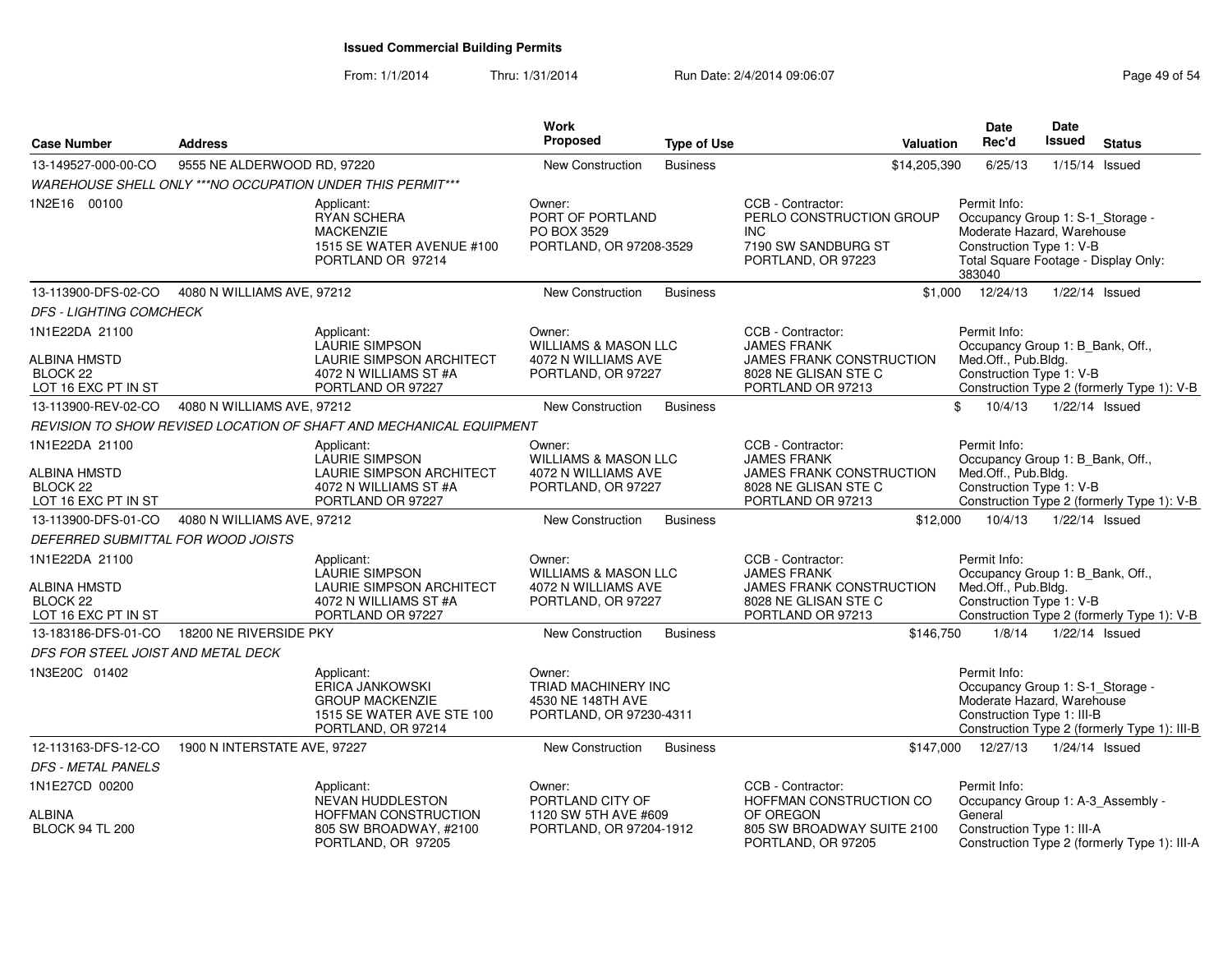| <b>Case Number</b>                                                           | <b>Address</b>               |                                                                                                                      | Work<br>Proposed                                                                       | <b>Type of Use</b> | Valuation                                                                                                               | Date<br>Rec'd                                                                                                                                                | Date<br><b>Issued</b> | <b>Status</b>                                |
|------------------------------------------------------------------------------|------------------------------|----------------------------------------------------------------------------------------------------------------------|----------------------------------------------------------------------------------------|--------------------|-------------------------------------------------------------------------------------------------------------------------|--------------------------------------------------------------------------------------------------------------------------------------------------------------|-----------------------|----------------------------------------------|
| 13-149527-000-00-CO                                                          | 9555 NE ALDERWOOD RD, 97220  |                                                                                                                      | New Construction                                                                       | <b>Business</b>    | \$14,205,390                                                                                                            | 6/25/13                                                                                                                                                      |                       | $1/15/14$ Issued                             |
|                                                                              |                              | WAREHOUSE SHELL ONLY ***NO OCCUPATION UNDER THIS PERMIT***                                                           |                                                                                        |                    |                                                                                                                         |                                                                                                                                                              |                       |                                              |
| 1N2E16 00100                                                                 |                              | Applicant:<br><b>RYAN SCHERA</b><br><b>MACKENZIE</b><br>1515 SE WATER AVENUE #100<br>PORTLAND OR 97214               | Owner:<br>PORT OF PORTLAND<br>PO BOX 3529<br>PORTLAND, OR 97208-3529                   |                    | CCB - Contractor:<br>PERLO CONSTRUCTION GROUP<br><b>INC</b><br>7190 SW SANDBURG ST<br>PORTLAND, OR 97223                | Permit Info:<br>Occupancy Group 1: S-1_Storage -<br>Moderate Hazard, Warehouse<br>Construction Type 1: V-B<br>Total Square Footage - Display Only:<br>383040 |                       |                                              |
| 13-113900-DFS-02-CO                                                          | 4080 N WILLIAMS AVE, 97212   |                                                                                                                      | <b>New Construction</b>                                                                | <b>Business</b>    |                                                                                                                         | $$1,000$ $12/24/13$                                                                                                                                          | 1/22/14 Issued        |                                              |
| <b>DFS - LIGHTING COMCHECK</b>                                               |                              |                                                                                                                      |                                                                                        |                    |                                                                                                                         |                                                                                                                                                              |                       |                                              |
| 1N1E22DA 21100                                                               |                              | Applicant:                                                                                                           | Owner:                                                                                 |                    | CCB - Contractor:                                                                                                       | Permit Info:                                                                                                                                                 |                       |                                              |
| <b>ALBINA HMSTD</b><br>BLOCK <sub>22</sub><br>LOT 16 EXC PT IN ST            |                              | LAURIE SIMPSON<br>LAURIE SIMPSON ARCHITECT<br>4072 N WILLIAMS ST #A<br>PORTLAND OR 97227                             | <b>WILLIAMS &amp; MASON LLC</b><br>4072 N WILLIAMS AVE<br>PORTLAND, OR 97227           |                    | <b>JAMES FRANK</b><br>JAMES FRANK CONSTRUCTION<br>8028 NE GLISAN STE C<br>PORTLAND OR 97213                             | Occupancy Group 1: B_Bank, Off.,<br>Med.Off., Pub.Bldg.<br>Construction Type 1: V-B                                                                          |                       | Construction Type 2 (formerly Type 1): V-B   |
| 13-113900-REV-02-CO                                                          | 4080 N WILLIAMS AVE, 97212   |                                                                                                                      | <b>New Construction</b>                                                                | <b>Business</b>    |                                                                                                                         | \$<br>10/4/13                                                                                                                                                | 1/22/14 Issued        |                                              |
|                                                                              |                              | REVISION TO SHOW REVISED LOCATION OF SHAFT AND MECHANICAL EQUIPMENT                                                  |                                                                                        |                    |                                                                                                                         |                                                                                                                                                              |                       |                                              |
| 1N1E22DA 21100<br>ALBINA HMSTD<br>BLOCK <sub>22</sub><br>LOT 16 EXC PT IN ST |                              | Applicant:<br>LAURIE SIMPSON<br><b>LAURIE SIMPSON ARCHITECT</b><br>4072 N WILLIAMS ST #A<br>PORTLAND OR 97227        | Owner:<br><b>WILLIAMS &amp; MASON LLC</b><br>4072 N WILLIAMS AVE<br>PORTLAND, OR 97227 |                    | CCB - Contractor:<br><b>JAMES FRANK</b><br><b>JAMES FRANK CONSTRUCTION</b><br>8028 NE GLISAN STE C<br>PORTLAND OR 97213 | Permit Info:<br>Occupancy Group 1: B_Bank, Off.,<br>Med.Off., Pub.Bldg.<br>Construction Type 1: V-B                                                          |                       | Construction Type 2 (formerly Type 1): V-B   |
| 13-113900-DFS-01-CO                                                          | 4080 N WILLIAMS AVE, 97212   |                                                                                                                      | New Construction                                                                       | <b>Business</b>    | \$12,000                                                                                                                | 10/4/13                                                                                                                                                      | 1/22/14 Issued        |                                              |
| DEFERRED SUBMITTAL FOR WOOD JOISTS                                           |                              |                                                                                                                      |                                                                                        |                    |                                                                                                                         |                                                                                                                                                              |                       |                                              |
| 1N1E22DA 21100<br>ALBINA HMSTD<br>BLOCK <sub>22</sub><br>LOT 16 EXC PT IN ST |                              | Applicant:<br><b>LAURIE SIMPSON</b><br><b>LAURIE SIMPSON ARCHITECT</b><br>4072 N WILLIAMS ST #A<br>PORTLAND OR 97227 | Owner:<br><b>WILLIAMS &amp; MASON LLC</b><br>4072 N WILLIAMS AVE<br>PORTLAND, OR 97227 |                    | CCB - Contractor:<br><b>JAMES FRANK</b><br>JAMES FRANK CONSTRUCTION<br>8028 NE GLISAN STE C<br>PORTLAND OR 97213        | Permit Info:<br>Occupancy Group 1: B Bank, Off.,<br>Med.Off., Pub.Bldg.<br>Construction Type 1: V-B                                                          |                       | Construction Type 2 (formerly Type 1): V-B   |
| 13-183186-DFS-01-CO                                                          | 18200 NE RIVERSIDE PKY       |                                                                                                                      | <b>New Construction</b>                                                                | <b>Business</b>    | \$146,750                                                                                                               | 1/8/14                                                                                                                                                       | 1/22/14 Issued        |                                              |
| DFS FOR STEEL JOIST AND METAL DECK                                           |                              |                                                                                                                      |                                                                                        |                    |                                                                                                                         |                                                                                                                                                              |                       |                                              |
| 1N3E20C 01402                                                                |                              | Applicant:<br><b>ERICA JANKOWSKI</b><br><b>GROUP MACKENZIE</b><br>1515 SE WATER AVE STE 100<br>PORTLAND, OR 97214    | Owner:<br>TRIAD MACHINERY INC<br>4530 NE 148TH AVE<br>PORTLAND, OR 97230-4311          |                    |                                                                                                                         | Permit Info:<br>Occupancy Group 1: S-1_Storage -<br>Moderate Hazard, Warehouse<br>Construction Type 1: III-B                                                 |                       | Construction Type 2 (formerly Type 1): III-B |
| 12-113163-DFS-12-CO                                                          | 1900 N INTERSTATE AVE, 97227 |                                                                                                                      | New Construction                                                                       | <b>Business</b>    |                                                                                                                         | \$147,000 12/27/13                                                                                                                                           | 1/24/14 Issued        |                                              |
| <b>DFS - METAL PANELS</b>                                                    |                              |                                                                                                                      |                                                                                        |                    |                                                                                                                         |                                                                                                                                                              |                       |                                              |
| 1N1E27CD 00200                                                               |                              | Applicant:                                                                                                           | Owner:                                                                                 |                    | CCB - Contractor:                                                                                                       | Permit Info:                                                                                                                                                 |                       |                                              |
| <b>ALBINA</b><br><b>BLOCK 94 TL 200</b>                                      |                              | NEVAN HUDDLESTON<br>HOFFMAN CONSTRUCTION<br>805 SW BROADWAY, #2100<br>PORTLAND, OR 97205                             | PORTLAND CITY OF<br>1120 SW 5TH AVE #609<br>PORTLAND, OR 97204-1912                    |                    | HOFFMAN CONSTRUCTION CO<br>OF OREGON<br>805 SW BROADWAY SUITE 2100<br>PORTLAND, OR 97205                                | Occupancy Group 1: A-3_Assembly -<br>General<br>Construction Type 1: III-A                                                                                   |                       | Construction Type 2 (formerly Type 1): III-A |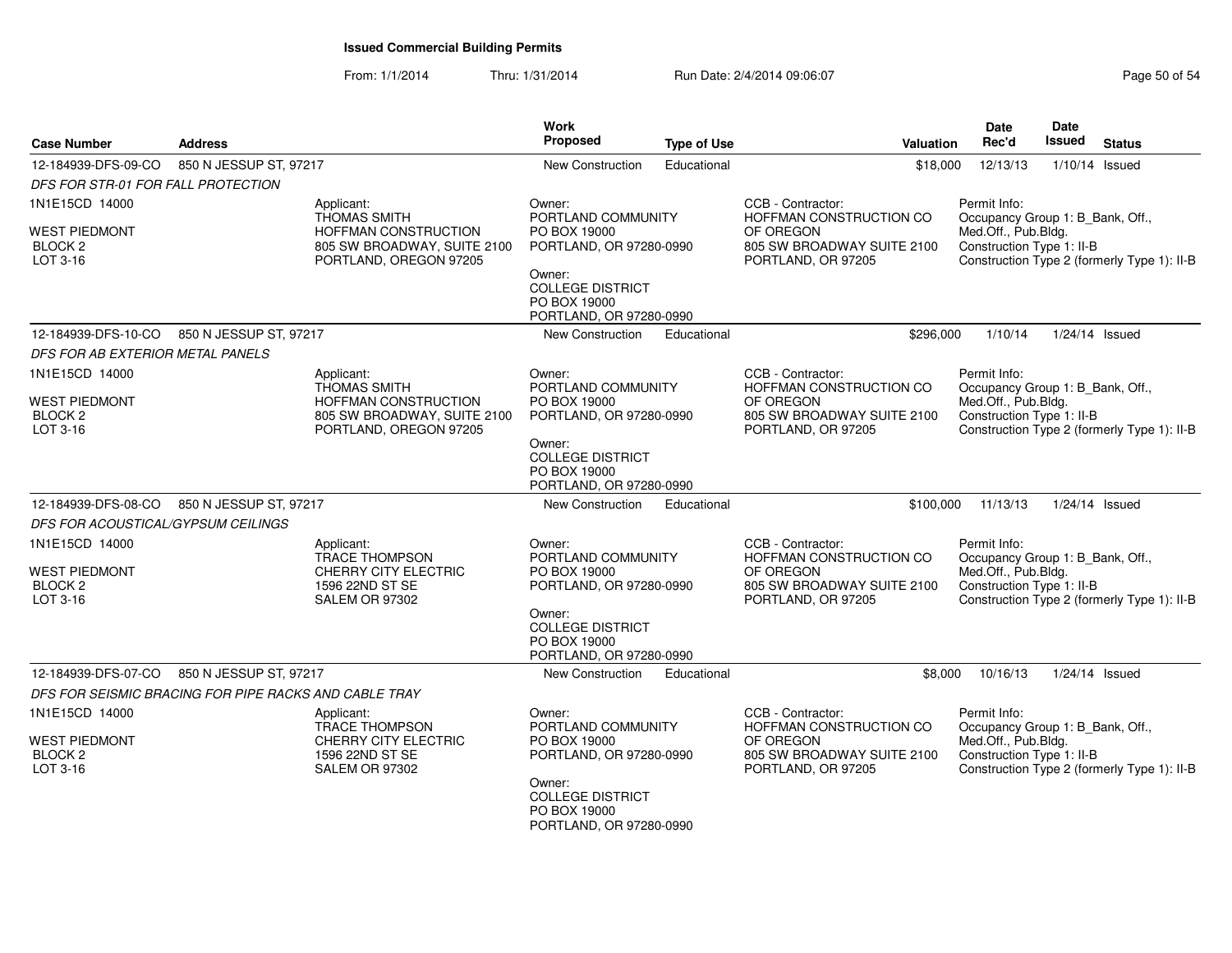| <b>Case Number</b>                                     | <b>Address</b>                                            |                                                                               | Work<br><b>Proposed</b>                                                      | <b>Type of Use</b>      | Valuation                                                     | Date<br>Rec'd                                                                                   | <b>Date</b><br><b>Issued</b>                | <b>Status</b>                               |
|--------------------------------------------------------|-----------------------------------------------------------|-------------------------------------------------------------------------------|------------------------------------------------------------------------------|-------------------------|---------------------------------------------------------------|-------------------------------------------------------------------------------------------------|---------------------------------------------|---------------------------------------------|
| 12-184939-DFS-09-CO                                    | 850 N JESSUP ST, 97217                                    |                                                                               | New Construction                                                             | Educational             | \$18,000                                                      | 12/13/13                                                                                        | 1/10/14 Issued                              |                                             |
| DFS FOR STR-01 FOR FALL PROTECTION                     |                                                           |                                                                               |                                                                              |                         |                                                               |                                                                                                 |                                             |                                             |
| 1N1E15CD 14000                                         | Applicant:<br><b>THOMAS SMITH</b>                         |                                                                               |                                                                              | PORTLAND COMMUNITY      | CCB - Contractor:<br>HOFFMAN CONSTRUCTION CO                  | Permit Info:<br>Occupancy Group 1: B_Bank, Off.,                                                |                                             |                                             |
| <b>WEST PIEDMONT</b><br>BLOCK <sub>2</sub><br>LOT 3-16 |                                                           | HOFFMAN CONSTRUCTION<br>805 SW BROADWAY, SUITE 2100<br>PORTLAND, OREGON 97205 |                                                                              | PORTLAND, OR 97280-0990 | OF OREGON<br>805 SW BROADWAY SUITE 2100<br>PORTLAND, OR 97205 | Med.Off., Pub.Bldg.<br>Construction Type 1: II-B                                                | Construction Type 2 (formerly Type 1): II-B |                                             |
|                                                        |                                                           |                                                                               | Owner:<br><b>COLLEGE DISTRICT</b><br>PO BOX 19000<br>PORTLAND, OR 97280-0990 |                         |                                                               |                                                                                                 |                                             |                                             |
| 12-184939-DFS-10-CO                                    | 850 N JESSUP ST, 97217                                    |                                                                               | New Construction                                                             | Educational             | \$296,000                                                     | 1/10/14                                                                                         |                                             | $1/24/14$ Issued                            |
| DFS FOR AB EXTERIOR METAL PANELS                       |                                                           |                                                                               |                                                                              |                         |                                                               |                                                                                                 |                                             |                                             |
| 1N1E15CD 14000                                         |                                                           | Applicant:<br><b>THOMAS SMITH</b>                                             | Owner:<br>PORTLAND COMMUNITY                                                 |                         | CCB - Contractor:<br>HOFFMAN CONSTRUCTION CO                  | Permit Info:<br>Occupancy Group 1: B_Bank, Off.,                                                |                                             |                                             |
| <b>WEST PIEDMONT</b><br>BLOCK <sub>2</sub><br>LOT 3-16 |                                                           | HOFFMAN CONSTRUCTION<br>805 SW BROADWAY, SUITE 2100<br>PORTLAND, OREGON 97205 | PO BOX 19000<br>PORTLAND, OR 97280-0990                                      |                         | OF OREGON<br>805 SW BROADWAY SUITE 2100<br>PORTLAND, OR 97205 | Med.Off., Pub.Bldg.<br>Construction Type 1: II-B<br>Construction Type 2 (formerly Type 1): II-B |                                             |                                             |
|                                                        |                                                           |                                                                               | Owner:<br><b>COLLEGE DISTRICT</b><br>PO BOX 19000<br>PORTLAND, OR 97280-0990 |                         |                                                               |                                                                                                 |                                             |                                             |
| 12-184939-DFS-08-CO                                    | 850 N JESSUP ST, 97217                                    |                                                                               | New Construction                                                             | Educational             | \$100,000                                                     | 11/13/13                                                                                        |                                             | $1/24/14$ Issued                            |
| DFS FOR ACOUSTICAL/GYPSUM CEILINGS                     |                                                           |                                                                               |                                                                              |                         |                                                               |                                                                                                 |                                             |                                             |
| 1N1E15CD 14000                                         |                                                           | Applicant:<br>TRACE THOMPSON                                                  | Owner:<br>PORTLAND COMMUNITY                                                 |                         | CCB - Contractor:<br>HOFFMAN CONSTRUCTION CO                  | Permit Info:<br>Occupancy Group 1: B_Bank, Off.,                                                |                                             |                                             |
| <b>WEST PIEDMONT</b>                                   |                                                           | CHERRY CITY ELECTRIC                                                          | PO BOX 19000                                                                 |                         | OF OREGON                                                     | Med.Off., Pub.Bldg.                                                                             |                                             |                                             |
| BLOCK <sub>2</sub><br>LOT 3-16                         |                                                           | 1596 22ND ST SE<br><b>SALEM OR 97302</b>                                      | PORTLAND, OR 97280-0990                                                      |                         | 805 SW BROADWAY SUITE 2100<br>PORTLAND, OR 97205              | Construction Type 1: II-B                                                                       |                                             | Construction Type 2 (formerly Type 1): II-B |
|                                                        |                                                           | Owner:<br><b>COLLEGE DISTRICT</b><br>PO BOX 19000<br>PORTLAND, OR 97280-0990  |                                                                              |                         |                                                               |                                                                                                 |                                             |                                             |
| 12-184939-DFS-07-CO                                    | 850 N JESSUP ST, 97217                                    |                                                                               | New Construction                                                             | Educational             | \$8,000                                                       | 10/16/13                                                                                        |                                             | $1/24/14$ Issued                            |
|                                                        | DFS FOR SEISMIC BRACING FOR PIPE RACKS AND CABLE TRAY     |                                                                               |                                                                              |                         |                                                               |                                                                                                 |                                             |                                             |
| 1N1E15CD 14000                                         |                                                           | Applicant:<br><b>TRACE THOMPSON</b>                                           | Owner:<br>PORTLAND COMMUNITY                                                 |                         | CCB - Contractor:<br>HOFFMAN CONSTRUCTION CO                  | Permit Info:<br>Occupancy Group 1: B Bank, Off.,                                                |                                             |                                             |
| <b>WEST PIEDMONT</b><br>BLOCK <sub>2</sub><br>LOT 3-16 | CHERRY CITY ELECTRIC<br>1596 22ND ST SE<br>SALEM OR 97302 |                                                                               | PO BOX 19000<br>PORTLAND, OR 97280-0990                                      |                         | OF OREGON<br>805 SW BROADWAY SUITE 2100<br>PORTLAND, OR 97205 | Med.Off., Pub.Bldg.<br>Construction Type 1: II-B                                                |                                             | Construction Type 2 (formerly Type 1): II-B |
|                                                        |                                                           |                                                                               | Owner:<br><b>COLLEGE DISTRICT</b><br>PO BOX 19000<br>PORTLAND, OR 97280-0990 |                         |                                                               |                                                                                                 |                                             |                                             |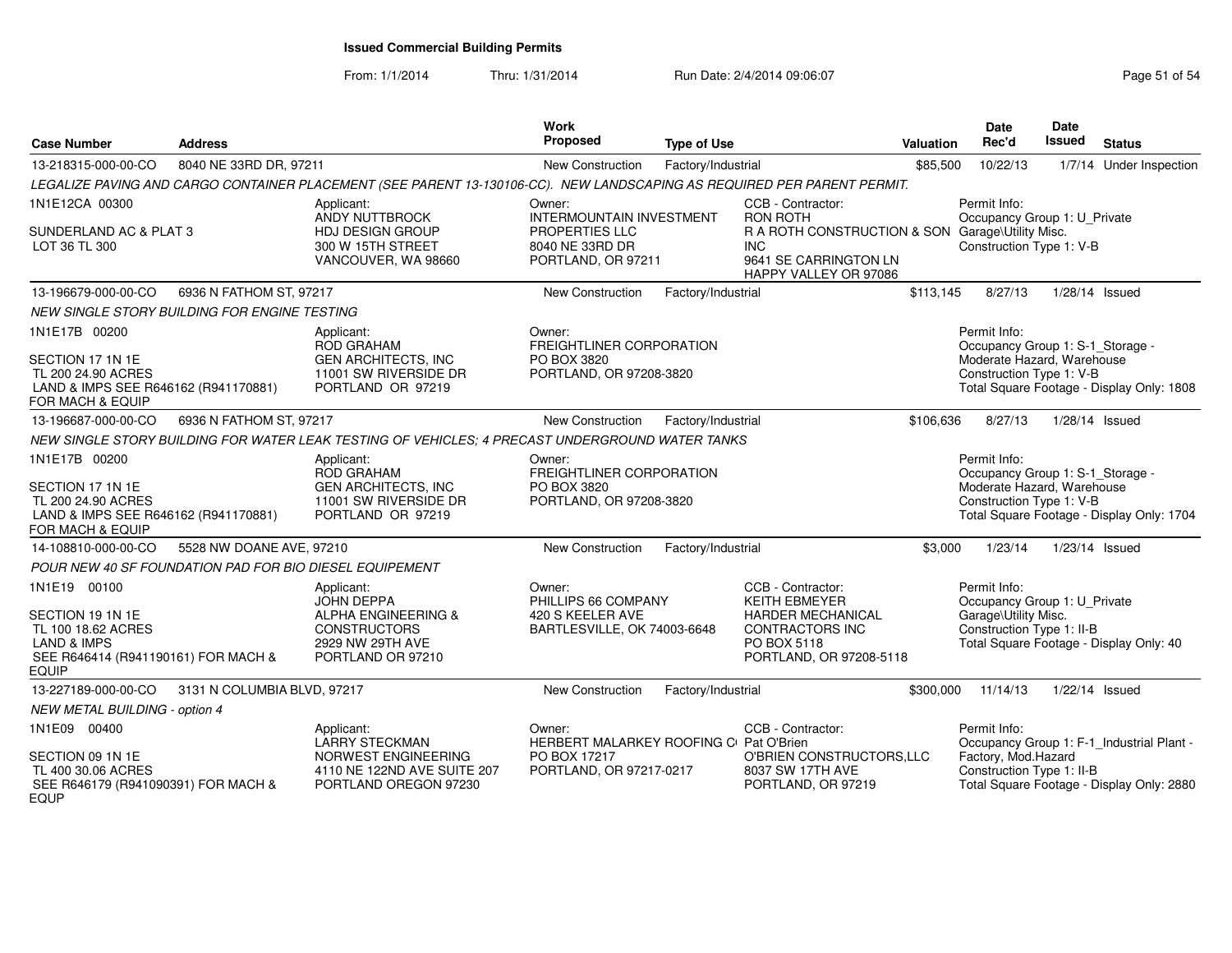| <b>Case Number</b>                                                                                                      | <b>Address</b>                                          |                                                                                                                         | <b>Work</b><br>Proposed                                                             | <b>Type of Use</b> |                                                                                                                  | Valuation | Date<br>Rec'd                                                                                              | Date<br><b>Issued</b> | <b>Status</b>                             |
|-------------------------------------------------------------------------------------------------------------------------|---------------------------------------------------------|-------------------------------------------------------------------------------------------------------------------------|-------------------------------------------------------------------------------------|--------------------|------------------------------------------------------------------------------------------------------------------|-----------|------------------------------------------------------------------------------------------------------------|-----------------------|-------------------------------------------|
| 13-218315-000-00-CO                                                                                                     | 8040 NE 33RD DR, 97211                                  |                                                                                                                         | New Construction                                                                    | Factory/Industrial |                                                                                                                  | \$85,500  | 10/22/13                                                                                                   |                       | 1/7/14 Under Inspection                   |
|                                                                                                                         |                                                         | LEGALIZE PAVING AND CARGO CONTAINER PLACEMENT (SEE PARENT 13-130106-CC). NEW LANDSCAPING AS REQUIRED PER PARENT PERMIT. |                                                                                     |                    |                                                                                                                  |           |                                                                                                            |                       |                                           |
| 1N1E12CA 00300                                                                                                          |                                                         | Applicant:<br>ANDY NUTTBROCK                                                                                            | Owner:<br><b>INTERMOUNTAIN INVESTMENT</b>                                           |                    | CCB - Contractor:<br><b>RON ROTH</b>                                                                             |           | Permit Info:<br>Occupancy Group 1: U Private                                                               |                       |                                           |
| SUNDERLAND AC & PLAT 3<br>LOT 36 TL 300                                                                                 |                                                         | <b>HDJ DESIGN GROUP</b><br>300 W 15TH STREET<br>VANCOUVER, WA 98660                                                     | PROPERTIES LLC<br>8040 NE 33RD DR<br>PORTLAND, OR 97211                             |                    | R A ROTH CONSTRUCTION & SON Garage\Utility Misc.<br><b>INC</b><br>9641 SE CARRINGTON LN<br>HAPPY VALLEY OR 97086 |           | Construction Type 1: V-B                                                                                   |                       |                                           |
| 13-196679-000-00-CO                                                                                                     | 6936 N FATHOM ST, 97217                                 |                                                                                                                         | New Construction                                                                    | Factory/Industrial |                                                                                                                  | \$113,145 | 8/27/13                                                                                                    | $1/28/14$ Issued      |                                           |
|                                                                                                                         | NEW SINGLE STORY BUILDING FOR ENGINE TESTING            |                                                                                                                         |                                                                                     |                    |                                                                                                                  |           |                                                                                                            |                       |                                           |
| 1N1E17B 00200<br>SECTION 17 1N 1E<br>TL 200 24.90 ACRES<br>LAND & IMPS SEE R646162 (R941170881)<br>FOR MACH & EQUIP     |                                                         | Applicant:<br>ROD GRAHAM<br><b>GEN ARCHITECTS, INC</b><br>11001 SW RIVERSIDE DR<br>PORTLAND OR 97219                    | Owner:<br><b>FREIGHTLINER CORPORATION</b><br>PO BOX 3820<br>PORTLAND, OR 97208-3820 |                    |                                                                                                                  |           | Permit Info:<br>Occupancy Group 1: S-1_Storage -<br>Moderate Hazard, Warehouse<br>Construction Type 1: V-B |                       | Total Square Footage - Display Only: 1808 |
| 13-196687-000-00-CO                                                                                                     | 6936 N FATHOM ST, 97217                                 |                                                                                                                         | New Construction                                                                    | Factory/Industrial |                                                                                                                  | \$106,636 | 8/27/13                                                                                                    | 1/28/14 Issued        |                                           |
|                                                                                                                         |                                                         | NEW SINGLE STORY BUILDING FOR WATER LEAK TESTING OF VEHICLES; 4 PRECAST UNDERGROUND WATER TANKS                         |                                                                                     |                    |                                                                                                                  |           |                                                                                                            |                       |                                           |
| 1N1E17B 00200                                                                                                           |                                                         | Applicant:<br><b>ROD GRAHAM</b>                                                                                         | Owner:<br>FREIGHTLINER CORPORATION                                                  |                    |                                                                                                                  |           | Permit Info:<br>Occupancy Group 1: S-1_Storage -                                                           |                       |                                           |
| SECTION 17 1N 1E<br>TL 200 24.90 ACRES<br>LAND & IMPS SEE R646162 (R941170881)<br>FOR MACH & EQUIP                      |                                                         | <b>GEN ARCHITECTS, INC</b><br>11001 SW RIVERSIDE DR<br>PORTLAND OR 97219                                                | PO BOX 3820<br>PORTLAND, OR 97208-3820                                              |                    |                                                                                                                  |           | Moderate Hazard, Warehouse<br>Construction Type 1: V-B                                                     |                       | Total Square Footage - Display Only: 1704 |
| 14-108810-000-00-CO                                                                                                     | 5528 NW DOANE AVE, 97210                                |                                                                                                                         | New Construction                                                                    | Factory/Industrial |                                                                                                                  | \$3,000   | 1/23/14                                                                                                    | 1/23/14 Issued        |                                           |
|                                                                                                                         | POUR NEW 40 SF FOUNDATION PAD FOR BIO DIESEL EQUIPEMENT |                                                                                                                         |                                                                                     |                    |                                                                                                                  |           |                                                                                                            |                       |                                           |
| 1N1E19 00100                                                                                                            |                                                         | Applicant:<br><b>JOHN DEPPA</b>                                                                                         | Owner:<br>PHILLIPS 66 COMPANY                                                       |                    | CCB - Contractor:<br>KEITH EBMEYER                                                                               |           | Permit Info:<br>Occupancy Group 1: U_Private                                                               |                       |                                           |
| SECTION 19 1N 1E<br>TL 100 18.62 ACRES<br><b>LAND &amp; IMPS</b><br>SEE R646414 (R941190161) FOR MACH &<br><b>EQUIP</b> |                                                         | <b>ALPHA ENGINEERING &amp;</b><br><b>CONSTRUCTORS</b><br>2929 NW 29TH AVE<br>PORTLAND OR 97210                          | 420 S KEELER AVE<br>BARTLESVILLE, OK 74003-6648                                     |                    | <b>HARDER MECHANICAL</b><br><b>CONTRACTORS INC</b><br>PO BOX 5118<br>PORTLAND, OR 97208-5118                     |           | Garage\Utility Misc.<br>Construction Type 1: II-B                                                          |                       | Total Square Footage - Display Only: 40   |
| 13-227189-000-00-CO                                                                                                     | 3131 N COLUMBIA BLVD, 97217                             |                                                                                                                         | New Construction                                                                    | Factory/Industrial |                                                                                                                  | \$300,000 | 11/14/13                                                                                                   | 1/22/14 Issued        |                                           |
| <b>NEW METAL BUILDING - option 4</b>                                                                                    |                                                         |                                                                                                                         |                                                                                     |                    |                                                                                                                  |           |                                                                                                            |                       |                                           |
| 1N1E09 00400                                                                                                            |                                                         | Applicant:<br><b>LARRY STECKMAN</b>                                                                                     | Owner:<br>HERBERT MALARKEY ROOFING C Pat O'Brien                                    |                    | CCB - Contractor:                                                                                                |           | Permit Info:                                                                                               |                       | Occupancy Group 1: F-1_Industrial Plant - |
| SECTION 09 1N 1E<br>TL 400 30.06 ACRES<br>SEE R646179 (R941090391) FOR MACH &<br><b>EQUP</b>                            |                                                         | NORWEST ENGINEERING<br>4110 NE 122ND AVE SUITE 207<br>PORTLAND OREGON 97230                                             | PO BOX 17217<br>PORTLAND, OR 97217-0217                                             |                    | O'BRIEN CONSTRUCTORS, LLC<br>8037 SW 17TH AVE<br>PORTLAND, OR 97219                                              |           | Factory, Mod.Hazard<br>Construction Type 1: II-B                                                           |                       | Total Square Footage - Display Only: 2880 |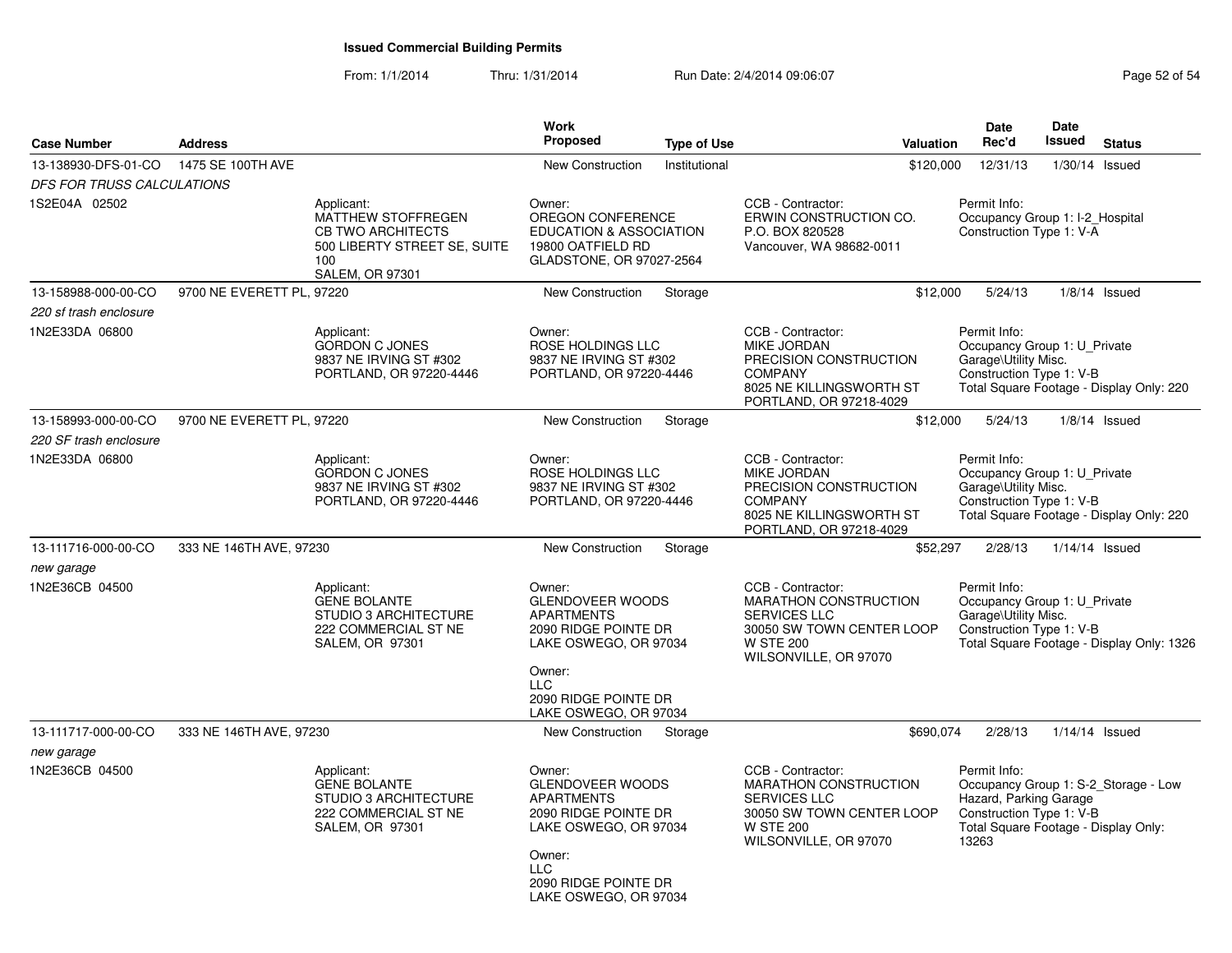| <b>Case Number</b>                            | <b>Address</b>            |                                                                                                                               | Work<br><b>Proposed</b>                                                                                                                                                          | <b>Type of Use</b> | Valuation                                                                                                                                          | <b>Date</b><br>Rec'd                                                                                                | Date<br><b>Issued</b> | <b>Status</b>                             |
|-----------------------------------------------|---------------------------|-------------------------------------------------------------------------------------------------------------------------------|----------------------------------------------------------------------------------------------------------------------------------------------------------------------------------|--------------------|----------------------------------------------------------------------------------------------------------------------------------------------------|---------------------------------------------------------------------------------------------------------------------|-----------------------|-------------------------------------------|
| 13-138930-DFS-01-CO                           | 1475 SE 100TH AVE         |                                                                                                                               | <b>New Construction</b>                                                                                                                                                          | Institutional      | \$120,000                                                                                                                                          | 12/31/13                                                                                                            |                       | $1/30/14$ Issued                          |
| DFS FOR TRUSS CALCULATIONS                    |                           |                                                                                                                               |                                                                                                                                                                                  |                    |                                                                                                                                                    |                                                                                                                     |                       |                                           |
| 1S2E04A 02502                                 |                           | Applicant:<br>MATTHEW STOFFREGEN<br><b>CB TWO ARCHITECTS</b><br>500 LIBERTY STREET SE, SUITE<br>100<br><b>SALEM, OR 97301</b> | Owner:<br>OREGON CONFERENCE<br><b>EDUCATION &amp; ASSOCIATION</b><br>19800 OATFIELD RD<br>GLADSTONE, OR 97027-2564                                                               |                    | CCB - Contractor:<br>ERWIN CONSTRUCTION CO.<br>P.O. BOX 820528<br>Vancouver, WA 98682-0011                                                         | Permit Info:<br>Occupancy Group 1: I-2_Hospital<br>Construction Type 1: $V-\overline{A}$                            |                       |                                           |
| 13-158988-000-00-CO                           | 9700 NE EVERETT PL, 97220 |                                                                                                                               | New Construction                                                                                                                                                                 | Storage            | \$12,000                                                                                                                                           | 5/24/13                                                                                                             |                       | $1/8/14$ Issued                           |
| 220 sf trash enclosure                        |                           |                                                                                                                               |                                                                                                                                                                                  |                    |                                                                                                                                                    |                                                                                                                     |                       |                                           |
| 1N2E33DA 06800                                |                           | Applicant:<br><b>GORDON C JONES</b><br>9837 NE IRVING ST #302<br>PORTLAND, OR 97220-4446                                      | Owner:<br>ROSE HOLDINGS LLC<br>9837 NE IRVING ST #302<br>PORTLAND, OR 97220-4446                                                                                                 |                    | CCB - Contractor:<br><b>MIKE JORDAN</b><br>PRECISION CONSTRUCTION<br><b>COMPANY</b><br>8025 NE KILLINGSWORTH ST<br>PORTLAND, OR 97218-4029         | Permit Info:<br>Occupancy Group 1: U Private<br>Garage\Utility Misc.<br>Construction Type 1: V-B                    |                       | Total Square Footage - Display Only: 220  |
| 13-158993-000-00-CO<br>220 SF trash enclosure | 9700 NE EVERETT PL, 97220 |                                                                                                                               | <b>New Construction</b>                                                                                                                                                          | Storage            | \$12,000                                                                                                                                           | 5/24/13                                                                                                             |                       | $1/8/14$ Issued                           |
| 1N2E33DA 06800                                |                           | Applicant:<br><b>GORDON C JONES</b><br>9837 NE IRVING ST #302<br>PORTLAND, OR 97220-4446                                      | Owner:<br>ROSE HOLDINGS LLC<br>9837 NE IRVING ST #302<br>PORTLAND, OR 97220-4446                                                                                                 |                    | CCB - Contractor:<br><b>MIKE JORDAN</b><br>PRECISION CONSTRUCTION<br><b>COMPANY</b><br>8025 NE KILLINGSWORTH ST<br>PORTLAND, OR 97218-4029         | Permit Info:<br>Occupancy Group 1: U_Private<br>Garage\Utility Misc.<br>Construction Type 1: V-B                    |                       | Total Square Footage - Display Only: 220  |
| 13-111716-000-00-CO                           | 333 NE 146TH AVE, 97230   |                                                                                                                               | <b>New Construction</b>                                                                                                                                                          | Storage            | \$52,297                                                                                                                                           | 2/28/13                                                                                                             |                       | 1/14/14 Issued                            |
| new garage<br>1N2E36CB 04500                  |                           | Applicant:<br><b>GENE BOLANTE</b><br>STUDIO 3 ARCHITECTURE<br>222 COMMERCIAL ST NE<br>SALEM, OR 97301                         | Owner:<br><b>GLENDOVEER WOODS</b><br><b>APARTMENTS</b><br>2090 RIDGE POINTE DR<br>LAKE OSWEGO, OR 97034<br>Owner:<br><b>LLC</b><br>2090 RIDGE POINTE DR<br>LAKE OSWEGO, OR 97034 |                    | CCB - Contractor:<br><b>MARATHON CONSTRUCTION</b><br><b>SERVICES LLC</b><br>30050 SW TOWN CENTER LOOP<br><b>W STE 200</b><br>WILSONVILLE, OR 97070 | Permit Info:<br>Occupancy Group 1: U_Private<br>Garage\Utility Misc.<br>Construction Type 1: V-B                    |                       | Total Square Footage - Display Only: 1326 |
| 13-111717-000-00-CO                           | 333 NE 146TH AVE, 97230   |                                                                                                                               | New Construction                                                                                                                                                                 | Storage            | \$690,074                                                                                                                                          | 2/28/13                                                                                                             |                       | $1/14/14$ Issued                          |
| new garage                                    |                           |                                                                                                                               |                                                                                                                                                                                  |                    |                                                                                                                                                    |                                                                                                                     |                       |                                           |
| 1N2E36CB 04500                                |                           | Applicant:<br><b>GENE BOLANTE</b><br>STUDIO 3 ARCHITECTURE<br>222 COMMERCIAL ST NE<br>SALEM, OR 97301                         | Owner:<br><b>GLENDOVEER WOODS</b><br><b>APARTMENTS</b><br>2090 RIDGE POINTE DR<br>LAKE OSWEGO, OR 97034<br>Owner:<br><b>LLC</b><br>2090 RIDGE POINTE DR<br>LAKE OSWEGO, OR 97034 |                    | CCB - Contractor:<br>MARATHON CONSTRUCTION<br><b>SERVICES LLC</b><br>30050 SW TOWN CENTER LOOP<br><b>W STE 200</b><br>WILSONVILLE, OR 97070        | Permit Info:<br>Hazard, Parking Garage<br>Construction Type 1: V-B<br>Total Square Footage - Display Only:<br>13263 |                       | Occupancy Group 1: S-2_Storage - Low      |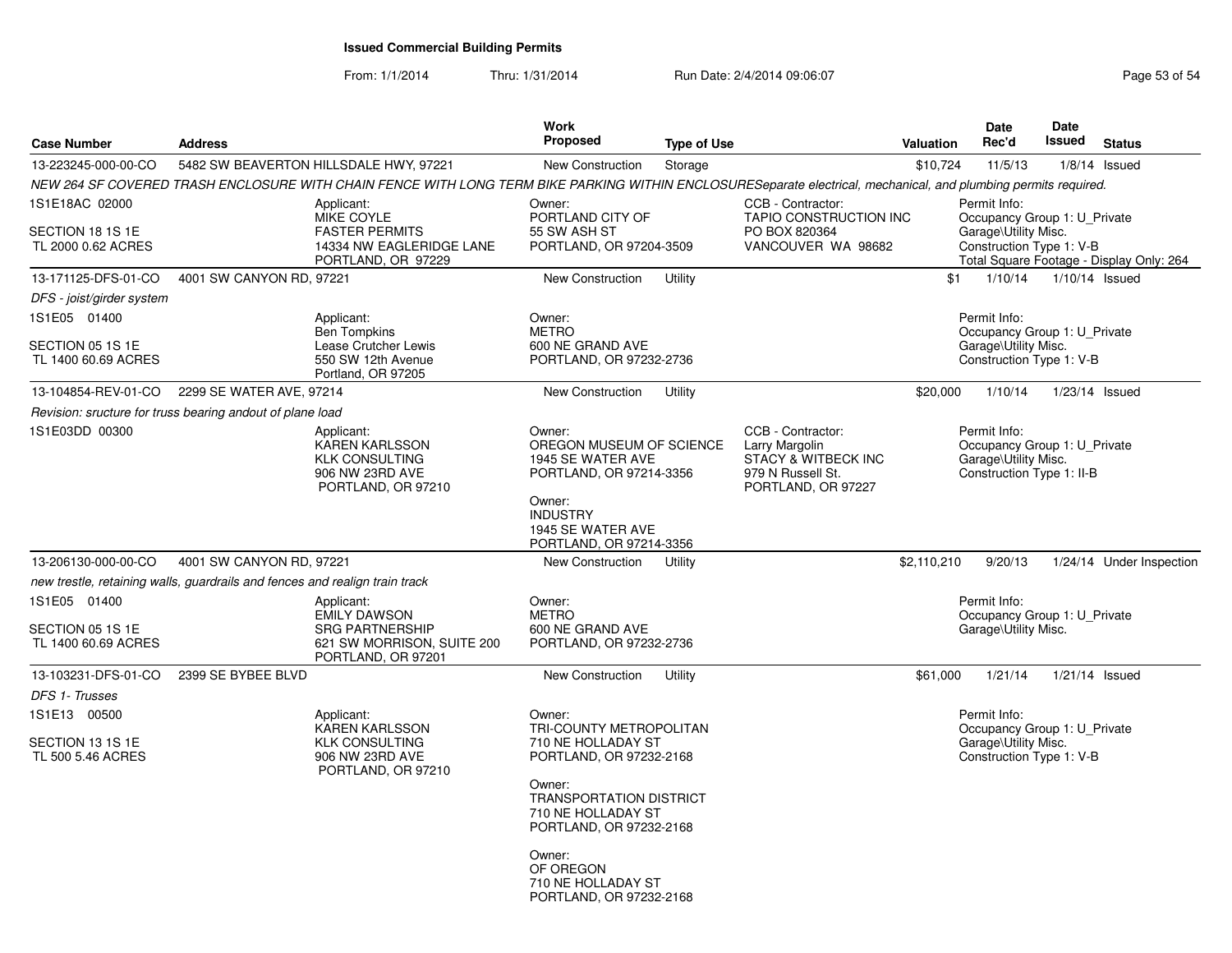| <b>Case Number</b>                                       | <b>Address</b>                                                              |                                                                                                                                                                 | <b>Work</b><br>Proposed                                                                                                                                         | <b>Type of Use</b> |                                                                                                                  | <b>Valuation</b> | <b>Date</b><br>Rec'd                                                                              | <b>Date</b><br><b>Issued</b> | <b>Status</b>                            |  |
|----------------------------------------------------------|-----------------------------------------------------------------------------|-----------------------------------------------------------------------------------------------------------------------------------------------------------------|-----------------------------------------------------------------------------------------------------------------------------------------------------------------|--------------------|------------------------------------------------------------------------------------------------------------------|------------------|---------------------------------------------------------------------------------------------------|------------------------------|------------------------------------------|--|
| 13-223245-000-00-CO                                      |                                                                             | 5482 SW BEAVERTON HILLSDALE HWY, 97221                                                                                                                          | <b>New Construction</b>                                                                                                                                         | Storage            |                                                                                                                  | \$10,724         | 11/5/13                                                                                           |                              | $1/8/14$ Issued                          |  |
|                                                          |                                                                             | NEW 264 SF COVERED TRASH ENCLOSURE WITH CHAIN FENCE WITH LONG TERM BIKE PARKING WITHIN ENCLOSURESeparate electrical, mechanical, and plumbing permits required. |                                                                                                                                                                 |                    |                                                                                                                  |                  |                                                                                                   |                              |                                          |  |
| 1S1E18AC 02000<br>SECTION 18 1S 1E<br>TL 2000 0.62 ACRES |                                                                             | Applicant:<br><b>MIKE COYLE</b><br><b>FASTER PERMITS</b><br>14334 NW EAGLERIDGE LANE<br>PORTLAND, OR 97229                                                      | Owner:<br>PORTLAND CITY OF<br>55 SW ASH ST<br>PORTLAND, OR 97204-3509                                                                                           |                    | CCB - Contractor:<br>TAPIO CONSTRUCTION INC<br>PO BOX 820364<br>VANCOUVER WA 98682                               |                  | Permit Info:<br>Occupancy Group 1: U_Private<br>Garage\Utility Misc.<br>Construction Type 1: V-B  |                              | Total Square Footage - Display Only: 264 |  |
| 13-171125-DFS-01-CO                                      | 4001 SW CANYON RD, 97221                                                    |                                                                                                                                                                 | New Construction                                                                                                                                                | Utility            |                                                                                                                  | \$1              | 1/10/14                                                                                           |                              | $1/10/14$ Issued                         |  |
| DFS - joist/girder system                                |                                                                             |                                                                                                                                                                 |                                                                                                                                                                 |                    |                                                                                                                  |                  |                                                                                                   |                              |                                          |  |
| 1S1E05 01400                                             |                                                                             | Applicant:<br><b>Ben Tompkins</b>                                                                                                                               | Owner:<br><b>METRO</b>                                                                                                                                          |                    |                                                                                                                  |                  | Permit Info:<br>Occupancy Group 1: U Private                                                      |                              |                                          |  |
| SECTION 05 1S 1E<br>TL 1400 60.69 ACRES                  |                                                                             | Lease Crutcher Lewis<br>550 SW 12th Avenue<br>Portland, OR 97205                                                                                                | 600 NE GRAND AVE<br>PORTLAND, OR 97232-2736                                                                                                                     |                    |                                                                                                                  |                  | Garage\Utility Misc.<br>Construction Type 1: V-B                                                  |                              |                                          |  |
| 13-104854-REV-01-CO                                      | 2299 SE WATER AVE, 97214                                                    |                                                                                                                                                                 | New Construction                                                                                                                                                | Utility            |                                                                                                                  | \$20,000         | 1/10/14                                                                                           |                              | 1/23/14 Issued                           |  |
|                                                          | Revision: sructure for truss bearing andout of plane load                   |                                                                                                                                                                 |                                                                                                                                                                 |                    |                                                                                                                  |                  |                                                                                                   |                              |                                          |  |
| 1S1E03DD 00300                                           |                                                                             | Applicant:<br><b>KAREN KARLSSON</b><br><b>KLK CONSULTING</b><br>906 NW 23RD AVE<br>PORTLAND, OR 97210                                                           | Owner:<br>OREGON MUSEUM OF SCIENCE<br>1945 SE WATER AVE<br>PORTLAND, OR 97214-3356<br>Owner:<br><b>INDUSTRY</b><br>1945 SE WATER AVE<br>PORTLAND, OR 97214-3356 |                    | CCB - Contractor:<br>Larry Margolin<br><b>STACY &amp; WITBECK INC</b><br>979 N Russell St.<br>PORTLAND, OR 97227 |                  | Permit Info:<br>Occupancy Group 1: U_Private<br>Garage\Utility Misc.<br>Construction Type 1: II-B |                              |                                          |  |
| 13-206130-000-00-CO                                      | 4001 SW CANYON RD, 97221                                                    |                                                                                                                                                                 | New Construction                                                                                                                                                | Utility            |                                                                                                                  | \$2,110,210      | 9/20/13                                                                                           |                              | 1/24/14 Under Inspection                 |  |
|                                                          | new trestle, retaining walls, guardrails and fences and realign train track |                                                                                                                                                                 |                                                                                                                                                                 |                    |                                                                                                                  |                  |                                                                                                   |                              |                                          |  |
| 1S1E05 01400<br>SECTION 05 1S 1E<br>TL 1400 60.69 ACRES  |                                                                             | Applicant:<br><b>EMILY DAWSON</b><br><b>SRG PARTNERSHIP</b><br>621 SW MORRISON, SUITE 200<br>PORTLAND, OR 97201                                                 | Owner:<br><b>METRO</b><br>600 NE GRAND AVE<br>PORTLAND, OR 97232-2736                                                                                           |                    |                                                                                                                  |                  | Permit Info:<br>Occupancy Group 1: U_Private<br>Garage\Utility Misc.                              |                              |                                          |  |
| 13-103231-DFS-01-CO                                      | 2399 SE BYBEE BLVD                                                          |                                                                                                                                                                 | New Construction                                                                                                                                                | Utility            |                                                                                                                  | \$61,000         | 1/21/14                                                                                           |                              | $1/21/14$ Issued                         |  |
| DFS 1- Trusses                                           |                                                                             |                                                                                                                                                                 |                                                                                                                                                                 |                    |                                                                                                                  |                  |                                                                                                   |                              |                                          |  |
| 1S1E13 00500                                             |                                                                             | Applicant:<br><b>KAREN KARLSSON</b>                                                                                                                             | Owner:<br>TRI-COUNTY METROPOLITAN                                                                                                                               |                    |                                                                                                                  |                  | Permit Info:<br>Occupancy Group 1: U_Private                                                      |                              |                                          |  |
| SECTION 13 1S 1E<br>TL 500 5.46 ACRES                    |                                                                             | <b>KLK CONSULTING</b><br>906 NW 23RD AVE<br>PORTLAND, OR 97210                                                                                                  | 710 NE HOLLADAY ST<br>PORTLAND, OR 97232-2168<br>Owner:<br><b>TRANSPORTATION DISTRICT</b><br>710 NE HOLLADAY ST<br>PORTLAND, OR 97232-2168                      |                    | Garage\Utility Misc.<br>Construction Type 1: V-B                                                                 |                  |                                                                                                   |                              |                                          |  |
|                                                          |                                                                             |                                                                                                                                                                 | Owner:<br>OF OREGON<br>710 NE HOLLADAY ST<br>PORTLAND, OR 97232-2168                                                                                            |                    |                                                                                                                  |                  |                                                                                                   |                              |                                          |  |